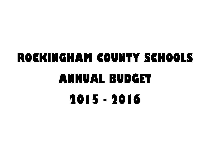## **ROCKINGHAM COUNTY SCHOOLS ANNUAL BUDGET 2015 - 2016**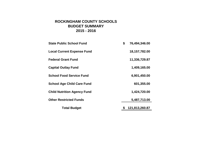## **2015 - 2016 ROCKINGHAM COUNTY SCHOOLS BUDGET SUMMARY**

| <b>State Public School Fund</b>    | \$<br>76,494,346.00  |
|------------------------------------|----------------------|
| <b>Local Current Expense Fund</b>  | 18, 157, 782.00      |
| <b>Federal Grant Fund</b>          | 11,336,729.87        |
| <b>Capital Outlay Fund</b>         | 1,409,165.00         |
| <b>School Food Service Fund</b>    | 6,901,450.00         |
| <b>School Age Child Care Fund</b>  | 601,355.00           |
| <b>Child Nutrition Agency Fund</b> | 1,424,720.00         |
| <b>Other Restricted Funds</b>      | 5,487,713.00         |
| <b>Total Budget</b>                | \$<br>121,813,260.87 |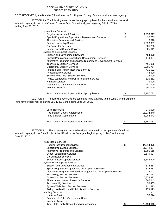### ROCKINGHAM COUNTY SCHOOLS BUDGET RESOLUTION

BE IT RESOLVED by the Board of Education of the Rockingham County Schools local education agency:

SECTION I - The following amounts are hereby appropriated for the operation of the local education agency in the Local Current Expense Fund for the fiscal year beginning July 1, 2015 and ending June 30, 2016.

| <b>Instructional Services</b>                                      |                  |
|--------------------------------------------------------------------|------------------|
| <b>Regular Instructional Services</b>                              | \$<br>1,959,017  |
| Special Populations Support and Development Services               | \$<br>32,733     |
| <b>Alternative Programs and Services</b>                           | 3,518            |
| <b>School Leadership Services</b>                                  | 2,828,987        |
| <b>Co-Curricular Services</b>                                      | 885,788          |
| <b>School-Based Support Services</b>                               | 605,811          |
| <b>System-Wide Support Services</b>                                |                  |
| Support and Development Services                                   | 454,378          |
| Special Populations Support and Development Services               | 179,807          |
| Alternative Programs and Services Support and Development Services |                  |
| <b>Technology Support Services</b>                                 | 461,955          |
| <b>Operational Support Services</b>                                | 8,291,754        |
| <b>Financial and Human Resource Services</b>                       | 411,522          |
| <b>Accountability Services</b>                                     | 42,600           |
| System-Wide Pupil Support Services                                 | 25,700           |
| Policy, Leadership, and Public Relations Services                  | 625,212          |
| <b>Nutrition Services</b>                                          | 9,000            |
| Payments to Other Government Units                                 | 440,000          |
| Interfund Transfers                                                | 900,000          |
| <b>Total Local Current Expense Fund Appropriations</b>             | \$<br>18,157,782 |

SECTION II - The following revenues are estimated to be available to the Local Current Expense Fund for the fiscal year beginning July 1, 2015 and ending June 30, 2016.

| Local Revenues<br>Rockingham County Appropriation<br>Fund Balance Appropriated | 340,000<br>15.834.840<br>1.982.942 |
|--------------------------------------------------------------------------------|------------------------------------|
| <b>Total Local Current Expense Fund Revenue</b>                                | \$<br>18.157.782                   |

SECTION III - The following amounts are hereby appropriated for the operation of the local education agency in the State Public School Fund for the fiscal year beginning July 1, 2015 and ending June 30, 2016.

| <b>Instructional Services</b>                                      |                  |
|--------------------------------------------------------------------|------------------|
| <b>Regular Instructional Services</b>                              | \$<br>44,214,475 |
| <b>Special Populations Services</b>                                | 11,072,937       |
| <b>Alternative Programs and Services</b>                           | 1,896,615        |
| <b>School Leadership Services</b>                                  | 3,679,697        |
| Co-Curricular Services                                             |                  |
| <b>School-Based Support Services</b>                               | 6,143,820        |
| <b>System-Wide Support Services</b>                                |                  |
| Support and Development Services                                   | 572,257          |
| Special Population Support and Development Services                | 525,351          |
| Alternative Programs and Services Support and Development Services | 33,741           |
| <b>Technology Support Services</b>                                 | 667,073          |
| <b>Operational Support Services</b>                                | 5,879,972        |
| <b>Financial and Human Resource Services</b>                       | 806,043          |
| <b>Accountability Services</b>                                     | 58,485           |
| System-Wide Pupil Support Services                                 | 111,813          |
| Policy, Leadership, and Public Relations Services                  | 773,993          |
| <b>Ancillary Services</b>                                          |                  |
| <b>Nutrition Services</b>                                          | 58,074           |
| Payments to Other Government Units                                 |                  |
| Interfund Transfers                                                |                  |
| <b>Total State Public School Fund Appropriations</b>               | 76,494,346       |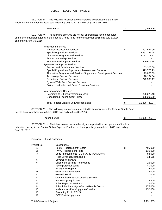SECTION IV - The following revenues are estimated to be available to the State Public School Fund for the fiscal year beginning July 1, 2015 and ending June 30, 2016.

| <b>State Funds</b>                                                                                                                                                                                                        | \$. | 76,494,346    |
|---------------------------------------------------------------------------------------------------------------------------------------------------------------------------------------------------------------------------|-----|---------------|
| SECTION V - The following amounts are hereby appropriated for the operation<br>of the local education agency in the Federal Grants Fund for the fiscal year beginning July 1, 2015<br>and ending June 30, 2016.           |     |               |
| <b>Instructional Services</b>                                                                                                                                                                                             |     |               |
| <b>Regular Instructional Services</b>                                                                                                                                                                                     | \$  | 907,687.99    |
| <b>Special Populations Services</b>                                                                                                                                                                                       |     | 4,297,357.48  |
| Alternative Programs and Services                                                                                                                                                                                         |     | 3,781,213.81  |
| School Leadership Services                                                                                                                                                                                                |     |               |
| <b>School-Based Support Services</b>                                                                                                                                                                                      |     | 809,605.78    |
| <b>System-Wide Support Services</b>                                                                                                                                                                                       |     |               |
| Support and Development Services                                                                                                                                                                                          |     | 53,300.00     |
| Special Populations Support and Development Services                                                                                                                                                                      |     | 493,776.23    |
| Alternative Programs and Services Support and Development Services                                                                                                                                                        |     | 119,866.09    |
| <b>Technology Support Services</b>                                                                                                                                                                                        |     | 10,134.54     |
| <b>Operational Support Services</b>                                                                                                                                                                                       |     | 242,306.17    |
| System-Wide Pupil Support Services                                                                                                                                                                                        |     |               |
| Policy, Leadership and Public Relations Services                                                                                                                                                                          |     |               |
| Non-Programmed Charges                                                                                                                                                                                                    |     |               |
| Payments to Other Governmental Units                                                                                                                                                                                      |     | 226,278.48    |
| Unbudgeted Federal Grant Funds                                                                                                                                                                                            |     | 395,203.30    |
| <b>Total Federal Grants Fund Appropriations</b>                                                                                                                                                                           |     | 11,336,729.87 |
| SECTION VI - The following revenues are estimated to be available to the Federal Grants Fund<br>for the fiscal year beginning July 1, 2015 and ending June 30, 2016.                                                      |     |               |
| <b>Federal Funds</b>                                                                                                                                                                                                      |     | 11,336,729.87 |
|                                                                                                                                                                                                                           |     |               |
| SECTION VII - The following amounts are hereby appropriated for the operation of the local<br>education agency in the Capital Outlay Expense Fund for the fiscal year beginning July 1, 2015 and ending<br>June 30, 2016. |     |               |

Category I - (Land, Buildings)

| Project No. | Descriptions                               |               |
|-------------|--------------------------------------------|---------------|
|             | Roofs - Replacement/Repair                 | \$<br>405,000 |
|             | <b>HVAC Replacement/Parts</b>              | 130,000       |
| 3           | Code Improvements-(OSHA, AHERA, ADA, etc.) | 83,000        |
| 4           | Floor Coverings/Refinishing                | 14,165        |
| 5           | <b>Covered Walkways</b>                    |               |
| 6           | <b>Classroom Building Renovations</b>      | 26,000        |
|             | Paving/Gravel/Sealing                      | 40,000        |
| 8           | <b>Emergency Repairs</b>                   | 25,000        |
| 9           | Grounds Improvements                       | 23,000        |
| 10          | <b>General Repair</b>                      | 31,000        |
| 11          | Communications/Intercom/Fire System        |               |
| 12          | <b>Bus Garage Equipment</b>                | 5,200         |
| 13          | <b>Boiler Replacement/Parts</b>            | 22,000        |
| 14          | School Stadiums/Gyms/Tracks/Tennis Courts  | 175,000       |
| 15          | Auditoriums - Parts/Upgrade/Curtains       | 152,000       |
| 16          | Swimming Pool - RCHS                       |               |
| 17          | <b>OCR Facility Upgrades</b>               |               |
|             |                                            |               |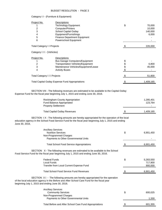### Category I I - (Furniture & Equipment)

| Project No.<br>2<br>3<br>4<br>5<br>6 | Descriptions<br>Technology Equipment<br>Computer/Printers<br><b>School Capital Outlay</b><br>Equipment/Furnishings<br><b>Finance Department Equipment</b><br>Powerschool Equipment | \$ | 70,000<br>10,000<br>140,000<br>6,000 |
|--------------------------------------|------------------------------------------------------------------------------------------------------------------------------------------------------------------------------------|----|--------------------------------------|
| <b>Total Category I I Projects</b>   |                                                                                                                                                                                    | S  | 226,000                              |
| Category III - (Vehicles)            |                                                                                                                                                                                    |    |                                      |
| Project No.                          | Descriptions<br><b>Bus Garage Computers/Equipment</b>                                                                                                                              |    |                                      |
| 2                                    | <b>Transportation Vehicles/Equipment</b>                                                                                                                                           |    | 6,800                                |
| 3                                    | Maintenance Vehicles/Equipment/Lease                                                                                                                                               |    | 45,000                               |
| 4                                    | <b>Activity Buses</b>                                                                                                                                                              |    |                                      |
| <b>Total Category III Projects</b>   |                                                                                                                                                                                    | -S | 51,800                               |
|                                      | <b>Total Capital Outlay Expense Fund Appropriations</b>                                                                                                                            |    | 1,409,165                            |

SECTION VIII - The following revenues are estimated to be available to the Capital Outlay Expense Fund for the fiscal year beginning July 1, 2015 and ending June 30, 2016.

| Rockingham County Appropriation<br>Fund Balance Appropriated<br><b>Property Settlement</b> |    | 1,285,401<br>123.764<br>$\overline{\phantom{0}}$ |
|--------------------------------------------------------------------------------------------|----|--------------------------------------------------|
| <b>Total Capital Outlay Revenues</b>                                                       | S. | 1,409,165                                        |

SECTION I X - The following amounts are hereby appropriated for the operation of the local education agency in the School Food Service Fund for the fiscal year beginning July 1, 2015 and ending June 30, 2016.

| <b>Ancillary Services</b><br><b>Nutrition Services</b><br>Non-Programmed Charges<br>Payments to Other Governmental Units                                                                                                       | \$<br>6,901,450                       |
|--------------------------------------------------------------------------------------------------------------------------------------------------------------------------------------------------------------------------------|---------------------------------------|
| <b>Total School Food Service Appropriations</b>                                                                                                                                                                                | 6,901,450                             |
| SECTION X - The following revenues are estimated to be available to the School<br>Food Service Fund for the fiscal year beginning July 1, 2015 and ending June 30, 2016.                                                       |                                       |
| <b>Federal Funds</b><br><b>Local Funds</b><br>Transfer from Local Current Expense Fund                                                                                                                                         | \$<br>5,283,550<br>717,900<br>900,000 |
| <b>Total School Food Service Fund Revenues</b>                                                                                                                                                                                 | 6,901,450                             |
| SECTION XI - The following amounts are hereby appropriated for the operation<br>of the local education agency in the Before and After School Care Fund for the fiscal year<br>beginning July 1, 2015 and ending June 30, 2016. |                                       |
| <b>Ancillary Services</b><br><b>Community Services</b><br>Non-Programmed Charges<br>Payments to Other Governmental Units                                                                                                       | \$<br>600,025<br>1,330                |
|                                                                                                                                                                                                                                |                                       |

| Total Before and After School Care Fund Appropriations | 601,355 |
|--------------------------------------------------------|---------|
|--------------------------------------------------------|---------|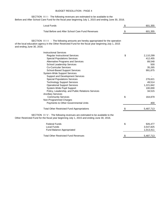### BUDGET RESOLUTION - PAGE 4

SECTION XII - The following revenues are estimated to be available to the Before and After School Care Fund for the fiscal year beginning July 1, 2015 and ending June 30, 2016.

| <b>Local Funds</b>                                                                                                                                                                                                                                                                                                                                                                                                                                                                                                                                               | \$<br>601,355                                                                                                           |
|------------------------------------------------------------------------------------------------------------------------------------------------------------------------------------------------------------------------------------------------------------------------------------------------------------------------------------------------------------------------------------------------------------------------------------------------------------------------------------------------------------------------------------------------------------------|-------------------------------------------------------------------------------------------------------------------------|
| Total Before and After School Care Fund Revenues                                                                                                                                                                                                                                                                                                                                                                                                                                                                                                                 | 601,355                                                                                                                 |
| SECTION XIII - The following amounts are hereby appropriated for the operation<br>of the local education agency in the Other Restricted Fund for the fiscal year beginning July 1, 2015<br>and ending June 30, 2016.                                                                                                                                                                                                                                                                                                                                             |                                                                                                                         |
| <b>Instructional Services</b><br><b>Regular Instructional Services</b><br><b>Special Populations Services</b><br>Alternative Programs and Services<br>School Leadership Services<br><b>Co-Curricular Services</b><br>School-Based Support Services<br><b>System-Wide Support Services</b><br>Support and Development Services<br><b>Special Populations Services</b><br><b>Technology Support Services</b><br><b>Operational Support Services</b><br>System-Wide Pupil Support<br>Policy, Leadership, and Public Relations Services<br><b>Ancillary Services</b> | \$<br>2,110,299<br>412,455<br>89,548<br>500<br>35,265<br>991,875<br>276,621<br>49,514<br>1,221,842<br>100,000<br>34,515 |
| <b>Community Services</b><br>Non-Programmed Charges<br>Payments to Other Governmental Units                                                                                                                                                                                                                                                                                                                                                                                                                                                                      | \$<br>164,879<br>400                                                                                                    |
| <b>Total Other Restricted Fund Appropriations</b>                                                                                                                                                                                                                                                                                                                                                                                                                                                                                                                | 5,487,713                                                                                                               |
| SECTION XIV - The following revenues are estimated to be available to the<br>Other Restricted Fund for the fiscal year beginning July 1, 2015 and ending June 30, 2016.                                                                                                                                                                                                                                                                                                                                                                                          |                                                                                                                         |
| <b>Federal Funds</b><br><b>Local Funds</b><br>Fund Balance Appropriated                                                                                                                                                                                                                                                                                                                                                                                                                                                                                          | \$<br>926,477<br>3,547,825<br>1,013,411                                                                                 |
| <b>Total Other Restricted Fund Revenues</b>                                                                                                                                                                                                                                                                                                                                                                                                                                                                                                                      | \$<br>5,487,713                                                                                                         |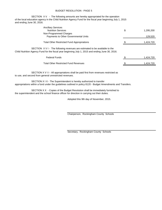### BUDGET RESOLUTION - PAGE 5

SECTION X V - The following amounts are hereby appropriated for the operation of the local education agency in the Child Nutrition Agency Fund for the fiscal year beginning July 1, 2015 and ending June 30, 2016.

| <b>Ancillary Services</b><br><b>Nutrition Services</b>                                                                                                                                       | \$<br>1,295,200 |
|----------------------------------------------------------------------------------------------------------------------------------------------------------------------------------------------|-----------------|
| Non-Programmed Charges<br>Payments to Other Governmental Units                                                                                                                               | 129,520         |
| <b>Total Other Restricted Fund Appropriations</b>                                                                                                                                            | 1,424,720       |
| SECTION $\overline{X}$ V I - The following revenues are estimated to be available to the<br>Child Nutrition Agency Fund for the fiscal year beginning July 1, 2015 and ending June 30, 2016. |                 |
| <b>Federal Funds</b>                                                                                                                                                                         | 1,424,720       |
| <b>Total Other Restricted Fund Revenues</b>                                                                                                                                                  | 1,424,720       |

SECTION X V I I - All appropriations shall be paid first from revenues restricted as to use, and second from general unrestricted revenues.

SECTION X I X - The Superintendent is hereby authorized to transfer appropriations within a fund under the guidelines outlined in policy 8120 - Budget Amendments and Transfers.

SECTION X X - Copies of the Budget Resolution shall be immediately furnished to the superintendent and the school finance officer for direction in carrying out their duties.

Adopted this 9th day of November, 2015.

Chairperson, Rockingham County Schools

Secretary, Rockingham County Schools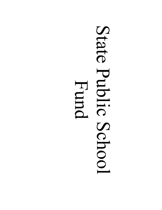# State Public Hund Schoo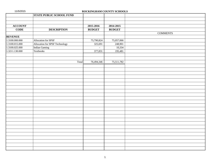|  | 11/5/2015 |  |
|--|-----------|--|
|--|-----------|--|

### ROCKINGHAM COUNTY SCHOOLS

|                 | <b>STATE PUBLIC SCHOOL FUND</b> |               |               |                 |
|-----------------|---------------------------------|---------------|---------------|-----------------|
|                 |                                 |               |               |                 |
| ${\bf ACCOUNT}$ |                                 | 2015-2016     | 2014-2015     |                 |
| $CODE$          | <b>DESCRIPTION</b>              | <b>BUDGET</b> | <b>BUDGET</b> |                 |
|                 |                                 |               |               | <b>COMMENTS</b> |
| <b>REVENUE</b>  |                                 |               |               |                 |
| 1.3100.000.000  | Allocation for SPSF             | 75,790,824    | 75,057,066    |                 |
| 1.3100.015.000  | Allocation for SPSF Technology  | 325,691       | 248,901       |                 |
| 1.3100.025.000  | <b>Indian Gaming</b>            | $\mathbf{r}$  | 10,334        |                 |
| 1.3211.130.000  | Textbooks                       | 377,831       | 195,481       |                 |
|                 |                                 |               |               |                 |
|                 |                                 |               |               |                 |
|                 | Total                           | 76,494,346    | 75,511,782    |                 |
|                 |                                 |               |               |                 |
|                 |                                 |               |               |                 |
|                 |                                 |               |               |                 |
|                 |                                 |               |               |                 |
|                 |                                 |               |               |                 |
|                 |                                 |               |               |                 |
|                 |                                 |               |               |                 |
|                 |                                 |               |               |                 |
|                 |                                 |               |               |                 |
|                 |                                 |               |               |                 |
|                 |                                 |               |               |                 |
|                 |                                 |               |               |                 |
|                 |                                 |               |               |                 |
|                 |                                 |               |               |                 |
|                 |                                 |               |               |                 |
|                 |                                 |               |               |                 |
|                 |                                 |               |               |                 |
|                 |                                 |               |               |                 |
|                 |                                 |               |               |                 |
|                 |                                 |               |               |                 |
|                 |                                 |               |               |                 |
|                 |                                 |               |               |                 |
|                 |                                 |               |               |                 |
|                 |                                 |               |               |                 |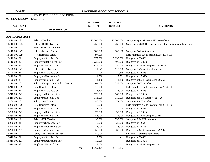|                        | <b>STATE PUBLIC SCHOOL FUND</b>       |               |                          |                                                                   |
|------------------------|---------------------------------------|---------------|--------------------------|-------------------------------------------------------------------|
| 001 CLASSROOM TEACHERS |                                       |               |                          |                                                                   |
|                        |                                       | 2015-2016     | 2014-2015                |                                                                   |
| <b>ACCOUNT</b>         |                                       | <b>BUDGET</b> | <b>BUDGET</b>            | <b>COMMENTS</b>                                                   |
| <b>CODE</b>            | <b>DESCRIPTION</b>                    |               |                          |                                                                   |
|                        |                                       |               |                          |                                                                   |
| <b>APPROPRIATIONS</b>  |                                       |               |                          |                                                                   |
| 1.5110.001.121         | Salary - Teacher                      | 23,500,000    | 22,500,000               | Salary for approximately 523.10 teachers                          |
| 1.5110.001.123         | Salary - ROTC Teacher                 | 258,000       | 260,000                  | Salary for 4.48 ROTC Instructors - other portion paid from Fund 8 |
| 1.5110.001.125         | <b>New Teacher Orientation</b>        | 20,000        | 20,000                   |                                                                   |
| 1.5110.001.127         | Salary - Master Teacher               | 680,000       | 602,650                  | Salary for 14 lead teachers                                       |
| 1.5110.001.129         | <b>Held Harmless Salary</b>           | 97,000        |                          | Held harmless due to Session Law 2014-100.                        |
| 1.5110.001.211         | Employers Soc. Sec. Cost              | 1,877,000     | 2,250,000                | Budgeted at 7.65%                                                 |
| 1.5110.001.221         | <b>Employers Retirement Cost</b>      | 3,735,000     | 4,405,000                | Budgeted at 15.32%                                                |
| 1.5110.001.231         | Employers Hospital Cost               | 2,975,000     | 3,050,000                | Budgeted at \$5,471/employee (541.58)                             |
| 1.5120.001.121         | Salary - CTE Teacher                  | 11,625        | 110,000                  | Salary for 0.25 vocational teachers                               |
| 1.5120.001.211         | Employers Soc. Sec. Cost              | 900           | 9,415                    | Budgeted at 7.65%                                                 |
| 1.5120.001.221         | <b>Employers Retirement Cost</b>      | 1,800         | 17,731                   | Budgeted at 15.32%                                                |
| 1.5120.001.231         | Employers Hospital Cost               | 1,400         | 11,386                   | Budgeted at \$5,471/employee (0.25)                               |
| 1.5210.001.121         | Salary - Exceptional Children Teacher | 1,103,000     | 1,035,000                | Salary for 20 EC teachers                                         |
| 1.5210.001.129         | <b>Held Harmless Salary</b>           | 10,000        | $\frac{1}{2}$            | Held harmless due to Session Law 2014-100.                        |
| 1.5210.001.211         | Employers Soc. Sec. Cost              | 85,200        | 85,000                   | Budgeted at 7.65%                                                 |
| 1.5210.001.221         | <b>Employers Retirement Cost</b>      | 170,000       | 165,000                  | Budgeted at 15.32%                                                |
| 1.5210.001.231         | <b>Employers Hospital Cost</b>        | 113,000       | 110,000                  | Budgeted at \$5,471/employee (20)                                 |
| 1.5260.001.121         | Salary - AG Teacher                   | 480,000       | 472,000                  | Salary for 9 AIG teachers                                         |
| 1.5260.001.129         | <b>Held Harmless Salary</b>           | 5,500         | $\overline{\phantom{a}}$ | Held harmless due to Session Law 2014-100.                        |
| 1.5260.001.211         | Employers Soc. Sec. Cost              | 38,000        | 20,000                   | Budgeted at 7.65%                                                 |
| 1.5260.001.221         | <b>Employers Retirement Cost</b>      | 75,000        | 35,000                   | Budgeted at 15.32%                                                |
| 1.5260.001.231         | Employers Hospital Cost               | 55,000        | 22,000                   | Budgeted at \$5,471/employee (9)                                  |
| 1.5270.001.121         | Salary - ESL Teacher                  | 490,000       | 530,000                  | Salary for 9.94 ESL teachers                                      |
| 1.5270.001.211         | Employers Soc. Sec. Cost              | 40,000        | 25,000                   | Budgeted at 7.65%                                                 |
| 1.5270.001.221         | Employers Retirement Cost             | 77,000        | 48,000                   | Budgeted at 15.32%                                                |
| 1.5270.001.231         | <b>Employers Hospital Cost</b>        | 57,000        | 33,000                   | Budgeted at \$5,471/employee (9.94)                               |
| 1.5310.001.121         | Salary - Alternative Teacher          | 80,000        | $\equiv$                 | Salary for 2 alternative teachers                                 |
| 1.5310.001.211         | Employers Soc. Sec. Cost              | 7,000         | $\mathbf{r}$             | Budgeted at 7.65%                                                 |
| 1.5310.001.221         | <b>Employers Retirement Cost</b>      | 15,000        | $\mathbf{r}$             | Budgeted at 15.32%                                                |
| 1.5310.001.231         | Employers Hospital Cost               | 11,000        | $\overline{a}$           | Budgeted at \$5,471/employee (2)                                  |
|                        | Total                                 | 36,069,425    | 35,816,182               |                                                                   |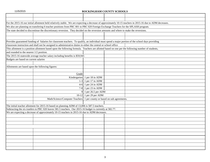|                                                  | For the 2015-16 our initial allotment held relatively stable. We are expecting a decrease of approximately 10-15 teachers in 2015-16 due to ADM decreases. |                          |                                          |  |
|--------------------------------------------------|------------------------------------------------------------------------------------------------------------------------------------------------------------|--------------------------|------------------------------------------|--|
|                                                  | We also are planning on transfering 6 teacher positions from PRC 001 to PRC 020 Foreign Exchange Teachers for the SPLASH program.                          |                          |                                          |  |
|                                                  | The state decided to discontinue the discretionary reversion. They decided on the reversion amounts and where to make the reversions.                      |                          |                                          |  |
|                                                  |                                                                                                                                                            |                          |                                          |  |
|                                                  |                                                                                                                                                            |                          |                                          |  |
|                                                  | Provides guaranteed funding of Salaries for classroom teachers. To qualify, an individual must spend a major portion of the school days providing          |                          |                                          |  |
|                                                  | classroom instruction and shall not be assigned to administrative duties in either the central or school office                                            |                          |                                          |  |
|                                                  | This allotment is a position allotment based upon the following formula. Teachers are allotted based on one per the following number of students,          |                          |                                          |  |
| and rounded to the nearest 1/2 position.         |                                                                                                                                                            |                          |                                          |  |
|                                                  | The 2015-16 statewide average teacher salary including benefits is \$59,945                                                                                |                          |                                          |  |
| Budgets are based on current salaries            |                                                                                                                                                            |                          |                                          |  |
|                                                  |                                                                                                                                                            |                          |                                          |  |
| Allotments are based upon the following figures: |                                                                                                                                                            |                          |                                          |  |
|                                                  |                                                                                                                                                            |                          |                                          |  |
|                                                  | Grade                                                                                                                                                      |                          |                                          |  |
|                                                  | Kindergarten                                                                                                                                               | 1 per 18 in ADM          |                                          |  |
|                                                  |                                                                                                                                                            | 1-3 1 per 17 in ADM      |                                          |  |
|                                                  |                                                                                                                                                            | 4-6 1 per 24 in ADM      |                                          |  |
|                                                  |                                                                                                                                                            | 7-8 1 per 23 in ADM      |                                          |  |
|                                                  | 9 <sup>1</sup>                                                                                                                                             | 1 per 26.5 per ADM       |                                          |  |
|                                                  |                                                                                                                                                            | $10-12$ 1 per 29 per ADM |                                          |  |
|                                                  | Math/Science/Computer Teachers                                                                                                                             |                          | 1 per county or based on sub agreements. |  |
|                                                  |                                                                                                                                                            |                          |                                          |  |
|                                                  | The initial teacher allotment for 2015-16 based on planning ADM of 13,006 is 587.5 teachers.                                                               |                          |                                          |  |
|                                                  | Subtracting the six tranfers to PRC 020 leaves 581.5 teachers. Our 2015-16 budget is currently at 582.77.                                                  |                          |                                          |  |
|                                                  | We are expecting a decrease of approximately 10-15 teachers in 2015-16 due to ADM decreases.                                                               |                          |                                          |  |
|                                                  |                                                                                                                                                            |                          |                                          |  |
|                                                  |                                                                                                                                                            |                          |                                          |  |
|                                                  |                                                                                                                                                            |                          |                                          |  |
|                                                  |                                                                                                                                                            |                          |                                          |  |
|                                                  |                                                                                                                                                            |                          |                                          |  |
|                                                  |                                                                                                                                                            |                          |                                          |  |
|                                                  |                                                                                                                                                            |                          |                                          |  |
|                                                  |                                                                                                                                                            |                          |                                          |  |
|                                                  |                                                                                                                                                            |                          |                                          |  |
|                                                  |                                                                                                                                                            |                          |                                          |  |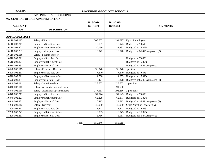|                       | <b>STATE PUBLIC SCHOOL FUND</b>    |               |               |                                  |
|-----------------------|------------------------------------|---------------|---------------|----------------------------------|
|                       | 002 CENTRAL OFFICE ADMINISTRATION  |               |               |                                  |
|                       |                                    | 2015-2016     | 2014-2015     |                                  |
| <b>ACCOUNT</b>        |                                    | <b>BUDGET</b> | <b>BUDGET</b> | <b>COMMENTS</b>                  |
| <b>CODE</b>           | <b>DESCRIPTION</b>                 |               |               |                                  |
| <b>APPROPRIATIONS</b> |                                    |               |               |                                  |
| 1.6110.002.113        | Salary - Director                  | 205,662       | 194,097       | Up to 2 employees                |
| 1.6110.002.211        | Employers Soc. Sec. Cost           | 15,167        | 13,973        | Budgeted at 7.65%                |
| 1.6110.002.221        | <b>Employers Retirement Cost</b>   | 30,156        | 27,233        | Budgeted at 15.32%               |
| 1.6110.002.231        | <b>Employers Hospital Cost</b>     | 10,942        | 10,870        | Budgeted at \$5,471/employee (2) |
| 1.6610.002.118        | Salary - Finance Officer           |               |               |                                  |
| 1.6610.002.211        | Employers Soc. Sec. Cost           |               |               | Budgeted at 7.65%                |
| 1.6610.002.221        | <b>Employers Retirement Cost</b>   |               |               | Budgeted at 15.32%               |
| 1.6610.002.231        | Employers Hospital Cost            |               |               | Budgeted at \$5,471/employee     |
| 1.6620.002.113        | Salary - Personnel Director        | 96,340        | 96,340        | 1 position                       |
| 1.6620.002.211        | Employers Soc. Sec. Cost           | 7,370         | 7,370         | Budgeted at 7.65%                |
| 1.6620.002.221        | <b>Employers Retirement Cost</b>   | 14,760        | 14,653        | Budgeted at 15.32%               |
| 1.6620.002.231        | Employers Hospital Cost            | 5,471         | 5,378         | Budgeted at \$5,471/employee (1) |
| 1.6940.002.111        | Salary - Superintendent            | 128,652       | 128,652       | 1 position                       |
| 1.6940.002.112        | Salary - Associate Superintendent  | $\mathbb{L}$  | 91,500        |                                  |
| 1.6940.002.118        | Salary - Assistant Superintendents | 277,537       | 193,236       | 3 positions                      |
| 1.6940.002.211        | Employers Soc. Sec. Cost           | 31,074        | 31,625        | Budgeted at 7.65%                |
| 1.6940.002.221        | Employers Retirement Cost          | 62,228        | 62,877        | Budgeted at 15.32%               |
| 1.6940.002.231        | Employers Hospital Cost            | 16,413        | 21,512        | Budgeted at \$5,471/employee (3) |
| 1.7200.002.113        | Salary - Director                  | 45,000        | 45,000        | Child Nutrition Director (.5)    |
| 1.7200.002.211        | Employers Soc. Sec. Cost           | 3,443         | 3,443         | Budgeted at 7.65%                |
| 1.7200.002.221        | <b>Employers Retirement Cost</b>   | 6,895         | 6,845         | Budgeted at 15.32%               |
| 1.7200.002.231        | Employers Hospital Cost            | 2,736         | 2,011         | Budgeted at \$5,471/employee     |
|                       |                                    |               |               |                                  |
|                       | Total                              | 959,846       | 956,615       |                                  |
|                       |                                    |               |               |                                  |
|                       |                                    |               |               |                                  |
|                       |                                    |               |               |                                  |
|                       |                                    |               |               |                                  |
|                       |                                    |               |               |                                  |
|                       |                                    |               |               |                                  |
|                       |                                    |               |               |                                  |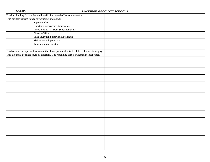| Provides funding for salaries and benefits for central office administration.                |  |  |
|----------------------------------------------------------------------------------------------|--|--|
| This category is used to pay for personnel including:                                        |  |  |
| Superintendent                                                                               |  |  |
| Directors/Supervisors/Coordinators                                                           |  |  |
| Associate and Assistant Superintendents                                                      |  |  |
| Finance Officer                                                                              |  |  |
| Child Nutrition Supervisors/Managers                                                         |  |  |
| Maintenance Supervisors                                                                      |  |  |
| <b>Transportation Directors</b>                                                              |  |  |
|                                                                                              |  |  |
| Funds cannot be expended for any of the above personnel outside of their allotment category. |  |  |
| This allotment does not cover all directors. The remaining cost is budgeted in local funds.  |  |  |
|                                                                                              |  |  |
|                                                                                              |  |  |
|                                                                                              |  |  |
|                                                                                              |  |  |
|                                                                                              |  |  |
|                                                                                              |  |  |
|                                                                                              |  |  |
|                                                                                              |  |  |
|                                                                                              |  |  |
|                                                                                              |  |  |
|                                                                                              |  |  |
|                                                                                              |  |  |
|                                                                                              |  |  |
|                                                                                              |  |  |
|                                                                                              |  |  |
|                                                                                              |  |  |
|                                                                                              |  |  |
|                                                                                              |  |  |
|                                                                                              |  |  |
|                                                                                              |  |  |
|                                                                                              |  |  |
|                                                                                              |  |  |
|                                                                                              |  |  |
|                                                                                              |  |  |
|                                                                                              |  |  |
|                                                                                              |  |  |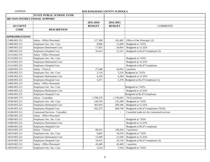|                               | <b>STATE PUBLIC SCHOOL FUND</b>        |                |               |                                              |  |
|-------------------------------|----------------------------------------|----------------|---------------|----------------------------------------------|--|
| 003 NON-INSTRUCTIONAL SUPPORT |                                        |                |               |                                              |  |
|                               |                                        | 2015-2016      | 2014-2015     |                                              |  |
| <b>ACCOUNT</b>                |                                        | <b>BUDGET</b>  | <b>BUDGET</b> | <b>COMMENTS</b>                              |  |
| <b>CODE</b>                   | <b>DESCRIPTION</b>                     |                |               |                                              |  |
|                               |                                        |                |               |                                              |  |
| <b>APPROPRIATIONS</b>         |                                        |                |               |                                              |  |
| 1.5400.003.151                | Salary - Office Personnel              | 117,200        | 163,402       | Office of the Principal. (3)                 |  |
| 1.5400.003.211                | Employers Soc. Sec. Cost               | 8,966          | 12,500        | Budgeted at 7.65%                            |  |
| 1.5400.003.221                | <b>Employers Retirement Cost</b>       | 17,955         | 24,854        | Budgeted at 15.32%                           |  |
| 1.5400.003.231                | <b>Employers Hospital Cost</b>         | 16,413         | 21,512        | Budgeted at \$5,471/employee (3)             |  |
| 1.6110.003.151                | <b>Salary - Office Personnel</b>       |                |               |                                              |  |
| 1.6110.003.211                | Employers Soc. Sec. Cost               |                |               | Budgeted at 7.65%                            |  |
| 1.6110.003.221                | <b>Employers Retirement Cost</b>       |                |               | Budgeted at 15.32%                           |  |
| 1.6110.003.231                | <b>Employers Hospital Cost</b>         |                |               | Budgeted at \$5,471/employee                 |  |
| 1.6200.003.151                | Salary - Clerical                      | 27,648         |               | 42,035   1 position                          |  |
| 1.6200.003.211                | Employers Soc. Sec. Cost               | 2,116          |               | 3,216 Budgeted at 7.65%                      |  |
| 1.6200.003.221                | <b>Employers Retirement Cost</b>       | 4,236          | 6,394         | Budgeted at 15.32%                           |  |
| 1.6200.003.231                | <b>Employers Hospital Cost</b>         | 5,471          | 5,378         | Budgeted at \$5,471/employee (1)             |  |
| 1.6400.003.151                | Salary - Office Personnel              |                |               |                                              |  |
| 1.6400.003.211                | Employers Soc. Sec. Cost               |                |               | Budgeted at 7.65%                            |  |
| 1.6400.003.221                | <b>Employers Retirement Cost</b>       |                |               | Budgeted at 15.32%                           |  |
| 1.6400.003.231                | <b>Employers Hospital Cost</b>         |                |               | Budgeted at \$5,471/employee                 |  |
| 1.6540.003.173                | Salary - Custodian                     | 1,799,279      | 1,736,693     | 79.03 positions                              |  |
| 1.6540.003.211                | Employers Soc. Sec. Cost               | 140,793        | 135,390       | Budgeted at 7.65%                            |  |
| 1.6540.003.221                | <b>Employers Retirement Cost</b>       | 281,954        | 269,186       | Budgeted at 15.32%                           |  |
| 1.6540.003.231                | <b>Employers Hospital Cost</b>         | 432,375        | 404,749       | Budgeted at \$5,471/employee (79.03)         |  |
| 1.6540.003.311                | <b>Contracted Services - Custodial</b> | $\blacksquare$ | $\sim$        | Custodial trade in's for contracted services |  |
| 1.6580.003.151                | Salary - Office Personnel              |                |               |                                              |  |
| 1.6580.003.211                | Employers Soc. Sec. Cost               |                |               | Budgeted at 7.65%                            |  |
| 1.6580.003.221                | <b>Employers Retirement Cost</b>       |                |               | Budgeted at 15.32%                           |  |
| 1.6580.003.231                | <b>Employers Hospital Cost</b>         |                |               | Budgeted at \$5,471 employee                 |  |
| 1.6610.003.151                | Salary - Clerical                      | 89,415         | 138,264       | 3 positions                                  |  |
| 1.6610.003.211                | Employers Soc. Sec. Cost               | 6,841          | 10,578        | Budgeted at 7.65%                            |  |
| 1.6610.003.221                | <b>Employers Retirement Cost</b>       | 13,699         | 21,030        | Budgeted at 15.32%                           |  |
| 1.6610.003.231                | <b>Employers Hospital Cost</b>         | 16,413         | 16,134        | Budgeted at \$5,471/employee (3)             |  |
| 1.6620.003.151                | Salary - Office Personnel              | 43,449         | 43,449        | 1 position                                   |  |
| 1.6620.003.211                | Employers Soc. Sec. Cost               | 3,324          | 3,324         | Budgeted at 7.65%                            |  |
|                               |                                        |                |               |                                              |  |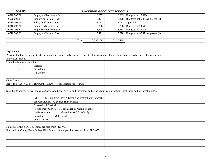| 1.6620.003.221               | Employers Retirement Cost                                                                                                                                | 6,657     | 6,609     | Budgeted at 15.32%               |
|------------------------------|----------------------------------------------------------------------------------------------------------------------------------------------------------|-----------|-----------|----------------------------------|
| 1.6620.003.231               | <b>Employers Hospital Cost</b>                                                                                                                           | 5,471     | 5,378     | Budgeted at \$5,471/employee (1) |
| 1.6710.003.151               | Salary - Office Personnel                                                                                                                                | 43,111    | 43,111    | 1 position                       |
| 1.6710.003.211               | Employers Soc. Sec. Cost                                                                                                                                 | 3,298     | 3,298     | Budgeted at 7.65%                |
| 1.6710.003.221               | <b>Employers Retirement Cost</b>                                                                                                                         | 6,605     | 6,558     | Budgeted at 15.32%               |
| 1.6710.003.231               | <b>Employers Hospital Cost</b>                                                                                                                           | 5,471     | 5,378     | Budgeted at \$5,471/employee (1) |
|                              |                                                                                                                                                          |           |           |                                  |
|                              | Total                                                                                                                                                    | 3,098,160 | 3,128,419 |                                  |
|                              |                                                                                                                                                          |           |           |                                  |
|                              |                                                                                                                                                          |           |           |                                  |
| Explanation:                 |                                                                                                                                                          |           |           |                                  |
|                              | Provides funding for non-instructional support personnel and associated benefits. This is a dollar allotment and may be used at the central office or at |           |           |                                  |
| individual schools.          |                                                                                                                                                          |           |           |                                  |
| These funds may be used for: |                                                                                                                                                          |           |           |                                  |
|                              | Clerical                                                                                                                                                 |           |           |                                  |
|                              | Custodians                                                                                                                                               |           |           |                                  |
|                              | Substitutes                                                                                                                                              |           |           |                                  |
|                              |                                                                                                                                                          |           |           |                                  |
| <b>Other Costs</b>           |                                                                                                                                                          |           |           |                                  |
|                              | Benefits FICA (7.65%) Retirement (15.32%) Hospitalization (\$5,471/yr)                                                                                   |           |           |                                  |
|                              |                                                                                                                                                          |           |           |                                  |
|                              | State funds pay for clerical and custodians. Additional clerical and custodians and all substitutes are paid from local funds and low wealth funds.      |           |           |                                  |
|                              |                                                                                                                                                          |           |           |                                  |
|                              | POSITIONS: Paid from State & Local Non-Instructional Support                                                                                             |           |           |                                  |
|                              | Schools Clerical (+2 at each High School)                                                                                                                |           |           |                                  |
|                              | Powerschool Clerical                                                                                                                                     |           |           |                                  |
|                              | Receptionists Clerical (1 at each High & Middle School)                                                                                                  |           |           |                                  |
|                              | Guidance Clerical (1 at each High & Middle School)                                                                                                       |           |           |                                  |
|                              | Custodians<br>$(899$ months)                                                                                                                             |           |           |                                  |
|                              | Central Office                                                                                                                                           |           |           |                                  |
|                              |                                                                                                                                                          |           |           |                                  |
|                              | Note: SCORE's clerical positions are paid from PRC-068                                                                                                   |           |           |                                  |
|                              | Rockingham County Early College High School clerical positions are paid from PRC-055                                                                     |           |           |                                  |
|                              |                                                                                                                                                          |           |           |                                  |
|                              |                                                                                                                                                          |           |           |                                  |
|                              |                                                                                                                                                          |           |           |                                  |
|                              |                                                                                                                                                          |           |           |                                  |
|                              |                                                                                                                                                          |           |           |                                  |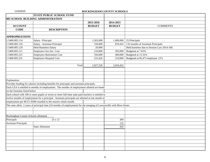|                                     | <b>STATE PUBLIC SCHOOL FUND</b>                                                                                       |               |               |                                            |
|-------------------------------------|-----------------------------------------------------------------------------------------------------------------------|---------------|---------------|--------------------------------------------|
|                                     | 005 SCHOOL BUILDING ADMINISTRATION                                                                                    |               |               |                                            |
|                                     |                                                                                                                       | 2015-2016     | 2014-2015     |                                            |
| <b>ACCOUNT</b>                      |                                                                                                                       | <b>BUDGET</b> | <b>BUDGET</b> | <b>COMMENTS</b>                            |
| <b>CODE</b>                         | <b>DESCRIPTION</b>                                                                                                    |               |               |                                            |
|                                     |                                                                                                                       |               |               |                                            |
| <b>APPROPRIATIONS</b>               |                                                                                                                       |               |               |                                            |
| 1.5400.005.114                      | Salary - Principal                                                                                                    | 1,565,000     | 1,400,000     | 25 Principals                              |
| 1.5400.005.116                      | Salary - Assistant Principal                                                                                          | 550,000       | 819,432       | 132 months of Assistant Principals         |
| 1.5400.005.129                      | <b>Held Harmless Salary</b>                                                                                           | 20,900        |               | Held harmless due to Session Law 2014-100. |
| 1.5400.005.211                      | Employers Soc.Sec. Cost                                                                                               | 210,000       | 205,000       | Budgeted at 7.65%                          |
| 1.5400.005.221                      | <b>Employers Retirement Cost</b>                                                                                      | 350,000       | 400,000       | Budgeted at 15.32%                         |
| 1.5400.005.231                      | <b>Employers Hospital Cost</b>                                                                                        | 231,626       | 210,000       | Budgeted at \$5,471/employee (37)          |
|                                     |                                                                                                                       |               |               |                                            |
|                                     | Total                                                                                                                 | 2,927,526     | 3,034,432     |                                            |
|                                     |                                                                                                                       |               |               |                                            |
|                                     |                                                                                                                       |               |               |                                            |
|                                     |                                                                                                                       |               |               |                                            |
| Explanation:                        |                                                                                                                       |               |               |                                            |
|                                     | Provides funding for salaries including benefits for principals and assistant principals.                             |               |               |                                            |
|                                     | Each LEA is entitled to months of employment. The months of employment allotted are based                             |               |               |                                            |
| on the formulas listed below        |                                                                                                                       |               |               |                                            |
|                                     | Each school with 100 or more pupils or seven or more full-time state paid teachers is entitled to                     |               |               |                                            |
|                                     | twelve months of employment for a principal. Assistant principals are allotted at one month of                        |               |               |                                            |
|                                     | employment per 98.53 ADM rounded to the nearest whole month.                                                          |               |               |                                            |
|                                     | The state allots 2 years of principal time (24 months of employment) for the merging of Lawsonville with Moss Street. |               |               |                                            |
|                                     |                                                                                                                       |               |               |                                            |
|                                     |                                                                                                                       |               |               |                                            |
| Rockingham County Schools allotment |                                                                                                                       |               |               |                                            |
| Principals                          | 25 x 12                                                                                                               |               | 300           |                                            |
| <b>Assistant Principals</b>         |                                                                                                                       |               | 132           |                                            |
|                                     | <b>State Allotment</b>                                                                                                |               | 432           |                                            |
|                                     |                                                                                                                       |               |               |                                            |
|                                     |                                                                                                                       |               |               |                                            |
|                                     |                                                                                                                       |               |               |                                            |
|                                     |                                                                                                                       |               |               |                                            |
|                                     |                                                                                                                       |               |               |                                            |
|                                     |                                                                                                                       |               |               |                                            |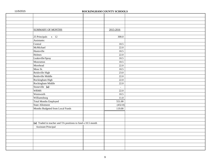| 11/5/2015 |                                                             | ROCKINGHAM COUNTY SCHOOLS |  |
|-----------|-------------------------------------------------------------|---------------------------|--|
|           |                                                             |                           |  |
|           |                                                             |                           |  |
|           |                                                             |                           |  |
|           |                                                             |                           |  |
|           | <b>SUMMARY OF MONTHS</b>                                    | 2015-2016                 |  |
|           |                                                             |                           |  |
|           | $25$ Principals $x$ 12                                      | 300.0                     |  |
|           | Assistants:                                                 |                           |  |
|           | Central                                                     | 10.5                      |  |
|           | McMichael                                                   | 22.0                      |  |
|           | Huntsville                                                  | 10.5                      |  |
|           | Holmes                                                      | 22.0                      |  |
|           | Leaksville/Spray                                            | 10.5                      |  |
|           | Monroeton                                                   | 10.5                      |  |
|           | Morehead                                                    | 22.0                      |  |
|           | Moss St.                                                    | 10.5                      |  |
|           | Reidsville High                                             | 23.0                      |  |
|           | Reidsville Middle                                           | 22.0                      |  |
|           | Rockingham High                                             | 22.0                      |  |
|           | Rockingham Middle                                           | $22.0\,$                  |  |
|           | Stoneville {a}                                              | $\blacksquare$            |  |
|           | <b>WRMS</b>                                                 | 22.0                      |  |
|           | Wentworth                                                   | 10.5                      |  |
|           | Williamsburg                                                | $11.0\,$                  |  |
|           | <b>Total Months Employed</b>                                | 551.00                    |  |
|           | State Allotment                                             | (432.0)                   |  |
|           | Months Budgeted from Local Funds                            | 119.00                    |  |
|           |                                                             |                           |  |
|           |                                                             |                           |  |
|           |                                                             |                           |  |
|           | {a} Traded in teacher and TA positions to fund a 10.5 month |                           |  |
|           | Assistant Principal                                         |                           |  |
|           |                                                             |                           |  |
|           |                                                             |                           |  |
|           |                                                             |                           |  |
|           |                                                             |                           |  |
|           |                                                             |                           |  |
|           |                                                             |                           |  |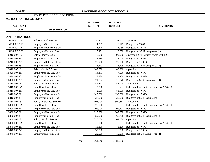|                           | <b>STATE PUBLIC SCHOOL FUND</b>   |               |               |                                                     |
|---------------------------|-----------------------------------|---------------|---------------|-----------------------------------------------------|
| 007 INSTRUCTIONAL SUPPORT |                                   |               |               |                                                     |
|                           |                                   | 2015-2016     | 2014-2015     |                                                     |
| <b>ACCOUNT</b>            |                                   | <b>BUDGET</b> | <b>BUDGET</b> | <b>COMMENTS</b>                                     |
| <b>CODE</b>               | <b>DESCRIPTION</b>                |               |               |                                                     |
|                           |                                   |               |               |                                                     |
| <b>APPROPRIATIONS</b>     |                                   |               |               |                                                     |
| 1.5110.007.135            | Salary - Lead Teacher             | 56,265        | 152,647       | 1 position                                          |
| 1.5110.007.211            | Employers Soc. Sec. Cost          | 4,305         | 8,175         | Budgeted at 7.65%                                   |
| 1.5110.007.221            | <b>Employers Retirement Cost</b>  | 8,620         |               | 15,935 Budgeted at 15.32%                           |
| 1.5110.007.231            | <b>Employers Hospital Cost</b>    | 5,471         | 10,870        | Budgeted at \$5,471/employee (1)                    |
| 1.5210.007.133            | Salary - Psychologist             | 175,000       |               | 192,000   3 psychologists (2 from trades with E.C.) |
| 1.5210.007.211            | Employers Soc. Sec. Cost          | 13,388        | 15,000        | Budgeted at 7.65%                                   |
| 1.5210.007.221            | <b>Employers Retirement Cost</b>  | 26,900        | 29,000        | Budgeted at 15.32%                                  |
| 1.5210.007.231            | <b>Employers Hospital Cost</b>    | 16,413        | 16,305        | Budgeted at \$5,471/employee (3)                    |
| 1.5320.007.131            | Salary - Social Worker            | 187,850       | 88,200        | 4 positions                                         |
| 1.5320.007.211            | Employers Soc. Sec. Cost          | 14,371        | 7,000         | Budgeted at 7.65%                                   |
| 1.5320.007.221            | <b>Employers Retirement Cost</b>  | 28,780        | 13,200        | Budgeted at 15.32%                                  |
| 1.5320.007.231            | Employers Hospital Cost           | 21,884        | 10,870        | Budgeted at \$5,471/employee (4)                    |
| 1.5810.007.131            | Salary - Media Specialist         | 951,843       | 1,055,000     | 19 positions                                        |
| 1.5810.007.129            | <b>Held Harmless Salary</b>       | 5,000         | $\Box$        | Held harmless due to Session Law 2014-100.          |
| 1.5810.007.211            | Employers Soc. Sec. Cost          | 72,000        | 81,000        | Budgeted at 7.65%                                   |
| 1.5810.007.221            | <b>Employers Retirement Cost</b>  | 145,000       | 158,000       | Budgeted at 15.32%                                  |
| 1.5810.007.231            | <b>Employers Hospital Cost</b>    | 127,000       | 120,000       | Budgeted at \$5,471/employee (19)                   |
| 1.5830.007.131            | <b>Salary - Guidance Services</b> | 1,405,000     | 1,390,861     | 29 positions                                        |
| 1.5830.007.129            | <b>Held Harmless Salary</b>       | 20,000        |               | Held harmless due to Session Law 2014-100.          |
| 1.5830.007.211            | Employers Soc. Sec. Cost          | 108,000       | 106,401       | Budgeted at 7.65%                                   |
| 1.5830.007.221            | <b>Employers Retirement Cost</b>  | 215,250       | 207,378       | Budgeted at 15.32%                                  |
| 1.5830.007.231            | <b>Employers Hospital Cost</b>    | 159,000       | 165,768       | Budgeted at \$5,471/employee (29)                   |
| 1.5840.007.131            | Salary - Health Services          | 220,000       | 107,000       | 4 positions                                         |
| 1.5830.007.129            | <b>Held Harmless Salary</b>       | 5,000         |               | Held harmless due to Session Law 2014-100.          |
| 1.5840.007.211            | Employers Soc. Sec. Cost          | 16,800        | 8,200         | Budgeted at 7.65%                                   |
| 1.5840.007.221            | <b>Employers Retirement Cost</b>  | 33,500        | 16,000        | Budgeted at 15.32%                                  |
| 1.5840.007.231            | <b>Employers Hospital Cost</b>    | 22,000        | 10,870        | Budgeted at \$5,471/employee (4)                    |
|                           |                                   |               |               |                                                     |
|                           | Total                             | 4,064,640     | 3,985,680     |                                                     |
|                           |                                   |               |               |                                                     |
|                           |                                   |               |               |                                                     |
|                           |                                   |               |               |                                                     |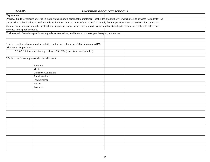| Explanation:                                     |                                                                                                                                                             |  |  |  |  |  |  |
|--------------------------------------------------|-------------------------------------------------------------------------------------------------------------------------------------------------------------|--|--|--|--|--|--|
|                                                  | Provides funds for salaries of certified instructional support personnel to implement locally designed initiatives which provide services to students who   |  |  |  |  |  |  |
|                                                  | are at risk of school failure as well as students' families. It is the intent of the General Assembly that the positions must be used first for counselors, |  |  |  |  |  |  |
|                                                  | then for social workers and other instructional support personnel which have a direct instructional relationship to students or teachers to help reduce     |  |  |  |  |  |  |
| violence in the public schools.                  |                                                                                                                                                             |  |  |  |  |  |  |
|                                                  | Positions paid from these positions are guidance counselors, media, social workers, psychologists, and nurses.                                              |  |  |  |  |  |  |
|                                                  |                                                                                                                                                             |  |  |  |  |  |  |
|                                                  |                                                                                                                                                             |  |  |  |  |  |  |
|                                                  | This is a position allotment and are allotted on the basis of one per 218.55 allotment ADM.                                                                 |  |  |  |  |  |  |
| Allotment - 60 positions.                        |                                                                                                                                                             |  |  |  |  |  |  |
|                                                  | 2015-2016 Statewide Average Salary is \$50,263, (benefits are not included)                                                                                 |  |  |  |  |  |  |
|                                                  |                                                                                                                                                             |  |  |  |  |  |  |
| We fund the following areas with this allotment: |                                                                                                                                                             |  |  |  |  |  |  |
|                                                  |                                                                                                                                                             |  |  |  |  |  |  |
|                                                  | Positions                                                                                                                                                   |  |  |  |  |  |  |
|                                                  | Media                                                                                                                                                       |  |  |  |  |  |  |
|                                                  | <b>Guidance Counselors</b>                                                                                                                                  |  |  |  |  |  |  |
|                                                  | Social Workers                                                                                                                                              |  |  |  |  |  |  |
|                                                  | Psychologists                                                                                                                                               |  |  |  |  |  |  |
|                                                  | <b>Nurses</b>                                                                                                                                               |  |  |  |  |  |  |
|                                                  | Teachers                                                                                                                                                    |  |  |  |  |  |  |
|                                                  |                                                                                                                                                             |  |  |  |  |  |  |
|                                                  |                                                                                                                                                             |  |  |  |  |  |  |
|                                                  |                                                                                                                                                             |  |  |  |  |  |  |
|                                                  |                                                                                                                                                             |  |  |  |  |  |  |
|                                                  |                                                                                                                                                             |  |  |  |  |  |  |
|                                                  |                                                                                                                                                             |  |  |  |  |  |  |
|                                                  |                                                                                                                                                             |  |  |  |  |  |  |
|                                                  |                                                                                                                                                             |  |  |  |  |  |  |
|                                                  |                                                                                                                                                             |  |  |  |  |  |  |
|                                                  |                                                                                                                                                             |  |  |  |  |  |  |
|                                                  |                                                                                                                                                             |  |  |  |  |  |  |
|                                                  |                                                                                                                                                             |  |  |  |  |  |  |
|                                                  |                                                                                                                                                             |  |  |  |  |  |  |
|                                                  |                                                                                                                                                             |  |  |  |  |  |  |
|                                                  |                                                                                                                                                             |  |  |  |  |  |  |
|                                                  |                                                                                                                                                             |  |  |  |  |  |  |
|                                                  |                                                                                                                                                             |  |  |  |  |  |  |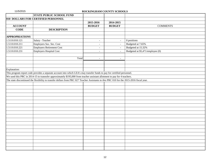| 010 DOLLARS FOR CERTIFIED PERSONNEL<br>2015-2016<br>2014-2015<br><b>BUDGET</b><br><b>ACCOUNT</b><br><b>BUDGET</b><br><b>COMMENTS</b><br><b>CODE</b><br><b>DESCRIPTION</b><br><b>APPROPRIATIONS</b><br>1.5110.010.121<br>Salary - Teacher<br>0 positions<br>$\omega$<br>$\blacksquare$<br>1.5110.010.211<br>Employers Soc. Sec. Cost<br>Budgeted at 7.65%<br>$\sim$<br>$\blacksquare$<br>Employers Retirement Cost<br>Budgeted at 15.32%<br>1.5110.010.221<br>$\blacksquare$<br>$\blacksquare$<br>Employers Hospital Cost<br>Budgeted at \$5,471/employee (0)<br>1.5110.010.231<br>$\overline{a}$<br>$\sim$<br>Total<br>$\sim$<br>$\overline{a}$<br>This program report code provides a separate account into which LEA's may transfer funds to pay for certified personnel.<br>We used this PRC in 2014-15 to trannsfer approximately \$195,000 from teacher assistant allotment to pay for 4 teachers.<br>The state discontinued the flexibility to transfer dollars from PRC 027 Teacher Assistants to this PRC 010 for the 2015-2016 fiscal year. |              | <b>STATE PUBLIC SCHOOL FUND</b> |  |  |
|------------------------------------------------------------------------------------------------------------------------------------------------------------------------------------------------------------------------------------------------------------------------------------------------------------------------------------------------------------------------------------------------------------------------------------------------------------------------------------------------------------------------------------------------------------------------------------------------------------------------------------------------------------------------------------------------------------------------------------------------------------------------------------------------------------------------------------------------------------------------------------------------------------------------------------------------------------------------------------------------------------------------------------------------------|--------------|---------------------------------|--|--|
|                                                                                                                                                                                                                                                                                                                                                                                                                                                                                                                                                                                                                                                                                                                                                                                                                                                                                                                                                                                                                                                      |              |                                 |  |  |
|                                                                                                                                                                                                                                                                                                                                                                                                                                                                                                                                                                                                                                                                                                                                                                                                                                                                                                                                                                                                                                                      |              |                                 |  |  |
|                                                                                                                                                                                                                                                                                                                                                                                                                                                                                                                                                                                                                                                                                                                                                                                                                                                                                                                                                                                                                                                      |              |                                 |  |  |
|                                                                                                                                                                                                                                                                                                                                                                                                                                                                                                                                                                                                                                                                                                                                                                                                                                                                                                                                                                                                                                                      |              |                                 |  |  |
|                                                                                                                                                                                                                                                                                                                                                                                                                                                                                                                                                                                                                                                                                                                                                                                                                                                                                                                                                                                                                                                      |              |                                 |  |  |
|                                                                                                                                                                                                                                                                                                                                                                                                                                                                                                                                                                                                                                                                                                                                                                                                                                                                                                                                                                                                                                                      |              |                                 |  |  |
|                                                                                                                                                                                                                                                                                                                                                                                                                                                                                                                                                                                                                                                                                                                                                                                                                                                                                                                                                                                                                                                      |              |                                 |  |  |
|                                                                                                                                                                                                                                                                                                                                                                                                                                                                                                                                                                                                                                                                                                                                                                                                                                                                                                                                                                                                                                                      |              |                                 |  |  |
|                                                                                                                                                                                                                                                                                                                                                                                                                                                                                                                                                                                                                                                                                                                                                                                                                                                                                                                                                                                                                                                      |              |                                 |  |  |
|                                                                                                                                                                                                                                                                                                                                                                                                                                                                                                                                                                                                                                                                                                                                                                                                                                                                                                                                                                                                                                                      |              |                                 |  |  |
|                                                                                                                                                                                                                                                                                                                                                                                                                                                                                                                                                                                                                                                                                                                                                                                                                                                                                                                                                                                                                                                      |              |                                 |  |  |
|                                                                                                                                                                                                                                                                                                                                                                                                                                                                                                                                                                                                                                                                                                                                                                                                                                                                                                                                                                                                                                                      |              |                                 |  |  |
|                                                                                                                                                                                                                                                                                                                                                                                                                                                                                                                                                                                                                                                                                                                                                                                                                                                                                                                                                                                                                                                      |              |                                 |  |  |
|                                                                                                                                                                                                                                                                                                                                                                                                                                                                                                                                                                                                                                                                                                                                                                                                                                                                                                                                                                                                                                                      |              |                                 |  |  |
|                                                                                                                                                                                                                                                                                                                                                                                                                                                                                                                                                                                                                                                                                                                                                                                                                                                                                                                                                                                                                                                      | Explanation: |                                 |  |  |
|                                                                                                                                                                                                                                                                                                                                                                                                                                                                                                                                                                                                                                                                                                                                                                                                                                                                                                                                                                                                                                                      |              |                                 |  |  |
|                                                                                                                                                                                                                                                                                                                                                                                                                                                                                                                                                                                                                                                                                                                                                                                                                                                                                                                                                                                                                                                      |              |                                 |  |  |
|                                                                                                                                                                                                                                                                                                                                                                                                                                                                                                                                                                                                                                                                                                                                                                                                                                                                                                                                                                                                                                                      |              |                                 |  |  |
|                                                                                                                                                                                                                                                                                                                                                                                                                                                                                                                                                                                                                                                                                                                                                                                                                                                                                                                                                                                                                                                      |              |                                 |  |  |
|                                                                                                                                                                                                                                                                                                                                                                                                                                                                                                                                                                                                                                                                                                                                                                                                                                                                                                                                                                                                                                                      |              |                                 |  |  |
|                                                                                                                                                                                                                                                                                                                                                                                                                                                                                                                                                                                                                                                                                                                                                                                                                                                                                                                                                                                                                                                      |              |                                 |  |  |
|                                                                                                                                                                                                                                                                                                                                                                                                                                                                                                                                                                                                                                                                                                                                                                                                                                                                                                                                                                                                                                                      |              |                                 |  |  |
|                                                                                                                                                                                                                                                                                                                                                                                                                                                                                                                                                                                                                                                                                                                                                                                                                                                                                                                                                                                                                                                      |              |                                 |  |  |
|                                                                                                                                                                                                                                                                                                                                                                                                                                                                                                                                                                                                                                                                                                                                                                                                                                                                                                                                                                                                                                                      |              |                                 |  |  |
|                                                                                                                                                                                                                                                                                                                                                                                                                                                                                                                                                                                                                                                                                                                                                                                                                                                                                                                                                                                                                                                      |              |                                 |  |  |
|                                                                                                                                                                                                                                                                                                                                                                                                                                                                                                                                                                                                                                                                                                                                                                                                                                                                                                                                                                                                                                                      |              |                                 |  |  |
|                                                                                                                                                                                                                                                                                                                                                                                                                                                                                                                                                                                                                                                                                                                                                                                                                                                                                                                                                                                                                                                      |              |                                 |  |  |
|                                                                                                                                                                                                                                                                                                                                                                                                                                                                                                                                                                                                                                                                                                                                                                                                                                                                                                                                                                                                                                                      |              |                                 |  |  |
|                                                                                                                                                                                                                                                                                                                                                                                                                                                                                                                                                                                                                                                                                                                                                                                                                                                                                                                                                                                                                                                      |              |                                 |  |  |
|                                                                                                                                                                                                                                                                                                                                                                                                                                                                                                                                                                                                                                                                                                                                                                                                                                                                                                                                                                                                                                                      |              |                                 |  |  |
|                                                                                                                                                                                                                                                                                                                                                                                                                                                                                                                                                                                                                                                                                                                                                                                                                                                                                                                                                                                                                                                      |              |                                 |  |  |
|                                                                                                                                                                                                                                                                                                                                                                                                                                                                                                                                                                                                                                                                                                                                                                                                                                                                                                                                                                                                                                                      |              |                                 |  |  |
|                                                                                                                                                                                                                                                                                                                                                                                                                                                                                                                                                                                                                                                                                                                                                                                                                                                                                                                                                                                                                                                      |              |                                 |  |  |
|                                                                                                                                                                                                                                                                                                                                                                                                                                                                                                                                                                                                                                                                                                                                                                                                                                                                                                                                                                                                                                                      |              |                                 |  |  |
|                                                                                                                                                                                                                                                                                                                                                                                                                                                                                                                                                                                                                                                                                                                                                                                                                                                                                                                                                                                                                                                      |              |                                 |  |  |
|                                                                                                                                                                                                                                                                                                                                                                                                                                                                                                                                                                                                                                                                                                                                                                                                                                                                                                                                                                                                                                                      |              |                                 |  |  |
|                                                                                                                                                                                                                                                                                                                                                                                                                                                                                                                                                                                                                                                                                                                                                                                                                                                                                                                                                                                                                                                      |              |                                 |  |  |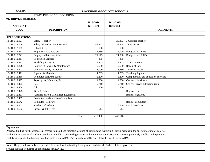|                       | <b>STATE PUBLIC SCHOOL FUND</b>                                                                                                                               |                          |               |                                            |
|-----------------------|---------------------------------------------------------------------------------------------------------------------------------------------------------------|--------------------------|---------------|--------------------------------------------|
| 012 DRIVER TRAINING   |                                                                                                                                                               |                          |               |                                            |
|                       |                                                                                                                                                               | 2015-2016                | 2014-2015     |                                            |
| <b>ACCOUNT</b>        |                                                                                                                                                               | <b>BUDGET</b>            | <b>BUDGET</b> |                                            |
| <b>CODE</b>           | <b>DESCRIPTION</b>                                                                                                                                            |                          |               | <b>COMMENTS</b>                            |
|                       |                                                                                                                                                               |                          |               |                                            |
| <b>APPROPRIATIONS</b> |                                                                                                                                                               |                          |               |                                            |
| 1.5110.012.121        | Salary - Teacher                                                                                                                                              | $\overline{\phantom{a}}$ |               | 25,393 3 Certified teachers                |
| 1.5110.012.148        | Salary - Non Certified Instructor                                                                                                                             | 141,357                  | 131,944       | 15 Instructors                             |
| 1.5110.012.162        | Substitute Pay                                                                                                                                                | 500                      | 500           |                                            |
| 1.5110.012.211        | Employers Soc. Sec. Cost                                                                                                                                      | 12,589                   | 14,000        | Budgeted at 7.65%                          |
| 1.5110.012.221        | <b>Employers Retirement Cost</b>                                                                                                                              | 21,175                   | 24,000        | Budgeted at 15.32%.                        |
| 1.5110.012.311        | <b>Contracted Services</b>                                                                                                                                    | 375                      | 375           |                                            |
| 1.5110.012.312        | <b>Workshop Expenses</b>                                                                                                                                      | 1,945                    | 1,945         | <b>State Conference</b>                    |
| 1.5110.012.326        | Contracted Repairs & Maintenance                                                                                                                              | 2,500                    | 2,500         | Repair of Cars                             |
| 1.5110.012.372        | Vehicle Liability Insurance                                                                                                                                   | 7,000                    | 5,230         | 18 cars to insure                          |
| 1.5110.012.411        | Supplies & Materials                                                                                                                                          | 4,265                    | 4,265         | <b>Teaching Supplies</b>                   |
| 1.5110.012.418        | <b>Computer Software/Supplies</b>                                                                                                                             | 5,200                    | 5,200         | <b>Computer Drivers Education Software</b> |
| 1.5110.012.422        | Repair parts, Materials, Etc                                                                                                                                  | 4,800                    | 4,800         | Car parts, lubrication                     |
| 1.5110.012.423        | Gas                                                                                                                                                           | 9,710                    | 9,710         | <b>Gas for Drivers Education Cars</b>      |
| 1.5110.012.424        | Oil                                                                                                                                                           | 500                      | 500           |                                            |
| 1.5110.012.425        | Tires & Tubes                                                                                                                                                 |                          |               | <b>Replace Tires</b>                       |
| 1.5110.012.461        | Purchase of Non-Capitalized Equipment                                                                                                                         | $\overline{\phantom{a}}$ | $\equiv$      | Brakes, signs, etc.                        |
| 1.5110.012.462        | Computer Hardware/Non-Capitalized                                                                                                                             |                          |               |                                            |
| 1.5110.012.542        | Computer Hardware                                                                                                                                             |                          |               | Replace computers                          |
| 1.5110.012.551        | Purchase of Vehicle                                                                                                                                           | $\blacksquare$           | 16,740        | Purchase of cars                           |
| 1.5110.012.552        | License & Title Fees                                                                                                                                          | 514                      | 514           |                                            |
|                       |                                                                                                                                                               |                          |               |                                            |
|                       | Total                                                                                                                                                         | 212,430                  | 247,616       |                                            |
|                       |                                                                                                                                                               |                          |               |                                            |
|                       |                                                                                                                                                               |                          |               |                                            |
| Explanation:          |                                                                                                                                                               |                          |               |                                            |
|                       | Provides funding for the expenses necessary to install and maintain a course of training and instructing eligible persons in the operation of motor vehicles. |                          |               |                                            |
|                       | Each LEA must serve all students enrolled in a public or private high school within the LEA boundaries who have not previously enrolled in the program.       |                          |               |                                            |
|                       | Each LEA is entitled to funding based on ninth grade ADM. The formula for 2014-15 is \$169.40 per 9th grade ADM.                                              |                          |               |                                            |
|                       |                                                                                                                                                               |                          |               |                                            |
|                       | Note: The general assembly has provided drivers education funding from general funds for 2015-2016. It is proposed to                                         |                          |               |                                            |
|                       | provide funding from fines and forfeitures for 2016-2017.                                                                                                     |                          |               |                                            |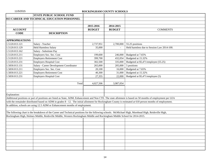|                       | <b>STATE PUBLIC SCHOOL FUND</b>                                                                                                                              |               |               |                                            |
|-----------------------|--------------------------------------------------------------------------------------------------------------------------------------------------------------|---------------|---------------|--------------------------------------------|
|                       | 013 CAREER AND TECHNICAL EDUCATION PERSONNEL                                                                                                                 |               |               |                                            |
|                       |                                                                                                                                                              |               |               |                                            |
|                       |                                                                                                                                                              | 2015-2016     | 2014-2015     |                                            |
| <b>ACCOUNT</b>        |                                                                                                                                                              | <b>BUDGET</b> | <b>BUDGET</b> | <b>COMMENTS</b>                            |
| <b>CODE</b>           | <b>DESCRIPTION</b>                                                                                                                                           |               |               |                                            |
|                       |                                                                                                                                                              |               |               |                                            |
| <b>APPROPRIATIONS</b> |                                                                                                                                                              |               |               |                                            |
| 1.5120.013.121        | Salary - Teacher                                                                                                                                             | 2,737,951     | 2,700,000     | 55.25 positions                            |
| 1.5120.013.129        | <b>Held Harmless Salary</b>                                                                                                                                  | 35,000        |               | Held harmless due to Session Law 2014-100. |
| 1.5120.013.162        | Salary - Substitute Pay                                                                                                                                      |               |               |                                            |
| 1.5120.013.211        | Employers Soc. Sec. Cost                                                                                                                                     | 199,600       | 246,000       | Budgeted at 7.65%                          |
| 1.5120.013.221        | <b>Employers Retirement Cost</b>                                                                                                                             | 399,700       | 432,054       | Budgeted at 15.32%                         |
| 1.5120.013.231        | <b>Employers Hospital Cost</b>                                                                                                                               | 302,500       | 335,000       | Budgeted at \$5,471/employee (55.25)       |
| 1.5830.013.131        | Salary - Career Development Coordinator                                                                                                                      | 265,000       | 205,000       | 5 positions                                |
| 1.5830.013.211        | Employers Soc. Sec. Cost                                                                                                                                     | 20,100        | 16,000        | Budgeted at 7.65%                          |
| 1.5830.013.221        | <b>Employers Retirement Cost</b>                                                                                                                             | 40,300        | 31,000        | Budgeted at 15.32%                         |
| 1.5830.013.231        | <b>Employers Hospital Cost</b>                                                                                                                               | 27,355        | 22,000        | Budgeted at \$5,471/employee (5)           |
|                       |                                                                                                                                                              |               |               |                                            |
|                       | Total                                                                                                                                                        | 4,027,506     | 3,987,054     |                                            |
|                       |                                                                                                                                                              |               |               |                                            |
|                       |                                                                                                                                                              |               |               |                                            |
| Explanation:          |                                                                                                                                                              |               |               |                                            |
|                       | Additional positions or part of positions are listed as State, ADM, Enhancement and Non CTE. The state allotment is based on 50 months of employment per LEA |               |               |                                            |
|                       | with the remainder distributed based on ADM in grades 8 - 12. The initial allotment for Rockingham County is estimated at 618 person months of employment.   |               |               |                                            |
|                       | In addition, schools are using 12.5 ADM or Enhancement months of employment.                                                                                 |               |               |                                            |
|                       |                                                                                                                                                              |               |               |                                            |
|                       | The following chart is the breakdown of the Career and Technical positions for the following schools. McMichael High, Morehead High, Reidsville High,        |               |               |                                            |
|                       | Rockingham High, Holmes Middle, Reidsville Middle, Western Rockingham Middle and Rockingham Middle School for 2014-2015.                                     |               |               |                                            |
|                       |                                                                                                                                                              |               |               |                                            |
|                       |                                                                                                                                                              |               |               |                                            |
|                       |                                                                                                                                                              |               |               |                                            |
|                       |                                                                                                                                                              |               |               |                                            |
|                       |                                                                                                                                                              |               |               |                                            |
|                       |                                                                                                                                                              |               |               |                                            |
|                       |                                                                                                                                                              |               |               |                                            |
|                       |                                                                                                                                                              |               |               |                                            |
|                       |                                                                                                                                                              |               |               |                                            |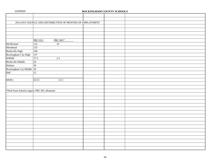| 11/5/2015 |  |  |  |
|-----------|--|--|--|
|-----------|--|--|--|

### ROCKINGHAM COUNTY SCHOOLS

|                                              | 2014-2015 SOURCE AND DISTRIBUTION OF MONTHS OF EMPLOYMENT |  |  |
|----------------------------------------------|-----------------------------------------------------------|--|--|
|                                              |                                                           |  |  |
|                                              |                                                           |  |  |
|                                              |                                                           |  |  |
|                                              |                                                           |  |  |
|                                              | <b>PRC 013</b><br>PRC 001*                                |  |  |
| McMichael                                    | $\overline{10}$<br>122                                    |  |  |
| Morehead                                     | 125                                                       |  |  |
| Reidsville High                              | 100                                                       |  |  |
| Rockingham City High                         | 137                                                       |  |  |
| <b>WRMS</b>                                  | $37.5$<br>$2.5\,$                                         |  |  |
| Reidsville Middle                            | $\overline{20}$                                           |  |  |
| Holmes                                       | $\overline{30}$                                           |  |  |
| Rockingham Cty Middle 30                     |                                                           |  |  |
| IMC                                          | 12                                                        |  |  |
|                                              |                                                           |  |  |
| MOE's                                        | 613.5<br>12.5                                             |  |  |
|                                              |                                                           |  |  |
|                                              |                                                           |  |  |
| *Paid from Schools regular PRC 001 allotment |                                                           |  |  |
|                                              |                                                           |  |  |
|                                              |                                                           |  |  |
|                                              |                                                           |  |  |
|                                              |                                                           |  |  |
|                                              |                                                           |  |  |
|                                              |                                                           |  |  |
|                                              |                                                           |  |  |
|                                              |                                                           |  |  |
|                                              |                                                           |  |  |
|                                              |                                                           |  |  |
|                                              |                                                           |  |  |
|                                              |                                                           |  |  |
|                                              |                                                           |  |  |
|                                              |                                                           |  |  |
|                                              |                                                           |  |  |
|                                              |                                                           |  |  |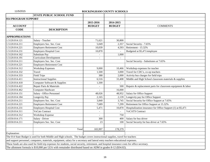|                       | <b>STATE PUBLIC SCHOOL FUND</b>                                                                                                                 |               |                |                                                             |
|-----------------------|-------------------------------------------------------------------------------------------------------------------------------------------------|---------------|----------------|-------------------------------------------------------------|
| 014 PROGRAM SUPPORT   |                                                                                                                                                 |               |                |                                                             |
|                       |                                                                                                                                                 | 2015-2016     | 2014-2015      |                                                             |
| <b>ACCOUNT</b>        |                                                                                                                                                 | <b>BUDGET</b> | <b>BUDGET</b>  | <b>COMMENTS</b>                                             |
| <b>CODE</b>           | <b>DESCRIPTION</b>                                                                                                                              |               |                |                                                             |
|                       |                                                                                                                                                 |               |                |                                                             |
| <b>APPROPRIATIONS</b> |                                                                                                                                                 |               |                |                                                             |
| 1.5120.014.121        | Salary - Teacher                                                                                                                                | 71,621        | 30,800         |                                                             |
| 1.5120.014.211        | Employers Soc. Sec. Cost                                                                                                                        | 5,049         | 2,357          | Social Security - 7.65%                                     |
| 1.5120.014.221        | <b>Employers Retirement Cost</b>                                                                                                                | 10,039        | 4,593          | Retirement - 15.32%                                         |
| 1.5120.014.231        | <b>Employers Hospital Cost</b>                                                                                                                  | 10,870        |                | Budgeted at \$5,471/employee                                |
| 1.5120.014.162        | Substitute Pay                                                                                                                                  |               | 1,000          |                                                             |
| 1.5120.014.191        | Curriculum Development                                                                                                                          |               |                |                                                             |
| 1.5120.014.211        | Employers Soc. Sec. Cost                                                                                                                        |               |                | Social Security - Substitutes at 7.65%                      |
| 1.5120.014.221        | <b>Employers Retirement Cost</b>                                                                                                                |               |                |                                                             |
| 1.5120.014.312        | <b>Workshop Expenses</b>                                                                                                                        | 9,000         | 10,466         | Workshop expenses for teacher                               |
| 1.5120.014.332        | Travel                                                                                                                                          | 1,500         | 3,000          | Travel for CDC's, co-op teachers                            |
| 1.5120.014.333        | <b>Field Trips</b>                                                                                                                              | 388           | 2,000          | Activity bus charges for field trips                        |
| 1.5120.014.411        | <b>Instructional Supplies</b>                                                                                                                   | 6,516         | 33,408         | Middle and High School classroom materials & supplies       |
| 1.5120.014.418        | Computer Software & Supplies                                                                                                                    | 1,500         | $\overline{a}$ |                                                             |
| 1.5120.014.422        | Repair Parts & Materials                                                                                                                        | $\sim$        | 500            | Repairs & replacement parts for classroom equipment & labor |
| 1.5120.014.462        | Computer Hardware                                                                                                                               |               | 16,000         |                                                             |
| 1.6120.014.151        | Salary - Office Personnel                                                                                                                       | 48,026        | 48,952         | Salary for Office Support                                   |
| 1.6120.014.184        | Longevity Pay                                                                                                                                   | 2,165         | 2,139          | Longevity pay for Office Support                            |
| 1.6120.014.211        | Employers Soc. Sec. Cost                                                                                                                        | 3,840         | 3,745          | Social Security for Office Support at 7.65%                 |
| 1.6120.014.221        | <b>Employers Retirement Cost</b>                                                                                                                | 7,689         | 7,299          | Retirement for Office Support at 15.32%                     |
| 1.6120.014.231        | <b>Employers Hospital Cost</b>                                                                                                                  | 5,471         | 10,870         | Hospitalization insurance for Office Support (1) at \$5,471 |
| 1.6120.014.311        | <b>VoCats Contract</b>                                                                                                                          |               |                | <b>VoCATS</b> Contract                                      |
| 1.6120.014.312        | <b>Workshop Expense</b>                                                                                                                         |               | 750            |                                                             |
| 1.6550.014.171        | Salary - Driver                                                                                                                                 | 300           | 400            | Salary for bus driver                                       |
| 1.6550.014.211        | Employers Soc. Sec. Cost                                                                                                                        | 23            | 100            | Social Security for bus driver at 7.65%                     |
|                       |                                                                                                                                                 |               |                |                                                             |
|                       | Total                                                                                                                                           | 183,997       | 178,379        |                                                             |
| Explanation:          |                                                                                                                                                 |               |                |                                                             |
|                       | The 014 State Budget is used for both Middle and High schools. The budget covers instructional supplies, travel for teachers                    |               |                |                                                             |
|                       | and support personnel, computers, materials, equipment, salary for a secretary and lateral entry teachers educational expenses.                 |               |                |                                                             |
|                       | These funds are also used for field trip expenses for students, social security, retirement, and hospital insurance costs for office secretary. |               |                |                                                             |
|                       | The allotment formula is \$10,000 per LEA with remainder distributed based on ADM in grades 8-12 (\$34.02).                                     |               |                |                                                             |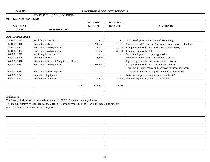|                                                 | <b>STATE PUBLIC SCHOOL FUND</b>                                                                      |                |                          |                                                               |
|-------------------------------------------------|------------------------------------------------------------------------------------------------------|----------------|--------------------------|---------------------------------------------------------------|
| 015 TECHNOLOGY FUND                             |                                                                                                      |                |                          |                                                               |
|                                                 |                                                                                                      | 2015-2016      | 2014-2015                |                                                               |
| <b>ACCOUNT</b>                                  |                                                                                                      | <b>BUDGET</b>  | <b>BUDGET</b>            | <b>COMMENTS</b>                                               |
| <b>CODE</b>                                     | <b>DESCRIPTION</b>                                                                                   |                |                          |                                                               |
|                                                 |                                                                                                      |                |                          |                                                               |
| <b>APPROPRIATIONS</b>                           |                                                                                                      |                |                          |                                                               |
| 1.5110.015.312                                  | <b>Workshop Expense</b>                                                                              | $\overline{a}$ | $\bar{\phantom{a}}$      | <b>Staff Development - Instructional Technology</b>           |
| 1.5110.015.418                                  | Computer Software                                                                                    | 94,904         | 18,053                   | Upgrading and Purchase of Software - Instructional Technology |
| 1.5110.015.461                                  | Non-Capitalized equipment                                                                            | 2,162          | 16,066                   | Computers under \$2,000 - Instructional Technology            |
| 1.5110.015.462                                  | Non-Capitalized computers                                                                            | 12,962         | 38,510                   | Computers under \$2,000                                       |
| 1.6400.015.312                                  | <b>Workshop Expenses</b>                                                                             |                |                          | <b>Staff Development - technology services</b>                |
| 1.6400.015.326                                  | <b>Computer Repairs</b>                                                                              | 6,448          | $\overline{\phantom{a}}$ | Parts & related services - technology services                |
| 1.6400.015.418                                  | Computer Software & Supplies - Tech Serv.                                                            |                |                          | Upgrading & purchase of software-Tech Services                |
| 1.6400.015.461                                  | Non-Capitalized equipment                                                                            | 207,740        | $\equiv$                 | Equipment under \$2,000 - Technology services                 |
|                                                 |                                                                                                      |                |                          | This amount is for reserve and carryover to subsequent year.  |
| 1.6400.015.462                                  | <b>Non-Capitalized Computers</b>                                                                     |                | $\blacksquare$           | Technology support - Computer equipment-inventoried           |
| 1.6400.015.541                                  | Capitalized Equipment                                                                                |                | $\overline{\phantom{a}}$ | Network equipment, switches, etc. over \$2,000                |
| 1.6400.015.542                                  | Computer Equipment                                                                                   | 1,475          | 10,506                   | Network Equipment, servers, over \$2,000                      |
|                                                 |                                                                                                      |                |                          |                                                               |
|                                                 | Total                                                                                                | 325,691        | 83,135                   |                                                               |
|                                                 |                                                                                                      |                |                          |                                                               |
|                                                 |                                                                                                      |                |                          |                                                               |
| Explanation:                                    |                                                                                                      |                |                          |                                                               |
|                                                 | The State typically does not included an amount for PRC 015 in their planning allotment.             |                |                          |                                                               |
|                                                 | The amount allotted to PRC 015 for the 2015-2016 school year is \$117,951, with the remaining amount |                |                          |                                                               |
| of \$207,740 being in reserve and/or carryover. |                                                                                                      |                |                          |                                                               |
|                                                 |                                                                                                      |                |                          |                                                               |
|                                                 |                                                                                                      |                |                          |                                                               |
|                                                 |                                                                                                      |                |                          |                                                               |
|                                                 |                                                                                                      |                |                          |                                                               |
|                                                 |                                                                                                      |                |                          |                                                               |
|                                                 |                                                                                                      |                |                          |                                                               |
|                                                 |                                                                                                      |                |                          |                                                               |
|                                                 |                                                                                                      |                |                          |                                                               |
|                                                 |                                                                                                      |                |                          |                                                               |
|                                                 |                                                                                                      |                |                          |                                                               |
|                                                 |                                                                                                      |                |                          |                                                               |
|                                                 |                                                                                                      |                |                          |                                                               |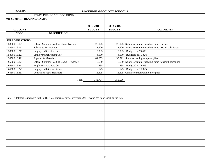|                          | <b>STATE PUBLIC SCHOOL FUND</b>                                                                                   |               |               |                                                          |
|--------------------------|-------------------------------------------------------------------------------------------------------------------|---------------|---------------|----------------------------------------------------------|
| 016 SUMMER READING CAMPS |                                                                                                                   |               |               |                                                          |
|                          |                                                                                                                   |               |               |                                                          |
|                          |                                                                                                                   | 2015-2016     | 2014-2015     |                                                          |
| <b>ACCOUNT</b>           |                                                                                                                   | <b>BUDGET</b> | <b>BUDGET</b> | <b>COMMENTS</b>                                          |
| <b>CODE</b>              | <b>DESCRIPTION</b>                                                                                                |               |               |                                                          |
|                          |                                                                                                                   |               |               |                                                          |
| <b>APPROPRIATIONS</b>    |                                                                                                                   |               |               |                                                          |
| 1.5350.016.121           | Salary - Summer Reading Camp Teacher                                                                              | 28,025        |               | 28,025 Salary for summer reading camp teachers           |
| 1.5350.016.162           | Substitute Teacher Pay                                                                                            | 2,500         |               | 2,500 Salary for summer reading camp teacher substitutes |
| 1.5350.016.211           | Employers Soc. Sec. Cost                                                                                          | 2,335         | 2,335         | Budgeted at 7.65%                                        |
| 1.5350.016.221           | <b>Employers Retirement Cost</b>                                                                                  | 4,150         | 4,150         | Budgeted at 15.32%                                       |
| 1.5350.016.411           | Supplies & Materials                                                                                              | 84,659        |               | 99,521 Summer reading camp supplies                      |
| 1.6550.016.171           | Salary - Summer Reading Camp - Transport                                                                          | 5,650         | 5,650         | Salary for summer reading camp transport personnel       |
| 1.6550.016.211           | Employers Soc. Sec. Cost                                                                                          | 435           | 435           | Budgeted at 7.65%                                        |
| 1.6550.016.221           | Employers Retirement Cost                                                                                         | 625           | 625           | Budgeted at 15.32%                                       |
| 1.6550.016.331           | <b>Contracted Pupil Transport</b>                                                                                 | 15,325        |               | 15,325 Contracted transportation for pupils              |
|                          |                                                                                                                   |               |               |                                                          |
|                          | Total                                                                                                             | 143,704       | 158,566       |                                                          |
|                          |                                                                                                                   |               |               |                                                          |
|                          |                                                                                                                   |               |               |                                                          |
|                          |                                                                                                                   |               |               |                                                          |
|                          |                                                                                                                   |               |               |                                                          |
|                          | Note: Allotment is included in the 2014-15 allotments, carries over into 2015-16 and has to be spent by the fall. |               |               |                                                          |
|                          |                                                                                                                   |               |               |                                                          |
|                          |                                                                                                                   |               |               |                                                          |
|                          |                                                                                                                   |               |               |                                                          |
|                          |                                                                                                                   |               |               |                                                          |
|                          |                                                                                                                   |               |               |                                                          |
|                          |                                                                                                                   |               |               |                                                          |
|                          |                                                                                                                   |               |               |                                                          |
|                          |                                                                                                                   |               |               |                                                          |
|                          |                                                                                                                   |               |               |                                                          |
|                          |                                                                                                                   |               |               |                                                          |
|                          |                                                                                                                   |               |               |                                                          |
|                          |                                                                                                                   |               |               |                                                          |
|                          |                                                                                                                   |               |               |                                                          |
|                          |                                                                                                                   |               |               |                                                          |
|                          |                                                                                                                   |               |               |                                                          |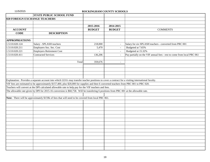|                                      | <b>STATE PUBLIC SCHOOL FUND</b>                                                                                                                    |               |                |                                                                        |
|--------------------------------------|----------------------------------------------------------------------------------------------------------------------------------------------------|---------------|----------------|------------------------------------------------------------------------|
| <b>020 FOREIGN EXCHANGE TEACHERS</b> |                                                                                                                                                    |               |                |                                                                        |
|                                      |                                                                                                                                                    |               |                |                                                                        |
|                                      |                                                                                                                                                    | 2015-2016     | 2014-2015      |                                                                        |
| <b>ACCOUNT</b>                       |                                                                                                                                                    | <b>BUDGET</b> | <b>BUDGET</b>  | <b>COMMENTS</b>                                                        |
| <b>CODE</b>                          | <b>DESCRIPTION</b>                                                                                                                                 |               |                |                                                                        |
|                                      |                                                                                                                                                    |               |                |                                                                        |
| <b>APPROPRIATIONS</b>                |                                                                                                                                                    |               |                |                                                                        |
| 1.5110.020.124                       | Salary - SPLASH teachers                                                                                                                           | 218,000       | $\omega$       | Salary for six SPLASH teachers - converted from PRC 001                |
| 1.5110.020.211                       | Employers Soc. Sec. Cost                                                                                                                           | 5,470         | $\mathbb{Z}^2$ | Budgeted at 7.65%                                                      |
| 1.5110.020.221                       | <b>Employers Retirement Cost</b>                                                                                                                   |               | $\mathbf{r}$   | Budgeted at 15.32%                                                     |
| 1.5110.020.411                       | <b>Contracted Services</b>                                                                                                                         | 136,206       | $\mathbf{r}$   | Pay partially on the VIF annual fees - rest to come from local PRC 061 |
|                                      |                                                                                                                                                    |               |                |                                                                        |
|                                      | Total                                                                                                                                              | 359,676       | $\overline{a}$ |                                                                        |
|                                      |                                                                                                                                                    |               |                |                                                                        |
|                                      |                                                                                                                                                    |               |                |                                                                        |
|                                      |                                                                                                                                                    |               |                |                                                                        |
|                                      |                                                                                                                                                    |               |                |                                                                        |
|                                      | Explanation: Provides a separate account into which LEA's may transfer teacher positions to cover a contract for a visiting international faculty. |               |                |                                                                        |
|                                      | VIF fees are estimated to be approximately \$157,400, plus \$20,000 for supplies and then 6 converted teachers from PRC 001 to PRC 020.            |               |                |                                                                        |
|                                      | Teachers will convert at the DPI calculated allowable rate to help pay for the VIF teachers and fees.                                              |               |                |                                                                        |
|                                      | The allowable rate given by DPI for 2015-16 conversion is \$60,758. Will be transfering 6 positions from PRC 001 at the allowable rate.            |               |                |                                                                        |
|                                      |                                                                                                                                                    |               |                |                                                                        |
|                                      | Note: There will be approximately \$159k of fees that will need to be covered from local PRC 061.                                                  |               |                |                                                                        |
|                                      |                                                                                                                                                    |               |                |                                                                        |
|                                      |                                                                                                                                                    |               |                |                                                                        |
|                                      |                                                                                                                                                    |               |                |                                                                        |
|                                      |                                                                                                                                                    |               |                |                                                                        |
|                                      |                                                                                                                                                    |               |                |                                                                        |
|                                      |                                                                                                                                                    |               |                |                                                                        |
|                                      |                                                                                                                                                    |               |                |                                                                        |
|                                      |                                                                                                                                                    |               |                |                                                                        |
|                                      |                                                                                                                                                    |               |                |                                                                        |
|                                      |                                                                                                                                                    |               |                |                                                                        |
|                                      |                                                                                                                                                    |               |                |                                                                        |
|                                      |                                                                                                                                                    |               |                |                                                                        |
|                                      |                                                                                                                                                    |               |                |                                                                        |
|                                      |                                                                                                                                                    |               |                |                                                                        |
|                                      |                                                                                                                                                    |               |                |                                                                        |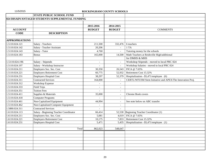| 024 DISADVANTAGED STUDENTS SUPPLEMENTAL FUNDING<br>2015-2016<br>2014-2015<br><b>ACCOUNT</b><br><b>BUDGET</b><br><b>BUDGET</b><br><b>COMMENTS</b><br><b>CODE</b><br><b>DESCRIPTION</b><br><b>APPROPRIATIONS</b><br>1.5110.024.121<br>Salary - Teachers<br>211,500<br>$332,476$ 6 teachers<br>1.5110.024.142<br>Salary - Teacher Assistant<br>20,206<br>1 TA<br>1.5110.024.143<br>Salary - Tutor<br>4,760<br>Tutoring money for the schools<br>165,000<br>Math Teachers at Reidsville High/additional<br>1.5110.024.183<br><b>Bonus</b><br>14,500<br>for DMHS & MHS<br>1.5110.024.196<br>Workshop Stipends - moved to local PRC 024<br>Salary - Stipends<br>$\sim$<br>$\sim$<br>Workshop Salaries - moved to local PRC 024<br>1.5110.024.197<br>Salary - Workshop Instructor<br>$\mathbb{Z}^2$<br>Employers Soc. Sec. Cost<br>FICA @ 7.65%<br>1.5110.024.211<br>30,350<br>26,543<br><b>Employers Retirement Cost</b><br>1.5110.024.221<br>Retirement Cost 15.32%<br>60,775<br>52,932<br>1.5110.024.231<br><b>Employers Hospital Cost</b><br>Hospitalization - \$5,471/employee (6)<br>38,297<br>52,379<br><b>Contracted Services</b><br>1.5110.024.311<br>CERTL/WFUSM Stem Initiative and APEX/The Innovation Proj.<br>164,000<br>$\omega$<br>1.5110.024.312<br>Workshop Expense<br>$\blacksquare$<br>1.5110.024.333<br><b>Field Trips</b><br>$\blacksquare$<br>$\sim$<br>1.5110.024.351<br><b>Tuition Fees</b><br>$\blacksquare$<br>1.5110.024.411<br>Supplies & Materials<br><b>Chrome Book covers</b><br>35,000<br>$\blacksquare$<br><b>Computer Programs</b><br>1.5110.024.418<br>$\sim$<br>1.5110.024.461<br>Non-Capitalized Equipment<br>See note below on ABC transfer<br>44,994<br>$\blacksquare$<br>1.5110.024.462<br>Non-Capitalized Computer Equipment<br>$\sim$<br>1.5880.024.311<br><b>Contracted Services</b><br>Salary - Beginning Teacher Coordinator<br>1.6110.024.113<br>Beginning Teacher Coordinator (1)<br>66,414<br>52,530<br>Employers Soc. Sec. Cost<br>5,081<br>FICA @ 7.65%<br>1.6110.024.211<br>4,019<br>Retirement Cost 15.32%<br>1.6110.024.221<br><b>Employers Retirement Cost</b><br>7,833<br>10,175<br>5,471<br>Hospitalization - \$5,471/employee (1)<br>1.6110.024.231<br><b>Employers Hospital Cost</b><br>5,435<br>Total<br>548,647<br>862,023 | <b>STATE PUBLIC SCHOOL FUND</b> |  |  |
|----------------------------------------------------------------------------------------------------------------------------------------------------------------------------------------------------------------------------------------------------------------------------------------------------------------------------------------------------------------------------------------------------------------------------------------------------------------------------------------------------------------------------------------------------------------------------------------------------------------------------------------------------------------------------------------------------------------------------------------------------------------------------------------------------------------------------------------------------------------------------------------------------------------------------------------------------------------------------------------------------------------------------------------------------------------------------------------------------------------------------------------------------------------------------------------------------------------------------------------------------------------------------------------------------------------------------------------------------------------------------------------------------------------------------------------------------------------------------------------------------------------------------------------------------------------------------------------------------------------------------------------------------------------------------------------------------------------------------------------------------------------------------------------------------------------------------------------------------------------------------------------------------------------------------------------------------------------------------------------------------------------------------------------------------------------------------------------------------------------------------------------------------------------------------------------------------------------------------------------------------------------------------------|---------------------------------|--|--|
|                                                                                                                                                                                                                                                                                                                                                                                                                                                                                                                                                                                                                                                                                                                                                                                                                                                                                                                                                                                                                                                                                                                                                                                                                                                                                                                                                                                                                                                                                                                                                                                                                                                                                                                                                                                                                                                                                                                                                                                                                                                                                                                                                                                                                                                                                  |                                 |  |  |
|                                                                                                                                                                                                                                                                                                                                                                                                                                                                                                                                                                                                                                                                                                                                                                                                                                                                                                                                                                                                                                                                                                                                                                                                                                                                                                                                                                                                                                                                                                                                                                                                                                                                                                                                                                                                                                                                                                                                                                                                                                                                                                                                                                                                                                                                                  |                                 |  |  |
|                                                                                                                                                                                                                                                                                                                                                                                                                                                                                                                                                                                                                                                                                                                                                                                                                                                                                                                                                                                                                                                                                                                                                                                                                                                                                                                                                                                                                                                                                                                                                                                                                                                                                                                                                                                                                                                                                                                                                                                                                                                                                                                                                                                                                                                                                  |                                 |  |  |
|                                                                                                                                                                                                                                                                                                                                                                                                                                                                                                                                                                                                                                                                                                                                                                                                                                                                                                                                                                                                                                                                                                                                                                                                                                                                                                                                                                                                                                                                                                                                                                                                                                                                                                                                                                                                                                                                                                                                                                                                                                                                                                                                                                                                                                                                                  |                                 |  |  |
|                                                                                                                                                                                                                                                                                                                                                                                                                                                                                                                                                                                                                                                                                                                                                                                                                                                                                                                                                                                                                                                                                                                                                                                                                                                                                                                                                                                                                                                                                                                                                                                                                                                                                                                                                                                                                                                                                                                                                                                                                                                                                                                                                                                                                                                                                  |                                 |  |  |
|                                                                                                                                                                                                                                                                                                                                                                                                                                                                                                                                                                                                                                                                                                                                                                                                                                                                                                                                                                                                                                                                                                                                                                                                                                                                                                                                                                                                                                                                                                                                                                                                                                                                                                                                                                                                                                                                                                                                                                                                                                                                                                                                                                                                                                                                                  |                                 |  |  |
|                                                                                                                                                                                                                                                                                                                                                                                                                                                                                                                                                                                                                                                                                                                                                                                                                                                                                                                                                                                                                                                                                                                                                                                                                                                                                                                                                                                                                                                                                                                                                                                                                                                                                                                                                                                                                                                                                                                                                                                                                                                                                                                                                                                                                                                                                  |                                 |  |  |
|                                                                                                                                                                                                                                                                                                                                                                                                                                                                                                                                                                                                                                                                                                                                                                                                                                                                                                                                                                                                                                                                                                                                                                                                                                                                                                                                                                                                                                                                                                                                                                                                                                                                                                                                                                                                                                                                                                                                                                                                                                                                                                                                                                                                                                                                                  |                                 |  |  |
|                                                                                                                                                                                                                                                                                                                                                                                                                                                                                                                                                                                                                                                                                                                                                                                                                                                                                                                                                                                                                                                                                                                                                                                                                                                                                                                                                                                                                                                                                                                                                                                                                                                                                                                                                                                                                                                                                                                                                                                                                                                                                                                                                                                                                                                                                  |                                 |  |  |
|                                                                                                                                                                                                                                                                                                                                                                                                                                                                                                                                                                                                                                                                                                                                                                                                                                                                                                                                                                                                                                                                                                                                                                                                                                                                                                                                                                                                                                                                                                                                                                                                                                                                                                                                                                                                                                                                                                                                                                                                                                                                                                                                                                                                                                                                                  |                                 |  |  |
|                                                                                                                                                                                                                                                                                                                                                                                                                                                                                                                                                                                                                                                                                                                                                                                                                                                                                                                                                                                                                                                                                                                                                                                                                                                                                                                                                                                                                                                                                                                                                                                                                                                                                                                                                                                                                                                                                                                                                                                                                                                                                                                                                                                                                                                                                  |                                 |  |  |
|                                                                                                                                                                                                                                                                                                                                                                                                                                                                                                                                                                                                                                                                                                                                                                                                                                                                                                                                                                                                                                                                                                                                                                                                                                                                                                                                                                                                                                                                                                                                                                                                                                                                                                                                                                                                                                                                                                                                                                                                                                                                                                                                                                                                                                                                                  |                                 |  |  |
|                                                                                                                                                                                                                                                                                                                                                                                                                                                                                                                                                                                                                                                                                                                                                                                                                                                                                                                                                                                                                                                                                                                                                                                                                                                                                                                                                                                                                                                                                                                                                                                                                                                                                                                                                                                                                                                                                                                                                                                                                                                                                                                                                                                                                                                                                  |                                 |  |  |
|                                                                                                                                                                                                                                                                                                                                                                                                                                                                                                                                                                                                                                                                                                                                                                                                                                                                                                                                                                                                                                                                                                                                                                                                                                                                                                                                                                                                                                                                                                                                                                                                                                                                                                                                                                                                                                                                                                                                                                                                                                                                                                                                                                                                                                                                                  |                                 |  |  |
|                                                                                                                                                                                                                                                                                                                                                                                                                                                                                                                                                                                                                                                                                                                                                                                                                                                                                                                                                                                                                                                                                                                                                                                                                                                                                                                                                                                                                                                                                                                                                                                                                                                                                                                                                                                                                                                                                                                                                                                                                                                                                                                                                                                                                                                                                  |                                 |  |  |
|                                                                                                                                                                                                                                                                                                                                                                                                                                                                                                                                                                                                                                                                                                                                                                                                                                                                                                                                                                                                                                                                                                                                                                                                                                                                                                                                                                                                                                                                                                                                                                                                                                                                                                                                                                                                                                                                                                                                                                                                                                                                                                                                                                                                                                                                                  |                                 |  |  |
|                                                                                                                                                                                                                                                                                                                                                                                                                                                                                                                                                                                                                                                                                                                                                                                                                                                                                                                                                                                                                                                                                                                                                                                                                                                                                                                                                                                                                                                                                                                                                                                                                                                                                                                                                                                                                                                                                                                                                                                                                                                                                                                                                                                                                                                                                  |                                 |  |  |
|                                                                                                                                                                                                                                                                                                                                                                                                                                                                                                                                                                                                                                                                                                                                                                                                                                                                                                                                                                                                                                                                                                                                                                                                                                                                                                                                                                                                                                                                                                                                                                                                                                                                                                                                                                                                                                                                                                                                                                                                                                                                                                                                                                                                                                                                                  |                                 |  |  |
|                                                                                                                                                                                                                                                                                                                                                                                                                                                                                                                                                                                                                                                                                                                                                                                                                                                                                                                                                                                                                                                                                                                                                                                                                                                                                                                                                                                                                                                                                                                                                                                                                                                                                                                                                                                                                                                                                                                                                                                                                                                                                                                                                                                                                                                                                  |                                 |  |  |
|                                                                                                                                                                                                                                                                                                                                                                                                                                                                                                                                                                                                                                                                                                                                                                                                                                                                                                                                                                                                                                                                                                                                                                                                                                                                                                                                                                                                                                                                                                                                                                                                                                                                                                                                                                                                                                                                                                                                                                                                                                                                                                                                                                                                                                                                                  |                                 |  |  |
|                                                                                                                                                                                                                                                                                                                                                                                                                                                                                                                                                                                                                                                                                                                                                                                                                                                                                                                                                                                                                                                                                                                                                                                                                                                                                                                                                                                                                                                                                                                                                                                                                                                                                                                                                                                                                                                                                                                                                                                                                                                                                                                                                                                                                                                                                  |                                 |  |  |
|                                                                                                                                                                                                                                                                                                                                                                                                                                                                                                                                                                                                                                                                                                                                                                                                                                                                                                                                                                                                                                                                                                                                                                                                                                                                                                                                                                                                                                                                                                                                                                                                                                                                                                                                                                                                                                                                                                                                                                                                                                                                                                                                                                                                                                                                                  |                                 |  |  |
|                                                                                                                                                                                                                                                                                                                                                                                                                                                                                                                                                                                                                                                                                                                                                                                                                                                                                                                                                                                                                                                                                                                                                                                                                                                                                                                                                                                                                                                                                                                                                                                                                                                                                                                                                                                                                                                                                                                                                                                                                                                                                                                                                                                                                                                                                  |                                 |  |  |
|                                                                                                                                                                                                                                                                                                                                                                                                                                                                                                                                                                                                                                                                                                                                                                                                                                                                                                                                                                                                                                                                                                                                                                                                                                                                                                                                                                                                                                                                                                                                                                                                                                                                                                                                                                                                                                                                                                                                                                                                                                                                                                                                                                                                                                                                                  |                                 |  |  |
|                                                                                                                                                                                                                                                                                                                                                                                                                                                                                                                                                                                                                                                                                                                                                                                                                                                                                                                                                                                                                                                                                                                                                                                                                                                                                                                                                                                                                                                                                                                                                                                                                                                                                                                                                                                                                                                                                                                                                                                                                                                                                                                                                                                                                                                                                  |                                 |  |  |
|                                                                                                                                                                                                                                                                                                                                                                                                                                                                                                                                                                                                                                                                                                                                                                                                                                                                                                                                                                                                                                                                                                                                                                                                                                                                                                                                                                                                                                                                                                                                                                                                                                                                                                                                                                                                                                                                                                                                                                                                                                                                                                                                                                                                                                                                                  |                                 |  |  |
|                                                                                                                                                                                                                                                                                                                                                                                                                                                                                                                                                                                                                                                                                                                                                                                                                                                                                                                                                                                                                                                                                                                                                                                                                                                                                                                                                                                                                                                                                                                                                                                                                                                                                                                                                                                                                                                                                                                                                                                                                                                                                                                                                                                                                                                                                  |                                 |  |  |
|                                                                                                                                                                                                                                                                                                                                                                                                                                                                                                                                                                                                                                                                                                                                                                                                                                                                                                                                                                                                                                                                                                                                                                                                                                                                                                                                                                                                                                                                                                                                                                                                                                                                                                                                                                                                                                                                                                                                                                                                                                                                                                                                                                                                                                                                                  |                                 |  |  |
|                                                                                                                                                                                                                                                                                                                                                                                                                                                                                                                                                                                                                                                                                                                                                                                                                                                                                                                                                                                                                                                                                                                                                                                                                                                                                                                                                                                                                                                                                                                                                                                                                                                                                                                                                                                                                                                                                                                                                                                                                                                                                                                                                                                                                                                                                  |                                 |  |  |
|                                                                                                                                                                                                                                                                                                                                                                                                                                                                                                                                                                                                                                                                                                                                                                                                                                                                                                                                                                                                                                                                                                                                                                                                                                                                                                                                                                                                                                                                                                                                                                                                                                                                                                                                                                                                                                                                                                                                                                                                                                                                                                                                                                                                                                                                                  |                                 |  |  |
|                                                                                                                                                                                                                                                                                                                                                                                                                                                                                                                                                                                                                                                                                                                                                                                                                                                                                                                                                                                                                                                                                                                                                                                                                                                                                                                                                                                                                                                                                                                                                                                                                                                                                                                                                                                                                                                                                                                                                                                                                                                                                                                                                                                                                                                                                  |                                 |  |  |
|                                                                                                                                                                                                                                                                                                                                                                                                                                                                                                                                                                                                                                                                                                                                                                                                                                                                                                                                                                                                                                                                                                                                                                                                                                                                                                                                                                                                                                                                                                                                                                                                                                                                                                                                                                                                                                                                                                                                                                                                                                                                                                                                                                                                                                                                                  |                                 |  |  |
|                                                                                                                                                                                                                                                                                                                                                                                                                                                                                                                                                                                                                                                                                                                                                                                                                                                                                                                                                                                                                                                                                                                                                                                                                                                                                                                                                                                                                                                                                                                                                                                                                                                                                                                                                                                                                                                                                                                                                                                                                                                                                                                                                                                                                                                                                  |                                 |  |  |
|                                                                                                                                                                                                                                                                                                                                                                                                                                                                                                                                                                                                                                                                                                                                                                                                                                                                                                                                                                                                                                                                                                                                                                                                                                                                                                                                                                                                                                                                                                                                                                                                                                                                                                                                                                                                                                                                                                                                                                                                                                                                                                                                                                                                                                                                                  |                                 |  |  |
|                                                                                                                                                                                                                                                                                                                                                                                                                                                                                                                                                                                                                                                                                                                                                                                                                                                                                                                                                                                                                                                                                                                                                                                                                                                                                                                                                                                                                                                                                                                                                                                                                                                                                                                                                                                                                                                                                                                                                                                                                                                                                                                                                                                                                                                                                  |                                 |  |  |
|                                                                                                                                                                                                                                                                                                                                                                                                                                                                                                                                                                                                                                                                                                                                                                                                                                                                                                                                                                                                                                                                                                                                                                                                                                                                                                                                                                                                                                                                                                                                                                                                                                                                                                                                                                                                                                                                                                                                                                                                                                                                                                                                                                                                                                                                                  |                                 |  |  |
|                                                                                                                                                                                                                                                                                                                                                                                                                                                                                                                                                                                                                                                                                                                                                                                                                                                                                                                                                                                                                                                                                                                                                                                                                                                                                                                                                                                                                                                                                                                                                                                                                                                                                                                                                                                                                                                                                                                                                                                                                                                                                                                                                                                                                                                                                  |                                 |  |  |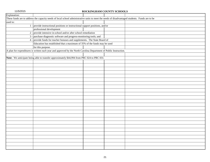| Explanation: |                                                                                                                                                 |  |  |  |  |  |  |
|--------------|-------------------------------------------------------------------------------------------------------------------------------------------------|--|--|--|--|--|--|
|              | These funds are to address the capacity needs of local school administrative units to meet the needs of disadvantaged students. Funds are to be |  |  |  |  |  |  |
| used to:     |                                                                                                                                                 |  |  |  |  |  |  |
|              | 1 - provide instructional positions or instructional support positions, and/or                                                                  |  |  |  |  |  |  |
|              | professional development                                                                                                                        |  |  |  |  |  |  |
|              | 2 - provide intensive in-school and/or after school remediation                                                                                 |  |  |  |  |  |  |
|              | 3 - purchase diagnostic software and progress-monitoring tools; and                                                                             |  |  |  |  |  |  |
|              | 4 - provide funds for teacher bonuses and supplements. The State Board of                                                                       |  |  |  |  |  |  |
|              | Education has established that a maximum of 35% of the funds may be used                                                                        |  |  |  |  |  |  |
|              | for this purpose.                                                                                                                               |  |  |  |  |  |  |
|              | A plan for expenditures is written each year and approved by the North Carolina Department of Public Instruction.                               |  |  |  |  |  |  |
|              |                                                                                                                                                 |  |  |  |  |  |  |
|              | Note: We anticipate being able to transfer approximately \$44,994 from PRC 024 to PRC 031.                                                      |  |  |  |  |  |  |
|              |                                                                                                                                                 |  |  |  |  |  |  |
|              |                                                                                                                                                 |  |  |  |  |  |  |
|              |                                                                                                                                                 |  |  |  |  |  |  |
|              |                                                                                                                                                 |  |  |  |  |  |  |
|              |                                                                                                                                                 |  |  |  |  |  |  |
|              |                                                                                                                                                 |  |  |  |  |  |  |
|              |                                                                                                                                                 |  |  |  |  |  |  |
|              |                                                                                                                                                 |  |  |  |  |  |  |
|              |                                                                                                                                                 |  |  |  |  |  |  |
|              |                                                                                                                                                 |  |  |  |  |  |  |
|              |                                                                                                                                                 |  |  |  |  |  |  |
|              |                                                                                                                                                 |  |  |  |  |  |  |
|              |                                                                                                                                                 |  |  |  |  |  |  |
|              |                                                                                                                                                 |  |  |  |  |  |  |
|              |                                                                                                                                                 |  |  |  |  |  |  |
|              |                                                                                                                                                 |  |  |  |  |  |  |
|              |                                                                                                                                                 |  |  |  |  |  |  |
|              |                                                                                                                                                 |  |  |  |  |  |  |
|              |                                                                                                                                                 |  |  |  |  |  |  |
|              |                                                                                                                                                 |  |  |  |  |  |  |
|              |                                                                                                                                                 |  |  |  |  |  |  |
|              |                                                                                                                                                 |  |  |  |  |  |  |
|              |                                                                                                                                                 |  |  |  |  |  |  |
|              |                                                                                                                                                 |  |  |  |  |  |  |
|              |                                                                                                                                                 |  |  |  |  |  |  |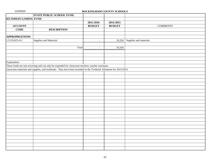11/5/2015 **ROCKINGHAM COUNTY SCHOOLS STATE PUBLIC SCHOOL FUND 025 INDIAN GAMING FUND 2015-2016 2014-2015 ACCOUNT BUDGET BUDGET** COMMENTS **CODE DESCRIPTION APPROPRIATIONS** 1.5110.025.411 Supplies and Materials **10,334** Supplies and materials Total - 10,334 Explanation: These funds are non-reverting and can only be expended for classroom teachers, teacher assistants, classroom materials and supplies, and textbooks. They have been included in the Textbook Allotment for 2015/2016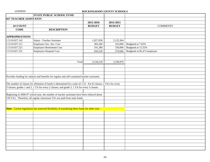|                        | <b>STATE PUBLIC SCHOOL FUND</b>                                                                                |               |               |                              |
|------------------------|----------------------------------------------------------------------------------------------------------------|---------------|---------------|------------------------------|
| 027 TEACHER ASSISTANTS |                                                                                                                |               |               |                              |
|                        |                                                                                                                | 2015-2016     | 2014-2015     |                              |
| <b>ACCOUNT</b>         |                                                                                                                | <b>BUDGET</b> | <b>BUDGET</b> | <b>COMMENTS</b>              |
| <b>CODE</b>            | <b>DESCRIPTION</b>                                                                                             |               |               |                              |
|                        |                                                                                                                |               |               |                              |
| <b>APPROPRIATIONS</b>  |                                                                                                                |               |               |                              |
| 1.5110.027.142         | Salary - Teacher Assistant                                                                                     | 1,927,058     | 2,125,364     |                              |
| 1.5110.027.211         | Employers Soc. Sec. Cost                                                                                       | 383,260       | 165,000       | Budgeted at 7.65%            |
| 1.5110.027.221         | <b>Employers Retirement Cost</b>                                                                               | 191,380       | 330,000       | Budgeted at 15.32%           |
| 1.5110.027.231         | <b>Employers Hospital Cost</b>                                                                                 | 656,520       | 570,606       | Budgeted at \$5,471/employee |
|                        |                                                                                                                |               |               |                              |
|                        |                                                                                                                |               |               |                              |
|                        | Total                                                                                                          | 3,158,218     | 3,190,970     |                              |
|                        |                                                                                                                |               |               |                              |
|                        |                                                                                                                |               |               |                              |
|                        |                                                                                                                |               |               |                              |
|                        | Provides funding for salaries and benefits for regular and self-contained teacher assistants.                  |               |               |                              |
|                        |                                                                                                                |               |               |                              |
|                        | The number of classes for allotment of funds is determined by a ratio of 1:21. For K classes, 2 TA's for every |               |               |                              |
|                        | 3 classes; grades 1 and 2, 1 TA for every 2 classes; and grade 3, 1 TA for every 3 classes.                    |               |               |                              |
|                        |                                                                                                                |               |               |                              |
|                        | Beginning in 2006-07 school year, the number of teacher assistants have been reduced about                     |               |               |                              |
|                        | 150 TA's. Therefore, all regular classroom TA's are paid from state funds.                                     |               |               |                              |
|                        |                                                                                                                |               |               |                              |
|                        |                                                                                                                |               |               |                              |
|                        | Note: Current legislation has removed flexibility of transfering these funds for other uses.                   |               |               |                              |
|                        |                                                                                                                |               |               |                              |
|                        |                                                                                                                |               |               |                              |
|                        |                                                                                                                |               |               |                              |
|                        |                                                                                                                |               |               |                              |
|                        |                                                                                                                |               |               |                              |
|                        |                                                                                                                |               |               |                              |
|                        |                                                                                                                |               |               |                              |
|                        |                                                                                                                |               |               |                              |
|                        |                                                                                                                |               |               |                              |
|                        |                                                                                                                |               |               |                              |
|                        |                                                                                                                |               |               |                              |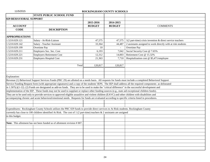|                        | <b>STATE PUBLIC SCHOOL FUND</b>                                                                                                                              |               |               |                                                              |
|------------------------|--------------------------------------------------------------------------------------------------------------------------------------------------------------|---------------|---------------|--------------------------------------------------------------|
| 029 BEHAVIORAL SUPPORT |                                                                                                                                                              |               |               |                                                              |
|                        |                                                                                                                                                              | 2015-2016     | 2014-2015     |                                                              |
| <b>ACCOUNT</b>         |                                                                                                                                                              | <b>BUDGET</b> | <b>BUDGET</b> | <b>COMMENTS</b>                                              |
| <b>CODE</b>            | <b>DESCRIPTION</b>                                                                                                                                           |               |               |                                                              |
|                        |                                                                                                                                                              |               |               |                                                              |
| <b>APPROPRIATIONS</b>  |                                                                                                                                                              |               |               |                                                              |
| 1.5210.029.121         | Salary - At-Risk-Liaison                                                                                                                                     | 47,575        | 47,575        | $1(2 part-time)$ crisis invention & direct service teachers  |
| 1.5210.029.142         | Salary - Teacher Assistant                                                                                                                                   | 33,364        | 44,487        | 2 assistants assigned to work directly with at risk students |
| 1.5210.029.199         | Overtime Pay                                                                                                                                                 | 10            |               | Overtime Pay                                                 |
| 1.5210.029.211         | Employers Soc. Sec. Cost                                                                                                                                     | 6,193         | 7,042         | Social Security Cost @ 7.65%                                 |
| 1.5210.029.221         | <b>Employers Retirement Cost</b>                                                                                                                             | 12,312        | 14,003        | Retirement Cost @ 15.32%                                     |
| 1.5210.029.231         | <b>Employers Hospital Cost</b>                                                                                                                               | 21,363        | 7,710         | Hospitalization cost @ \$5,471/employee                      |
|                        |                                                                                                                                                              |               |               |                                                              |
|                        | Total                                                                                                                                                        | 120,817       | 120,817       |                                                              |
|                        |                                                                                                                                                              |               |               |                                                              |
|                        |                                                                                                                                                              |               |               |                                                              |
| Explanation:           |                                                                                                                                                              |               |               |                                                              |
|                        | Revenue (1) Behavioral Support Services Funds (PRC 29) are allotted on a needs basis. All requests for funds must include a completed Behavioral Support     |               |               |                                                              |
|                        | Service Funding Request form (with appropriate signatures) and a copy of the students' IEPS. The IEP shall address all the required components as delineated |               |               |                                                              |
|                        | in $1.507(c)(1-12)$ . (2) Funds are designated as add-on funds. They are to be used to make the "critical difference" in the successful development and      |               |               |                                                              |
|                        | implementation of the IEP. These funds may not be used to supplant or replace other funding sources (e.g., state aid exceptional children funds).            |               |               |                                                              |
|                        | They are to be used only to provide services to approved eligible assaultive and violent children (EAVC) and other children with disabilities and            |               |               |                                                              |
|                        | accompanying chronic and acute behavioral/emotional needs. Requests for funds are evaluated according to specific criteria listed in procedures.             |               |               |                                                              |
|                        |                                                                                                                                                              |               |               |                                                              |
|                        |                                                                                                                                                              |               |               |                                                              |
|                        | Expenditures: Rockingham County Schools utilizes the PRC 029 funds to provide direct services to At Risk students. Rockingham County                         |               |               |                                                              |
|                        | currently has close to 100 children identified At Risk. The cost of 1 (2 part-time) teachers & 2 assistants are assigned                                     |               |               |                                                              |
| to this budget.        |                                                                                                                                                              |               |               |                                                              |
|                        |                                                                                                                                                              |               |               |                                                              |
|                        | Note: This allotment has not been funded as of allotment revision #007.                                                                                      |               |               |                                                              |
|                        |                                                                                                                                                              |               |               |                                                              |
|                        |                                                                                                                                                              |               |               |                                                              |
|                        |                                                                                                                                                              |               |               |                                                              |
|                        |                                                                                                                                                              |               |               |                                                              |
|                        |                                                                                                                                                              |               |               |                                                              |
|                        |                                                                                                                                                              |               |               |                                                              |
|                        |                                                                                                                                                              |               |               |                                                              |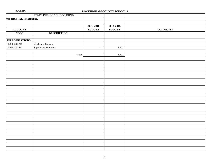|                       | <b>STATE PUBLIC SCHOOL FUND</b> |                |               |                 |
|-----------------------|---------------------------------|----------------|---------------|-----------------|
| 030 DIGITAL LEARNING  |                                 |                |               |                 |
|                       |                                 |                |               |                 |
|                       |                                 | 2015-2016      | 2014-2015     |                 |
| <b>ACCOUNT</b>        |                                 | <b>BUDGET</b>  | <b>BUDGET</b> | <b>COMMENTS</b> |
| <b>CODE</b>           | <b>DESCRIPTION</b>              |                |               |                 |
|                       |                                 |                |               |                 |
| <b>APPROPRIATIONS</b> |                                 |                |               |                 |
| 1.5860.030.312        | Workshop Expense                |                |               |                 |
| 1.5860.030.411        | Supplies & Materials            | $\blacksquare$ | 3,701         |                 |
|                       |                                 |                |               |                 |
|                       | Total                           | $\sim$         | 3,701         |                 |
|                       |                                 |                |               |                 |
|                       |                                 |                |               |                 |
|                       |                                 |                |               |                 |
|                       |                                 |                |               |                 |
|                       |                                 |                |               |                 |
|                       |                                 |                |               |                 |
|                       |                                 |                |               |                 |
|                       |                                 |                |               |                 |
|                       |                                 |                |               |                 |
|                       |                                 |                |               |                 |
|                       |                                 |                |               |                 |
|                       |                                 |                |               |                 |
|                       |                                 |                |               |                 |
|                       |                                 |                |               |                 |
|                       |                                 |                |               |                 |
|                       |                                 |                |               |                 |
|                       |                                 |                |               |                 |
|                       |                                 |                |               |                 |
|                       |                                 |                |               |                 |
|                       |                                 |                |               |                 |
|                       |                                 |                |               |                 |
|                       |                                 |                |               |                 |
|                       |                                 |                |               |                 |
|                       |                                 |                |               |                 |
|                       |                                 |                |               |                 |
|                       |                                 |                |               |                 |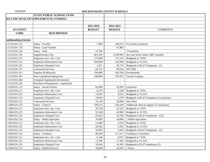|                       | <b>STATE PUBLIC SCHOOL FUND</b>     |               |                |                                            |
|-----------------------|-------------------------------------|---------------|----------------|--------------------------------------------|
|                       | 031 LOW WEALTH SUPPLEMENTAL FUNDING |               |                |                                            |
|                       |                                     |               |                |                                            |
|                       |                                     | 2015-2016     | 2014-2015      |                                            |
| <b>ACCOUNT</b>        |                                     | <b>BUDGET</b> | <b>BUDGET</b>  | <b>COMMENTS</b>                            |
| <b>CODE</b>           | <b>DESCRIPTION</b>                  |               |                |                                            |
|                       |                                     |               |                |                                            |
| <b>APPROPRIATIONS</b> |                                     |               |                |                                            |
| 1.5110.031.121        | Salary - Teacher                    | 7,000         |                | 246,212   0.2 teacher positions            |
| 1.5110.031.135        | Salary - Lead Teacher               |               | 47,885         |                                            |
| 1.5110.031.142        | Salary - Aide                       | 14,700        |                | .75 position                               |
| 1.5110.031.181        | Supplementary Pay                   | 401,405       | 2,249,903      | See note below about ABC transfers         |
| 1.5110.031.211        | Employers Soc. Sec. Cost            | 173,000       | 172,510        | Budgeted at 7.65%                          |
| 1.5110.031.221        | <b>Employers Retirement Cost</b>    | 360,000       | 342,990        | Budgeted at 15.32%                         |
| 1.5110.031.231        | <b>Employers Hospital Cost</b>      | 5,471         | 38,722         | Budgeted at \$5,471/employee (1)           |
| 1.5110.031.311        | <b>Contracted Services</b>          | 65,725        | 80,910         | <b>SPLASH</b>                              |
| 1.5110.031.411        | Supplies & Materials                | 330,000       | 620,769        | Chromebooks                                |
| 1.5110.031.461        | Non-Capitalized Equipment           | 340,000       | 339,475        | <b>Teacher Laptops</b>                     |
| 1.5110.031.462        | Computer Equipment-Inventoried      |               | $\overline{a}$ |                                            |
| 1.5110.031.541        | Purchase of Equipment - Capitalized |               | $\overline{a}$ |                                            |
| 1.5320.031.131        | Salary - Social Worker              | 82,000        |                | 43,500 2 positions                         |
| 1.5320.031.211        | Employers Soc. Sec. Cost            | 6,275         | 3,328          | Budgeted at 7.65%                          |
| 1.5320.031.221        | <b>Employers Retirement Cost</b>    | 12,563        | 6,616          | Budgeted at 15.32%                         |
| 1.5320.031.231        | <b>Employers Hospital Cost</b>      | 10,942        | 5,378          | Budgeted at \$5,471/employee (2 positions) |
| 1.5330.031.311        | <b>Contracted Services</b>          | 24,150        | 28,000         | <b>Alert Now</b>                           |
| 1.5400.031.151        | Salary - Clerical                   | 349,515       | 294,436        | Additional clerical support (12 positions) |
| 1.5400.031.211        | Employers Soc. Sec. Cost            | 26,738        | 22,525         | Budgeted at 7.65%                          |
| 1.5400.031.221        | <b>Employers Retirement Cost</b>    | 53,546        | 43,900         | Budgeted at 15.32%                         |
| 1.5400.031.231        | <b>Employers Hospital Cost</b>      | 65,652        | 54,350         | Budgeted at \$5,471/employee (12)          |
| 1.5810.031.131        | Salary - Media Specialist           | 70,000        | 34,896         | 2 Media Specialists                        |
| 1.5810.031.211        | Employers Soc. Sec. Cost            | 12,280        | 2,670          | Budgeted at 7.65%                          |
| 1.5810.031.221        | <b>Employers Retirement Cost</b>    | 24,592        | 5,203          | Budgeted at 15.32%                         |
| 1.5810.031.231        | <b>Employers Hospital Cost</b>      | 10,942        | 5,435          | Budgeted at \$5,471/employee (2)           |
| 1.5830.031.131        | Salary - Guidance                   | 80,260        |                | 117,317 2 Guidance Counselors              |
| 1.5830.031.211        | Employers Soc. Sec. Cost            | 6,140         |                | 8,975 Budgeted at 7.65%                    |
| 1.5830.031.221        | <b>Employers Retirement Cost</b>    | 12,296        | 17,492         | Budgeted at 15.32%                         |
| 1.5830.031.231        | <b>Employers Hospital Cost</b>      | 10,942        | 16,305         | Budgeted at \$5,471/employee (2)           |
| 1.5840.031.131        | <b>Salary - Health Services</b>     | 44,000        |                | 42,045   1 Nurse                           |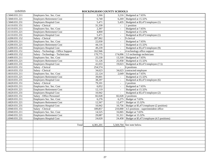| 1.5840.031.211 | Employers Soc. Sec. Cost             | 3,366     |                          | 3,216 Budgeted at $7.65\%$                          |
|----------------|--------------------------------------|-----------|--------------------------|-----------------------------------------------------|
| 1.5840.031.221 | <b>Employers Retirement Cost</b>     | 6,740     | 6,269                    | Budgeted at 15.32%                                  |
| 1.5840.031.231 | <b>Employers Hospital Cost</b>       | 5,471     | 5,435                    | Budgeted at \$5,471/employee (1)                    |
| 1.6110.031.151 | Salary - Clerical                    | 31,330    | $\overline{\phantom{a}}$ | 1 position                                          |
| 1.6110.031.211 | Employers Soc. Sec. Cost             | 2,397     | $\omega$                 | Budgeted at 7.65%                                   |
| 1.6110.031.221 | <b>Employers Retirement Cost</b>     | 4,800     | $\overline{\phantom{a}}$ | Budgeted at 15.32%                                  |
| 1.6110.031.231 | <b>Employers Hospital Cost</b>       | 5,471     | $\overline{\phantom{a}}$ | Budgeted at \$5,471/employee (1)                    |
| 1.6200.031.152 | Salary - Clerical                    | 287,962   | $\equiv$                 | 9 clerical                                          |
| 1.6200.031.211 | Employers Soc. Sec. Cost             | 22,030    | $\omega$                 | Budgeted at 7.65%                                   |
| 1.6200.031.221 | <b>Employers Retirement Cost</b>     | 44,116    | $\sim$                   | Budgeted at 15.32%                                  |
| 1.6200.031.231 | <b>Employers Hospital Cost</b>       | 49,239    | $\sim$                   | Budgeted at \$5,471/employee (9)                    |
| 1.6400.031.151 | Salary - Technology - Office Support | 162,946   | $\equiv$                 | 4 technology office support                         |
| 1.6400.031.152 | Salary - Technology - Technicians    | 170,775   | 174,096                  | 3.5 technology technicians                          |
| 1.6400.031.211 | Employers Soc. Sec. Cost             | 25,530    |                          | 13,318 Budgeted at 7.65%                            |
| 1.6400.031.221 | <b>Employers Retirement Cost</b>     | 51,126    |                          | 25,958 Budgeted at 15.32%                           |
| 1.6400.031.231 | <b>Employers Hospital Cost</b>       | 41,033    |                          | 19,023 Budgeted at $$5,471/employee (7.5)$          |
| 1.6610.031.151 | Salary - Clerical                    | 254,574   | $\omega$                 | 6 positions                                         |
| 1.6610.031.153 | Salary - Clerical                    | 34,623    | 34,623                   | contracted employee                                 |
| 1.6610.031.211 | Employers Soc. Sec. Cost             | 22,124    | 2,649                    | Budgeted at 7.65%                                   |
| 1.6610.031.221 | <b>Employers Retirement Cost</b>     | 39,001    | $\mathbf{r}$             | Budgeted at 15.32%                                  |
| 1.6610.031.231 | <b>Employers Hospital Cost</b>       | 38,297    | $\sim$                   | Budgeted at \$5,471/employee (6)                    |
| 1.6620.031.151 | Salary - Clerical                    | 79,101    | $\omega$                 | 2 position                                          |
| 1.6620.031.211 | Employers Soc. Sec. Cost             | 6,052     | $\overline{\phantom{a}}$ | Budgeted at 7.65%                                   |
| 1.6620.031.221 | <b>Employers Retirement Cost</b>     | 12,119    | $\mathbb{Z}^2$           | Budgeted at 15.32%                                  |
| 1.6620.031.231 | <b>Employers Hospital Cost</b>       | 10,942    | $\blacksquare$           | Budgeted at \$5,471/employee (2)                    |
| 1.6820.031.151 | Salary - Office Personnel            | 82,028    |                          | 82,028 2 positions                                  |
| 1.6820.031.211 | Employers Soc. Sec. Cost             | 6,276     |                          | 6,275 Budget at 7.65%                               |
| 1.6820.031.221 | <b>Employers Retirement Cost</b>     | 12,567    |                          | 12,477 Budget at 15.32%                             |
| 1.6820.031.231 | <b>Employers Hospital Cost</b>       | 10,942    |                          | 10,756   Budget at $$5,471/employee (2 position)$   |
| 1.6940.031.151 | Salary - Clerical                    | 189,857   |                          | $210,000$ 4.5 positions - superintendent office     |
| 1.6940.031.211 | Employers Soc. Sec. Cost             | 14,525    |                          | 16,065 Budget at 7.65%                              |
| 1.6940.031.221 | <b>Employers Retirement Cost</b>     | 29,087    | 31,311                   | Budget at 15.32%                                    |
| 1.6940.031.231 | <b>Employers Hospital Cost</b>       | 24,620    |                          | 24,458   Budget at \$5,471/employee (4.5 positions) |
|                |                                      |           |                          |                                                     |
|                | Total                                | 4,381,201 |                          | 5,569,704 See note below.                           |
|                |                                      |           |                          |                                                     |
|                |                                      |           |                          |                                                     |
|                |                                      |           |                          |                                                     |
|                |                                      |           |                          |                                                     |
|                |                                      |           |                          |                                                     |
|                |                                      |           |                          |                                                     |
|                |                                      |           |                          |                                                     |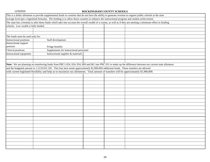| This is a dollar allotment to provide supplemental funds in counties that do not have the ability to generate revenue to support public schools at the state    |                                                                                                                                                              |  |  |  |  |
|-----------------------------------------------------------------------------------------------------------------------------------------------------------------|--------------------------------------------------------------------------------------------------------------------------------------------------------------|--|--|--|--|
| average level (per a legislated formula). The funding is to allow those counties to enhance the instructional program and student achievement.                  |                                                                                                                                                              |  |  |  |  |
| The state has a formula to allot these funds which take into account the overall wealth of a county, as well as if they are meeting a minimum effort in funding |                                                                                                                                                              |  |  |  |  |
| schools. Low wealth is fully funded.                                                                                                                            |                                                                                                                                                              |  |  |  |  |
|                                                                                                                                                                 |                                                                                                                                                              |  |  |  |  |
|                                                                                                                                                                 |                                                                                                                                                              |  |  |  |  |
| The funds must be used only for:                                                                                                                                |                                                                                                                                                              |  |  |  |  |
| <b>Instructional positions</b>                                                                                                                                  | Staff development                                                                                                                                            |  |  |  |  |
| <b>Instructional support</b>                                                                                                                                    |                                                                                                                                                              |  |  |  |  |
| postions                                                                                                                                                        | Fringe benefits                                                                                                                                              |  |  |  |  |
| Clerical positions<br>Supplements for instructional personnel                                                                                                   |                                                                                                                                                              |  |  |  |  |
| Instructional equipment                                                                                                                                         | Instructional supplies & materials                                                                                                                           |  |  |  |  |
|                                                                                                                                                                 |                                                                                                                                                              |  |  |  |  |
|                                                                                                                                                                 |                                                                                                                                                              |  |  |  |  |
|                                                                                                                                                                 | Note: We are planning on transferring funds from PRC's 024, 034, 054, 069 and 061 into PRC 031 to make up the difference between our current state allotment |  |  |  |  |
|                                                                                                                                                                 | and the budgeted amount in 1.5110.031.181. This line item needs approximately \$1,900,000 additional funds. These transfers are allowed                      |  |  |  |  |
|                                                                                                                                                                 | with current legislated flexibility and help us to maximize our allotments. Total amount of transfers will be approximately \$1,900,000.                     |  |  |  |  |
|                                                                                                                                                                 |                                                                                                                                                              |  |  |  |  |
|                                                                                                                                                                 |                                                                                                                                                              |  |  |  |  |
|                                                                                                                                                                 |                                                                                                                                                              |  |  |  |  |
|                                                                                                                                                                 |                                                                                                                                                              |  |  |  |  |
|                                                                                                                                                                 |                                                                                                                                                              |  |  |  |  |
|                                                                                                                                                                 |                                                                                                                                                              |  |  |  |  |
|                                                                                                                                                                 |                                                                                                                                                              |  |  |  |  |
|                                                                                                                                                                 |                                                                                                                                                              |  |  |  |  |
|                                                                                                                                                                 |                                                                                                                                                              |  |  |  |  |
|                                                                                                                                                                 |                                                                                                                                                              |  |  |  |  |
|                                                                                                                                                                 |                                                                                                                                                              |  |  |  |  |
|                                                                                                                                                                 |                                                                                                                                                              |  |  |  |  |
|                                                                                                                                                                 |                                                                                                                                                              |  |  |  |  |
|                                                                                                                                                                 |                                                                                                                                                              |  |  |  |  |
|                                                                                                                                                                 |                                                                                                                                                              |  |  |  |  |
|                                                                                                                                                                 |                                                                                                                                                              |  |  |  |  |
|                                                                                                                                                                 |                                                                                                                                                              |  |  |  |  |
|                                                                                                                                                                 |                                                                                                                                                              |  |  |  |  |
|                                                                                                                                                                 |                                                                                                                                                              |  |  |  |  |
|                                                                                                                                                                 |                                                                                                                                                              |  |  |  |  |
|                                                                                                                                                                 |                                                                                                                                                              |  |  |  |  |
|                                                                                                                                                                 |                                                                                                                                                              |  |  |  |  |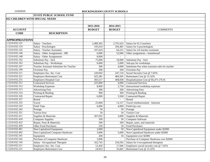|                       | <b>STATE PUBLIC SCHOOL FUND</b>          |                  |                 |                                                |
|-----------------------|------------------------------------------|------------------|-----------------|------------------------------------------------|
|                       | 032 CHILDREN WITH SPECIAL NEEDS          |                  |                 |                                                |
|                       |                                          |                  |                 |                                                |
|                       |                                          | 2015-2016        | 2014-2015       |                                                |
| <b>ACCOUNT</b>        |                                          | <b>BUDGET</b>    | <b>BUDGET</b>   | <b>COMMENTS</b>                                |
| <b>CODE</b>           | <b>DESCRIPTION</b>                       |                  |                 |                                                |
|                       |                                          |                  |                 |                                                |
| <b>APPROPRIATIONS</b> |                                          |                  |                 |                                                |
| 1.5210.032.121        | Salary - Teachers                        | 2,489,302        | 2,791,625       | Salary for 61.5 teachers                       |
| 1.5210.032.133        | Salary - Psychologist                    | 195,610          | 294,481         | Salary for 4 psychologists                     |
| 1.5210.032.142        | <b>Salary - Teacher Assistants</b>       | 107,624          |                 | 64,231   Salary for 4.6 teacher assistants     |
| 1.5210.032.146        | Salary - Other Assignments - HB          | 6,000            | 52,660          | Other assignments - homebound                  |
| 1.5210.032.148        | <b>Salary - Other Assignments</b>        | 8,000            | $\sim$          |                                                |
| 1.5210.032.162        | Substitute Pay - Sick                    | 75,000           | 18,000          | Substitute Pay - Sick                          |
| 1.5210.032.163        | Substitute Pay - Workshops               | 6,000            | 5,000           | Sub-pay for workshops                          |
| 1.5210.032.167        | Teacher Assistant Substitute for Teacher | $\overline{300}$ | 4,000           | Substitute Pay when assistant subs for teacher |
| 1.5210.032.199        | Overtime Pay                             | 300              | 200             | Overtime Pay                                   |
| 1.5210.032.211        | Employers Soc. Sec. Cost                 | 220,942          | 247,110         | Social Security Cost @ 7.65%                   |
| 1.5210.032.221        | <b>Employers Retirement Cost</b>         | 425,381          |                 | 484,505 Retirement Cost @ 15.32%               |
| 1.5210.032.231        | <b>Employers Hospital Cost</b>           | 383,517          | 408,838         | Hospitalization Cost @ \$5,471 (76.9)          |
| 1.5210.032.311        | <b>Contracted Services</b>               | 225,000          | 4,000           | <b>Contracted Services</b>                     |
| 1.5210.032.312        | <b>Workshop Expenses</b>                 | 8,000            | 2,750           | Instructional workshop expenses                |
| 1.5210.032.313        | <b>Advertising Fees</b>                  | 300              | 200             | <b>Advertising Fees</b>                        |
| 1.5210.032.314        | Printing & Binding                       | 900              | 300             | Printing & Binding                             |
| 1.5210.032.326        | <b>Contracted Repair</b>                 | 6,000            | 3,500           | <b>Contracted Repair</b>                       |
| 1.5210.032.327        | Rental                                   |                  |                 | Rental                                         |
| 1.5210.032.332        | Travel                                   | 25,000           | 13,157          | Travel reimbursement - itinerant               |
| 1.5210.032.333        | <b>Field Trips</b>                       | 6,000            | 4,000           | Field trip cost                                |
| 1.5210.032.342        | Postage                                  | 50               | 50              | Postage                                        |
| 1.5210.032.351        | <b>Tuition Fees</b>                      | 50               | 50              | <b>Tuition Cost</b>                            |
| 1.5210.032.411        | Supplies & Materials                     | 207,032          | 3,000           | Supplies & Materials                           |
| 1.5210.032.418        | <b>Computer Supplies</b>                 | 100              | 50              | <b>Computer Software</b>                       |
| 1.5210.032.422        | Repair, Parts & Materials                | 200              | 200             | Repair, parts, and materials                   |
| 1.5210.032.459        | Other Food Purchases                     | 250              | 50              | <b>Food Purchases</b>                          |
| 1.5210.032.461        | Non-Capitalized Equipment                | 2,000            | 50              | Non-Capitalized Equipment under \$2000         |
| 1.5210.032.462        | Non-Capitalized Computer Hardware        | 3,000            | 5,000           | Non-Capitalized Hardware under \$2000          |
| 1.5210.032.541        | Equipment                                | 200              | 50 <sup>1</sup> | Equipment over \$2000                          |
| 1.5210.032.542        | <b>Purchase of Computer Hardware</b>     | 3,000            | $\overline{a}$  | Purchase of Computer Hardware over \$2000      |
| 1.5220.032.145        | <b>Salary - Occupational Therapist</b>   | 162,745          | 234,592         | Salary for 4 occupational therapists           |
| 1.5220.032.211        | Employers Soc. Sec. Cost                 | 12,450           | 17,946          | Employers social security cost @ 7.65%         |
| 1.5220.032.221        | <b>Employers Retirement Cost</b>         | 24,933           | 35,681          | Retirement Cost @ 15.32%                       |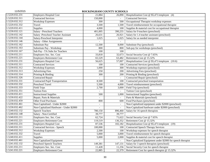| 1.5220.032.231              | <b>Employers Hospital Cost</b>          | 21,884  | 26,890                   | Hospitalization Cost @ $$5,471$ /employee (4)               |
|-----------------------------|-----------------------------------------|---------|--------------------------|-------------------------------------------------------------|
| 1.5220.032.311              | <b>Contracted Services</b>              | 150,000 |                          | <b>Contracted Services</b>                                  |
| 1.5220.032.312              | <b>Workshop Expenses</b>                | 300     | 500                      | Occupational Therapist workshop expenses                    |
| 1.5220.032.332              | Travel                                  | 3,500   | 1,500                    | Travel reimbursement for occupational therapist             |
| 1.5220.032.411              | Supplies                                | 4,000   | 100                      | Supplies & material cost for occupational therapist         |
| 1.5230.032.121              | Salary - Preschool Teachers             | 401,005 | 390,255                  | Salary for 9 teachers (preschool)                           |
| 1.5230.032.142              | Salary -Preschool Teacher Assistant     | 26,631  | 26,921                   | Salary for 1.4 teacher assistant (preschool)                |
| 1.5230.032.144              | Salary-Preschool Interpreter            | 1,025   | 1,025                    | Salary for as needed interpreter                            |
| 1.5230.032.146              | Salary - Other Assignments              |         |                          |                                                             |
| 1.5230.032.162              | Substitute Pay                          | 12,500  | 8,000                    | Substitute Pay (preschool)                                  |
| 1.5230.032.163              | Substitute Pay - Workshop               | 800     | 800                      | Sub-pay for workshops (preschool)                           |
| 1.5230.032.167              | Sub Pay - TA Subs for Teachers          | 100     | 100                      |                                                             |
| 1.5230.032.211              | Employers Soc. Sec. Cost                | 33,818  | 32,673                   | Social Security Cost @ 7.65%                                |
| 1.5230.032.221              | <b>Employers Retirement Cost</b>        | 65,529  | 63,482                   | Retirement Cost @ 15.32%                                    |
| 1.5230.032.231              | <b>Employers Hospital Cost</b>          | 56,625  | 57,007                   | Hospitalization Cost @ \$5,471/employee (10.6)              |
| 1.5230.032.311              | <b>Contracted Services</b>              | 100     | 100                      | Contracted Services (preschool)                             |
| 1.5230.032.312              | <b>Workshop Expenses</b>                | 1,000   | 300                      | Workshop expenses (preschool)                               |
| 1.5230.032.313              | <b>Advertising Fees</b>                 | 250     | 200                      | Advertising Fees (preschool)                                |
| 1.5230.032.314              | Printing & Binding                      | 300     | 200                      | Printing & Binding (preschool)                              |
| 1.5230.032.326              | <b>Contracted Repair</b>                |         |                          | Contracted Repair (preschool)                               |
| 1.5230.032.331              | <b>Contracted Pupil Transportation</b>  | 8,500   | 100                      | Contracted preschool transportation                         |
| 1.5230.032.332              | Preschool Travel                        | 5,500   | 4,000                    | Travel reimbursement (preschool)                            |
| 1.5230.032.333              | <b>Field Trips</b>                      | 2,700   | 3,000                    | Field Trip (preschool)                                      |
| 1.5230.032.351              | <b>Tuition Fees</b>                     |         |                          | Tuition Cost (preschool)                                    |
| 1.5230.032.411              | <b>Instructional Supplies</b>           | 500     | 1,000                    | <b>Instructional Supplies (preschool)</b>                   |
| 1.5230.032.422              | Repair, Parts & Materials               |         |                          | Parts & Materials (preschool)                               |
| 1.5230.032.459              | <b>Other Food Purchases</b>             | 800     | 600                      | Food Purchases (preschool)                                  |
| 1.5230.032.461              | Non-Capitalized - Under \$2000          |         | $\blacksquare$           | Non-Capitalized equipment under \$2000 (preschool)          |
| 1.5230.032.462              | Non-Capitalized Hardware - Under \$2000 |         | $\overline{\phantom{a}}$ | Non-Capitalized hardware under \$2000 (preschool)           |
| 1.5240.032.132              | <b>Speech Teachers</b>                  | 780,150 | 896,460                  | Salary for 16 speech therapists                             |
| 1.5240.032.148              | Salary - Non-Certified                  | 39,777  | 39,777                   |                                                             |
| 1.5240.032.211              | Employers Soc. Sec. Cost                | 62,724  | 71,622                   | Social Security Cost @ 7.65%                                |
| 1.5240.032.221              | <b>Employers Retirement Cost</b>        | 119,519 | 136,352                  | Retirement Cost @ 15.32%                                    |
| 1.5240.032.231              | <b>Employers Hospital Cost</b>          | 87,536  | 102,182                  | Hospitalization Cost @ \$5,471/employee (19)                |
| 1.5240.032.311              | <b>Contracted Services - Speech</b>     | 100,000 | 100                      | <b>Contracted Speech Therapy Services</b>                   |
| 1.5240.032.312              | <b>Workshop Expenses</b>                | 2,500   | 100                      | Workshop expenses for speech therapist                      |
| 1.5240.032.332              | Travel                                  | 5,000   | 3,000                    | Travel reimbursement for speech therapist                   |
| 1.5240.032.411              | Supplies                                | 5,000   | 2,000                    | Supplies & material cost for speech therapist               |
| 1.5240.032.461              | Non-Capitalized Equipment               |         |                          | Non-Capitalized Equipment under \$2000 for speech therapist |
| 1.5241.032.132              | Preschool Speech Teachers               | 149,381 | 147,131                  | Salary for 3 speech therapists (preschool)                  |
| $1.5\overline{241.032.211}$ | Employers Soc. Sec. Cost                | 11,428  | 11,256                   | Social Security Cost for speech therapist                   |
| 1.5241.032.221              | <b>Employers Retirement Cost</b>        | 22,885  | 22,379                   | Retirement Cost for speech therapist @ 15.32%               |
|                             |                                         |         |                          |                                                             |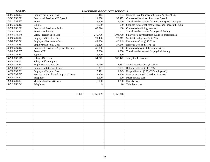| 1.5241.032.231 | <b>Employers Hospital Cost</b>                | 16,413                    |                  | 16,134   Hospital Cost for speech therapist @ $$5,471$ (3) |
|----------------|-----------------------------------------------|---------------------------|------------------|------------------------------------------------------------|
| 1.5241.032.311 | <b>Contracted Services - PS Speech</b>        | 11,058                    | 37,472           | <b>Contracted Services - Preschool Speech</b>              |
| 1.5241.032.332 | Travel                                        | 5,500                     |                  | 4,000 Travel reimbursement for preschool speech therapist  |
| 1.5241.032.411 | Supplies                                      | 3,500                     | 500              | Supplies & material cost for preschool speech therapist    |
| 1.5250.032.311 | <b>Contracted Services - Audio</b>            | 42,024                    | 100              | Contracted audiology services                              |
| 1.5250.032.332 | <b>Travel - Audiology</b>                     |                           |                  | Travel reimbursement for physical therapy                  |
| 1.5840.032.145 | Salary - Health Specialist                    | 279,736                   | 304,730          | Salary for 6 day treatment qualified professionals         |
| 1.5840.032.211 | Employers Soc. Sec. Cost                      | 21,400                    | 23,312           | Social Security Cost @ 7.65%                               |
| 1.5840.032.221 | <b>Employers Retirement Cost</b>              | 42,856                    | 46,349           | Retirement Cost @ 15.32%                                   |
| 1.5840.032.231 | <b>Employers Hospital Cost</b>                | 32,826                    | 37,646           | Hospital Cost $@$ \$5,471 (6)                              |
| 1.5840.032.311 | <b>Contracted Services - Physical Therapy</b> | 40,000                    | 100 l            | Contracted physical therapy services                       |
| 1.5840.032.332 | Travel - PT                                   | 2,000                     | 4,000            | Travel reimbursement for physical therapy                  |
| 1.5840.032.411 | Supplies                                      | 1,700                     | $\overline{200}$ |                                                            |
| 1.6200.032.113 | <b>Salary - Directors</b>                     | 54,772                    |                  | 102,442   Salary for 1 Directors                           |
| 1.6200.032.151 | Salary - Office Support                       | $\mathbb{Z}^{\mathbb{Z}}$ | $\overline{a}$   |                                                            |
| 1.6200.032.211 | Employers Soc. Sec. Cost                      | 4,190                     | 7,837            | Social Security Cost @ 7.65%                               |
| 1.6200.032.221 | <b>Employers Retirement Cost</b>              | 8,391                     | 15,581           | Retirement Cost @ 15.32%                                   |
| 1.6200.032.231 | <b>Employers Hospital Cost</b>                | 5,471                     | 1,345            | Hospitalization @ \$5,471/employee (1)                     |
| 1.6200.032.312 | Non-Instructional/Workshop/Staff Deve.        | 3,200                     | 2,500            | Non-Instructional Workshop Expense                         |
| 1.6200.032.341 | Telephone                                     | 1,500                     | 500              | Pager service cost                                         |
| 1.6200.032.361 | Membership Dues & Fees                        | 5,000                     | 4,200            | Dues & Fees                                                |
| 1.6201.032.341 | Telephone                                     | 9                         | $10-1$           | Telephone cost                                             |
|                |                                               |                           |                  |                                                            |
|                |                                               |                           |                  |                                                            |
|                | Total                                         | 7,369,999                 | 7,355,346        |                                                            |
|                |                                               |                           |                  |                                                            |
|                |                                               |                           |                  |                                                            |
|                |                                               |                           |                  |                                                            |
|                |                                               |                           |                  |                                                            |
|                |                                               |                           |                  |                                                            |
|                |                                               |                           |                  |                                                            |
|                |                                               |                           |                  |                                                            |
|                |                                               |                           |                  |                                                            |
|                |                                               |                           |                  |                                                            |
|                |                                               |                           |                  |                                                            |
|                |                                               |                           |                  |                                                            |
|                |                                               |                           |                  |                                                            |
|                |                                               |                           |                  |                                                            |
|                |                                               |                           |                  |                                                            |
|                |                                               |                           |                  |                                                            |
|                |                                               |                           |                  |                                                            |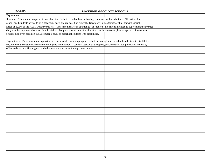| Explanation: |                                                                                                                                            |  |  |  |  |  |  |  |
|--------------|--------------------------------------------------------------------------------------------------------------------------------------------|--|--|--|--|--|--|--|
|              | Revenues: These monies represent state allocation for both preschool and school aged students with disabilities. Allocations for           |  |  |  |  |  |  |  |
|              | school-aged students are made on a headcount basis and are based on either the December 1st headcount of students with special             |  |  |  |  |  |  |  |
|              | needs or 12.5% of the ADM, whichever is less. These monies are "in addition to" or "add-on" allocations intended to supplement the average |  |  |  |  |  |  |  |
|              | daily membership base allocation for all children. For preschool students the allocation is a base amount (the average cost of a teacher)  |  |  |  |  |  |  |  |
|              | plus monies given based on the December 1 count of preschool students with disabilities.                                                   |  |  |  |  |  |  |  |
|              |                                                                                                                                            |  |  |  |  |  |  |  |
|              | Expenditures: These state monies provide the core special education program for both school age and preschool students with disabilities   |  |  |  |  |  |  |  |
|              | beyond what these students receive through general education. Teachers, assistants, therapists, psychologists, equipment and materials,    |  |  |  |  |  |  |  |
|              | office and central office support, and other needs are included through these monies.                                                      |  |  |  |  |  |  |  |
|              |                                                                                                                                            |  |  |  |  |  |  |  |
|              |                                                                                                                                            |  |  |  |  |  |  |  |
|              |                                                                                                                                            |  |  |  |  |  |  |  |
|              |                                                                                                                                            |  |  |  |  |  |  |  |
|              |                                                                                                                                            |  |  |  |  |  |  |  |
|              |                                                                                                                                            |  |  |  |  |  |  |  |
|              |                                                                                                                                            |  |  |  |  |  |  |  |
|              |                                                                                                                                            |  |  |  |  |  |  |  |
|              |                                                                                                                                            |  |  |  |  |  |  |  |
|              |                                                                                                                                            |  |  |  |  |  |  |  |
|              |                                                                                                                                            |  |  |  |  |  |  |  |
|              |                                                                                                                                            |  |  |  |  |  |  |  |
|              |                                                                                                                                            |  |  |  |  |  |  |  |
|              |                                                                                                                                            |  |  |  |  |  |  |  |
|              |                                                                                                                                            |  |  |  |  |  |  |  |
|              |                                                                                                                                            |  |  |  |  |  |  |  |
|              |                                                                                                                                            |  |  |  |  |  |  |  |
|              |                                                                                                                                            |  |  |  |  |  |  |  |
|              |                                                                                                                                            |  |  |  |  |  |  |  |
|              |                                                                                                                                            |  |  |  |  |  |  |  |
|              |                                                                                                                                            |  |  |  |  |  |  |  |
|              |                                                                                                                                            |  |  |  |  |  |  |  |
|              |                                                                                                                                            |  |  |  |  |  |  |  |
|              |                                                                                                                                            |  |  |  |  |  |  |  |
|              |                                                                                                                                            |  |  |  |  |  |  |  |
|              |                                                                                                                                            |  |  |  |  |  |  |  |
|              |                                                                                                                                            |  |  |  |  |  |  |  |
|              |                                                                                                                                            |  |  |  |  |  |  |  |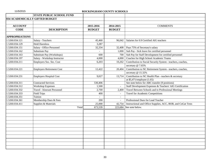|                                | <b>STATE PUBLIC SCHOOL FUND</b>     |               |                |                                                              |
|--------------------------------|-------------------------------------|---------------|----------------|--------------------------------------------------------------|
| 034 ACADEMICALLY GIFTED BUDGET |                                     |               |                |                                                              |
|                                |                                     |               |                |                                                              |
| <b>ACCOUNT</b>                 |                                     | 2015-2016     | 2014-2015      | <b>COMMENTS</b>                                              |
| <b>CODE</b>                    | <b>DESCRIPTION</b>                  | <b>BUDGET</b> | <b>BUDGET</b>  |                                                              |
|                                |                                     |               |                |                                                              |
| <b>APPROPRIATIONS</b>          |                                     |               |                |                                                              |
| 1.5260.034.121                 | Salary - Teachers                   | 45,460        | 96,042         | Salaries for 0.9 Certified AIG teachers                      |
| 1.5260.034.129                 | <b>Hold Harmless</b>                | 3,287         |                |                                                              |
| 1.5260.034.151                 | Salary - Office Personnel           | 32,334        | 32,408         | Pays 75% of Secretary's salary                               |
| 1.5260.034.162                 | Substitute Pay                      |               | 1,000          | Sub Pay - Sick leave for certified personnel                 |
| 1.5260.034.163                 | Substitute Pay (Workshops)          | 600           | 700            | Sub Pay for Staff Development for certified personnel        |
| 1.5260.034.197                 | Salary - Workshop Instructor        | 4,000         | 4,000          | Coaches for High School Academic Teams                       |
| 1.5260.034.211                 | Employers Soc. Sec. Cost            | 6,203         | 10,262         | Contribution to Social Security System - teachers, coaches,  |
|                                |                                     |               |                | secretary @ 7.65%                                            |
| 1.5260.034.221                 | <b>Employers Retirement Cost</b>    | 12,422        | 20,404         | Contribution to NC Retirement System - teachers, coaches,    |
|                                |                                     |               |                | secretary @ 15.32%                                           |
| 1.5260.034.231                 | <b>Employers Hospital Cost</b>      | 9,027         | 13,714         | Contribution to NC Health Plan - teachers & secretary        |
|                                |                                     |               |                | at \$5,471/employee (1.65)                                   |
| 1.5260.034.311                 | <b>Contracted Services</b>          | 530,406       |                | See note below for ABC transfer (9 positions)                |
| 1.5260.034.312                 | <b>Workshop Expenses</b>            | 1,500         | $\blacksquare$ | Staff Development Expenses & Teachers' AIG Certification     |
| 1.5260.034.332                 | <b>Travel - Itinerant Personnel</b> | 2,700         | 2,400          | Travel Between Schools and to Professional Meetings          |
| 1.5260.034.333                 | <b>Field Trips</b>                  | 400           | $\blacksquare$ | <b>Travel for Academic Competitions</b>                      |
| 1.5260.034.351                 | Tuition                             |               | $\sim$         |                                                              |
| 1.5260.034.361                 | Membership Dues & Fees              | 200           | $\overline{a}$ | Professional Dues for Lead Teacher                           |
| 1.5260.034.411                 | Supplies & Materials                | 25,000        | 42,754         | Instructional and Office Supplies, ACC, BOB, and CoGat Tests |
|                                | Total                               | 673,539       | 223,684        | See note below.                                              |
|                                |                                     |               |                |                                                              |
|                                |                                     |               |                |                                                              |
|                                |                                     |               |                |                                                              |
|                                |                                     |               |                |                                                              |
|                                |                                     |               |                |                                                              |
|                                |                                     |               |                |                                                              |
|                                |                                     |               |                |                                                              |
|                                |                                     |               |                |                                                              |
|                                |                                     |               |                |                                                              |
|                                |                                     |               |                |                                                              |
|                                |                                     |               |                |                                                              |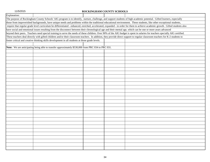| Explanation: |                                                                                                                                                              |  |                                                                                                                                                                                |
|--------------|--------------------------------------------------------------------------------------------------------------------------------------------------------------|--|--------------------------------------------------------------------------------------------------------------------------------------------------------------------------------|
|              |                                                                                                                                                              |  | The purpose of Rockingham County Schools' AIG program is to identify, nurture, challenge, and support students of high academic potential. Gifted learners, especially         |
|              |                                                                                                                                                              |  | those from impoverished backgrounds, have unique needs and problems within the traditional educational environment. These students, like other exceptional students,           |
|              |                                                                                                                                                              |  | require that regular grade level curriculum be differentiated - enhanced, enriched, accelerated, expanded - in order for them to achieve academic growth. Gifted students also |
|              | have social and emotional issues resulting from the disconnect between their chronological age and their mental age, which can be one or more years advanced |  |                                                                                                                                                                                |
|              |                                                                                                                                                              |  | beyond their peers. Teachers need special training to serve the needs of these children. Over 90% of the AIG budget is spent in salaries for teachers specially AIG certified. |
|              |                                                                                                                                                              |  | These teachers deal directly with gifted children and/or their classroom teachers. In addition, they provide direct support to regular classroom teachers for K-2 students to  |
|              | foster critical and creative thinking skills development in all students at those grade levels.                                                              |  |                                                                                                                                                                                |
|              |                                                                                                                                                              |  |                                                                                                                                                                                |
|              | Note: We are anticipating being able to transfer approximately \$530,000 from PRC 034 to PRC 031.                                                            |  |                                                                                                                                                                                |
|              |                                                                                                                                                              |  |                                                                                                                                                                                |
|              |                                                                                                                                                              |  |                                                                                                                                                                                |
|              |                                                                                                                                                              |  |                                                                                                                                                                                |
|              |                                                                                                                                                              |  |                                                                                                                                                                                |
|              |                                                                                                                                                              |  |                                                                                                                                                                                |
|              |                                                                                                                                                              |  |                                                                                                                                                                                |
|              |                                                                                                                                                              |  |                                                                                                                                                                                |
|              |                                                                                                                                                              |  |                                                                                                                                                                                |
|              |                                                                                                                                                              |  |                                                                                                                                                                                |
|              |                                                                                                                                                              |  |                                                                                                                                                                                |
|              |                                                                                                                                                              |  |                                                                                                                                                                                |
|              |                                                                                                                                                              |  |                                                                                                                                                                                |
|              |                                                                                                                                                              |  |                                                                                                                                                                                |
|              |                                                                                                                                                              |  |                                                                                                                                                                                |
|              |                                                                                                                                                              |  |                                                                                                                                                                                |
|              |                                                                                                                                                              |  |                                                                                                                                                                                |
|              |                                                                                                                                                              |  |                                                                                                                                                                                |
|              |                                                                                                                                                              |  |                                                                                                                                                                                |
|              |                                                                                                                                                              |  |                                                                                                                                                                                |
|              |                                                                                                                                                              |  |                                                                                                                                                                                |
|              |                                                                                                                                                              |  |                                                                                                                                                                                |
|              |                                                                                                                                                              |  |                                                                                                                                                                                |
|              |                                                                                                                                                              |  |                                                                                                                                                                                |
|              |                                                                                                                                                              |  |                                                                                                                                                                                |
|              |                                                                                                                                                              |  |                                                                                                                                                                                |
|              |                                                                                                                                                              |  |                                                                                                                                                                                |
|              |                                                                                                                                                              |  |                                                                                                                                                                                |
|              |                                                                                                                                                              |  |                                                                                                                                                                                |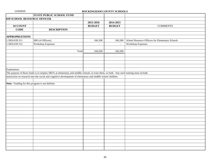|                                                 | <b>STATE PUBLIC SCHOOL FUND</b>                                                                                                        |               |               |                                                 |
|-------------------------------------------------|----------------------------------------------------------------------------------------------------------------------------------------|---------------|---------------|-------------------------------------------------|
| 039 SCHOOL RESOURCE OFFICER                     |                                                                                                                                        |               |               |                                                 |
|                                                 |                                                                                                                                        | 2015-2016     | 2014-2015     |                                                 |
| <b>ACCOUNT</b>                                  |                                                                                                                                        | <b>BUDGET</b> | <b>BUDGET</b> | <b>COMMENTS</b>                                 |
| <b>CODE</b>                                     | <b>DESCRIPTION</b>                                                                                                                     |               |               |                                                 |
|                                                 |                                                                                                                                        |               |               |                                                 |
| <b>APPROPRIATIONS</b>                           |                                                                                                                                        |               |               |                                                 |
| 1.5850.039.311                                  | SRO (4 Officers)                                                                                                                       | 166,500       | 166,500       | School Resource Officers for Elementary Schools |
| 1.5850.039.312                                  | <b>Workshop Expenses</b>                                                                                                               |               | $\mathbb{L}$  | <b>Workshop Expenses</b>                        |
|                                                 |                                                                                                                                        |               |               |                                                 |
|                                                 | Total                                                                                                                                  | 166,500       | 166,500       |                                                 |
|                                                 |                                                                                                                                        |               |               |                                                 |
|                                                 |                                                                                                                                        |               |               |                                                 |
|                                                 |                                                                                                                                        |               |               |                                                 |
|                                                 |                                                                                                                                        |               |               |                                                 |
| Explanation:                                    |                                                                                                                                        |               |               |                                                 |
|                                                 | The purpose of these funds is to employ SRO's at elementary and middle schools, to train them, or both. Any such training must include |               |               |                                                 |
|                                                 | instruction on research into the social and cognitive development of elementary and middle school children.                            |               |               |                                                 |
|                                                 |                                                                                                                                        |               |               |                                                 |
| Note: Funding for this program is not definite. |                                                                                                                                        |               |               |                                                 |
|                                                 |                                                                                                                                        |               |               |                                                 |
|                                                 |                                                                                                                                        |               |               |                                                 |
|                                                 |                                                                                                                                        |               |               |                                                 |
|                                                 |                                                                                                                                        |               |               |                                                 |
|                                                 |                                                                                                                                        |               |               |                                                 |
|                                                 |                                                                                                                                        |               |               |                                                 |
|                                                 |                                                                                                                                        |               |               |                                                 |
|                                                 |                                                                                                                                        |               |               |                                                 |
|                                                 |                                                                                                                                        |               |               |                                                 |
|                                                 |                                                                                                                                        |               |               |                                                 |
|                                                 |                                                                                                                                        |               |               |                                                 |
|                                                 |                                                                                                                                        |               |               |                                                 |
|                                                 |                                                                                                                                        |               |               |                                                 |
|                                                 |                                                                                                                                        |               |               |                                                 |
|                                                 |                                                                                                                                        |               |               |                                                 |
|                                                 |                                                                                                                                        |               |               |                                                 |
|                                                 |                                                                                                                                        |               |               |                                                 |
|                                                 |                                                                                                                                        |               |               |                                                 |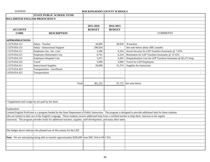|                                 | <b>STATE PUBLIC SCHOOL FUND</b>                                                                                                                            |               |                          |                                                                                                                                                                     |
|---------------------------------|------------------------------------------------------------------------------------------------------------------------------------------------------------|---------------|--------------------------|---------------------------------------------------------------------------------------------------------------------------------------------------------------------|
| 054 LIMITED ENGLISH PROFICIENCY |                                                                                                                                                            |               |                          |                                                                                                                                                                     |
|                                 |                                                                                                                                                            |               |                          |                                                                                                                                                                     |
|                                 |                                                                                                                                                            | 2015-2016     | 2014-2015                |                                                                                                                                                                     |
| <b>ACCOUNT</b>                  |                                                                                                                                                            | <b>BUDGET</b> | <b>BUDGET</b>            |                                                                                                                                                                     |
| <b>CODE</b>                     | <b>DESCRIPTION</b>                                                                                                                                         |               |                          | <b>COMMENTS</b>                                                                                                                                                     |
|                                 |                                                                                                                                                            |               |                          |                                                                                                                                                                     |
| <b>APPROPRIATIONS</b>           |                                                                                                                                                            |               |                          |                                                                                                                                                                     |
| 1.5270.054.121                  | Salary - Teacher                                                                                                                                           | 44,000        | 40,920                   | .8 teachers                                                                                                                                                         |
| 1.5270.054.131                  | Salary - Instructional Support                                                                                                                             | 296,654       |                          | See note below about ABC transfer.                                                                                                                                  |
| 1.5270.054.211                  | Employers Soc. Sec. Cost                                                                                                                                   | 3,366         | 9,354                    | Social Security for LEP Teachers/Assistants @ 7.65%                                                                                                                 |
| 1.5270.054.221                  | <b>Employers Retirement Cost</b>                                                                                                                           | 6,741         | 6,224                    | Retirement for LEP Teachers/Assistants @ 15.32%                                                                                                                     |
| 1.5270.054.231                  | <b>Employers Hospital Cost</b>                                                                                                                             | 5,471         | 4,303                    | Hospitalization Cost for LEP Teachers/Assistants @ \$5,471/emp.                                                                                                     |
| 1.5270.054.332                  | Travel                                                                                                                                                     | 5,000         | 5,000                    | <b>Travel for LEP Employees</b>                                                                                                                                     |
| 1.5270.054.411                  | <b>Instructional Supplies</b>                                                                                                                              | 20,000        | 31,374                   | Supplies for Instruction                                                                                                                                            |
| 1.5270.054.423                  | Transportation - Gas/Diesel                                                                                                                                |               | $\overline{\phantom{a}}$ |                                                                                                                                                                     |
| 1.6550.054.423                  | Transportation                                                                                                                                             |               | $\overline{\phantom{a}}$ |                                                                                                                                                                     |
|                                 |                                                                                                                                                            |               |                          |                                                                                                                                                                     |
|                                 |                                                                                                                                                            |               |                          |                                                                                                                                                                     |
|                                 | Total                                                                                                                                                      | 381,232       |                          | 97,175 See note below.                                                                                                                                              |
|                                 |                                                                                                                                                            |               |                          |                                                                                                                                                                     |
|                                 |                                                                                                                                                            |               |                          |                                                                                                                                                                     |
|                                 |                                                                                                                                                            |               |                          |                                                                                                                                                                     |
|                                 |                                                                                                                                                            |               |                          |                                                                                                                                                                     |
|                                 | Supplement and Longevity are paid by the State.                                                                                                            |               |                          |                                                                                                                                                                     |
|                                 |                                                                                                                                                            |               |                          |                                                                                                                                                                     |
| Explanation:                    |                                                                                                                                                            |               |                          |                                                                                                                                                                     |
|                                 |                                                                                                                                                            |               |                          | Limited English Proficient is a program funded by the State Department of Public Instruction. The program is designed to provide additional help for those students |
|                                 | who are limited in their use of the English Language. These students receive additional help from a certified teacher to help them function in the regular |               |                          |                                                                                                                                                                     |
|                                 | classroom. The program provides funds for additional teachers, supplies, staff development, and many other items.                                          |               |                          |                                                                                                                                                                     |
|                                 |                                                                                                                                                            |               |                          |                                                                                                                                                                     |
|                                 |                                                                                                                                                            |               |                          |                                                                                                                                                                     |
|                                 | The budget above indicates the planned use of this money for the LEP.                                                                                      |               |                          |                                                                                                                                                                     |
|                                 |                                                                                                                                                            |               |                          |                                                                                                                                                                     |
|                                 | Note: We are anticipating being able to transfer approximately \$296,000 from PRC 054 to PRC 031.                                                          |               |                          |                                                                                                                                                                     |
|                                 |                                                                                                                                                            |               |                          |                                                                                                                                                                     |
|                                 |                                                                                                                                                            |               |                          |                                                                                                                                                                     |
|                                 |                                                                                                                                                            |               |                          |                                                                                                                                                                     |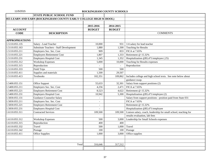|  | 11/5/2015 |  |  |
|--|-----------|--|--|
|  |           |  |  |

|                       | <b>STATE PUBLIC SCHOOL FUND</b>                                  |                |                          |                                                                  |
|-----------------------|------------------------------------------------------------------|----------------|--------------------------|------------------------------------------------------------------|
|                       | 055 LEARN AND EARN (ROCKINGHAM COUNTY EARLY COLLEGE HIGH SCHOOL) |                |                          |                                                                  |
|                       |                                                                  |                |                          |                                                                  |
|                       |                                                                  | 2015-2016      | 2014-2015                |                                                                  |
| <b>ACCOUNT</b>        |                                                                  | <b>BUDGET</b>  | <b>BUDGET</b>            |                                                                  |
| <b>CODE</b>           | <b>DESCRIPTION</b>                                               |                |                          | <b>COMMENTS</b>                                                  |
|                       |                                                                  |                |                          |                                                                  |
| <b>APPROPRIATIONS</b> |                                                                  |                |                          |                                                                  |
| 1.5110.055.135        | Salary - Lead Teacher                                            | 10,000         | 931                      | 1/4 salary for lead teacher                                      |
| 1.5110.055.163        | <b>Substitute Teachers - Staff Development</b>                   | 1,880          | 1,500                    | <b>Teaching for Results</b>                                      |
| 1.5110.055.211        | Employers Soc. Sec. Cost                                         | 909            | 833                      | FICA at 7.65%                                                    |
| 1.5110.055.221        | <b>Employers Retirement Cost</b>                                 | 1,807          | 1,333                    | Retirement @ 15.32%                                              |
| 1.5110.055.231        | <b>Employers Hospital Cost</b>                                   | 1,345          | 1,352                    | Hospitalization @\$5,471/employee (.25)                          |
| 1.5110.055.312        | <b>Workshop Expenses</b>                                         | 5,000          | 10,000                   | Teaching for Results expenses                                    |
| 1.5110.055.315        | Reproduction                                                     | $\overline{a}$ | $\overline{\phantom{a}}$ | Reproduction                                                     |
| 1.5110.055.333        | <b>Field Trips</b>                                               | 500            | 500                      |                                                                  |
| 1.5110.055.411        | Supplies and materials                                           | 1,500          | 29,507                   |                                                                  |
| 1.5110.055.413        | Textbooks                                                        | 102,351        | 109,862                  | Includes college and high school texts. See note below about     |
|                       |                                                                  |                |                          | guidance swap.                                                   |
| 1.5400.055.151        | Office Support                                                   | 55,633         | 32,301                   | Salary from support positions (2)                                |
| 1.5400.055.211        | <b>Employers Soc. Sec. Cost</b>                                  | 4,256          | 2,471                    | FICA at 7.65%                                                    |
| 1.5400.055.221        | <b>Employers Retirement Cost</b>                                 | 8,523          | 4,622                    | Retirement @ 15.32%                                              |
| 1.5400.055.231        | <b>Employers Hospital Cost</b>                                   | 10,942         | 5,300                    | Hospitalization @\$5,471/employee (2)                            |
| 1.5830.055.131        | <b>Guidance Counselor Salary</b>                                 |                |                          | Salary from support positions - position paid from State 031     |
| 1.5830.055.211        | <b>Employers Soc. Sec. Cost</b>                                  |                |                          | FICA at 7.65%                                                    |
| 1.5830.055.221        | <b>Employers Retirement Cost</b>                                 |                |                          | Retirement @ 15.32%                                              |
| 1.5830.055.231        | <b>Employers Hospital Cost</b>                                   |                |                          | Hospitalization @\$5,471/employee                                |
| 1.6110.055.311        | <b>Contracted Services</b>                                       | 109,500        | 109,500                  | Liaison salary, coach, leadership for small school, teaching for |
|                       |                                                                  |                |                          | results evaluation, lab fees                                     |
| 1.6110.055.312        | <b>Workshop Expenses</b>                                         | 500            | 3,000                    | Leadership for Small Schools expenses                            |
| 1.6110.055.315        | Reproduction                                                     | 400            | 400                      |                                                                  |
| 1.6110.055.332        | Travel                                                           | 500            | 1,000                    | Travel                                                           |
| 1.6110.055.342        | Postage                                                          | 100            | 100                      | Postage                                                          |
| 1.6110.055.411        | Office Supplies                                                  | 1,000          | 3,000                    | Office supplies                                                  |
|                       |                                                                  |                |                          |                                                                  |
|                       |                                                                  |                |                          |                                                                  |
|                       | Total                                                            | 316,646        | 317,512                  |                                                                  |
|                       |                                                                  |                |                          |                                                                  |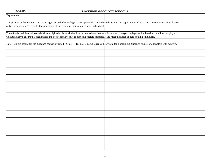|              | ROCKHAGHAM COUNTT SCHOOLS                                                                                                                      |  |                                                                                                                                                                         |
|--------------|------------------------------------------------------------------------------------------------------------------------------------------------|--|-------------------------------------------------------------------------------------------------------------------------------------------------------------------------|
| Explanation: |                                                                                                                                                |  |                                                                                                                                                                         |
|              |                                                                                                                                                |  |                                                                                                                                                                         |
|              |                                                                                                                                                |  | The purpose of the program is to create rigorous and relevant high school options that provide students with the opportunity and assistance to earn an associate degree |
|              | or two year of college credit by the conclusion of the year after their senior year in high school.                                            |  |                                                                                                                                                                         |
|              |                                                                                                                                                |  |                                                                                                                                                                         |
|              |                                                                                                                                                |  | These funds shall be used to establish new high schools in which a local school administrative unit, two and four-year colleges and universities, and local employers   |
|              | work together to ensure that high school and postsecondary college curricula operate seamlessly and meet the needs of participating employers. |  |                                                                                                                                                                         |
|              |                                                                                                                                                |  |                                                                                                                                                                         |
|              |                                                                                                                                                |  | Note: We are paying for the guidance counselor from PRC 007 - PRC 055 is going to repay the system for a beginning guidance counselor equivalent with benefits.         |
|              |                                                                                                                                                |  |                                                                                                                                                                         |
|              |                                                                                                                                                |  |                                                                                                                                                                         |
|              |                                                                                                                                                |  |                                                                                                                                                                         |
|              |                                                                                                                                                |  |                                                                                                                                                                         |
|              |                                                                                                                                                |  |                                                                                                                                                                         |
|              |                                                                                                                                                |  |                                                                                                                                                                         |
|              |                                                                                                                                                |  |                                                                                                                                                                         |
|              |                                                                                                                                                |  |                                                                                                                                                                         |
|              |                                                                                                                                                |  |                                                                                                                                                                         |
|              |                                                                                                                                                |  |                                                                                                                                                                         |
|              |                                                                                                                                                |  |                                                                                                                                                                         |
|              |                                                                                                                                                |  |                                                                                                                                                                         |
|              |                                                                                                                                                |  |                                                                                                                                                                         |
|              |                                                                                                                                                |  |                                                                                                                                                                         |
|              |                                                                                                                                                |  |                                                                                                                                                                         |
|              |                                                                                                                                                |  |                                                                                                                                                                         |
|              |                                                                                                                                                |  |                                                                                                                                                                         |
|              |                                                                                                                                                |  |                                                                                                                                                                         |
|              |                                                                                                                                                |  |                                                                                                                                                                         |

38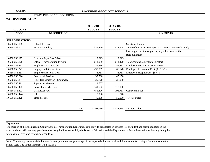|                                              | <b>STATE PUBLIC SCHOOL FUND</b>                                                                                                                                |               |               |                                                               |
|----------------------------------------------|----------------------------------------------------------------------------------------------------------------------------------------------------------------|---------------|---------------|---------------------------------------------------------------|
| <b>056 TRANSPORTATION</b>                    |                                                                                                                                                                |               |               |                                                               |
|                                              |                                                                                                                                                                |               |               |                                                               |
|                                              |                                                                                                                                                                | 2015-2016     | 2014-2015     |                                                               |
| <b>ACCOUNT</b>                               |                                                                                                                                                                | <b>BUDGET</b> | <b>BUDGET</b> |                                                               |
| <b>CODE</b>                                  | <b>DESCRIPTION</b>                                                                                                                                             |               |               | <b>COMMENTS</b>                                               |
|                                              |                                                                                                                                                                |               |               |                                                               |
| <b>APPROPRIATIONS</b>                        |                                                                                                                                                                |               |               |                                                               |
| 1.6550.056.165                               | <b>Substitute Driver</b>                                                                                                                                       |               |               | Substitute Driver                                             |
| 1.6550.056.171                               | <b>Bus Driver Salary</b>                                                                                                                                       | 1,335,270     | 1,412,744     | Salary of the bus drivers up to the state maximum of \$12.50; |
|                                              |                                                                                                                                                                |               |               | local supplement must pick-up any salaries above the          |
|                                              |                                                                                                                                                                |               |               | state maximum                                                 |
| 1.6550.056.172                               | Overtime Pay - Bus Driver                                                                                                                                      | 2,025         | 2,025         |                                                               |
| 1.6550.056.175                               | <b>Salary - Transportation Personnel</b>                                                                                                                       | 611,089       | 614,470       | 16.5 positions (other than Director)                          |
| 1.6550.056.211                               | Employers Soc. Sec. Cost                                                                                                                                       | 149,816       | 155,237       | Employers Soc. Sec. Cost @ 7.65%                              |
| 1.6550.056.221                               | <b>Employers Retirement Cost</b>                                                                                                                               | 297,869       | 308,648       | Employers Retirement Cost @ 15.32%                            |
| 1.6550.056.231                               | <b>Employers Hospital Cost</b>                                                                                                                                 | 88,737        | 88,737        | Employers Hospital Cost \$5,471                               |
| 1.6550.056.326                               | <b>Contracted Services</b>                                                                                                                                     | 37,500        | 45,150        |                                                               |
| 1.6550.056.331                               | <b>Pupil Transportation - Contracted</b>                                                                                                                       | 29,170        | 35,000        |                                                               |
| 1.6550.056.411                               | Supplies & Materials                                                                                                                                           | 1,667         |               |                                                               |
| 1.6550.056.422                               | Repair Parts, Materials                                                                                                                                        | 141,682       | 112,000       |                                                               |
| 1.6550.056.423                               | Gas/Diesel Fuel                                                                                                                                                | 451,406       | 196,737       | Gas/Diesel Fuel                                               |
| 1.6550.056.424                               | Oil                                                                                                                                                            | 5,000         | 6,770         |                                                               |
| 1.6550.056.425                               | Tires & Tubes                                                                                                                                                  | 45,838        | 50,000        | Tires & Tubes                                                 |
|                                              |                                                                                                                                                                |               |               |                                                               |
|                                              |                                                                                                                                                                |               |               |                                                               |
|                                              | Total                                                                                                                                                          | 3,197,069     | 3,027,518     | See note below.                                               |
|                                              |                                                                                                                                                                |               |               |                                                               |
|                                              |                                                                                                                                                                |               |               |                                                               |
|                                              |                                                                                                                                                                |               |               |                                                               |
| Explanation:                                 |                                                                                                                                                                |               |               |                                                               |
|                                              | The mission of the Rockingham County Schools Transportation Department is to provide transportation services to our student and staff population in the        |               |               |                                                               |
|                                              | safest and most efficient way possible under the guidelines set forth by the Board of Education and the Department of Public Instruction with safety being the |               |               |                                                               |
| foremost objective and efficiency secondary. |                                                                                                                                                                |               |               |                                                               |
|                                              |                                                                                                                                                                |               |               |                                                               |
|                                              | Note: The state gives an initial allotment for transportation as a percentage of the expected allotment with additional amounts coming a few months into the   |               |               |                                                               |
|                                              | school year. The initial allotment is \$2,557,655                                                                                                              |               |               |                                                               |
|                                              |                                                                                                                                                                |               |               |                                                               |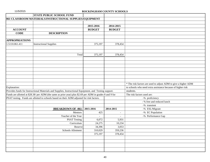|                       | <b>STATE PUBLIC SCHOOL FUND</b>                                                                           |               |               |                                                                |
|-----------------------|-----------------------------------------------------------------------------------------------------------|---------------|---------------|----------------------------------------------------------------|
|                       | 061 CLASSROOM MATERIALS/INSTRUCTIONAL SUPPLIES/EQUIPMENT                                                  |               |               |                                                                |
|                       |                                                                                                           |               |               |                                                                |
|                       |                                                                                                           | 2015-2016     | 2014-2015     |                                                                |
| <b>ACCOUNT</b>        |                                                                                                           | <b>BUDGET</b> | <b>BUDGET</b> |                                                                |
| <b>CODE</b>           | <b>DESCRIPTION</b>                                                                                        |               |               |                                                                |
|                       |                                                                                                           |               |               |                                                                |
| <b>APPROPRIATIONS</b> |                                                                                                           |               |               |                                                                |
| 1.5110.061.411        | <b>Instructional Supplies</b>                                                                             | 375,197       | 378,454       |                                                                |
|                       |                                                                                                           |               |               |                                                                |
|                       |                                                                                                           |               |               |                                                                |
|                       | Total                                                                                                     | 375,197       | 378,454       |                                                                |
|                       |                                                                                                           |               |               |                                                                |
|                       |                                                                                                           |               |               |                                                                |
|                       |                                                                                                           |               |               |                                                                |
|                       |                                                                                                           |               |               |                                                                |
|                       |                                                                                                           |               |               |                                                                |
|                       |                                                                                                           |               |               |                                                                |
|                       |                                                                                                           |               |               |                                                                |
|                       |                                                                                                           |               |               | * The risk factors are used to adjust ADM to give a higher ADM |
| Explanation:          |                                                                                                           |               |               | to schools who need extra assistance because of higher risk    |
|                       | Provides funds for Instructional Materials and Supplies, Instructional Equipment, and Testing support.    |               |               | students.                                                      |
|                       | Funds are allotted at \$28.38/ per ADM (the same as prior year) plus \$2.69 per ADM in grades 8 and 9 for |               |               | The risk factors used are:                                     |
|                       | PSAT testing. Funds are allotted to schools based on their ADM adjusted for risk factors.                 |               |               | -% proficiency                                                 |
|                       |                                                                                                           |               |               | - % free and reduced lunch                                     |
|                       |                                                                                                           |               |               | -% transient                                                   |
|                       | <b>BREAKDOWN OF -061-</b>                                                                                 | 2015-2016     | 2014-2015     | -% ESL/Migrant                                                 |
|                       | Mentors                                                                                                   | 425           |               | -% EC Population                                               |
|                       | Teacher of the Year                                                                                       | 6,072         | 5,931         | -% Performance Gap                                             |
|                       | <b>PSAT Testing</b><br>Curriculum                                                                         | 24,275        | 10,234        |                                                                |
|                       | Reserve                                                                                                   | 34,396        | 3,053         |                                                                |
|                       | Schools Allotment                                                                                         | 310,029       | 359,236       |                                                                |
|                       |                                                                                                           | 375,197       | 378,454       |                                                                |
|                       |                                                                                                           |               |               |                                                                |
|                       |                                                                                                           |               |               |                                                                |
|                       |                                                                                                           |               |               |                                                                |
|                       |                                                                                                           |               |               |                                                                |
|                       |                                                                                                           |               |               |                                                                |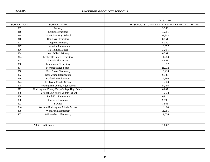|  | 11/5/2015 |  |  |
|--|-----------|--|--|
|  |           |  |  |

# ROCKINGHAM COUNTY SCHOOLS

|              |                                             | $2015 - 2016$                                  |  |
|--------------|---------------------------------------------|------------------------------------------------|--|
| SCHOOL NO. # | <b>SCHOOL NAME</b>                          | TO SCHOOLS TOTAL STATE INSTRUCTIONAL ALLOTMENT |  |
| 302          | Bethany                                     | 9,363                                          |  |
| 310          | Central Elementary                          | 10,981                                         |  |
| 314          | McMichael High School                       | 21,803                                         |  |
| 318          | Douglass Elementary                         | 8,761                                          |  |
| 322          | <b>Draper Elementary</b>                    | 5,340                                          |  |
| 327          | Huntsville Elementary                       | 10,357                                         |  |
| 330          | JE Holmes Middle                            | 17,465                                         |  |
| 334          | John Dillard Primary                        | 6,591                                          |  |
| 344          | Leaksville-Spray Elementary                 | 11,283                                         |  |
| 347          | <b>Lincoln Elementary</b>                   | 8,657                                          |  |
| 350          | Monroeton Elementary                        | 10,857                                         |  |
| 354          | Morehead High School                        | 21,932                                         |  |
| 358          | Moss Street Elementary                      | 10,416                                         |  |
| 362          | New Vision Intermediate                     | 6,785                                          |  |
| 366          | Reidsville High School                      | 17,786                                         |  |
| 374          | Reidsville Middle School                    | 13,503                                         |  |
| 378          | Rockingham County High School               | 34,466                                         |  |
| 379          | Rockingham County Early College High School | 6,807                                          |  |
| 380          | Rockingham County Middle School             | 19,028                                         |  |
| 386          | South End Elementary                        | 6,814                                          |  |
| 390          | Stoneville Elementary                       | 9,798                                          |  |
| 392          | <b>SCORE</b>                                | 1,945                                          |  |
| 394          | Western Rockingham Middle School            | 16,884                                         |  |
| 398          | Wentworth Elementary                        | 11,381                                         |  |
| 402          | Williamsburg Elementary                     | 11,026                                         |  |
|              |                                             |                                                |  |
|              |                                             |                                                |  |
|              | Allotted to Schools                         | 310,029                                        |  |
|              |                                             |                                                |  |
|              |                                             |                                                |  |
|              |                                             |                                                |  |
|              |                                             |                                                |  |
|              |                                             |                                                |  |
|              |                                             |                                                |  |
|              |                                             |                                                |  |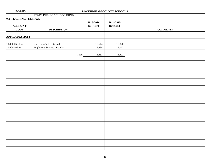|                       | <b>STATE PUBLIC SCHOOL FUND</b> |               |               |                 |
|-----------------------|---------------------------------|---------------|---------------|-----------------|
| 066 TEACHING FELLOWS  |                                 |               |               |                 |
|                       |                                 | 2015-2016     | 2014-2015     |                 |
| <b>ACCOUNT</b>        |                                 | <b>BUDGET</b> | <b>BUDGET</b> |                 |
| <b>CODE</b>           | <b>DESCRIPTION</b>              |               |               | <b>COMMENTS</b> |
|                       |                                 |               |               |                 |
| <b>APPROPRIATIONS</b> |                                 |               |               |                 |
|                       |                                 |               |               |                 |
| 1.5400.066.194        | State-Designated Stipend        | 15,544        | 15,320        |                 |
| 1.5400.066.211        | Employer's Soc Sec - Regular    | 1,288         | 1,172         |                 |
|                       |                                 |               |               |                 |
|                       | Total                           | 16,832        | 16,492        |                 |
|                       |                                 |               |               |                 |
|                       |                                 |               |               |                 |
|                       |                                 |               |               |                 |
|                       |                                 |               |               |                 |
|                       |                                 |               |               |                 |
|                       |                                 |               |               |                 |
|                       |                                 |               |               |                 |
|                       |                                 |               |               |                 |
|                       |                                 |               |               |                 |
|                       |                                 |               |               |                 |
|                       |                                 |               |               |                 |
|                       |                                 |               |               |                 |
|                       |                                 |               |               |                 |
|                       |                                 |               |               |                 |
|                       |                                 |               |               |                 |
|                       |                                 |               |               |                 |
|                       |                                 |               |               |                 |
|                       |                                 |               |               |                 |
|                       |                                 |               |               |                 |
|                       |                                 |               |               |                 |
|                       |                                 |               |               |                 |
|                       |                                 |               |               |                 |
|                       |                                 |               |               |                 |
|                       |                                 |               |               |                 |
|                       |                                 |               |               |                 |
|                       |                                 |               |               |                 |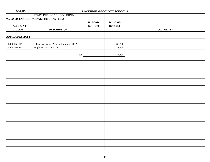|                       | STATE PUBLIC SCHOOL FUND                   |               |               |                 |
|-----------------------|--------------------------------------------|---------------|---------------|-----------------|
|                       | 067 ASSISTANT PRINCIPALS INTERNS - MSA     |               |               |                 |
|                       |                                            | 2015-2016     | 2014-2015     |                 |
| <b>ACCOUNT</b>        |                                            | <b>BUDGET</b> | <b>BUDGET</b> |                 |
| <b>CODE</b>           | <b>DESCRIPTION</b>                         |               |               | <b>COMMENTS</b> |
|                       |                                            |               |               |                 |
| <b>APPROPRIATIONS</b> |                                            |               |               |                 |
|                       |                                            |               |               |                 |
| 1.5400.067.117        | Salary - Assistant Principal Interns - MSA | $\sim$        | 38,280        |                 |
| 1.5400.067.211        | Employers Soc. Sec. Cost                   | $\sim$        | 2,928         |                 |
|                       |                                            |               |               |                 |
|                       | Total                                      | $\omega$      | 41,208        |                 |
|                       |                                            |               |               |                 |
|                       |                                            |               |               |                 |
|                       |                                            |               |               |                 |
|                       |                                            |               |               |                 |
|                       |                                            |               |               |                 |
|                       |                                            |               |               |                 |
|                       |                                            |               |               |                 |
|                       |                                            |               |               |                 |
|                       |                                            |               |               |                 |
|                       |                                            |               |               |                 |
|                       |                                            |               |               |                 |
|                       |                                            |               |               |                 |
|                       |                                            |               |               |                 |
|                       |                                            |               |               |                 |
|                       |                                            |               |               |                 |
|                       |                                            |               |               |                 |
|                       |                                            |               |               |                 |
|                       |                                            |               |               |                 |
|                       |                                            |               |               |                 |
|                       |                                            |               |               |                 |
|                       |                                            |               |               |                 |
|                       |                                            |               |               |                 |
|                       |                                            |               |               |                 |
|                       |                                            |               |               |                 |
|                       |                                            |               |               |                 |
|                       |                                            |               |               |                 |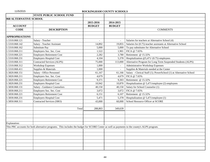|                               | <b>STATE PUBLIC SCHOOL FUND</b>                                                                                                              |               |                          |                                                                    |
|-------------------------------|----------------------------------------------------------------------------------------------------------------------------------------------|---------------|--------------------------|--------------------------------------------------------------------|
| <b>068 ALTERNATIVE SCHOOL</b> |                                                                                                                                              |               |                          |                                                                    |
|                               |                                                                                                                                              | 2015-2016     | 2014-2015                |                                                                    |
| <b>ACCOUNT</b>                |                                                                                                                                              | <b>BUDGET</b> | <b>BUDGET</b>            |                                                                    |
| <b>CODE</b>                   | <b>DESCRIPTION</b>                                                                                                                           |               |                          | <b>COMMENTS</b>                                                    |
|                               |                                                                                                                                              |               |                          |                                                                    |
| <b>APPROPRIATIONS</b>         |                                                                                                                                              |               |                          |                                                                    |
| 1.5310.068.121                | Salary - Teacher                                                                                                                             |               | $\overline{\phantom{a}}$ | Salaries for teachers at Alternative School (4)                    |
| 1.5310.068.142                | Salary - Teacher Assistant                                                                                                                   | 14,892        | 19,855                   | Salaries for (0.75) teacher assistants at Alternative School       |
| 1.5310.068.162                | Substitute Pay                                                                                                                               | 5,000         | 5,000                    | To pay substitutes for Alternative School                          |
| 1.5310.068.211                | Employers Soc. Sec. Cost                                                                                                                     | 1,522         | 1,901                    | FICA @ 7.65%                                                       |
| 1.5310.068.221                | <b>Employers Retirement Cost</b>                                                                                                             | 2,282         | 3,780                    | Retirement @ 15.32%                                                |
| 1.5310.068.231                | <b>Employers Hospital Cost</b>                                                                                                               | 4,104         | 5,378                    | Hospitalization $@5,471/(0.75)$ employees                          |
| 1.5310.068.311                | <b>Contracted Services (ALPS)</b>                                                                                                            | 75,000        | 113,000                  | Alternative Program for Long Term Suspended Students (ALPS)        |
| 1.5310.068.312                | <b>Workshop Expenses</b>                                                                                                                     | 1,000         |                          | Administrative Workshop Expenses                                   |
| 1.5310.068.411                | Supplies & Materials                                                                                                                         | 1,000         | $\mathbf{r}$             | Supplies & Materials needed at the Center                          |
| 1.5820.068.151                | Salary - Office Personnel                                                                                                                    | 61,167        | 61,166                   | Salary - Clerical Staff (1); PowerSchool (1) at Alternative School |
| 1.5820.068.211                | Employers Soc. Sec. Cost                                                                                                                     | 4,679         | 4,679                    | FICA @ 7.65%                                                       |
| 1.5820.068.221                | <b>Employers Retirement Cost</b>                                                                                                             | 9,371         | 9,303                    | Retirement @ 15.32%                                                |
| 1.5820.068.231                | Employers Hospital Cost                                                                                                                      | 10,942        | 10,870                   | Hospitalization $@$ 5,471/employee (2) employees                   |
| 1.5830.068.131                | <b>Salary - Guidance Counselors</b>                                                                                                          | 40,150        | 40,150                   | Salary for School Counselor (1)                                    |
| 1.5830.068.211                | Employers Soc. Sec. Cost                                                                                                                     | 3,072         | 3,072                    | FICA @ 7.65%                                                       |
| 1.5830.068.221                | <b>Employers Retirement Cost</b>                                                                                                             | 6,151         | 6,107                    | Retirement @ 15.32%                                                |
| 1.5830.068.231                | <b>Employers Hospital Cost</b>                                                                                                               | 5,471         | 5,378                    | Hospitalization @ 5,471/employee (1)                               |
| 1.5850.068.311                | <b>Contracted Services (SRO)</b>                                                                                                             | 43,000        | 60,000                   | School Resource Officer at SCORE                                   |
|                               |                                                                                                                                              |               |                          |                                                                    |
|                               | Total                                                                                                                                        | 288,803       | 349,639                  |                                                                    |
|                               |                                                                                                                                              |               |                          |                                                                    |
|                               |                                                                                                                                              |               |                          |                                                                    |
|                               |                                                                                                                                              |               |                          |                                                                    |
| Explanation:                  |                                                                                                                                              |               |                          |                                                                    |
|                               | This PRC accounts for both alternative programs. This includes the budget for SCORE Center as well as payments to the county's ALPS program. |               |                          |                                                                    |
|                               |                                                                                                                                              |               |                          |                                                                    |
|                               |                                                                                                                                              |               |                          |                                                                    |
|                               |                                                                                                                                              |               |                          |                                                                    |
|                               |                                                                                                                                              |               |                          |                                                                    |
|                               |                                                                                                                                              |               |                          |                                                                    |
|                               |                                                                                                                                              |               |                          |                                                                    |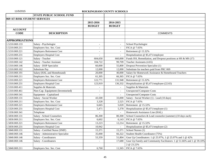|                              | <b>STATE PUBLIC SCHOOL FUND</b>    |                          |                |                                                                      |
|------------------------------|------------------------------------|--------------------------|----------------|----------------------------------------------------------------------|
| 069 AT-RISK STUDENT SERVICES |                                    |                          |                |                                                                      |
|                              |                                    | 2015-2016                | 2014-2015      |                                                                      |
|                              |                                    | <b>BUDGET</b>            | <b>BUDGET</b>  |                                                                      |
| <b>ACCOUNT</b>               |                                    |                          |                |                                                                      |
| <b>CODE</b>                  | <b>DESCRIPTION</b>                 |                          |                | <b>COMMENTS</b>                                                      |
|                              |                                    |                          |                |                                                                      |
| <b>APPROPRIATIONS</b>        |                                    |                          |                |                                                                      |
| 1.5210.069.133               | Salary - Psychologist              | $\sim$                   | $\omega$       | School Psychologist                                                  |
| 1.5210.069.211               | Employers Soc. Sec. Cost           | $\overline{\phantom{a}}$ | $\sim$         | FICA @ 7.65%                                                         |
| 1.5210.069.221               | <b>Employers Retirement Cost</b>   | $\overline{\phantom{a}}$ | $\blacksquare$ | Retirement @ 15.32%                                                  |
| 1.5210.069.231               | <b>Employers Hospital Cost</b>     |                          |                | Hospitalization @ \$5,471/employee                                   |
| 1.5310.069.121               | Salary - Teacher                   | 604,650                  | 660,000        | Funds ISS, Remediation, and Dropout positions at HS & MS (17)        |
| 1.5310.069.142               | Salary - Teacher Assistant         | 104,722                  | 99,709         | Teacher Assistants (4.65)                                            |
| 1.5310.069.146               | Salary - DOP Specialist            | 60,000                   | 55,800         | Dropout Prevention Specialist (1)                                    |
| 1.5310.069.162               | Substitute Pay                     | 12,000                   | 12,000         | Substitute for teachers paid from PRC 069                            |
| 1.5310.069.191               | Salary (HAL and Homebound)         | 20,000                   | 40,000         | Salary for Homework Assistance & Homebound Teachers                  |
| 1.5310.069.211               | Employers Soc. Sec. Cost           | 61,305                   | 66,365         | FICA @ 7.65%                                                         |
| 1.5310.069.221               | <b>Employers Retirement Cost</b>   | 122,771                  | 131,948        | Retirement @ 15.32%                                                  |
| 1.5310.069.231               | <b>Employers Hospital Cost</b>     | 123,919                  | 136,332        | Hospitalization @ \$5,471/employee (22.65)                           |
| 1.5310.069.411               | Supplies & Materials               |                          | $\sim$         | Supplies & Materials                                                 |
| 1.5310.069.461               | Non-Cap. Equipment (Inventoried)   |                          | $\sim$         | <b>Unexpected Computer Costs</b>                                     |
| 1.5310.069.541               | Equipment - Capitalized            |                          | $\blacksquare$ | <b>Unexpected Computer Costs</b>                                     |
| 1.5320.069.131               | Salary - Social Worker             | 43,500                   | 33,000         | Salary - Social Worker (1) - Lead (10 days)                          |
| 1.5320.069.211               | Employers Soc. Sec. Cost           | 3,328                    | 2,525          | FICA @ 7.65%                                                         |
| 1.5320.069.221               | <b>Employers Retirement Cost</b>   | 6,665                    | 5,020          | Retirement @ 15.32%                                                  |
| 1.5320.069.231               | <b>Employers Hospital Cost</b>     | 5,471                    | 5,378          | Hospitalization @ \$5,471/employee (1)                               |
| 1.5330.069.341               | Telephone                          |                          | $\mathbb{Z}^2$ | Homework Assistance Line (HAL)                                       |
| 1.5830.069.131               | Salary - School Counselors         | 86,300                   | 80,300         | School Counselors & Lead counselor (summer) (10 days each)           |
| 1.5830.069.211               | Employers Soc. Sec. Cost           | 6,602                    | 6,143          | FICA @ 7.65%                                                         |
| 1.5830.069.221               | <b>Employers Retirement Cost</b>   | 13,223                   | 12,214         | Retirement @ 15.32%                                                  |
| 1.5830.069.231               | <b>Employers Hospital Cost</b>     | 10,942                   | $\overline{a}$ | Hospitalization @ \$5,471/employee (2)                               |
| 1.5840.069.131               | Salary - Certified Nurse (SNIF)    | 15,371                   | 15,371         | School Nurses (1)                                                    |
| 1.5840.069.146               | Salary - Administrative Specialist | 35,000                   | 66,322         | Student Health Coordinator (75%)                                     |
| 1.5840.069.146               | Salary - Coordinators              | 53,359                   | 51,804         | Gear Up Coordinators: 1 @ 25.97%, 1 @ 25.97% and 1 @ 42%             |
| 1.5840.069.146               | Salary - Coordinators              |                          | 17,680         | Gear Up Family and Community Facilitators: 1 @ 51.66% and 1 @ 39.10% |
|                              |                                    |                          |                | 2 @ 23.22%                                                           |
| 1.5840.069.211               | Employers Soc. Sec. Cost           | 6,760                    | 11,565         | FICA @ 7.65%                                                         |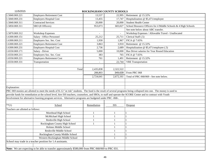| 11/5/2015                         |                                                                                                                                                              | ROCKINGHAM COUNTY SCHOOLS |            |                                                                                                                                                                     |
|-----------------------------------|--------------------------------------------------------------------------------------------------------------------------------------------------------------|---------------------------|------------|---------------------------------------------------------------------------------------------------------------------------------------------------------------------|
| 1.5840.069.221                    | <b>Employers Retirement Cost</b>                                                                                                                             | 13,537                    | 22,995     | Retirement @ 15.32%                                                                                                                                                 |
| 1.5840.069.231                    | <b>Employers Hospital Cost</b>                                                                                                                               | 13,455                    | 17,747     | Hospitalization @ \$5,471/employee                                                                                                                                  |
| 1.5840.069.311                    | <b>Contracted Services</b>                                                                                                                                   | 20,000                    | 20,000     | <b>Student Health Center</b>                                                                                                                                        |
| 1.5850.069.311                    | SRO (8 Officers)                                                                                                                                             | 953,073                   | 683,027    | School Resource Officers for 4 Middle Schools & 4 High Schools                                                                                                      |
|                                   |                                                                                                                                                              |                           |            | See note below about ABC transfer.                                                                                                                                  |
| 1.5870.069.312                    | <b>Workshop Expenses</b>                                                                                                                                     |                           |            | Workshop Expenses / Allowable Travel - Unallocated                                                                                                                  |
| 1.6300.069.151                    | Salary - Office Personnel                                                                                                                                    | 25,212                    | 25,711     | Clerical Staff (.5)                                                                                                                                                 |
| 1.6300.069.211                    | Employers Soc. Sec. Cost                                                                                                                                     | 1,930                     | 1,967      | FICA @ 7.65%                                                                                                                                                        |
| 1.6300.069.221                    | <b>Employers Retirement Cost</b>                                                                                                                             | 3,863                     | 3,910      | Retirement @ 15.32%                                                                                                                                                 |
| 1.6300.069.231                    | <b>Employers Hospital Cost</b>                                                                                                                               | 2,736                     | 2,689      | Hospitalization @ \$5,471/employee (.5)                                                                                                                             |
| 1.6550.069.171                    | Salary - Driver                                                                                                                                              | 5,000                     | 10,000     | Bus Driver salaries for Year Round Education                                                                                                                        |
| 1.6550.069.211                    | Employers Soc. Sec. Cost                                                                                                                                     | 383                       | 765        | FICA @ 7.65%                                                                                                                                                        |
| 1.6550.069.221                    | <b>Employers Retirement Cost</b>                                                                                                                             | 761                       | 1,491      | Retirement @ 15.32%                                                                                                                                                 |
| 1.6550.069.331                    | Transportation                                                                                                                                               |                           | 22,744     | <b>YRE</b> Transportation                                                                                                                                           |
|                                   |                                                                                                                                                              |                           |            |                                                                                                                                                                     |
|                                   | Total                                                                                                                                                        | 2,435,838                 | 2,322,522  |                                                                                                                                                                     |
|                                   |                                                                                                                                                              | 288,803                   | 349,639    | From PRC 068                                                                                                                                                        |
|                                   |                                                                                                                                                              | 2,724,641                 | 2,672,161  | Total of PRC 068/069 - See note below.                                                                                                                              |
|                                   |                                                                                                                                                              |                           |            |                                                                                                                                                                     |
|                                   |                                                                                                                                                              |                           |            |                                                                                                                                                                     |
| Explanation:                      |                                                                                                                                                              |                           |            |                                                                                                                                                                     |
|                                   |                                                                                                                                                              |                           |            | PRC 069 monies are allotted to meet the needs of K-12 "at risk" students. The fund is the result of several programs being collapsed into one. The money is used to |
|                                   | provide funds for remediation at the school level, hire ISS teachers, counselors, and SROs, to staff and operate the SCORE Center and to contract with Youth |                           |            |                                                                                                                                                                     |
|                                   | Involvement for alternative learning program services. Alternative programs are budgeted under PRC -068-.                                                    |                           |            |                                                                                                                                                                     |
|                                   |                                                                                                                                                              |                           |            |                                                                                                                                                                     |
| $**$ (1)                          | School                                                                                                                                                       | Remediation               | <b>ISS</b> | Dropout                                                                                                                                                             |
| Teachers are allotted as follows: |                                                                                                                                                              |                           |            |                                                                                                                                                                     |
|                                   | Morehead High School                                                                                                                                         |                           |            |                                                                                                                                                                     |
|                                   | McMichael High School                                                                                                                                        |                           | 1          |                                                                                                                                                                     |
|                                   | Reidsville High School                                                                                                                                       |                           |            |                                                                                                                                                                     |
|                                   | Rockingham County High School                                                                                                                                |                           |            |                                                                                                                                                                     |
|                                   | Holmes Middle School                                                                                                                                         |                           |            |                                                                                                                                                                     |
|                                   | Reidsville Middle School                                                                                                                                     |                           |            |                                                                                                                                                                     |
|                                   | Rockingham County Middle School                                                                                                                              |                           |            |                                                                                                                                                                     |
|                                   | Western Rockingham Middle School                                                                                                                             |                           |            |                                                                                                                                                                     |
|                                   | School may trade in a teacher position for 1.4 assistants.                                                                                                   |                           |            |                                                                                                                                                                     |
|                                   |                                                                                                                                                              |                           |            |                                                                                                                                                                     |
|                                   | Note: We are expecting to be able to transfer approximately \$580,000 from PRC 068/069 to PRC 031.                                                           |                           |            |                                                                                                                                                                     |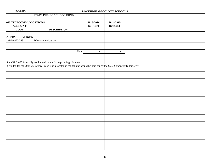11/5/2015 **ROCKINGHAM COUNTY SCHOOLS STATE PUBLIC SCHOOL FUND 073 TELECOMMUNICATIONS 2015-2016 2014-2015 ACCOUNT BUDGET BUDGET BUDGET CODE DESCRIPTION APPROPRIATIONS**  $1.6400.073.343$  Telecommunications  $\qquad \qquad$  $Total$  -  $\parallel$  -State PRC 073 is usually not located on the State planning allotment. If funded for the 2014-2015 fiscal year, it is allocated in the fall and would be paid for by the State Connectivity Initiative.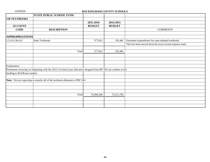|                                 | <b>STATE PUBLIC SCHOOL FUND</b>                                                                                     |               |               |                                                          |
|---------------------------------|---------------------------------------------------------------------------------------------------------------------|---------------|---------------|----------------------------------------------------------|
| <b>130 TEXTBOOKS</b>            |                                                                                                                     |               |               |                                                          |
|                                 |                                                                                                                     | 2015-2016     | 2014-2015     |                                                          |
| <b>ACCOUNT</b>                  |                                                                                                                     | <b>BUDGET</b> | <b>BUDGET</b> |                                                          |
| <b>CODE</b>                     | <b>DESCRIPTION</b>                                                                                                  |               |               | <b>COMMENTS</b>                                          |
|                                 |                                                                                                                     |               |               |                                                          |
| <b>APPROPRIATIONS</b>           |                                                                                                                     |               |               |                                                          |
| 1.5110.130.412                  | <b>State Textbooks</b>                                                                                              | 377,831       | 195,481       | Estimated expenditures for state adopted textbooks.      |
|                                 |                                                                                                                     |               |               | This has been moved from the local current expense fund. |
|                                 |                                                                                                                     |               |               |                                                          |
|                                 | Total                                                                                                               | 377,831       | 195,481       |                                                          |
|                                 |                                                                                                                     |               |               |                                                          |
|                                 |                                                                                                                     |               |               |                                                          |
|                                 |                                                                                                                     |               |               |                                                          |
| Explanation:                    |                                                                                                                     |               |               |                                                          |
|                                 | Permanent recurring cut beginning with the 2013-14 school year allocation dropped from \$67.001 per student at full |               |               |                                                          |
| funding to \$14.86 per student. |                                                                                                                     |               |               |                                                          |
|                                 |                                                                                                                     |               |               |                                                          |
|                                 | Note: We are expecting to transfer all of the textbook allotment to PRC 061.                                        |               |               |                                                          |
|                                 |                                                                                                                     |               |               |                                                          |
|                                 |                                                                                                                     |               |               |                                                          |
|                                 |                                                                                                                     |               |               |                                                          |
|                                 | Total                                                                                                               | 76,494,346    | 75,511,782    |                                                          |
|                                 |                                                                                                                     |               |               |                                                          |
|                                 |                                                                                                                     |               |               |                                                          |
|                                 |                                                                                                                     |               |               |                                                          |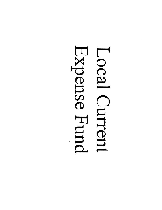# Expense Fund Local Curent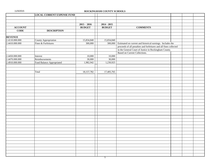| 11/5/2015 |  |  |  |
|-----------|--|--|--|
|           |  |  |  |

## ROCKINGHAM COUNTY SCHOOLS

|                | <b>LOCAL CURRENT EXPENSE FUND</b> |               |               |                                                                   |  |
|----------------|-----------------------------------|---------------|---------------|-------------------------------------------------------------------|--|
|                |                                   |               |               |                                                                   |  |
|                |                                   | $2015 - 2016$ | $2014 - 2015$ |                                                                   |  |
| <b>ACCOUNT</b> |                                   | <b>BUDGET</b> | <b>BUDGET</b> | <b>COMMENTS</b>                                                   |  |
| <b>CODE</b>    | <b>DESCRIPTION</b>                |               |               |                                                                   |  |
|                |                                   |               |               |                                                                   |  |
| <b>REVENUE</b> |                                   |               |               |                                                                   |  |
| 2.4110.000.000 | County Appropriation              | 15,834,840    | 15,834,840    |                                                                   |  |
| 2.4410.000.000 | Fines & Forfeitures               | 300,000       | 300,000       | Estimated on current and historical earnings. Includes the        |  |
|                |                                   |               |               | proceeds of all penalties and forfeitures and all fines collected |  |
|                |                                   |               |               | in the General Court of Justice in Rockingham County.             |  |
|                |                                   |               |               | Based on Current Collections.                                     |  |
| 2.4450.000.000 | Interest                          | 10,000        | 10,000        |                                                                   |  |
| 2.4470.000.000 | Reimbursements                    | 30,000        | 30,000        |                                                                   |  |
| 2.4910.000.000 | Fund Balance Appropriated         | 1,982,942     | 1,230,925     |                                                                   |  |
|                |                                   |               |               |                                                                   |  |
|                |                                   |               |               |                                                                   |  |
|                | Total                             | 18, 157, 782  | 17,405,765    |                                                                   |  |
|                |                                   |               |               |                                                                   |  |
|                |                                   |               |               |                                                                   |  |
|                |                                   |               |               |                                                                   |  |
|                |                                   |               |               |                                                                   |  |
|                |                                   |               |               |                                                                   |  |
|                |                                   |               |               |                                                                   |  |
|                |                                   |               |               |                                                                   |  |
|                |                                   |               |               |                                                                   |  |
|                |                                   |               |               |                                                                   |  |
|                |                                   |               |               |                                                                   |  |
|                |                                   |               |               |                                                                   |  |
|                |                                   |               |               |                                                                   |  |
|                |                                   |               |               |                                                                   |  |
|                |                                   |               |               |                                                                   |  |
|                |                                   |               |               |                                                                   |  |
|                |                                   |               |               |                                                                   |  |
|                |                                   |               |               |                                                                   |  |
|                |                                   |               |               |                                                                   |  |
|                |                                   |               |               |                                                                   |  |
|                |                                   |               |               |                                                                   |  |
|                |                                   |               |               |                                                                   |  |
|                |                                   |               |               |                                                                   |  |
|                |                                   |               |               |                                                                   |  |
|                |                                   |               |               |                                                                   |  |
|                |                                   |               |               |                                                                   |  |
|                |                                   |               |               |                                                                   |  |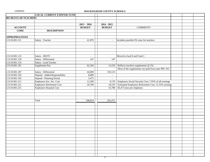|                       | <b>LOCAL CURRENT EXPENSE FUND</b> |                          |                          |                                                       |  |
|-----------------------|-----------------------------------|--------------------------|--------------------------|-------------------------------------------------------|--|
| 001 REGULAR TEACHERS  |                                   |                          |                          |                                                       |  |
|                       |                                   |                          |                          |                                                       |  |
|                       |                                   | $2015 - 2016$            | $2014 - 2015$            |                                                       |  |
| <b>ACCOUNT</b>        |                                   | <b>BUDGET</b>            | <b>BUDGET</b>            | <b>COMMENTS</b>                                       |  |
| <b>CODE</b>           | <b>DESCRIPTION</b>                |                          |                          |                                                       |  |
|                       |                                   |                          |                          |                                                       |  |
| <b>APPROPRIATIONS</b> |                                   |                          |                          |                                                       |  |
| 2.5110.001.121        | Salary - Teacher                  | 41,870                   | $\sim$                   | Includes possible 6% raise for teachers               |  |
|                       |                                   |                          |                          |                                                       |  |
|                       |                                   |                          |                          |                                                       |  |
|                       |                                   |                          |                          |                                                       |  |
|                       |                                   |                          |                          |                                                       |  |
| 2.5110.001.123        | Salary - JROTC                    | $\sim$                   |                          | Moved to fund 8 and Fund 1                            |  |
| 2.5110.001.129        | Salary - Differential             | 147                      | 147                      |                                                       |  |
| 2.5110.001.135        | Salary - Lead Teacher             |                          |                          |                                                       |  |
| 2.5110.001.181        | Supplement Pay                    | 62,184                   | 14,226                   | Reflects teachers supplements @ 5%.                   |  |
|                       |                                   |                          |                          | Most of the supplements are paid from state PRC 031   |  |
| 2.5110.001.187        | Salary - Differential             | 44,000                   | 105,513                  |                                                       |  |
| 2.5110.001.192        | Stipend - Added Responsibility    | 8,000                    | $\overline{\phantom{a}}$ |                                                       |  |
| 2.5110.001.195        | Stipend - Planning Period         | 5,475                    | $\blacksquare$           |                                                       |  |
| 2.5110.001.211        | Employers Soc. Sec. Cost          | 12,369                   | 9,170                    | Employers Social Security Cost, 7.65% of all earnings |  |
| 2.5110.001.221        | Employers Retirement Cost         | 24,769                   | 18,235                   | Estimated Employers Retirement Cost, 15.32% earnings  |  |
| 2.5110.001.231        | Employers Hospital Cost           | $\overline{\phantom{a}}$ | 53,780                   | \$5,471/year per employee.                            |  |
|                       |                                   |                          |                          |                                                       |  |
|                       |                                   |                          |                          |                                                       |  |
|                       |                                   | 198,814                  | 201,071                  |                                                       |  |
|                       | Total                             |                          |                          |                                                       |  |
|                       |                                   |                          |                          |                                                       |  |
|                       |                                   |                          |                          |                                                       |  |
|                       |                                   |                          |                          |                                                       |  |
|                       |                                   |                          |                          |                                                       |  |
|                       |                                   |                          |                          |                                                       |  |
|                       |                                   |                          |                          |                                                       |  |
|                       |                                   |                          |                          |                                                       |  |
|                       |                                   |                          |                          |                                                       |  |
|                       |                                   |                          |                          |                                                       |  |
|                       |                                   |                          |                          |                                                       |  |
|                       |                                   |                          |                          |                                                       |  |
|                       |                                   |                          |                          |                                                       |  |
|                       |                                   |                          |                          |                                                       |  |
|                       |                                   |                          |                          |                                                       |  |
|                       |                                   |                          |                          |                                                       |  |
|                       |                                   |                          |                          |                                                       |  |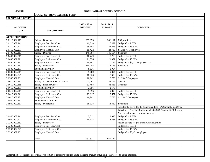|  | 11/5/2015 |  |  |  |
|--|-----------|--|--|--|
|--|-----------|--|--|--|

|                       | <b>LOCAL CURRENT EXPENSE FUND</b>                                                                                                         |               |               |                                                                       |  |
|-----------------------|-------------------------------------------------------------------------------------------------------------------------------------------|---------------|---------------|-----------------------------------------------------------------------|--|
| 002 ADMINISTRATIVE    |                                                                                                                                           |               |               |                                                                       |  |
|                       |                                                                                                                                           |               |               |                                                                       |  |
|                       |                                                                                                                                           | $2015 - 2016$ | $2014 - 2015$ |                                                                       |  |
| <b>ACCOUNT</b>        |                                                                                                                                           | <b>BUDGET</b> | <b>BUDGET</b> | <b>COMMENTS</b>                                                       |  |
| <b>CODE</b>           | <b>DESCRIPTION</b>                                                                                                                        |               |               |                                                                       |  |
|                       |                                                                                                                                           |               |               |                                                                       |  |
| <b>APPROPRIATIONS</b> |                                                                                                                                           |               |               |                                                                       |  |
| 2.6110.002.113        | Salary - Directors                                                                                                                        | 259,055       | 346,111       | 3.55 positions                                                        |  |
| 2.6110.002.211        | Employers Soc. Sec. Cost                                                                                                                  | 19,818        | 26,477        | Budgeted at 7.65%                                                     |  |
| 2.6110.002.221        | Employers Retirement Cost                                                                                                                 | 39,688        | 52,643        | Budgeted at 15.32%.                                                   |  |
| 2.6110.002.231        | Employers Hospital Cost                                                                                                                   | 19,422        | 24,739        | 3.55 x 5,471/employee                                                 |  |
| 2.6400.002.113        | Salary - Director                                                                                                                         | 140,504       | 140,504       | 2 position                                                            |  |
| 2.6400.002.211        | Employers Soc. Sec. Cost                                                                                                                  | 10,749        | 10,750        | Budgeted at 7.65%                                                     |  |
| 2.6400.002.221        | Employers Retirement Cost                                                                                                                 | 21,526        | 21,371        | Budgeted at 15.32%.                                                   |  |
| 2.6400.002.231        | Employers Hospital Cost                                                                                                                   | 10,942        | 10,756        | Budgeted at \$5,471/employee (2)                                      |  |
| 2.6580.002.113        | Salary - Supervisor                                                                                                                       | 114,745       | 114,745       | 2 positions                                                           |  |
| 2.6580.002.181        | Supplementary Pay                                                                                                                         | 8,136         | 8,064         |                                                                       |  |
| 2.6580.002.211        | Employers Soc. Sec. Cost                                                                                                                  | 9,400         | 9,394         | Budgeted at 7.65%                                                     |  |
| 2.6580.002.221        | <b>Employers Retirement Cost</b>                                                                                                          | 18,826        | 18,680        | Budgeted at 15.32%.                                                   |  |
| 2.6580.002.231        | Employers Hospital Cost                                                                                                                   | 10,942        | 10,756        | 2 x \$5,471/employee                                                  |  |
| 2.6610.002.113        | Salary - Assistant Finance Officer                                                                                                        | 43,267        | 43,267        | 1 position                                                            |  |
| 2.6610.002.115        | Salary - Finance Officer                                                                                                                  | 83,488        | 83,488        | 1 position                                                            |  |
| 2.6610.002.181        | Supplementary Pay                                                                                                                         | 2,596         | 2,575         |                                                                       |  |
| 2.6610.002.211        | Employers Soc. Sec. Cost                                                                                                                  | 9,896         | 9,893         | Budgeted at 7.65%                                                     |  |
| 2.6610.002.221        | Employers Retirement Cost                                                                                                                 | 19,817        | 19,671        | Budgeted at 15.32%.                                                   |  |
| 2.6610.002.231        | Employers Hospital Cost                                                                                                                   | 10,942        | 10,756        | $2 x $5,471/$ employee                                                |  |
| 2.6940.002.181        | Supplement - Directors                                                                                                                    |               |               |                                                                       |  |
| 2.6940.002.187        | Salary - Differential                                                                                                                     | 68,128        | 54,312        | 4 positions                                                           |  |
|                       |                                                                                                                                           |               |               | Includes the travel for the Superintendent (\$400/month, \$6000/yr.), |  |
|                       |                                                                                                                                           |               |               | Travel for 3 Assistant Superintendents (\$325/month, \$3,900 year).   |  |
|                       |                                                                                                                                           |               |               | Also includes local portion of salaries.                              |  |
| 2.6940.002.211        | Employers Soc. Sec. Cost                                                                                                                  | 5,212         | 3,925         | Budgeted at 7.65%                                                     |  |
| 2.6940.002.221        | Employers Retirement Cost                                                                                                                 | 10,438        | 8,261         | Budgeted at 15.32%.                                                   |  |
| 2.7200.002.113        | Salary - Supervisor                                                                                                                       |               |               | Moved to state for \$45k then Child Nutrition                         |  |
| 2.7200.002.211        | Employers Soc. Sec. Cost                                                                                                                  |               |               | Budgeted at 7.65%                                                     |  |
| 2.7200.002.221        | Employers Retirement Cost                                                                                                                 |               |               | Budgeted at 15.32%.                                                   |  |
| 2.7200.002.231        | Employers Hospital Cost                                                                                                                   |               |               | Budgeted at \$5,471/employee                                          |  |
|                       |                                                                                                                                           |               |               |                                                                       |  |
|                       | Total                                                                                                                                     | 937,537       | 1,031,137     |                                                                       |  |
|                       |                                                                                                                                           |               |               |                                                                       |  |
|                       |                                                                                                                                           |               |               |                                                                       |  |
|                       |                                                                                                                                           |               |               |                                                                       |  |
|                       |                                                                                                                                           |               |               |                                                                       |  |
|                       | Explanation: Reclassified coordinator's position to director's position using the same amount of funding - therefore, no actual increase. |               |               |                                                                       |  |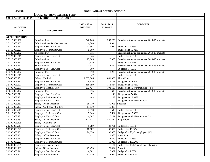|                       | <b>LOCAL CURRENT EXPENSE FUND</b>              |                          |                          |                                               |  |  |
|-----------------------|------------------------------------------------|--------------------------|--------------------------|-----------------------------------------------|--|--|
|                       | 003 CLASSIFIED SUPPORT (CLERICAL & CUSTODIANS) |                          |                          |                                               |  |  |
|                       |                                                |                          |                          |                                               |  |  |
|                       |                                                | $2015 - 2016$            | $2014 - 2015$            | <b>COMMENTS</b>                               |  |  |
| <b>ACCOUNT</b>        |                                                | <b>BUDGET</b>            | <b>BUDGET</b>            |                                               |  |  |
| <b>CODE</b>           | <b>DESCRIPTION</b>                             |                          |                          |                                               |  |  |
|                       |                                                |                          |                          |                                               |  |  |
| <b>APPROPRIATIONS</b> |                                                |                          |                          |                                               |  |  |
| 2.5110.003.162        | Substitute Pay                                 | 546,748                  | 569,256                  | Based on estimated annualized 2014-15 amounts |  |  |
| 2.5110.003.167        | Substitute Pay - Teacher Assistant             | 4,800                    | 4,944                    |                                               |  |  |
| 2.5110.003.211        | Employers Soc. Sec. Cost                       | 42,561                   | 19,032                   | Budgeted at 7.65%                             |  |  |
| 2.5110.003.221        | Employers Retirement Cost                      | 5,000                    | $\overline{\phantom{a}}$ | Budgeted at 15.32%                            |  |  |
| 2.5120.003.162        | Substitute Pay                                 | 575                      | $\sim$                   | Based on estimated annualized 2014-15 amounts |  |  |
| 2.5120.003.211        | Employers Soc. Sec. Cost                       | 44                       | $\sim$                   | Budgeted at 7.65%                             |  |  |
| 2.5210.003.162        | Substitute Pay                                 | 25,865                   | 20,085                   | Based on estimated annualized 2014-15 amounts |  |  |
| 2.5210.003.211        | Employers Soc. Sec. Cost                       | 1,979                    | $\overline{\phantom{a}}$ | Budgeted at 7.65%                             |  |  |
| 2.5260.003.162        | Substitute Pay                                 | 3,932                    | 3,214                    | Based on estimated annualized 2014-15 amounts |  |  |
| 2.5260.003.211        | Employers Soc. Sec. Cost                       | 300                      | $\overline{\phantom{a}}$ | Budgeted at 7.65%                             |  |  |
| 2.5270.003.162        | Substitute Pay                                 | 610                      | 1,236                    | Based on estimated annualized 2014-15 amounts |  |  |
| 2.5270.003.211        | Employers Soc. Sec. Cost                       | 47                       | $\sim$                   | Budgeted at 7.65%                             |  |  |
| 2.5400.003.151        | Salary - Clerical                              | 1,032,366                | 1,041,968                | 37 positions                                  |  |  |
| 2.5400.003.211        | Employers Soc. Sec. Cost                       | 78,976                   | 79,711                   | Budgeted at 7.65%                             |  |  |
| 2.5400.003.221        | <b>Employers Retirement Cost</b>               | 158,159                  | 158,484                  | Budgeted at 15.32%                            |  |  |
| 2.5400.003.231        | <b>Employers Hospital Cost</b>                 | 202,427                  | 193,608                  | Budgeted at \$5,471/employee (37)             |  |  |
| 2.5810.003.162        | Substitute Pay                                 | 675                      | 618                      | Based on estimated annualized 2014-15 amounts |  |  |
| 2.5810.003.211        | Employers Soc. Sec. Cost                       | 52                       | 48                       | Budgeted at 7.65%                             |  |  |
| 2.5810.003.221        | Employers Retirement Cost                      | 103                      | 93                       | Budgeted at 15.32%                            |  |  |
| 2.5810.003.231        | Employers Hospital Cost                        |                          |                          | Budgeted at \$5,471/employee                  |  |  |
| 2.6110.003.151        | Salary - Office Personnel                      | 38,770                   | 70,098                   | l position                                    |  |  |
| 2.6110.003.177        | Salary - Work Study Student                    | 11,130                   | 15,388                   |                                               |  |  |
| 2.6110.003.211        | Employers Soc. Sec. Cost                       | 3,818                    | 6,540                    | Budgeted at 7.65%                             |  |  |
| 2.6110.003.221        | <b>Employers Retirement Cost</b>               | 5,940                    | 10,662                   | Budgeted at 15.32%                            |  |  |
| 2.6110.003.231        | Employers Hospital Cost                        | 4,787                    | 10,111                   | Budgeted at \$5,471/employee (1)              |  |  |
| 2.6200.003.151        | Salary - Office Personnel                      | 121,421                  | 440,532                  | 4.5 positons                                  |  |  |
| 2.6200.003.199        | Salary - Overtime Pay                          |                          |                          |                                               |  |  |
| 2.6200.003.211        | Employers Soc. Sec. Cost                       | 9,289                    | 33,701                   | Budgeted at 7.65%                             |  |  |
| 2.6200.003.221        | <b>Employers Retirement Cost</b>               | 18,602                   | 67,005                   | Budgeted at 15.32%.                           |  |  |
| 2.6200.003.231        | Employers Hospital Cost                        | 24,620                   | 83,360                   | Budgeted at \$5,471/employee (4.5)            |  |  |
| 2.6400.003.151        | Salary - Office Personnel                      | $\overline{\phantom{a}}$ | 111,366                  | 0 positions                                   |  |  |
| 2.6400.003.211        | Employers Soc. Sec. Cost                       | $\overline{\phantom{a}}$ | 8,520                    | Budgeted at 7.65%                             |  |  |
| 2.6400.003.221        | <b>Employers Retirement Cost</b>               | $\overline{\phantom{a}}$ | 16,939                   | Budgeted at 15.32%.                           |  |  |
| 2.6400.003.231        | <b>Employers Hospital Cost</b>                 | $\overline{\phantom{a}}$ | 16,134                   | Budgeted at \$5,471/employee - 0 positions    |  |  |
| 2.6580.003.151        | Salary - Office Personnel                      | 79,495                   | 79,494                   | 2 positions                                   |  |  |
| 2.6580.003.211        | Employers Soc. Sec. Cost                       | 6,082                    | 6,082                    | Budgeted at 7.65%                             |  |  |
| 2.6580.003.221        | Employers Retirement Cost                      | 12,179                   | 12,092                   | Budgeted at 15.32%                            |  |  |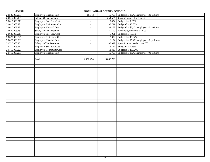| 2.6580.003.231 | <b>Employers Hospital Cost</b>   | 10,942                   | 10,756    | Budgeted at \$5,471/employee - 2 positions    |  |
|----------------|----------------------------------|--------------------------|-----------|-----------------------------------------------|--|
| 2.6610.003.151 | Salary - Office Personnel        |                          | 254,574   | 0 position, moved to state 031                |  |
| 2.6610.003.211 | Employers Soc. Sec. Cost         | $\overline{\phantom{a}}$ | 19,474    | Budgeted at 7.65%                             |  |
| 2.6610.003.221 | <b>Employers Retirement Cost</b> | $\overline{\phantom{a}}$ | 38,721    | Budgeted at 15.32%.                           |  |
| 2.6610.003.231 | <b>Employers Hospital Cost</b>   | $\overline{\phantom{a}}$ | 32,268    | Budgeted at \$5,471/employee - 0 positions    |  |
| 2.6620.003.151 | Salary - Office Personnel        | $\overline{\phantom{a}}$ | 79,100    | 0 positions, moved to state 031               |  |
| 2.6620.003.211 | Employers Soc. Sec. Cost         | $\overline{\phantom{a}}$ | 6,051     | Budgeted at 7.65%                             |  |
| 2.6620.003.221 | <b>Employers Retirement Cost</b> | $\overline{\phantom{a}}$ | 12,032    | Budgeted at 15.32%.                           |  |
| 2.6620.003.231 | <b>Employers Hospital Cost</b>   | $\overline{\phantom{a}}$ | 16,134    | Budgeted at \$5,471/employee - 0 positions    |  |
| 2.6710.003.151 | Salary - Office Personnel        | $\overline{\phantom{a}}$ | 88,327    | $\overline{0}$ positions - moved to state 003 |  |
| 2.6710.003.211 | Employers Soc. Sec. Cost         | $\overline{\phantom{a}}$ | 6,757     | Budgeted at 7.65%                             |  |
| 2.6710.003.221 | <b>Employers Retirement Cost</b> | $\overline{\phantom{a}}$ | 13,435    | Budgeted at 15.32%.                           |  |
| 2.6710.003.231 | <b>Employers Hospital Cost</b>   | $\overline{\phantom{a}}$ | 10,756    | Budgeted at \$5,471/employee - 0 positions    |  |
|                |                                  |                          |           |                                               |  |
|                | Total                            | 2,452,294                | 3,668,706 |                                               |  |
|                |                                  |                          |           |                                               |  |
|                |                                  |                          |           |                                               |  |
|                |                                  |                          |           |                                               |  |
|                |                                  |                          |           |                                               |  |
|                |                                  |                          |           |                                               |  |
|                |                                  |                          |           |                                               |  |
|                |                                  |                          |           |                                               |  |
|                |                                  |                          |           |                                               |  |
|                |                                  |                          |           |                                               |  |
|                |                                  |                          |           |                                               |  |
|                |                                  |                          |           |                                               |  |
|                |                                  |                          |           |                                               |  |
|                |                                  |                          |           |                                               |  |
|                |                                  |                          |           |                                               |  |
|                |                                  |                          |           |                                               |  |
|                |                                  |                          |           |                                               |  |
|                |                                  |                          |           |                                               |  |
|                |                                  |                          |           |                                               |  |
|                |                                  |                          |           |                                               |  |
|                |                                  |                          |           |                                               |  |
|                |                                  |                          |           |                                               |  |
|                |                                  |                          |           |                                               |  |
|                |                                  |                          |           |                                               |  |
|                |                                  |                          |           |                                               |  |
|                |                                  |                          |           |                                               |  |
|                |                                  |                          |           |                                               |  |
|                |                                  |                          |           |                                               |  |
|                |                                  |                          |           |                                               |  |
|                |                                  |                          |           |                                               |  |
|                |                                  |                          |           |                                               |  |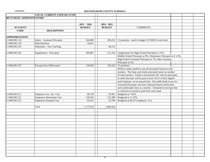|                           | <b>LOCAL CURRENT EXPENSE FUND</b> |                          |               |                                                                  |  |  |
|---------------------------|-----------------------------------|--------------------------|---------------|------------------------------------------------------------------|--|--|
| 005 SCHOOL ADMINISTRATORS |                                   |                          |               |                                                                  |  |  |
|                           |                                   |                          |               |                                                                  |  |  |
|                           |                                   | $2015 - 2016$            | $2014 - 2015$ |                                                                  |  |  |
| <b>ACCOUNT</b>            |                                   | <b>BUDGET</b>            | <b>BUDGET</b> | <b>COMMENTS</b>                                                  |  |  |
| <b>CODE</b>               | <b>DESCRIPTION</b>                |                          |               |                                                                  |  |  |
|                           |                                   |                          |               |                                                                  |  |  |
| <b>APPROPRIATIONS</b>     |                                   |                          |               |                                                                  |  |  |
| 2.5400.005.116            | Salary - Assistant Principals     | 546,898                  | 430,232       | 12 positions - need to budget 119 MOE's from local               |  |  |
| 2.5400.005.129            | <b>Held Harmless</b>              | 19,821                   |               |                                                                  |  |  |
| 2.5400.005.165            | Substittute - Non Teaching        | $\overline{\phantom{a}}$ | 46,513        |                                                                  |  |  |
|                           |                                   |                          |               |                                                                  |  |  |
| 2.5400.005.181            | Supplements - Principals          | 209,887                  | 211,254       | Supplements for High School Principals at 13%,                   |  |  |
|                           |                                   |                          |               | Middle School Principals at 8%, Elementary Principals at 6 1/2%, |  |  |
|                           |                                   |                          |               | High School Assistant Principals at 7%, other Assistant          |  |  |
|                           |                                   |                          |               | Principals at 6%.                                                |  |  |
| 2.5400.005.187            | Principal Pay Differential        | 130,063                  | 136,324       | 31 positions                                                     |  |  |
|                           |                                   |                          |               | Reflects funds needed to pay all principals based on total       |  |  |
|                           |                                   |                          |               | teachers. The State only funds principals based on number        |  |  |
|                           |                                   |                          |               | of state teachers. Funds to incorporate 101 rule for principals, |  |  |
|                           |                                   |                          |               | in order that they will be paid at least 101% of their highest   |  |  |
|                           |                                   |                          |               | paid employee, on an annual basis. Also adds funds to pay for    |  |  |
|                           |                                   |                          |               | Assistant Principals who have National Board certification       |  |  |
|                           |                                   |                          |               | and would make more as a teacher. Estimated to increase due      |  |  |
|                           |                                   |                          |               | to reduction of teachers paid from state funds                   |  |  |
| 2.5400.005.211            | Employers Soc. Sec. Cost          | 68,378                   | 63,061        | Budgeted at 7.65%                                                |  |  |
| 2.5400.005.221            | Employers Retirement Cost         | 136,934                  | 125,380       | Budgeted at 15.32%.                                              |  |  |
| 2.5400.005.231            | Employers Hospital Cost           | 65,652                   | 53,780        | Budgeted at \$5,471/employee (11).                               |  |  |
|                           |                                   |                          |               |                                                                  |  |  |
|                           | Total                             | 1,177,633                | 1,066,544     |                                                                  |  |  |
|                           |                                   |                          |               |                                                                  |  |  |
|                           |                                   |                          |               |                                                                  |  |  |
|                           |                                   |                          |               |                                                                  |  |  |
|                           |                                   |                          |               |                                                                  |  |  |
|                           |                                   |                          |               |                                                                  |  |  |
|                           |                                   |                          |               |                                                                  |  |  |
|                           |                                   |                          |               |                                                                  |  |  |
|                           |                                   |                          |               |                                                                  |  |  |
|                           |                                   |                          |               |                                                                  |  |  |
|                           |                                   |                          |               |                                                                  |  |  |
|                           |                                   |                          |               |                                                                  |  |  |
|                           |                                   |                          |               |                                                                  |  |  |
|                           |                                   |                          |               |                                                                  |  |  |
|                           |                                   |                          |               |                                                                  |  |  |
|                           |                                   |                          |               |                                                                  |  |  |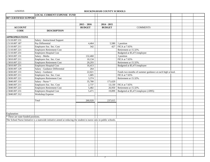|                                   | <b>LOCAL CURRENT EXPENSE FUND</b>                                                                                     |               |               |                                                          |  |
|-----------------------------------|-----------------------------------------------------------------------------------------------------------------------|---------------|---------------|----------------------------------------------------------|--|
| 007 CERTIFIED SUPPORT             |                                                                                                                       |               |               |                                                          |  |
|                                   |                                                                                                                       |               |               |                                                          |  |
|                                   |                                                                                                                       | $2015 - 2016$ | $2014 - 2015$ |                                                          |  |
| <b>ACCOUNT</b>                    |                                                                                                                       | <b>BUDGET</b> | <b>BUDGET</b> | <b>COMMENTS</b>                                          |  |
| <b>CODE</b>                       | <b>DESCRIPTION</b>                                                                                                    |               |               |                                                          |  |
|                                   |                                                                                                                       |               |               |                                                          |  |
| <b>APPROPRIATIONS</b>             |                                                                                                                       |               |               |                                                          |  |
| 2.5110.007.131                    | Salary - Instructional Support                                                                                        |               |               |                                                          |  |
| 2.5110.007.187                    | Pay Differential                                                                                                      | 4,464         | 5,580         | 1 position                                               |  |
| 2.5110.007.211                    | Employers Soc. Sec. Cost                                                                                              | 342           | 427           | FICA at 7.65%                                            |  |
| 2.5110.007.221                    | Employers Retirement Cost                                                                                             |               |               | Retirement at 15.32%.                                    |  |
| 2.5110.007.231                    | Employers Hospital Cost                                                                                               |               |               | Budgeted at \$5,471/employee                             |  |
| 2.5810.007.131                    | Salary - Media                                                                                                        | 132,460       |               | 3 position                                               |  |
| 2.5810.007.211                    | Employers Soc. Sec. Cost                                                                                              | 10,134        |               | FICA at 7.65%                                            |  |
| 2.5810.007.221                    | <b>Employers Retirement Cost</b>                                                                                      | 20,293        |               | Retirement at 15.32%.                                    |  |
| 2.5810.007.231                    | Employers Hospital Cost                                                                                               | 16,413        |               | Budgeted at \$5,471/employee                             |  |
| 2.5830.007.129                    | Salary - Guidance Differential                                                                                        | 264           |               |                                                          |  |
| 2.5830.007.131                    | Salary - Guidance                                                                                                     | 22,021        |               | Funds two months of summer guidance at each high school. |  |
| 2.5830.007.211                    | Employers Soc. Sec. Cost                                                                                              | 1,685         |               | FICA at 7.65%                                            |  |
| 2.5830.007.221                    | Employers Retirement Cost                                                                                             | 3,374         |               | Retirement at 15.32%.                                    |  |
| 2.5840.007.131                    | Salary - Nurse *                                                                                                      | 35,780        | 171,629       |                                                          |  |
| 2.5840.007.211                    | Employers Soc. Sec. Cost                                                                                              | 2,737         | 13,130        | FICA at 7.65%                                            |  |
| 2.5840.007.221                    | Employers Retirement Cost                                                                                             | 5,482         | 26,950        | Retirement at 15.32%.                                    |  |
| 2.5840.007.231                    | Employers Hospital Cost                                                                                               | 5,471         | 19,899        | Budgeted at \$5,471/employee (.6995)                     |  |
| 2.5840.007.312                    | Workshop Expense                                                                                                      |               |               |                                                          |  |
|                                   |                                                                                                                       |               |               |                                                          |  |
|                                   | Total                                                                                                                 | 260,920       | 237,615       |                                                          |  |
|                                   |                                                                                                                       |               |               |                                                          |  |
|                                   |                                                                                                                       |               |               |                                                          |  |
|                                   |                                                                                                                       |               |               |                                                          |  |
| Explanation:                      |                                                                                                                       |               |               |                                                          |  |
| These are state-funded positions. |                                                                                                                       |               |               |                                                          |  |
|                                   | The School Nurse Initiative is a statewide initiative aimed at reducing the student to nurse ratio in public schools. |               |               |                                                          |  |
|                                   |                                                                                                                       |               |               |                                                          |  |
|                                   |                                                                                                                       |               |               |                                                          |  |
|                                   |                                                                                                                       |               |               |                                                          |  |
|                                   |                                                                                                                       |               |               |                                                          |  |
|                                   |                                                                                                                       |               |               |                                                          |  |
|                                   |                                                                                                                       |               |               |                                                          |  |
|                                   |                                                                                                                       |               |               |                                                          |  |
|                                   |                                                                                                                       |               |               |                                                          |  |
|                                   |                                                                                                                       |               |               |                                                          |  |
|                                   |                                                                                                                       |               |               |                                                          |  |
|                                   |                                                                                                                       |               |               |                                                          |  |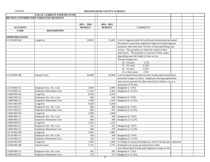|                       | <b>LOCAL CURRENT EXPENSE FUND</b>      |               |               |                                                                     |  |  |
|-----------------------|----------------------------------------|---------------|---------------|---------------------------------------------------------------------|--|--|
|                       | 009 NON-CONTRIBUTORY EMPLOYEE BENEFITS |               |               |                                                                     |  |  |
|                       |                                        |               |               |                                                                     |  |  |
|                       |                                        | $2015 - 2016$ | $2014 - 2015$ |                                                                     |  |  |
| <b>ACCOUNT</b>        |                                        | <b>BUDGET</b> | <b>BUDGET</b> | <b>COMMENTS</b>                                                     |  |  |
| <b>CODE</b>           | <b>DESCRIPTION</b>                     |               |               |                                                                     |  |  |
|                       |                                        |               |               |                                                                     |  |  |
| <b>APPROPRIATIONS</b> |                                        |               |               |                                                                     |  |  |
| 2.5110.009.184        | Longevity                              | 28,845        | 10,425        | Cost of longevity paid for locally paid instructional personnel.    |  |  |
|                       |                                        |               |               | Permanent or part-time employees begin receiving longevity          |  |  |
|                       |                                        |               |               | payments when they have 10 years of total qualifying state          |  |  |
|                       |                                        |               |               | service. The payments are made the month of their                   |  |  |
|                       |                                        |               |               | anniversary. The payment is a percent of their salary               |  |  |
|                       |                                        |               |               | depending upon the length of state service.                         |  |  |
|                       |                                        |               |               | The percentages are:                                                |  |  |
|                       |                                        |               |               | 1.5%<br>10 - 14 years                                               |  |  |
|                       |                                        |               |               | 15 - 19 years<br>2.25%                                              |  |  |
|                       |                                        |               |               | 3.25%<br>20 - 24 years                                              |  |  |
|                       |                                        |               |               | 4.5%<br>25 or more years                                            |  |  |
| 2.5110.009.188        | Annual Leave                           | 44,480        | 26,060        | Cost of annual leave paid up when locally paid instructional        |  |  |
|                       |                                        |               |               | personnel resigns or retires. Employees leaving employment          |  |  |
|                       |                                        |               |               | may receive payment for their annual leave balance, up to a         |  |  |
|                       |                                        |               |               | maximum of 30 days.                                                 |  |  |
| 2.5110.009.211        | Employers Soc. Sec. Cost               | 5,609         | 2,800         | Budgeted at 7.65%                                                   |  |  |
| 2.5110.009.221        | <b>Employers Retirement Cost</b>       | 11,234        | 5,440         | Budgeted at 15.32%.                                                 |  |  |
| 2.5400.009.184        | Longevity                              | 8,350         | 8,350         |                                                                     |  |  |
| 2.5400.009.211        | Employers Soc. Sec. Cost               | 640           | 640           | Budgeted at 7.65%                                                   |  |  |
| 2.5400.009.221        | <b>Employers Retirement Cost</b>       | 1,280         | 1,245         | Budgeted at 15.32%.                                                 |  |  |
| 2.5501.009.184        | Longevity                              | 6,260         | 6,260         |                                                                     |  |  |
| 2.5501.009.211        | Employers Soc. Sec. Cost               | 480           | 480           | Budgeted @ 7.65%                                                    |  |  |
| 2.5501.009.221        | <b>Employers Retirement Cost</b>       | 960           | 935           | Budgeted at 15.32%.                                                 |  |  |
| 2.5840.009.184        | Longevity                              | 2,600         | 2,600         |                                                                     |  |  |
| 2.5840.009.211        | Employers Soc. Sec. Cost               | 200           | 200           | Budgeted @ 7.65%                                                    |  |  |
| 2.5840.009.221        | <b>Employers Retirement Cost</b>       | 400           | 390           | Budgeted at 15.32%.                                                 |  |  |
| 2.5860.009.211        | Longevity                              | 3,125         | 3,125         |                                                                     |  |  |
| 2.5860.009.211        | Employers Soc. Sec. Cost               | 235           | 235           | Budgeted @ 7.65%                                                    |  |  |
| 2.5860.009.221        | <b>Employers Retirement Cost</b>       | 480           | 470           | Budgeted at 15.32%.                                                 |  |  |
| 2.6110.009.184        | Longevity                              | 2,085         | 2,085         |                                                                     |  |  |
| 2.6110.009.211        | Employers Soc. Sec. Cost               | 160           | 160           | Budgeted @ 7.65%                                                    |  |  |
| 2.6110.009.221        | <b>Employers Retirement Cost</b>       | 320           | 315           | Budgeted at 15.32%.                                                 |  |  |
| 2.6200.009.184        | Longevity                              | 1,040         | 1,040         | To budget for projected longevity costs for locally paid employees. |  |  |
| 2.6200.009.188        | Annual Leave                           | 3,735         | 3,735         | Estimated cost to pay up annual leave when                          |  |  |
|                       |                                        |               |               | non-instructional locally paid employees resign or retire.          |  |  |
| 2.6200.009.211        | Employers Soc. Sec. Cost               | 365           | 365           | Budgeted at 7.65%                                                   |  |  |
| 2.6200.009.221        | <b>Employers Retirement Cost</b>       | 735           | 725           | Budgeted at 15.32%.                                                 |  |  |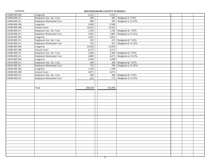11/5/2015 **ROCKINGHAM COUNTY SCHOOLS** 2.6400.009.184 Longevity 5,225 5,225 2.6400.009.211 Employers Soc. Sec. Cost 400 400 Budgeted at 7.65% 2.6400.009.221 Employers Retirement Cost 800 800 780 Budgeted at 15.32%. 2.6540.009.184 Longevity 2.6540.009.184 Dongevity 2.6540.009.188 Annual Leave 10,425 10,425 2.6540.009.211 Employers Soc. Sec. Cost 1,530 1,530 Budgeted @ 7.65% 2.6540.009.221 Employers Retirement Cost 3,065 2,985 Budgeted at 15.32%. 2.6550.009.184 Longevity 2,825 2.825 2.6550.009.211 Employers Soc. Sec. Cost 225 225 Budgeted @ 7.65% 2.6550.009.221 Employers Retirement Cost 435 425 Budgeted at 15.32%. 2.6580.009.184 Longevity 25,050 25,050 2.6580.009.188 Annual Leave 6,275 6,275 6,275 2.6580.009.211 Employers Soc. Sec. Cost 2,400 | 2,400 Budgeted @ 7.65% 2.6580.009.221 Employers Retirement Cost 4,800 4,675 Budgeted at 15.32%. 2.6610.009.184 Longevity 2.6610.009.184 1,700 2.6610.009.211 Employers Soc. Sec. Cost 360 360 Budgeted @ 7.65% 2.6610.009.221 Employers Retirement Cost 725 | 700 Budgeted at 15.32%. 2.6940.009.184 Longevity 1,100 1,100 1,100 2.6940.009.188 Annual Leave 4.075 4.075 4.075 2.6940.009.211 Employers Soc. Sec. Cost 400 400 Budgeted @ 7.65% 2.6940.009.221 Employers Retirement Cost 625 625 775 Budgeted at 15.32%. Total  $208,638$  |  $162,990$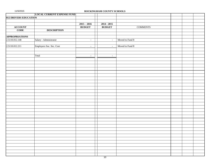| 11/5/2015             |                                   |                             | ROCKINGHAM COUNTY SCHOOLS |                 |  |  |
|-----------------------|-----------------------------------|-----------------------------|---------------------------|-----------------|--|--|
|                       | <b>LOCAL CURRENT EXPENSE FUND</b> |                             |                           |                 |  |  |
| 012 DRIVERS EDUCATION |                                   |                             |                           |                 |  |  |
|                       |                                   |                             |                           |                 |  |  |
|                       |                                   | $2015 - 2016$               | $2014 - 2015$             |                 |  |  |
| <b>ACCOUNT</b>        |                                   | <b>BUDGET</b>               | <b>BUDGET</b>             | <b>COMMENTS</b> |  |  |
| <b>CODE</b>           | <b>DESCRIPTION</b>                |                             |                           |                 |  |  |
|                       |                                   |                             |                           |                 |  |  |
| <b>APPROPRIATIONS</b> |                                   |                             |                           |                 |  |  |
| 2.5110.012.148        | Salary - Administrator            | $\mathcal{L}_{\mathcal{A}}$ | $\overline{\phantom{a}}$  | Moved to Fund 8 |  |  |
|                       |                                   |                             |                           |                 |  |  |
| 2.5110.012.211        | Employers Soc. Sec. Cost          | $\mathcal{L}_{\mathcal{A}}$ | $\overline{\phantom{a}}$  | Moved to Fund 8 |  |  |
|                       |                                   |                             |                           |                 |  |  |
|                       |                                   |                             |                           |                 |  |  |
|                       | Total                             | $\mathbb{L}$                | $\overline{\phantom{a}}$  |                 |  |  |
|                       |                                   |                             |                           |                 |  |  |
|                       |                                   |                             |                           |                 |  |  |
|                       |                                   |                             |                           |                 |  |  |
|                       |                                   |                             |                           |                 |  |  |
|                       |                                   |                             |                           |                 |  |  |
|                       |                                   |                             |                           |                 |  |  |
|                       |                                   |                             |                           |                 |  |  |
|                       |                                   |                             |                           |                 |  |  |
|                       |                                   |                             |                           |                 |  |  |
|                       |                                   |                             |                           |                 |  |  |
|                       |                                   |                             |                           |                 |  |  |
|                       |                                   |                             |                           |                 |  |  |
|                       |                                   |                             |                           |                 |  |  |
|                       |                                   |                             |                           |                 |  |  |
|                       |                                   |                             |                           |                 |  |  |
|                       |                                   |                             |                           |                 |  |  |
|                       |                                   |                             |                           |                 |  |  |
|                       |                                   |                             |                           |                 |  |  |
|                       |                                   |                             |                           |                 |  |  |
|                       |                                   |                             |                           |                 |  |  |
|                       |                                   |                             |                           |                 |  |  |
|                       |                                   |                             |                           |                 |  |  |
|                       |                                   |                             |                           |                 |  |  |
|                       |                                   |                             |                           |                 |  |  |
|                       |                                   |                             |                           |                 |  |  |
|                       |                                   |                             |                           |                 |  |  |
|                       |                                   |                             |                           |                 |  |  |
|                       |                                   |                             |                           |                 |  |  |
|                       |                                   |                             |                           |                 |  |  |
|                       |                                   |                             |                           |                 |  |  |
|                       |                                   |                             |                           |                 |  |  |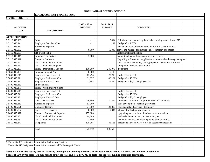|                       | <b>LOCAL CURRENT EXPENSE FUND</b>                                                                                                                |                          |               |                                                                        |  |
|-----------------------|--------------------------------------------------------------------------------------------------------------------------------------------------|--------------------------|---------------|------------------------------------------------------------------------|--|
| 015 TECHNOLOGY        |                                                                                                                                                  |                          |               |                                                                        |  |
|                       |                                                                                                                                                  |                          |               |                                                                        |  |
|                       |                                                                                                                                                  | $2015 - 2016$            | $2014 - 2015$ |                                                                        |  |
| <b>ACCOUNT</b>        |                                                                                                                                                  | <b>BUDGET</b>            | <b>BUDGET</b> | <b>COMMENTS</b>                                                        |  |
| <b>CODE</b>           | <b>DESCRIPTION</b>                                                                                                                               |                          |               |                                                                        |  |
|                       |                                                                                                                                                  |                          |               |                                                                        |  |
| <b>APPROPRIATIONS</b> |                                                                                                                                                  |                          |               |                                                                        |  |
| 2.5110.015.163        | Subs                                                                                                                                             | $\overline{\phantom{a}}$ | 3,414         | Substitute teachers for regular teacher training - moved from 715.     |  |
| 2.5110.015.211        | Employers Soc. Sec. Cost                                                                                                                         | $\overline{\phantom{a}}$ | 227           | Budgeted at 7.65%                                                      |  |
| 2.5110.015.312        | <b>Workshop Expense</b>                                                                                                                          |                          |               | Outside district workshop instructors for in-district trainings.       |  |
| 2.5110.015.332        | Travel                                                                                                                                           | 6,500                    | 10,343        | Travel and mileage for instructional, technology and media             |  |
| 2.5110.015.361        | <b>ITS</b> Membership                                                                                                                            |                          |               | Professional memberships                                               |  |
| 2.5110.015.411        | Supplies & Materials                                                                                                                             | 5,000                    |               | Instructional technology, materials, copier, lease.                    |  |
| 2.5110.015.418        | Computer Software                                                                                                                                |                          |               | Upgrading software and supplies for instructional technology, computer |  |
| 2.5110.015.461        | Non-Capitalized Equipment                                                                                                                        |                          |               | Non-computer technology-bulbs, projectors, active board replace.       |  |
| 2.5110.015.462        | Non-Capitalized Computer                                                                                                                         |                          |               | Computers for elementary/middle                                        |  |
| 2.5860.015.131        | Salary - Instructional Support                                                                                                                   | 196,000                  | 249,070       | 4 positions                                                            |  |
| 2.5860.015.197        | Summer Contract Pay                                                                                                                              | 6,500                    | 15,113        |                                                                        |  |
| 2.5860.015.211        | Employers Soc. Sec. Cost                                                                                                                         | 15,494                   | 20,210        | Budgeted at 7.65%                                                      |  |
| 2.5860.015.221        | <b>Employers Retirement Cost</b>                                                                                                                 | 31,027                   | 40,182        | Budgeted at 15.32%.                                                    |  |
| 2.5860.015.231        | Employers Hospital Cost                                                                                                                          | 21,884                   | 26,890        | Budgeted at \$5,471/employee (4)                                       |  |
| 2.6400.015.152        | <b>IT Technicians</b>                                                                                                                            |                          |               |                                                                        |  |
| 2.6400.015.177        | Salary - Work Study Student                                                                                                                      |                          |               |                                                                        |  |
| 2.6400.015.211        | Employers Soc. Sec. Cost                                                                                                                         |                          |               | Budgeted at 7.65%                                                      |  |
| 2.6400.015.221        | Employers Retirement Cost                                                                                                                        |                          |               | Budgeted at 15.32%.                                                    |  |
| 2.6400.015.231        | Employers Hospital Cost                                                                                                                          |                          |               | Budgeted at \$5,471/employee                                           |  |
| 2.6400.015.311        | Contracted Services                                                                                                                              | 56,800                   | 120,316       | Contracted services to support network infrastructures                 |  |
| 2.6400.015.312        | Workshop Expense                                                                                                                                 | 11,000                   |               | Staff development - technolgy services                                 |  |
| 2.6400.015.326        | Computer Repairs                                                                                                                                 | 24,300                   | 23,885        | Parts and related services - technolgy                                 |  |
| 2.6400.015.332        | <b>Travel - Tech Services</b>                                                                                                                    | 6,500                    | 10,344        | Mileage for Technology Services                                        |  |
| 2.6400.015.418        | Computer Software & Supplies                                                                                                                     | 155,000                  |               | Upgrading and purchase of software - tech. services                    |  |
| 2.6400.015.461        | Non-Capitalized Equipment                                                                                                                        | 14,609                   |               | VoIP telephone, test sets, access points, etc.                         |  |
| 2.6400.015.462        | Non-Capitalized Equipment                                                                                                                        | 3,600                    |               | Computer, switches, network equipment under \$2,000.                   |  |
| 2.6510.015.341        | Telephones                                                                                                                                       | 120,905                  | 85,526        | Telephone Service-PRI's, VoIP, & Security connections                  |  |
|                       |                                                                                                                                                  |                          |               |                                                                        |  |
|                       | Total                                                                                                                                            | 675,119                  | 605,520       |                                                                        |  |
|                       |                                                                                                                                                  |                          |               |                                                                        |  |
|                       |                                                                                                                                                  |                          |               |                                                                        |  |
|                       |                                                                                                                                                  |                          |               |                                                                        |  |
|                       | The suffix 905 designates the use is for Technology Services                                                                                     |                          |               |                                                                        |  |
|                       | The suffix 915 designates the use is for Instructional Technology & Media                                                                        |                          |               |                                                                        |  |
|                       |                                                                                                                                                  |                          |               |                                                                        |  |
|                       | Note: State PRC 015 usually does not have any funding in the planning allotment. We expect the state to fund state PRC 015 and have an estimated |                          |               |                                                                        |  |
|                       | budget of \$248,000 in state. We may need to adjust the state and local PRC 015 budgets once the state funding amount is determined.             |                          |               |                                                                        |  |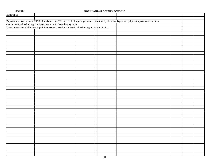| Explanation: |                                                                                                                                                                                         |  |                                                                                                                                                          |  |
|--------------|-----------------------------------------------------------------------------------------------------------------------------------------------------------------------------------------|--|----------------------------------------------------------------------------------------------------------------------------------------------------------|--|
|              |                                                                                                                                                                                         |  |                                                                                                                                                          |  |
|              |                                                                                                                                                                                         |  | Expenditures: We use local PRC 015 funds for both ITS and technical support personnel. Additionally, these funds pay for equipment replacement and other |  |
|              |                                                                                                                                                                                         |  |                                                                                                                                                          |  |
|              | new instructional technology purchases in support of the technology plan.<br>These services are vital in meeting minimum support needs of instructional technology across the district. |  |                                                                                                                                                          |  |
|              |                                                                                                                                                                                         |  |                                                                                                                                                          |  |
|              |                                                                                                                                                                                         |  |                                                                                                                                                          |  |
|              |                                                                                                                                                                                         |  |                                                                                                                                                          |  |
|              |                                                                                                                                                                                         |  |                                                                                                                                                          |  |
|              |                                                                                                                                                                                         |  |                                                                                                                                                          |  |
|              |                                                                                                                                                                                         |  |                                                                                                                                                          |  |
|              |                                                                                                                                                                                         |  |                                                                                                                                                          |  |
|              |                                                                                                                                                                                         |  |                                                                                                                                                          |  |
|              |                                                                                                                                                                                         |  |                                                                                                                                                          |  |
|              |                                                                                                                                                                                         |  |                                                                                                                                                          |  |
|              |                                                                                                                                                                                         |  |                                                                                                                                                          |  |
|              |                                                                                                                                                                                         |  |                                                                                                                                                          |  |
|              |                                                                                                                                                                                         |  |                                                                                                                                                          |  |
|              |                                                                                                                                                                                         |  |                                                                                                                                                          |  |
|              |                                                                                                                                                                                         |  |                                                                                                                                                          |  |
|              |                                                                                                                                                                                         |  |                                                                                                                                                          |  |
|              |                                                                                                                                                                                         |  |                                                                                                                                                          |  |
|              |                                                                                                                                                                                         |  |                                                                                                                                                          |  |
|              |                                                                                                                                                                                         |  |                                                                                                                                                          |  |
|              |                                                                                                                                                                                         |  |                                                                                                                                                          |  |
|              |                                                                                                                                                                                         |  |                                                                                                                                                          |  |
|              |                                                                                                                                                                                         |  |                                                                                                                                                          |  |
|              |                                                                                                                                                                                         |  |                                                                                                                                                          |  |
|              |                                                                                                                                                                                         |  |                                                                                                                                                          |  |
|              |                                                                                                                                                                                         |  |                                                                                                                                                          |  |
|              |                                                                                                                                                                                         |  |                                                                                                                                                          |  |
|              |                                                                                                                                                                                         |  |                                                                                                                                                          |  |
|              |                                                                                                                                                                                         |  |                                                                                                                                                          |  |
|              |                                                                                                                                                                                         |  |                                                                                                                                                          |  |
|              |                                                                                                                                                                                         |  |                                                                                                                                                          |  |
|              |                                                                                                                                                                                         |  |                                                                                                                                                          |  |
|              |                                                                                                                                                                                         |  |                                                                                                                                                          |  |
|              |                                                                                                                                                                                         |  |                                                                                                                                                          |  |
|              |                                                                                                                                                                                         |  |                                                                                                                                                          |  |
|              |                                                                                                                                                                                         |  |                                                                                                                                                          |  |
|              |                                                                                                                                                                                         |  |                                                                                                                                                          |  |
|              |                                                                                                                                                                                         |  |                                                                                                                                                          |  |
|              |                                                                                                                                                                                         |  |                                                                                                                                                          |  |
|              |                                                                                                                                                                                         |  |                                                                                                                                                          |  |
|              |                                                                                                                                                                                         |  |                                                                                                                                                          |  |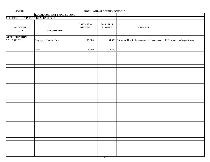|                                     | <b>LOCAL CURRENT EXPENSE FUND</b> |               |               |                                                                                        |  |  |
|-------------------------------------|-----------------------------------|---------------|---------------|----------------------------------------------------------------------------------------|--|--|
| 018 REDUCTION IN FORCE EXPENDITURES |                                   |               |               |                                                                                        |  |  |
|                                     |                                   |               |               |                                                                                        |  |  |
|                                     |                                   | $2015 - 2016$ | $2014 - 2015$ |                                                                                        |  |  |
| <b>ACCOUNT</b>                      |                                   | <b>BUDGET</b> | <b>BUDGET</b> | <b>COMMENTS</b>                                                                        |  |  |
| <b>CODE</b>                         | <b>DESCRIPTION</b>                |               |               |                                                                                        |  |  |
|                                     |                                   |               |               |                                                                                        |  |  |
| <b>APPROPRIATIONS</b>               |                                   |               |               |                                                                                        |  |  |
| 2.5110.018.231                      | Employers Hospital Cost           | 75,000        |               | 54,350 Estimated Hospitalization cost for 1 year to cover RIF employees (14 positions) |  |  |
|                                     |                                   |               |               |                                                                                        |  |  |
|                                     |                                   |               |               |                                                                                        |  |  |
|                                     | Total                             | 75,000        | 54,350        |                                                                                        |  |  |
|                                     |                                   |               |               |                                                                                        |  |  |
|                                     |                                   |               |               |                                                                                        |  |  |
|                                     |                                   |               |               |                                                                                        |  |  |
|                                     |                                   |               |               |                                                                                        |  |  |
|                                     |                                   |               |               |                                                                                        |  |  |
|                                     |                                   |               |               |                                                                                        |  |  |
|                                     |                                   |               |               |                                                                                        |  |  |
|                                     |                                   |               |               |                                                                                        |  |  |
|                                     |                                   |               |               |                                                                                        |  |  |
|                                     |                                   |               |               |                                                                                        |  |  |
|                                     |                                   |               |               |                                                                                        |  |  |
|                                     |                                   |               |               |                                                                                        |  |  |
|                                     |                                   |               |               |                                                                                        |  |  |
|                                     |                                   |               |               |                                                                                        |  |  |
|                                     |                                   |               |               |                                                                                        |  |  |
|                                     |                                   |               |               |                                                                                        |  |  |
|                                     |                                   |               |               |                                                                                        |  |  |
|                                     |                                   |               |               |                                                                                        |  |  |
|                                     |                                   |               |               |                                                                                        |  |  |
|                                     |                                   |               |               |                                                                                        |  |  |
|                                     |                                   |               |               |                                                                                        |  |  |
|                                     |                                   |               |               |                                                                                        |  |  |
|                                     |                                   |               |               |                                                                                        |  |  |
|                                     |                                   |               |               |                                                                                        |  |  |
|                                     |                                   |               |               |                                                                                        |  |  |
|                                     |                                   |               |               |                                                                                        |  |  |
|                                     |                                   |               |               |                                                                                        |  |  |
|                                     |                                   |               |               |                                                                                        |  |  |
|                                     |                                   |               |               |                                                                                        |  |  |
|                                     |                                   |               |               |                                                                                        |  |  |
|                                     |                                   |               |               |                                                                                        |  |  |
|                                     |                                   |               |               |                                                                                        |  |  |
|                                     |                                   |               |               |                                                                                        |  |  |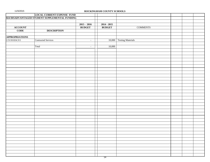| <b>LOCAL CURRENT EXPENSE FUND</b>                                                   |  |
|-------------------------------------------------------------------------------------|--|
| 024 DISADVANTAGED STUDENT SUPPLEMENTAL FUNDING                                      |  |
|                                                                                     |  |
| $2015 - 2016$<br>$2014 - 2015$                                                      |  |
| <b>ACCOUNT</b><br><b>BUDGET</b><br><b>BUDGET</b><br><b>COMMENTS</b>                 |  |
| <b>CODE</b><br><b>DESCRIPTION</b>                                                   |  |
|                                                                                     |  |
| <b>APPROPRIATIONS</b>                                                               |  |
| 10,000 Testing Materials<br>Contracted Services<br>2.5110.024.311<br>$\blacksquare$ |  |
|                                                                                     |  |
| 10,000<br>Total<br>$\overline{\phantom{a}}$                                         |  |
|                                                                                     |  |
|                                                                                     |  |
|                                                                                     |  |
|                                                                                     |  |
|                                                                                     |  |
|                                                                                     |  |
|                                                                                     |  |
|                                                                                     |  |
|                                                                                     |  |
|                                                                                     |  |
|                                                                                     |  |
|                                                                                     |  |
|                                                                                     |  |
|                                                                                     |  |
|                                                                                     |  |
|                                                                                     |  |
|                                                                                     |  |
|                                                                                     |  |
|                                                                                     |  |
|                                                                                     |  |
|                                                                                     |  |
|                                                                                     |  |
|                                                                                     |  |
|                                                                                     |  |
|                                                                                     |  |
|                                                                                     |  |
|                                                                                     |  |
|                                                                                     |  |
|                                                                                     |  |
|                                                                                     |  |
|                                                                                     |  |
|                                                                                     |  |
|                                                                                     |  |
|                                                                                     |  |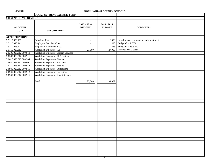|                        | <b>LOCAL CURRENT EXPENSE FUND</b>           |                          |               |                                             |  |
|------------------------|---------------------------------------------|--------------------------|---------------|---------------------------------------------|--|
| 028 STAFF DEVELOPMENT  |                                             |                          |               |                                             |  |
|                        |                                             |                          |               |                                             |  |
|                        |                                             | $2015 - 2016$            | $2014 - 2015$ |                                             |  |
| <b>ACCOUNT</b>         |                                             | <b>BUDGET</b>            | <b>BUDGET</b> | <b>COMMENTS</b>                             |  |
| <b>CODE</b>            | <b>DESCRIPTION</b>                          |                          |               |                                             |  |
|                        |                                             |                          |               |                                             |  |
| <b>APPROPRIATIONS</b>  |                                             |                          |               |                                             |  |
| 2.5110.028.163         | Substitute Pay                              | $\sim$                   | 6,508         | Includes local portion of schools allotment |  |
| 2.5110.028.211         | Employers Soc. Sec. Cost                    | $\overline{\phantom{a}}$ | 498           | Budgeted at 7.65%                           |  |
| 2.5110.028.221         | <b>Employers Retirement Cost</b>            | $\overline{\phantom{a}}$ | 883           | Budgeted at 15.32%.                         |  |
| 2.5110.028.312         | Workshop Expenses - ILT                     | 27,000                   | 27,000        | Includes PTEC costs.                        |  |
| 2.6200.028.312.000.918 | <b>Workshop Expenses - Student Services</b> |                          |               |                                             |  |
| 2.6300.028.312.000.911 | Workshop Expenses - SEA System              |                          |               |                                             |  |
| 2.6610.028.312.000.904 | Workshop Expenses - Finance                 |                          |               |                                             |  |
| 2.6620.028.312.000.901 | Workshop Expenses - Personnel               |                          |               |                                             |  |
| 2.6710.028.312.000.914 | Workshop Expenses - Testing                 |                          |               |                                             |  |
| 2.6940.028.312.000.911 | Workshop Expenses - Curriculum              |                          |               |                                             |  |
| 2.6940.028.312.000.912 | <b>Workshop Expenses - Operations</b>       |                          |               |                                             |  |
| 2.6940.028.312.000.916 | Workshop Expenses - Superintendent          |                          |               |                                             |  |
|                        |                                             |                          |               |                                             |  |
|                        | Total                                       | 27,000                   | 34,889        |                                             |  |
|                        |                                             |                          |               |                                             |  |
|                        |                                             |                          |               |                                             |  |
|                        |                                             |                          |               |                                             |  |
|                        |                                             |                          |               |                                             |  |
|                        |                                             |                          |               |                                             |  |
|                        |                                             |                          |               |                                             |  |
|                        |                                             |                          |               |                                             |  |
|                        |                                             |                          |               |                                             |  |
|                        |                                             |                          |               |                                             |  |
|                        |                                             |                          |               |                                             |  |
|                        |                                             |                          |               |                                             |  |
|                        |                                             |                          |               |                                             |  |
|                        |                                             |                          |               |                                             |  |
|                        |                                             |                          |               |                                             |  |
|                        |                                             |                          |               |                                             |  |
|                        |                                             |                          |               |                                             |  |
|                        |                                             |                          |               |                                             |  |
|                        |                                             |                          |               |                                             |  |
|                        |                                             |                          |               |                                             |  |
|                        |                                             |                          |               |                                             |  |
|                        |                                             |                          |               |                                             |  |
|                        |                                             |                          |               |                                             |  |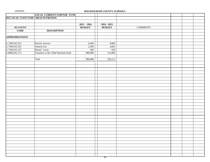|  |  |  | 11/5/2015 |  |  |  |  |
|--|--|--|-----------|--|--|--|--|
|--|--|--|-----------|--|--|--|--|

|                                     | <b>LOCAL CURRENT EXPENSE FUND</b>     |               |               |                 |  |
|-------------------------------------|---------------------------------------|---------------|---------------|-----------------|--|
| 035 LOCAL COSTS FOR CHILD NUTRITION |                                       |               |               |                 |  |
|                                     |                                       |               |               |                 |  |
|                                     |                                       | $2015 - 2016$ | $2014 - 2015$ |                 |  |
| <b>ACCOUNT</b>                      |                                       | <b>BUDGET</b> | <b>BUDGET</b> | <b>COMMENTS</b> |  |
| <b>CODE</b>                         | <b>DESCRIPTION</b>                    |               |               |                 |  |
|                                     |                                       |               |               |                 |  |
| <b>APPROPRIATIONS</b>               |                                       |               |               |                 |  |
|                                     |                                       |               |               |                 |  |
| 2.7200.035.321                      | Electric Service                      | 6,600         | 8,800         |                 |  |
| 2.7200.035.322                      | Natural Gas                           | 2,200         | 4,662         |                 |  |
| 2.7200.035.327                      | Rental / Lease                        | 200           | 650           |                 |  |
| 2.8400.035.715                      | Transfers to the Child Nutrition Fund | 900,000       | 514,000       |                 |  |
|                                     |                                       |               |               |                 |  |
|                                     | Total                                 | 909,000       | 528,112       |                 |  |
|                                     |                                       |               |               |                 |  |
|                                     |                                       |               |               |                 |  |
|                                     |                                       |               |               |                 |  |
|                                     |                                       |               |               |                 |  |
|                                     |                                       |               |               |                 |  |
|                                     |                                       |               |               |                 |  |
|                                     |                                       |               |               |                 |  |
|                                     |                                       |               |               |                 |  |
|                                     |                                       |               |               |                 |  |
|                                     |                                       |               |               |                 |  |
|                                     |                                       |               |               |                 |  |
|                                     |                                       |               |               |                 |  |
|                                     |                                       |               |               |                 |  |
|                                     |                                       |               |               |                 |  |
|                                     |                                       |               |               |                 |  |
|                                     |                                       |               |               |                 |  |
|                                     |                                       |               |               |                 |  |
|                                     |                                       |               |               |                 |  |
|                                     |                                       |               |               |                 |  |
|                                     |                                       |               |               |                 |  |
|                                     |                                       |               |               |                 |  |
|                                     |                                       |               |               |                 |  |
|                                     |                                       |               |               |                 |  |
|                                     |                                       |               |               |                 |  |
|                                     |                                       |               |               |                 |  |
|                                     |                                       |               |               |                 |  |
|                                     |                                       |               |               |                 |  |
|                                     |                                       |               |               |                 |  |
|                                     |                                       |               |               |                 |  |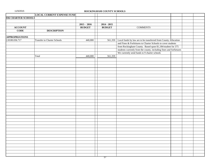|                       | <b>LOCAL CURRENT EXPENSE FUND</b>  |               |               |                                                                         |  |  |
|-----------------------|------------------------------------|---------------|---------------|-------------------------------------------------------------------------|--|--|
| 036 CHARTER SCHOOLS   |                                    |               |               |                                                                         |  |  |
|                       |                                    |               |               |                                                                         |  |  |
|                       |                                    | $2015 - 2016$ | $2014 - 2015$ |                                                                         |  |  |
| <b>ACCOUNT</b>        |                                    | <b>BUDGET</b> | <b>BUDGET</b> | <b>COMMENTS</b>                                                         |  |  |
| <b>CODE</b>           | <b>DESCRIPTION</b>                 |               |               |                                                                         |  |  |
|                       |                                    |               |               |                                                                         |  |  |
| <b>APPROPRIATIONS</b> |                                    |               |               |                                                                         |  |  |
| 2.8100.036.717        | <b>Transfer to Charter Schools</b> | 440,000       |               | 561,359 Local funds by law are to be transferred from County Allocation |  |  |
|                       |                                    |               |               | and Fines & Forfeitures to Charter Schools to cover students            |  |  |
|                       |                                    |               |               | from Rockingham County. Based upon \$1,184/student for 375              |  |  |
|                       |                                    |               |               | students currently from the county, including fines and forfietures     |  |  |
|                       |                                    |               |               | We currently send funds to 9 charter schools                            |  |  |
|                       | Total                              | 440,000       | 561,359       |                                                                         |  |  |
|                       |                                    |               |               |                                                                         |  |  |
|                       |                                    |               |               |                                                                         |  |  |
|                       |                                    |               |               |                                                                         |  |  |
|                       |                                    |               |               |                                                                         |  |  |
|                       |                                    |               |               |                                                                         |  |  |
|                       |                                    |               |               |                                                                         |  |  |
|                       |                                    |               |               |                                                                         |  |  |
|                       |                                    |               |               |                                                                         |  |  |
|                       |                                    |               |               |                                                                         |  |  |
|                       |                                    |               |               |                                                                         |  |  |
|                       |                                    |               |               |                                                                         |  |  |
|                       |                                    |               |               |                                                                         |  |  |
|                       |                                    |               |               |                                                                         |  |  |
|                       |                                    |               |               |                                                                         |  |  |
|                       |                                    |               |               |                                                                         |  |  |
|                       |                                    |               |               |                                                                         |  |  |
|                       |                                    |               |               |                                                                         |  |  |
|                       |                                    |               |               |                                                                         |  |  |
|                       |                                    |               |               |                                                                         |  |  |
|                       |                                    |               |               |                                                                         |  |  |
|                       |                                    |               |               |                                                                         |  |  |
|                       |                                    |               |               |                                                                         |  |  |
|                       |                                    |               |               |                                                                         |  |  |
|                       |                                    |               |               |                                                                         |  |  |
|                       |                                    |               |               |                                                                         |  |  |
|                       |                                    |               |               |                                                                         |  |  |
|                       |                                    |               |               |                                                                         |  |  |
|                       |                                    |               |               |                                                                         |  |  |
|                       |                                    |               |               |                                                                         |  |  |
|                       |                                    |               |               |                                                                         |  |  |
|                       |                                    |               |               |                                                                         |  |  |
|                       |                                    |               |               |                                                                         |  |  |
|                       |                                    |               |               |                                                                         |  |  |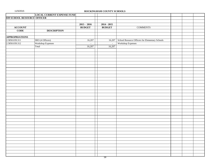|                             | <b>LOCAL CURRENT EXPENSE FUND</b> |                |               |                                                 |  |  |
|-----------------------------|-----------------------------------|----------------|---------------|-------------------------------------------------|--|--|
| 039 SCHOOL RESOURCE OFFICER |                                   |                |               |                                                 |  |  |
|                             |                                   |                |               |                                                 |  |  |
|                             |                                   | $2015 - 2016$  | $2014 - 2015$ |                                                 |  |  |
| <b>ACCOUNT</b>              |                                   | <b>BUDGET</b>  | <b>BUDGET</b> | <b>COMMENTS</b>                                 |  |  |
| <b>CODE</b>                 | <b>DESCRIPTION</b>                |                |               |                                                 |  |  |
|                             |                                   |                |               |                                                 |  |  |
| <b>APPROPRIATIONS</b>       |                                   |                |               |                                                 |  |  |
| 2.5850.039.311              | SRO (4 Officers)                  | 16,207         | 16,207        | School Resource Officers for Elementary Schools |  |  |
| 2.5850.039.312              | Workshop Expenses                 | $\overline{a}$ | $\omega$      | Workshop Expenses                               |  |  |
|                             | Total                             | 16,207         | 16,207        |                                                 |  |  |
|                             |                                   |                |               |                                                 |  |  |
|                             |                                   |                |               |                                                 |  |  |
|                             |                                   |                |               |                                                 |  |  |
|                             |                                   |                |               |                                                 |  |  |
|                             |                                   |                |               |                                                 |  |  |
|                             |                                   |                |               |                                                 |  |  |
|                             |                                   |                |               |                                                 |  |  |
|                             |                                   |                |               |                                                 |  |  |
|                             |                                   |                |               |                                                 |  |  |
|                             |                                   |                |               |                                                 |  |  |
|                             |                                   |                |               |                                                 |  |  |
|                             |                                   |                |               |                                                 |  |  |
|                             |                                   |                |               |                                                 |  |  |
|                             |                                   |                |               |                                                 |  |  |
|                             |                                   |                |               |                                                 |  |  |
|                             |                                   |                |               |                                                 |  |  |
|                             |                                   |                |               |                                                 |  |  |
|                             |                                   |                |               |                                                 |  |  |
|                             |                                   |                |               |                                                 |  |  |
|                             |                                   |                |               |                                                 |  |  |
|                             |                                   |                |               |                                                 |  |  |
|                             |                                   |                |               |                                                 |  |  |
|                             |                                   |                |               |                                                 |  |  |
|                             |                                   |                |               |                                                 |  |  |
|                             |                                   |                |               |                                                 |  |  |
|                             |                                   |                |               |                                                 |  |  |
|                             |                                   |                |               |                                                 |  |  |
|                             |                                   |                |               |                                                 |  |  |
|                             |                                   |                |               |                                                 |  |  |
|                             |                                   |                |               |                                                 |  |  |
|                             |                                   |                |               |                                                 |  |  |
|                             |                                   |                |               |                                                 |  |  |
|                             |                                   |                |               |                                                 |  |  |
|                             |                                   |                |               |                                                 |  |  |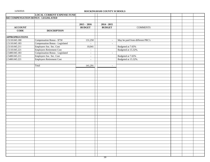|  |  | 11/5/2015 |  |  |  |
|--|--|-----------|--|--|--|
|--|--|-----------|--|--|--|

# ROCKINGHAM COUNTY SCHOOLS

|                       | <b>LOCAL CURRENT EXPENSE FUND</b>   |                          |                          |                                  |  |
|-----------------------|-------------------------------------|--------------------------|--------------------------|----------------------------------|--|
|                       | 045 COMPENSATION BONUS - LEGISLATED |                          |                          |                                  |  |
|                       |                                     |                          |                          |                                  |  |
|                       |                                     | $2015 - 2016$            | $2014 - 2015$            |                                  |  |
| <b>ACCOUNT</b>        |                                     | <b>BUDGET</b>            | <b>BUDGET</b>            | <b>COMMENTS</b>                  |  |
| <b>CODE</b>           | <b>DESCRIPTION</b>                  |                          |                          |                                  |  |
|                       |                                     |                          |                          |                                  |  |
| <b>APPROPRIATIONS</b> |                                     |                          |                          |                                  |  |
| 2.5110.045.180        | Compensation Bonus - \$750          | 131,250                  | $\sim$                   | May be paid from different PRC's |  |
| 2.5110.045.183        | Compensation Bonus - Legislated     | $\overline{a}$           | $\sim$                   |                                  |  |
| 2.5110.045.211        | Employers Soc. Sec. Cost            | 10,041                   |                          | Budgeted at 7.65%                |  |
| 2.5110.045.221        | <b>Employers Retirement Cost</b>    | $\blacksquare$           |                          | Budgeted at 15.32%.              |  |
| 2.5400.045.183        | Compensation Bonus - Legislated     | $\overline{\phantom{a}}$ | $\sim$                   |                                  |  |
| 2.5400.045.211        | Employers Soc. Sec. Cost            | $\sim$                   |                          | Budgeted at 7.65%                |  |
| 2.5400.045.221        | <b>Employers Retirement Cost</b>    | $\overline{\phantom{a}}$ |                          | Budgeted at 15.32%.              |  |
|                       |                                     |                          |                          |                                  |  |
|                       | Total                               | 141,291                  | $\overline{\phantom{a}}$ |                                  |  |
|                       |                                     |                          |                          |                                  |  |
|                       |                                     |                          |                          |                                  |  |
|                       |                                     |                          |                          |                                  |  |
|                       |                                     |                          |                          |                                  |  |
|                       |                                     |                          |                          |                                  |  |
|                       |                                     |                          |                          |                                  |  |
|                       |                                     |                          |                          |                                  |  |
|                       |                                     |                          |                          |                                  |  |
|                       |                                     |                          |                          |                                  |  |
|                       |                                     |                          |                          |                                  |  |
|                       |                                     |                          |                          |                                  |  |
|                       |                                     |                          |                          |                                  |  |
|                       |                                     |                          |                          |                                  |  |
|                       |                                     |                          |                          |                                  |  |
|                       |                                     |                          |                          |                                  |  |
|                       |                                     |                          |                          |                                  |  |
|                       |                                     |                          |                          |                                  |  |
|                       |                                     |                          |                          |                                  |  |
|                       |                                     |                          |                          |                                  |  |
|                       |                                     |                          |                          |                                  |  |
|                       |                                     |                          |                          |                                  |  |
|                       |                                     |                          |                          |                                  |  |
|                       |                                     |                          |                          |                                  |  |
|                       |                                     |                          |                          |                                  |  |
|                       |                                     |                          |                          |                                  |  |
|                       |                                     |                          |                          |                                  |  |
|                       |                                     |                          |                          |                                  |  |
|                       |                                     |                          |                          |                                  |  |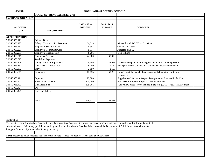|  | 11/5/2015 |  |  |
|--|-----------|--|--|
|--|-----------|--|--|

|                           | <b>LOCAL CURRENT EXPENSE FUND</b>                                                                                                                       |               |               |                                                                             |  |
|---------------------------|---------------------------------------------------------------------------------------------------------------------------------------------------------|---------------|---------------|-----------------------------------------------------------------------------|--|
| <b>056 TRANSPORTATION</b> |                                                                                                                                                         |               |               |                                                                             |  |
|                           |                                                                                                                                                         |               |               |                                                                             |  |
|                           |                                                                                                                                                         | $2015 - 2016$ | $2014 - 2015$ |                                                                             |  |
| <b>ACCOUNT</b>            |                                                                                                                                                         | <b>BUDGET</b> | <b>BUDGET</b> | <b>COMMENTS</b>                                                             |  |
| <b>CODE</b>               | <b>DESCRIPTION</b>                                                                                                                                      |               |               |                                                                             |  |
|                           |                                                                                                                                                         |               |               |                                                                             |  |
| <b>APPROPRIATIONS</b>     |                                                                                                                                                         |               |               |                                                                             |  |
| 2.6550.056.171            | Salary - Drivers                                                                                                                                        |               |               |                                                                             |  |
| 2.6550.056.175            | Salary - Transportation Personnel                                                                                                                       | 64,713        |               | Moved from PRC 706 - 1.5 positions                                          |  |
| 2.6550.056.211            | Employers Soc. Sec. Cost                                                                                                                                | 4,952         |               | Budgeted at 7.65%                                                           |  |
| 2.6550.056.221            | <b>Employers Retirement Cost</b>                                                                                                                        | 9,914         |               | Budgeted at 15.32%                                                          |  |
| 2.6550.056.231            | <b>Employers Hospital Cost</b>                                                                                                                          | 8,206         |               | 1.5 positions                                                               |  |
| 2.6550.056.311            | <b>Contracted Services</b>                                                                                                                              | 74,000        | 60,000        |                                                                             |  |
| 2.6550.056.312            | <b>Workshop Expenses</b>                                                                                                                                |               |               |                                                                             |  |
| 2.6550.056.326            | Garage Maint. of Equipment                                                                                                                              | 20,586        | 24,653        | Outsourced repairs, rebuilt engines, alternators, air compressors           |  |
| 2.6550.056.331            | <b>Contracted Transportation</b>                                                                                                                        | 9,750         | 9,750         | Transportation of students that bus route cannot accommodate.               |  |
| 2.6550.056.332            | Travel                                                                                                                                                  | 2,150         | 2,150         |                                                                             |  |
| 2.6550.056.341            | Telephone                                                                                                                                               | 15,155        | 62,278        | Garage/Nextel dispatch phones on schools buses/transportation               |  |
|                           |                                                                                                                                                         |               |               | employees                                                                   |  |
| 2.6550.056.411            | Supplies                                                                                                                                                | 29,000        |               | Supplies used for the upkeep of Transportation Fleet and its facilities     |  |
| 2.6550.056.422            | Repair Parts, Grease                                                                                                                                    | 125,000       |               | Parts used for repairs & upkeep of school bus fleet                         |  |
| 2.6550.056.423            | Gas/Diesel Fuel                                                                                                                                         | 605,201       |               | Fuel yellow buses service vehicle. State rate \$2.773 - Feb. 15th Allotment |  |
| 2.6550.056.424            | Oil                                                                                                                                                     |               |               |                                                                             |  |
| 2.6550.056.425            | Tires and Tubes                                                                                                                                         |               |               |                                                                             |  |
|                           |                                                                                                                                                         |               |               |                                                                             |  |
|                           |                                                                                                                                                         |               |               |                                                                             |  |
|                           | Total                                                                                                                                                   | 968,627       | 158,831       |                                                                             |  |
|                           |                                                                                                                                                         |               |               |                                                                             |  |
|                           |                                                                                                                                                         |               |               |                                                                             |  |
|                           |                                                                                                                                                         |               |               |                                                                             |  |
|                           |                                                                                                                                                         |               |               |                                                                             |  |
|                           |                                                                                                                                                         |               |               |                                                                             |  |
| Explanation:              |                                                                                                                                                         |               |               |                                                                             |  |
|                           | The mission of the Rockingham County Schools Transportation Department is to provide transportation services to our student and staff population in the |               |               |                                                                             |  |
|                           | safest and most efficient way possible under the guidelines set forth by the Board of Education and the Department of Public Instruction with safety    |               |               |                                                                             |  |
|                           | being the foremost objective and efficiency secondary.                                                                                                  |               |               |                                                                             |  |
|                           |                                                                                                                                                         |               |               |                                                                             |  |
|                           | Note: Needed to cover expected \$354k shortfall in state. Added to Supplies, Repair parts and Gas/Diesel.                                               |               |               |                                                                             |  |
|                           |                                                                                                                                                         |               |               |                                                                             |  |
|                           |                                                                                                                                                         |               |               |                                                                             |  |
|                           |                                                                                                                                                         |               |               |                                                                             |  |
|                           |                                                                                                                                                         |               |               |                                                                             |  |
|                           |                                                                                                                                                         |               |               |                                                                             |  |
|                           |                                                                                                                                                         |               |               |                                                                             |  |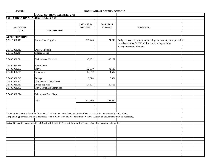|                       | <b>LOCAL CURRENT EXPENSE FUND</b>                                                                                           |               |               |                                                                      |  |
|-----------------------|-----------------------------------------------------------------------------------------------------------------------------|---------------|---------------|----------------------------------------------------------------------|--|
|                       | 061 INSTRUCTIONAL AND SCHOOL FUNDS                                                                                          |               |               |                                                                      |  |
|                       |                                                                                                                             |               |               |                                                                      |  |
|                       |                                                                                                                             | $2015 - 2016$ | $2014 - 2015$ |                                                                      |  |
| <b>ACCOUNT</b>        |                                                                                                                             | <b>BUDGET</b> | <b>BUDGET</b> | <b>COMMENTS</b>                                                      |  |
| <b>CODE</b>           | <b>DESCRIPTION</b>                                                                                                          |               |               |                                                                      |  |
|                       |                                                                                                                             |               |               |                                                                      |  |
| <b>APPROPRIATIONS</b> |                                                                                                                             |               |               |                                                                      |  |
| 2.5110.061.411        | <b>Instructional Supplies</b>                                                                                               | 233,240       | 74,240        | Budgeted based on prior year spending and current year expectations. |  |
|                       |                                                                                                                             |               |               | Includes expense for VIF. Cultural arts money included               |  |
|                       |                                                                                                                             |               |               | in regular school allotment.                                         |  |
| 2.5110.061.413        | Other Textbooks                                                                                                             |               |               |                                                                      |  |
| 2.5110.061.414        | <b>Library Books</b>                                                                                                        |               |               |                                                                      |  |
|                       |                                                                                                                             |               |               |                                                                      |  |
| 2.5400.061.311        | Maintenance Contracts                                                                                                       | 43,121        | 43,121        |                                                                      |  |
|                       |                                                                                                                             |               |               |                                                                      |  |
| 2.5400.061.315        | Reproduction                                                                                                                |               |               |                                                                      |  |
| 2.5400.061.332        | Travel                                                                                                                      | 32,510        | 32,510        |                                                                      |  |
| 2.5400.061.341        | Telephone                                                                                                                   | 14,517        | 14,517        |                                                                      |  |
|                       |                                                                                                                             |               |               |                                                                      |  |
| 2.5400.061.342        | Postage                                                                                                                     | 9,384         | 9,384         |                                                                      |  |
| 2.5400.061.361        | Membership Dues & Fees                                                                                                      |               |               |                                                                      |  |
| 2.5400.061.411        | Office Supplies                                                                                                             | 24,624        | 20,758        |                                                                      |  |
| 2.5400.061.462        | Non-Capitalized Computers                                                                                                   |               |               |                                                                      |  |
|                       |                                                                                                                             |               |               |                                                                      |  |
| 2.5400.061.314        | Printing (at Print Shop)                                                                                                    |               |               |                                                                      |  |
|                       |                                                                                                                             |               |               |                                                                      |  |
|                       | Total                                                                                                                       | 357,396       | 194,530       |                                                                      |  |
|                       |                                                                                                                             |               |               |                                                                      |  |
|                       |                                                                                                                             |               |               |                                                                      |  |
|                       |                                                                                                                             |               |               |                                                                      |  |
|                       | Explanation: Per our planning allotment, ADM is expected to decrease for fiscal year 2014-15 by approximately 229 students. |               |               |                                                                      |  |
|                       | For planning purposes, we have decreased local PRC 061 money by approximately 40%. Additional adjustments may be necessary. |               |               |                                                                      |  |
|                       |                                                                                                                             |               |               |                                                                      |  |
|                       | Note: Needed to cover expected \$159k shortfall in state PRC 020 Foreign Exchange. Added to instructional supplies.         |               |               |                                                                      |  |
|                       |                                                                                                                             |               |               |                                                                      |  |
|                       |                                                                                                                             |               |               |                                                                      |  |
|                       |                                                                                                                             |               |               |                                                                      |  |
|                       |                                                                                                                             |               |               |                                                                      |  |
|                       |                                                                                                                             |               |               |                                                                      |  |
|                       |                                                                                                                             |               |               |                                                                      |  |
|                       |                                                                                                                             |               |               |                                                                      |  |
|                       |                                                                                                                             |               |               |                                                                      |  |
|                       |                                                                                                                             |               |               |                                                                      |  |
|                       |                                                                                                                             |               |               |                                                                      |  |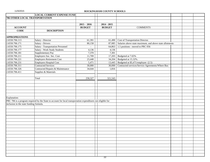|                                         | <b>LOCAL CURRENT EXPENSE FUND</b>                                                                            |               |               |                                                          |  |
|-----------------------------------------|--------------------------------------------------------------------------------------------------------------|---------------|---------------|----------------------------------------------------------|--|
| 706 OTHER LOCAL TRANSPORTATION          |                                                                                                              |               |               |                                                          |  |
|                                         |                                                                                                              |               |               |                                                          |  |
|                                         |                                                                                                              | $2015 - 2016$ | $2014 - 2015$ |                                                          |  |
| <b>ACCOUNT</b>                          |                                                                                                              | <b>BUDGET</b> | <b>BUDGET</b> | <b>COMMENTS</b>                                          |  |
| <b>CODE</b>                             | <b>DESCRIPTION</b>                                                                                           |               |               |                                                          |  |
|                                         |                                                                                                              |               |               |                                                          |  |
| <b>APPROPRIATIONS</b>                   |                                                                                                              |               |               |                                                          |  |
| 2.6550.706.113                          | Salary - Director                                                                                            | 61,391        | 61,490        | Cost of Transportation Director.                         |  |
| 2.6550.706.171                          | Salary - Drivers                                                                                             | 80,158        | 87,085        | Salaries above state maximum, and above state allotments |  |
| 2.6550.706.175                          | Salary - Transportation Personnel                                                                            |               | 64,863        | 1.5 positions - moved to PRC 056                         |  |
| 2.6550.706.177                          | Salary - Work Study Students                                                                                 | 4,136         | 4,136         |                                                          |  |
| 2.6550.706.181                          | Supplementary Pay                                                                                            | 7,370         | 7,301         |                                                          |  |
| 2.6550.706.211                          | Employers Soc. Sec. Cost                                                                                     | 11,709        | 17,203        | Budgeted at 7.65%                                        |  |
| 2.6550.706.221                          | Employers Retirement Cost                                                                                    | 23,448        | 34,204        | Budgeted at 15.32%.                                      |  |
| 2.6550.706.231                          | Employers Hospital Cost                                                                                      | 5,471         | 13,445        | Budgeted at \$5,471/employee (2.5)                       |  |
| 2.6550.706.311                          | Contracted Services                                                                                          | 30,000        | 30,000        | Contracted services/Service Agreements/Where Bus         |  |
| 2.6550.706.326                          | Contracted Repairs & Maintenance                                                                             | 34,644        | 1,816         |                                                          |  |
| 2.6550.706.411                          | Supplies & Materials                                                                                         |               |               |                                                          |  |
|                                         |                                                                                                              |               |               |                                                          |  |
|                                         | Total                                                                                                        | 258,327       | 321,543       |                                                          |  |
|                                         |                                                                                                              |               |               |                                                          |  |
|                                         |                                                                                                              |               |               |                                                          |  |
|                                         |                                                                                                              |               |               |                                                          |  |
|                                         |                                                                                                              |               |               |                                                          |  |
|                                         |                                                                                                              |               |               |                                                          |  |
| Explanation:                            |                                                                                                              |               |               |                                                          |  |
|                                         | PRC 706 is a program required by the State to account for local transportation expenditures not eligible for |               |               |                                                          |  |
| inclusion in the state funding formula. |                                                                                                              |               |               |                                                          |  |
|                                         |                                                                                                              |               |               |                                                          |  |
|                                         |                                                                                                              |               |               |                                                          |  |
|                                         |                                                                                                              |               |               |                                                          |  |
|                                         |                                                                                                              |               |               |                                                          |  |
|                                         |                                                                                                              |               |               |                                                          |  |
|                                         |                                                                                                              |               |               |                                                          |  |
|                                         |                                                                                                              |               |               |                                                          |  |
|                                         |                                                                                                              |               |               |                                                          |  |
|                                         |                                                                                                              |               |               |                                                          |  |
|                                         |                                                                                                              |               |               |                                                          |  |
|                                         |                                                                                                              |               |               |                                                          |  |
|                                         |                                                                                                              |               |               |                                                          |  |
|                                         |                                                                                                              |               |               |                                                          |  |
|                                         |                                                                                                              |               |               |                                                          |  |
|                                         |                                                                                                              |               |               |                                                          |  |
|                                         |                                                                                                              |               |               |                                                          |  |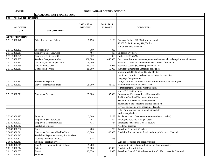|                               | <b>LOCAL CURRENT EXPENSE FUND</b>      |               |               |                                                                                   |  |
|-------------------------------|----------------------------------------|---------------|---------------|-----------------------------------------------------------------------------------|--|
| <b>801 GENERAL OPERATIONS</b> |                                        |               |               |                                                                                   |  |
|                               |                                        |               |               |                                                                                   |  |
|                               |                                        | $2015 - 2016$ | $2014 - 2015$ |                                                                                   |  |
| <b>ACCOUNT</b>                |                                        | <b>BUDGET</b> | <b>BUDGET</b> | <b>COMMENTS</b>                                                                   |  |
| <b>CODE</b>                   | <b>DESCRIPTION</b>                     |               |               |                                                                                   |  |
|                               |                                        |               |               |                                                                                   |  |
| <b>APPROPRIATIONS</b>         |                                        |               |               |                                                                                   |  |
| 2.5110.801.148                | Other Instructional Salary             | 5,750         | 6,180         | Does not Include \$20,000 for homebound,                                          |  |
|                               |                                        |               |               | \$3,000 for SAT review, \$21,000 for                                              |  |
|                               |                                        |               |               | reimbursements received.                                                          |  |
| 2.5110.801.163                | Substitute Pay                         | 309           | 309           |                                                                                   |  |
| 2.5110.801.211                | Employers Soc. Sec. Cost               | 464           | 497           | Budgeted @ 7.65%                                                                  |  |
| 2.5110.801.221                | <b>Employers Retirement Cost</b>       | 922           | 968           | Budgeted @ 15.32%.                                                                |  |
| 2.5110.801.232                | Workers Compensation Ins.              | 460,000       | 460,000       | Est. cost of Local workers compensation insurance based on prior years increases. |  |
| 2.5110.801.233                | <b>Unemployment Compensation</b>       | 20,000        |               | Estimated cost of local unemployment - moved from 6910                            |  |
| 2.5110.801.235                | Life Insurance Cost                    | 15,025        | 15,025        | Estimated cost of \$8,000/employee Life ins.                                      |  |
| 2.5110.801.311                | <b>Contracted Services</b>             | 15,000        | 15,000        | Includes payments for Employee assistance                                         |  |
|                               |                                        |               |               | program with Rockingham County Mental                                             |  |
|                               |                                        |               |               | Health and Carolina Psychological, Contracting for Sign                           |  |
|                               |                                        |               |               | Language Interpretation                                                           |  |
| 2.5110.801.312                | Workshop Expense                       |               |               | CPR, OSHA and Worker's Compensation trainings for employees                       |  |
| 2.5110.801.332                | <b>Travel - Instructional Staff</b>    | 25,000        | 46,500        | Primarily for itinerant teacher travel                                            |  |
|                               |                                        |               |               | reimbursements. Current reimbursement                                             |  |
|                               |                                        |               |               | rate is 57.5 cents per mile                                                       |  |
| 2.5120.801.311                | <b>Contracted Services</b>             | 35,000        | 35,000        | Contract for Vocational Rehabilitation with                                       |  |
|                               |                                        |               |               | the North Carolina Division of Vocational                                         |  |
|                               |                                        |               |               | Rehabilitation Services. They provide                                             |  |
|                               |                                        |               |               | counselors to the schools to provide transition                                   |  |
|                               |                                        |               |               | services to students with special needs and at                                    |  |
|                               |                                        |               |               | risk. They also provide minimal stipends to                                       |  |
|                               |                                        |               |               | students at job sites.                                                            |  |
| 2.5330.801.192                | Stipends                               | 2,700         | 5,253         | Academic Coach Compensation (10 academic coaches)                                 |  |
| 2.5330.801.211                | Employers Soc. Sec. Cost               | 207           | 402           | Employers Soc. Sec. Cost @ 7.65%                                                  |  |
| 2.5330.801.221                | <b>Employers Retirement Cost</b>       | 411           | 784           | Employers Retirement Cost @ 15.32%                                                |  |
| 2.5330.801.312                | Workshop Expense                       |               |               | Academic Coaches                                                                  |  |
| 2.5330.801.332                | Travel                                 | 200           | 200           | <b>Travel for Academic Coaches</b>                                                |  |
| 2.5840.801.311                | Contracted Services - Health Clinic    | 45,000        |               | 45,000   Funds for Student Health Services through Morehead Hospital.             |  |
| 2.5840.801.312                | Workshop Expense - Nurses, Soc Workers |               |               |                                                                                   |  |
| 2.5840.801.371                | <b>Liability Insurance - Nurses</b>    | 515           | 515           |                                                                                   |  |
| 2.5840.801.411                | Supplies - Health Services             |               |               | Supplies for nurses and social workers.                                           |  |
| 2.5890.801.311                | Cont Serv - Communities in Schools     | 9,200         |               | Communities in Schools volunteer coordination services                            |  |
| 2.6110.801.314                | Printing                               | 35,000        | 35,000        | Funds to utilize print shop                                                       |  |
| 2.6110.801.332                | Travel                                 | 12,870        | 12,870        | Travel for Central Office directors & staff. Also covers SACS travel              |  |
| 2.6110.801.411                | Supplies                               |               |               |                                                                                   |  |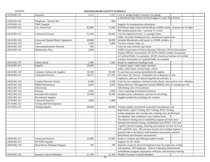| 2.6120.801.371 | Insurance                           | 1,515                    | 1,515   | Cost of garage keepers insurance for garage                                     |  |
|----------------|-------------------------------------|--------------------------|---------|---------------------------------------------------------------------------------|--|
|                |                                     |                          |         | at Morehead High School and Rockingham County High School                       |  |
| 2.6550.801.341 | Telephone - Activity Bus            | $\overline{\phantom{a}}$ | 600     |                                                                                 |  |
| 2.6550.801.411 | <b>TIMS</b> Supplies                |                          |         | Supplies for transportation information                                         |  |
| 2.6550.801.423 | Gas. Diesel Fuel                    | 82,000                   | 72,560  | \$16,000 per high school and \$4,500 per middle schools: increase due to higher |  |
|                |                                     |                          |         | IRS reimbursement rates - currently 57.5 cents                                  |  |
| 2.6610.801.311 | <b>Contracted Services</b>          | 51,436                   | 66,436  | Cost for required services, i.e. postage meter,                                 |  |
|                |                                     |                          |         | folder, electronic hosting services, maintenance agreements                     |  |
| 2.6610.801.326 | Contracted Repairs/Maint. Equipment | 49,000                   | 34,000  | Includes Maintenance and repairs to AS400, printers, etc.                       |  |
| 2.6610.801.332 | Travel                              | 2,500                    | 3,000   | Travel to schools, bank, etc.                                                   |  |
| 2.6610.801.343 | <b>Telecommunications Network</b>   | 500                      |         | Costs for state network (sips lines)                                            |  |
| 2.6610.801.361 | Membership Dues                     | 2,000                    |         | ASBO (Association of School Business Officials, GFOA (Government                |  |
|                |                                     |                          |         | Finance Officers Association), NCACPA (North Carolina Association               |  |
|                |                                     |                          |         | of Certified Public Accountants), AICPA American Institute of Certified         |  |
|                |                                     |                          |         | Carolina Association of Certified Public Accountants.                           |  |
| 2.6610.801.375 | <b>Fidelity Bond</b>                | 5,400                    | 5,400   | Bonds for employees handling funds                                              |  |
| 2.6610.801.411 | Supplies                            | 20,000                   |         | Computer paper, copier paper, purchase                                          |  |
|                |                                     |                          |         | orders, other forms, receipt books, checks                                      |  |
| 2.6610.801.418 | Computer Software & Supplies        | 39,500                   | 39,500  | To purchase accounting spreadsheets & supplies                                  |  |
| 2.6620.801.311 | <b>Contracted Services</b>          | 36,575                   | 117,251 | Out-source ILT Service. Estimated cost to drug test all new                     |  |
|                |                                     |                          |         | employees, and cost of outsourcing director activities.                         |  |
| 2.6620.801.319 | <b>Criminal Records Checks</b>      | 6,500                    | 6,500   | Costs for new employee criminal records checks. Increased to cover volunteers   |  |
| 2.6620.801.326 | <b>HRMS</b> Maintenance             | 6,820                    | 6,820   | Human Resource Management System (HRMS) software maintenance fee.               |  |
| 2.6622.801.313 | Advertising                         |                          |         | Advertising costs of recruitment.                                               |  |
| 2.6622.801.314 | Printing                            | 5,000                    | 5,000   | Costs of printing recruitment brochures                                         |  |
| 2.6622.801.332 | <b>Personnel Recruitment</b>        | 10,500                   | 10,500  | Includes travel, subsistence, and fees for recruiting.                          |  |
| 2.6622.801.411 | <b>Recruitment Supplies</b>         |                          |         | Supplies needed for recruiting new teachers.                                    |  |
| 2.6710.801.311 | <b>Contracted Services</b>          | 2,000                    | 2,000   |                                                                                 |  |
| 2.6710.801.312 | <b>Testing Staff Development</b>    |                          |         |                                                                                 |  |
| 2.6710.801.411 | Testing/Supplies                    | 40,600                   | 40,600  | Testing supplies, benchmark assessment development and                          |  |
|                |                                     |                          |         | duplication, CogAT Testing, SAT Testing, PSAT Testing,                          |  |
|                |                                     |                          |         | testing equipment, test scoring costs, training costs, professional             |  |
|                |                                     |                          |         | development, data warehouse costs, student forms.                               |  |
|                |                                     |                          |         | The district's testing and accountability program provides local                |  |
|                |                                     |                          |         | formative/benchmark testing, standardized tests (PSAT, SAT and                  |  |
|                |                                     |                          |         | CogAT), and test training, reporting and analysis services for local,           |  |
|                |                                     |                          |         | EOG and EOC tests. The increase in prior year's budget request is               |  |
|                |                                     |                          |         | primarily due to the district-wide formative assessment initiative              |  |
|                |                                     |                          |         | (benchmark and formative assessments).                                          |  |
| 2.6820.801.311 | <b>Contracted Services</b>          | 25,000                   | 25,000  | Funds to continue microfilming student records.                                 |  |
| 2.6820.801.411 | <b>NCWISE Supplies</b>              |                          |         | Supplies for NC WISE                                                            |  |
| 2.6850.801.319 | Blood Borne Pathogen Program        | 700                      | 700     | Hepatitis serum for about 50 employees/year for employees in high               |  |
|                |                                     |                          |         | risk positions. \$75/employee. Clinical Laboratory Improvement                  |  |
|                |                                     |                          |         | Amendments program registration certificate, and necessary training.            |  |
| 2.6910.801.192 | Payment to Board Members            | 41,106                   | 41,106  | Monthly Payment to Board Members                                                |  |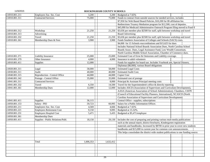| 2.6910.801.211 | Employers Soc. Sec. Cost          | 3,200     |           | 3,200 Budgeted at 7.65%                                                              |  |  |
|----------------|-----------------------------------|-----------|-----------|--------------------------------------------------------------------------------------|--|--|
| 2.6910.801.311 | <b>Contracted Services</b>        | 75,000    | 75,000    | Funds to contract from outside sources for needed services, includes                 |  |  |
|                |                                   |           |           | \$7,950 for Web Based Board Policies, \$10,200 for IB affiliation fee.               |  |  |
|                |                                   |           |           | Redirections Truancy Mediation program for \$12,500, cost of deputies.               |  |  |
|                |                                   |           |           | \$45,000 for Medicaid Administrative Outreach Program filing moved to Fund 8         |  |  |
| 2.6910.801.312 | Workshop                          | 21,250    | 21,250    | \$3,636 per member plus \$2500 for staff, split between workshop and travel          |  |  |
| 2.6910.801.313 | Advertising                       |           |           | <b>Board Advertising</b>                                                             |  |  |
| 2.6910.801.332 | Travel                            | 21,250    | 21,250    | \$3,636 per member plus \$2500 for staff, split between workshop and travel          |  |  |
| 2.6910.801.361 | Membership Dues & Fees            | 3,900     | 3,900     | Funds Southern Association of Colleges and Schools (SACS) costs.                     |  |  |
|                |                                   |           |           | \$4,000 for 15 Schools reaccreditations and \$15,625 for dues                        |  |  |
|                |                                   |           |           | Includes National School Boards Association Dues, North Carolina School              |  |  |
|                |                                   |           |           | Boards Assoc. Dues, Legal Assistance Fund, Low Wealth Consortium,                    |  |  |
|                |                                   |           |           | North Carolina Middle School Association, Chamber of Commerce dues.                  |  |  |
| 2.6910.801.371 | <b>Liability Insurance</b>        | 25,000    | 25,000    | Estimated Cost of Error & Omissions and Liability coverage.                          |  |  |
| 2.6910.801.379 | Other Insurance                   | 4,000     | 4,000     | Insurance to adult volunteers                                                        |  |  |
| 2.6910.801.411 | <b>Supplies</b>                   | 12,000    |           | Funds for supplies for board use. Includes Yearbook ads, Special Dinners,            |  |  |
|                |                                   |           |           | Diplomas (\$6,000), various Board obligations                                        |  |  |
| 2.6920.801.311 | Legal                             | 58,000    | 58,000    | <b>Estimated Legal Costs</b>                                                         |  |  |
| 2.6930.801.311 | Audit                             | 40,000    | 40,000    | <b>Estimated Audit Cost.</b>                                                         |  |  |
| 2.6940.801.315 | Reproduction - Central Office     | 44,000    | 44,000    | Copier Cost                                                                          |  |  |
| 2.6940.801.342 | Postage - Central Office          | 35,000    | 35,000    | Estimated cost of postage                                                            |  |  |
| 2.6941.801.311 | <b>Contracted Services</b>        |           | 8,000     | Principal & Assistant Principal meeting costs                                        |  |  |
| 2.6941.801.332 | Travel                            | 6,350     | 14,500    | Travel for the Superintendent's office & directly reporting                          |  |  |
| 2.6941.801.361 | Membership Dues                   | 12,000    | 12,000    | Includes ASCD (Association of Supervisors and Curriculum Development),               |  |  |
|                |                                   |           |           | AASA (American Association of School Administration), Chambers, CEFPI                |  |  |
|                |                                   |           |           | (Council of Educational Facility Planners, International), NCASCD (North             |  |  |
|                |                                   |           |           | Carolina Association of Supervisors and Curriculum Development)                      |  |  |
| 2.6941.801.411 | Supplies                          | 36,115    |           | Central Office - supplies, subscriptions                                             |  |  |
| 2.6950.801.153 | Salary - PIO                      | 59,723    | 60,995    | Salary for a Public Information Officer.                                             |  |  |
| 2.6950.801.211 | Employers Soc. Sec. Cost          | 4,569     | 4,666     | Budgeted at 7.65%                                                                    |  |  |
| 2.6950.801.221 | <b>Employers Retirement Cost</b>  | 9,150     | 9,095     | Budgeted at 15.32%.                                                                  |  |  |
| 2.6950.801.231 | <b>Employers Hospital Cost</b>    | 5,471     | 5,435     | Budgeted at \$5,471/employee                                                         |  |  |
| 2.6950.801.361 | Membership Dues                   |           |           |                                                                                      |  |  |
| 2.6950.801.411 | Supplies - Public Relations/Publ. | 18,150    | 29,130    | Includes the cost of preparing and printing various mult-media publications          |  |  |
|                |                                   |           |           | such as the annual report, district brochures, Kindergarten registration             |  |  |
|                |                                   |           |           | materials and handbooks. Increased by \$8700 in prior year to cover new students     |  |  |
|                |                                   |           |           | handbooks and \$15,000 in current year for common core announcements.                |  |  |
|                |                                   |           |           | This helps consolodate the district wide student publications to one funding source. |  |  |
|                |                                   |           |           |                                                                                      |  |  |
|                |                                   |           |           |                                                                                      |  |  |
|                | Total                             | 1,606,353 | 1,632,412 |                                                                                      |  |  |
|                |                                   |           |           |                                                                                      |  |  |
|                |                                   |           |           |                                                                                      |  |  |
|                |                                   |           |           |                                                                                      |  |  |
|                |                                   |           |           |                                                                                      |  |  |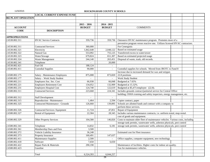|                            | <b>LOCAL CURRENT EXPENSE FUND</b>       |               |                          |                                                                                 |  |
|----------------------------|-----------------------------------------|---------------|--------------------------|---------------------------------------------------------------------------------|--|
| <b>802 PLANT OPERATION</b> |                                         |               |                          |                                                                                 |  |
|                            |                                         |               |                          |                                                                                 |  |
|                            |                                         | $2015 - 2016$ | $2014 - 2015$            |                                                                                 |  |
| <b>ACCOUNT</b>             |                                         | <b>BUDGET</b> | <b>BUDGET</b>            | <b>COMMENTS</b>                                                                 |  |
| <b>CODE</b>                | <b>DESCRIPTION</b>                      |               |                          |                                                                                 |  |
|                            |                                         |               |                          |                                                                                 |  |
| <b>APPROPRIATIONS</b>      |                                         |               |                          |                                                                                 |  |
| 2.6530.802.311             | <b>HVAC Service Contracts</b>           | 359,736       | 359,736                  | Outsource HVAC maintenance program. Promotes more of a                          |  |
|                            |                                         |               |                          | preventive program verses reactive one. Utilizes licensed HVAC contractors.     |  |
| 2.6530.802.311             | Contracted Services                     | 360,000       |                          | For Cenergistic                                                                 |  |
| 2.6530.802.321             | Electricity                             | 1,842,648     | 2,048,122                | Based on estimated usage                                                        |  |
| 2.6530.802.322             | Natural Gas                             | 553,092       | 755,125                  | Transferred excess to water/sewer                                               |  |
| 2.6530.802.323             | Water/Sewage                            | 679,824       | 651,307                  | Based on estimated projected usage                                              |  |
| 2.6530.802.324             | Waste Management                        | 244,140       | 263,451                  | Disposal of waste, trash, old records.                                          |  |
| 2.6530.802.341             | Telephone                               |               | 20,000                   |                                                                                 |  |
| 2.6530.802.421             | Fuel Oil                                | 188,124       |                          |                                                                                 |  |
| 2.6540.802.411             | <b>Custodial Supplies</b>               | 90,000        | $\overline{\phantom{a}}$ | Custodial supplies for schools. Moved from JROTC to Fund 8                      |  |
|                            |                                         |               |                          | Increase due to increased demand for wax and stripper.                          |  |
| 2.6580.802.175             | Salary - Maintenance Employees          | 875,008       | 873,820                  | 22.8 positions                                                                  |  |
| 2.6580.802.177             | Salary - Work Study Student             |               | $\overline{\phantom{a}}$ | Work Study Student                                                              |  |
| 2.6580.802.211             | Employers Soc. Sec. Cost                | 66,938        | 66,848                   | Budgeted at 7.65%                                                               |  |
| 2.6580.802.221             | Employers Retirement Cost               | 134,052       | 132,909                  | Budgeted at 15.32%.                                                             |  |
| 2.6580.802.231             | Employers Hospital Cost                 | 124,740       | 122,619                  | Budgeted at \$5,471/employee (22.8).                                            |  |
| 2.6580.802.311             | Contracted Services                     | 223,668       | 224,341                  | Includes grounds contract/janitorial service for Central Office                 |  |
|                            |                                         |               |                          | building; OSHA training and safety inspectors, energy management, etc.          |  |
| 2.6580.802.312             | <b>Staff Development</b>                |               | $\blacksquare$           |                                                                                 |  |
| 2.6580.802.315             | Reproduction - Maintenance              | 1,464         | 2,594                    | Copier contract, paper                                                          |  |
| 2.6580.802.325             | <b>Contracted Maintenance - Grounds</b> | 126,660       | 139,895                  | Schools are allotted funds and contract with a company to                       |  |
|                            |                                         |               |                          | perform these services.                                                         |  |
| 2.6580.802.326             | Contracted Services: Equipment          | 11,724        | 47,851                   | Repair of Equipment                                                             |  |
| 2.6580.802.327             | Rental of Equipment                     | 22,584        | 28,345                   | Includes various maintenance contracts, i.e. uniform rental, mop rental.        |  |
|                            |                                         |               |                          | cost of goods and equipment.                                                    |  |
| 2.6580.802.329             | <b>Other Property Services</b>          | 104,580       | 146,826                  | Costs to maintain older fleet of maintenance vehicles. Various costs, including |  |
|                            |                                         |               |                          | storage tank permits, wastewater wells, asbestos physicals, pest control        |  |
| 2.6580.802.341             | Telephone                               | 14,832        | 6,181                    | storage tank permits, wastewater wells, asbestos physicals, pest control        |  |
| 2.6580.802.361             | Membership Dues and Fees                | 3,500         |                          |                                                                                 |  |
| 2.6580.802.372             | Vehicle Liability Insurance             | 36,248        |                          | Estimated cost for Fleet insurance                                              |  |
| 2.6580.802.373             | Property Insurance                      | 160,491       | 147,637                  |                                                                                 |  |
| 2.6580.802.411             | Maintenance Supplies                    | 2,500         |                          | Office supplies, computer equipment, new technology.                            |  |
| 2.6580.802.418             | Software                                | 7,650         | 6,650                    |                                                                                 |  |
| 2.6580.802.422             | Repair Parts & Materials                | 290,190       |                          | Maintenance of facilities. Higher costs for indoor air-quality.                 |  |
| 2.6580.802.423             | Gasoline                                |               |                          | Gas for maintenance vehicles.                                                   |  |
|                            |                                         |               |                          |                                                                                 |  |
|                            | Total                                   | 6,524,393     | 6,044,257                |                                                                                 |  |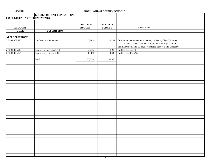|                                      | <b>LOCAL CURRENT EXPENSE FUND</b> |               |               |                                                                                                                          |  |
|--------------------------------------|-----------------------------------|---------------|---------------|--------------------------------------------------------------------------------------------------------------------------|--|
| <b>803 CULTURAL ARTS SUPPLEMENTS</b> |                                   |               |               |                                                                                                                          |  |
|                                      |                                   |               |               |                                                                                                                          |  |
|                                      |                                   | $2015 - 2016$ | $2014 - 2015$ |                                                                                                                          |  |
| <b>ACCOUNT</b>                       |                                   | <b>BUDGET</b> | <b>BUDGET</b> | <b>COMMENTS</b>                                                                                                          |  |
| <b>CODE</b>                          | <b>DESCRIPTION</b>                |               |               |                                                                                                                          |  |
| <b>APPROPRIATIONS</b>                |                                   |               |               |                                                                                                                          |  |
| 2.5502.803.192                       | Co-Curricular Personnel           | 42,803        | 29,191        |                                                                                                                          |  |
|                                      |                                   |               |               | Cultural arts supplements schedule, i.e. Band, Choral, Drama.<br>Also includes 20 days summer employment for High School |  |
|                                      |                                   |               |               | Band Directors, and 10 days for Middle School Band Directors.                                                            |  |
| 2.5502.803.211                       | Employers Soc. Sec. Cost          | 3,275         | 2,233         | Budgeted at 7.65%                                                                                                        |  |
| 2.5502.803.221                       | Employers Retirement Cost         | 6,560         | 4,440         | Budgeted at 15.32%.                                                                                                      |  |
|                                      |                                   |               |               |                                                                                                                          |  |
|                                      | Total                             | 52,638        | 35,864        |                                                                                                                          |  |
|                                      |                                   |               |               |                                                                                                                          |  |
|                                      |                                   |               |               |                                                                                                                          |  |
|                                      |                                   |               |               |                                                                                                                          |  |
|                                      |                                   |               |               |                                                                                                                          |  |
|                                      |                                   |               |               |                                                                                                                          |  |
|                                      |                                   |               |               |                                                                                                                          |  |
|                                      |                                   |               |               |                                                                                                                          |  |
|                                      |                                   |               |               |                                                                                                                          |  |
|                                      |                                   |               |               |                                                                                                                          |  |
|                                      |                                   |               |               |                                                                                                                          |  |
|                                      |                                   |               |               |                                                                                                                          |  |
|                                      |                                   |               |               |                                                                                                                          |  |
|                                      |                                   |               |               |                                                                                                                          |  |
|                                      |                                   |               |               |                                                                                                                          |  |
|                                      |                                   |               |               |                                                                                                                          |  |
|                                      |                                   |               |               |                                                                                                                          |  |
|                                      |                                   |               |               |                                                                                                                          |  |
|                                      |                                   |               |               |                                                                                                                          |  |
|                                      |                                   |               |               |                                                                                                                          |  |
|                                      |                                   |               |               |                                                                                                                          |  |
|                                      |                                   |               |               |                                                                                                                          |  |
|                                      |                                   |               |               |                                                                                                                          |  |
|                                      |                                   |               |               |                                                                                                                          |  |
|                                      |                                   |               |               |                                                                                                                          |  |
|                                      |                                   |               |               |                                                                                                                          |  |
|                                      |                                   |               |               |                                                                                                                          |  |
|                                      |                                   |               |               |                                                                                                                          |  |
|                                      |                                   |               |               |                                                                                                                          |  |
|                                      |                                   |               |               |                                                                                                                          |  |
|                                      |                                   |               |               |                                                                                                                          |  |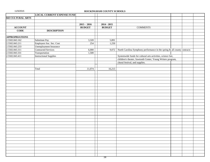|  | 11/5/2015 |
|--|-----------|
|--|-----------|

# ROCKINGHAM COUNTY SCHOOLS

|                          | <b>LOCAL CURRENT EXPENSE FUND</b> |               |               |                                                                          |  |  |
|--------------------------|-----------------------------------|---------------|---------------|--------------------------------------------------------------------------|--|--|
| <b>843 CULTURAL ARTS</b> |                                   |               |               |                                                                          |  |  |
|                          |                                   |               |               |                                                                          |  |  |
|                          |                                   | $2015 - 2016$ | $2014 - 2015$ |                                                                          |  |  |
| <b>ACCOUNT</b>           |                                   | <b>BUDGET</b> | <b>BUDGET</b> | <b>COMMENTS</b>                                                          |  |  |
| <b>CODE</b>              | <b>DESCRIPTION</b>                |               |               |                                                                          |  |  |
|                          |                                   |               |               |                                                                          |  |  |
| <b>APPROPRIATIONS</b>    |                                   |               |               |                                                                          |  |  |
| 2.5502.843.162           | Substitute Pay                    | 3,320         | 5,891         |                                                                          |  |  |
| 2.5502.843.211           | Employers Soc. Sec. Cost          | 254           | 1,250         |                                                                          |  |  |
| 2.5502.843.233           | Unemployment Insurance            |               |               |                                                                          |  |  |
| 2.5502.843.311           | <b>Contracted Services</b>        | 6,000         | 9,072         | North Carolina Symphony performance in the spring & all county contracts |  |  |
| 2.5502.843.331           | Transportation                    | 1,500         |               |                                                                          |  |  |
| 2.5502.843.411           | Instructional Supplies            |               |               | Systemwide funds for cultural arts activities, science fair,             |  |  |
|                          |                                   |               |               | children's theater, Sawtooth Center, Young Writers program,              |  |  |
|                          |                                   |               |               | choral festival, and supplies.                                           |  |  |
|                          |                                   |               |               |                                                                          |  |  |
|                          | Total                             | 11,074        | 16,213        |                                                                          |  |  |
|                          |                                   |               |               |                                                                          |  |  |
|                          |                                   |               |               |                                                                          |  |  |
|                          |                                   |               |               |                                                                          |  |  |
|                          |                                   |               |               |                                                                          |  |  |
|                          |                                   |               |               |                                                                          |  |  |
|                          |                                   |               |               |                                                                          |  |  |
|                          |                                   |               |               |                                                                          |  |  |
|                          |                                   |               |               |                                                                          |  |  |
|                          |                                   |               |               |                                                                          |  |  |
|                          |                                   |               |               |                                                                          |  |  |
|                          |                                   |               |               |                                                                          |  |  |
|                          |                                   |               |               |                                                                          |  |  |
|                          |                                   |               |               |                                                                          |  |  |
|                          |                                   |               |               |                                                                          |  |  |
|                          |                                   |               |               |                                                                          |  |  |
|                          |                                   |               |               |                                                                          |  |  |
|                          |                                   |               |               |                                                                          |  |  |
|                          |                                   |               |               |                                                                          |  |  |
|                          |                                   |               |               |                                                                          |  |  |
|                          |                                   |               |               |                                                                          |  |  |
|                          |                                   |               |               |                                                                          |  |  |
|                          |                                   |               |               |                                                                          |  |  |
|                          |                                   |               |               |                                                                          |  |  |
|                          |                                   |               |               |                                                                          |  |  |
|                          |                                   |               |               |                                                                          |  |  |
|                          |                                   |               |               |                                                                          |  |  |
|                          |                                   |               |               |                                                                          |  |  |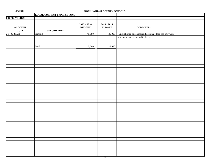| 11/5/2015 |  |  |  |  |  |
|-----------|--|--|--|--|--|
|-----------|--|--|--|--|--|

|                | <b>LOCAL CURRENT EXPENSE FUND</b> |               |               |                                                                   |  |  |
|----------------|-----------------------------------|---------------|---------------|-------------------------------------------------------------------|--|--|
| 880 PRINT SHOP |                                   |               |               |                                                                   |  |  |
|                |                                   |               |               |                                                                   |  |  |
|                |                                   | $2015 - 2016$ | $2014 - 2015$ |                                                                   |  |  |
| <b>ACCOUNT</b> |                                   | <b>BUDGET</b> | <b>BUDGET</b> | <b>COMMENTS</b>                                                   |  |  |
| <b>CODE</b>    | <b>DESCRIPTION</b>                |               |               |                                                                   |  |  |
| 2.5400.880.314 | Printing                          | 45,000        |               | 25,090 Funds allotted to schools and designated for use only with |  |  |
|                |                                   |               |               | print shop, and restricted to this use.                           |  |  |
|                |                                   |               |               |                                                                   |  |  |
|                |                                   |               |               |                                                                   |  |  |
|                | Total                             | 45,000        | 25,090        |                                                                   |  |  |
|                |                                   |               |               |                                                                   |  |  |
|                |                                   |               |               |                                                                   |  |  |
|                |                                   |               |               |                                                                   |  |  |
|                |                                   |               |               |                                                                   |  |  |
|                |                                   |               |               |                                                                   |  |  |
|                |                                   |               |               |                                                                   |  |  |
|                |                                   |               |               |                                                                   |  |  |
|                |                                   |               |               |                                                                   |  |  |
|                |                                   |               |               |                                                                   |  |  |
|                |                                   |               |               |                                                                   |  |  |
|                |                                   |               |               |                                                                   |  |  |
|                |                                   |               |               |                                                                   |  |  |
|                |                                   |               |               |                                                                   |  |  |
|                |                                   |               |               |                                                                   |  |  |
|                |                                   |               |               |                                                                   |  |  |
|                |                                   |               |               |                                                                   |  |  |
|                |                                   |               |               |                                                                   |  |  |
|                |                                   |               |               |                                                                   |  |  |
|                |                                   |               |               |                                                                   |  |  |
|                |                                   |               |               |                                                                   |  |  |
|                |                                   |               |               |                                                                   |  |  |
|                |                                   |               |               |                                                                   |  |  |
|                |                                   |               |               |                                                                   |  |  |
|                |                                   |               |               |                                                                   |  |  |
|                |                                   |               |               |                                                                   |  |  |
|                |                                   |               |               |                                                                   |  |  |
|                |                                   |               |               |                                                                   |  |  |
|                |                                   |               |               |                                                                   |  |  |
|                |                                   |               |               |                                                                   |  |  |
|                |                                   |               |               |                                                                   |  |  |
|                |                                   |               |               |                                                                   |  |  |
|                |                                   |               |               |                                                                   |  |  |
|                |                                   |               |               |                                                                   |  |  |
|                |                                   |               |               |                                                                   |  |  |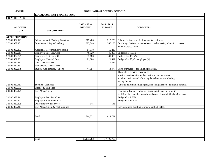|  | 11/5/2015 |
|--|-----------|
|--|-----------|

### ROCKINGHAM COUNTY SCHOOLS

|                       | <b>LOCAL CURRENT EXPENSE FUND</b>        |                |               |                                                                             |  |
|-----------------------|------------------------------------------|----------------|---------------|-----------------------------------------------------------------------------|--|
| <b>882 ATHLETICS</b>  |                                          |                |               |                                                                             |  |
|                       |                                          |                |               |                                                                             |  |
|                       |                                          | $2015 - 2016$  | $2014 - 2015$ |                                                                             |  |
| <b>ACCOUNT</b>        |                                          | <b>BUDGET</b>  | <b>BUDGET</b> | <b>COMMENTS</b>                                                             |  |
| <b>CODE</b>           | <b>DESCRIPTION</b>                       |                |               |                                                                             |  |
|                       |                                          |                |               |                                                                             |  |
| <b>APPROPRIATIONS</b> |                                          |                |               |                                                                             |  |
| 2.5501.882.121        | Salary - Athletic/Activity Directors     | 215,400        | 215,220       | Salaries for four athletic directors. (4 positions)                         |  |
| 2.5501.882.181        | Supplemental Pay - Coaching              | 377,848        | 366,106       | Coaching salaries - increase due to coaches taking education courses        |  |
|                       |                                          |                |               | which increase salary                                                       |  |
| 2.5501.882.192        | <b>Additional Responsibility Stipend</b> | 14,978         | 10,210        |                                                                             |  |
| 2.5501.882.211        | Employers Soc. Sec. Cost                 | 46,529         | 45,253        | Budgeted at 7.65%                                                           |  |
| 2.5501.882.221        | Employers Retirement Cost                | 93,180         | 89,973        | Budgeted at 15.32%.                                                         |  |
| 2.5501.882.231        | Employers Hospital Cost                  | 21,884         | 21,512        | Budgeted at \$5,471/employee (4)                                            |  |
| 2.5501.882.311        | <b>Contracted Services</b>               | $\overline{a}$ | 11,835        |                                                                             |  |
| 2.5501.882.361        | Membership Dues & Fees                   |                |               |                                                                             |  |
| 2.5501.882.378        | Student Accident Ins. - Sports           | 44,557         | 54,477        | Costs of insurance for athletic programs.                                   |  |
|                       |                                          |                |               | These plans provide coverage for                                            |  |
|                       |                                          |                |               | injuries sustained at school or during school sponsored                     |  |
|                       |                                          |                |               | activities until the end of the regular school term excluding               |  |
|                       |                                          |                |               | varsity football.                                                           |  |
| 2.5501.882.411        | Supplies - Athletics                     |                |               | Funds to help fund athletic programs in high schools & middle schools.      |  |
| 2.5501.882.552        | License & Title Fees                     |                |               |                                                                             |  |
| 2.6580.882.175        | <b>Turf Management</b>                   |                |               | Payment to Employees for turf grass maintenance of athletic                 |  |
|                       |                                          |                |               | facilities - increase due to additional costs of softball field maintenance |  |
| 2.6580.882.211        | Employers Soc. Sec. Cost                 |                |               | Budgeted at 7.65%                                                           |  |
| 2.6580.882.221        | <b>Employers Retirement Cost</b>         |                |               | Budgeted at 15.32%.                                                         |  |
| 2.6580.882.329        | Other Property & Services                | 145            | 145           |                                                                             |  |
| 2.6580.882.411        | Turf Management & Pool Supplies          |                |               | Increase due to building four new softball fields.                          |  |
|                       |                                          |                |               |                                                                             |  |
|                       |                                          |                |               |                                                                             |  |
|                       | Total                                    | 814,521        | 814,731       |                                                                             |  |
|                       |                                          |                |               |                                                                             |  |
|                       |                                          |                |               |                                                                             |  |
|                       |                                          |                |               |                                                                             |  |
|                       |                                          |                |               |                                                                             |  |
|                       |                                          |                |               |                                                                             |  |
|                       |                                          |                |               |                                                                             |  |
|                       | Total                                    | 18, 157, 782   | 17,405,765    |                                                                             |  |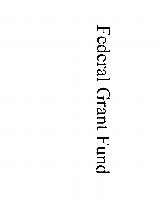# Federal Grant Fund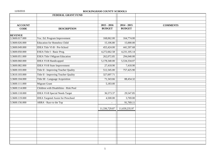|                               | FEDERAL GRANT FUND                        |                                |                                |                 |
|-------------------------------|-------------------------------------------|--------------------------------|--------------------------------|-----------------|
| <b>ACCOUNT</b><br><b>CODE</b> | <b>DESCRIPTION</b>                        | $2015 - 2016$<br><b>BUDGET</b> | $2014 - 2015$<br><b>BUDGET</b> | <b>COMMENTS</b> |
| <b>REVENUE</b>                |                                           |                                |                                |                 |
| 3.3600.017.000                | Voc. Ed. Program Improvement              | 168,062.00                     | 164,774.00                     |                 |
| 3.3600.026.000                | <b>Education for Homeless Child</b>       | 15,106.80                      | 15,000.00                      |                 |
| 3.3600.049.000                | <b>IDEA Title VI-B - Pre-School</b>       | 455,424.00                     | 441,597.68                     |                 |
| 3.3600.050.000                | ESEA Title I - Basic Prog.                | 4,272,662.58                   | 4,231,105.14                   |                 |
| 3.3600.051.000                | <b>ESEA Title I Migrant Education</b>     | 262,072.85                     | 294,040.00                     |                 |
| 3.3600.060.000                | <b>IDEA VI-B Handicapped</b>              | 5,178,340.00                   | 5,534,334.07                   |                 |
| 3.3600.082.000                | <b>IDEA VI-B State Improvement</b>        | 27,418.90                      | 7,418.90                       |                 |
| 3.3600.103.000                | Title II - Improving Teacher Quality      | 512,345.00                     | 757,425.90                     |                 |
| 3.3610.103.000                | Title II - Improving Teacher Quality      | 327,697.71                     |                                |                 |
| 3.3600.104.000                | Title III - Language Acquisition          | 71,343.66                      | 88,454.32                      |                 |
| 3.3600.111.000                | <b>Migrant Grant</b>                      | 5,183.00                       |                                |                 |
| 3.3600.114.000                | Children with Disabilities - Risk Pool    |                                |                                |                 |
| 3.3600.118.000                | <b>IDEA VI-B Special Needs Target</b>     | 36,573.37                      | 29,547.85                      |                 |
| 3.3600.119.000                | <b>IDEA Targeted Assist for Preschool</b> | 4,500.00                       | 3,769.00                       |                 |
| 3.3600.156.000                | ARRA - Race to the Top                    | $\sim$                         | 91,769.11                      |                 |
|                               |                                           | 11,336,729.87                  | 11,659,235.97                  |                 |
|                               |                                           |                                |                                |                 |
|                               |                                           |                                |                                |                 |
|                               |                                           |                                |                                |                 |
|                               |                                           |                                |                                |                 |
|                               |                                           |                                |                                |                 |
|                               |                                           |                                |                                |                 |
|                               |                                           |                                |                                |                 |
|                               |                                           |                                |                                |                 |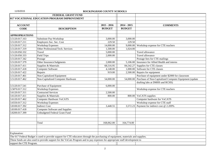|                          | FEDERAL GRANT FUND                                                                                                               |               |               |                                                        |
|--------------------------|----------------------------------------------------------------------------------------------------------------------------------|---------------|---------------|--------------------------------------------------------|
|                          | 017 VOCATIONAL EDUCATION PROGRAM IMPROVEMENT                                                                                     |               |               |                                                        |
|                          |                                                                                                                                  |               |               |                                                        |
| <b>ACCOUNT</b>           |                                                                                                                                  | $2015 - 2016$ | $2014 - 2015$ | <b>COMMENTS</b>                                        |
| <b>CODE</b>              | <b>DESCRIPTION</b>                                                                                                               | <b>BUDGET</b> | <b>BUDGET</b> |                                                        |
|                          |                                                                                                                                  |               |               |                                                        |
| <b>APPROPRIATIONS</b>    |                                                                                                                                  |               |               |                                                        |
| 3.5120.017.163           | Substitute Pay-Workshop                                                                                                          | 3,000.00      | 3,000.00      |                                                        |
| 3.5120.017.211           | Employers Soc. Sec. Cost                                                                                                         | 229.50        | 229.50        |                                                        |
| 3.5120.017.312           | <b>Workshop Expenses</b>                                                                                                         | 14,000.00     | 9,000.00      | Workshop expense for CTE teachers                      |
| 3.5120.017.319           | Other Professional/Tech. Services                                                                                                | 1,500.00      | 1,024.00      |                                                        |
| 3.5120.050.332           | Travel                                                                                                                           | 5,000.00      |               | Travel allowance                                       |
| 3.5120.050.333           | <b>Field Trips</b>                                                                                                               | 2,000.00      |               | Travel allowance                                       |
| 3.5120.017.342           | Postage                                                                                                                          |               |               | Postage fees for CTE mailings                          |
| 3.5120.017.379           | Other Insurance/Judgments                                                                                                        | 2,000.00      | 5,106.00      | Insurance for Allied Health and interns                |
| 3.5120.017.411           | Supplies & Materials                                                                                                             | 68,516.95     | 84,542.27     | Supplies for CTE classes                               |
| 3.5120.017.418           | <b>Computer Software</b>                                                                                                         | 4,148.00      | 1,000.00      | Software for CTE classes                               |
| 3.5120.017.422           | Repairs                                                                                                                          | 919.00        | 2,500.00      | Repairs for equipment                                  |
| 3.5120.017.461           | Non-Capitalized Equipment                                                                                                        |               |               | Purchase of equipment under \$2000 for classroom       |
| 3.5120.017.462           | Non-Capitalized Computer Hardware                                                                                                | 54,000.00     | 54,000.00     | Purchase of Non-Capitalized Computer Equipment (update |
|                          |                                                                                                                                  |               |               | drafting labs at DMHS and RCHS)                        |
| 3.5120.017.541           | Purchase of Equipment                                                                                                            | 6,000.00      |               |                                                        |
| 3.5870.017.312           | <b>Workshop Expenses</b>                                                                                                         |               |               | Workshop expense for CTE teachers                      |
| 3.6120.017.311           | <b>Contracted Services</b>                                                                                                       | 2,500.00      |               |                                                        |
| 3.6120.017.411           | Supplies & Materials                                                                                                             | 800.00        | 800.00        | VoCATS supplies                                        |
| 3.6120.017.462           | <b>Computer Hardware VoCATS</b>                                                                                                  |               |               | Computer hardware for VoCATS                           |
| 3.6550.017.312           | <b>Workshop Expenses</b>                                                                                                         |               |               | Workshop expense for CTE staff                         |
| 3.8100.017.392           | <b>Indirect Cost</b>                                                                                                             | 3,448.55      | 3,572.23      | Payment for indirect cost @ 2.209%                     |
| 3.8100.017.418           | <b>Computer Software and Supplies</b>                                                                                            |               |               |                                                        |
| 3.8200.017.399           | Unbudgeted Federal Grant Fund                                                                                                    |               |               |                                                        |
|                          |                                                                                                                                  |               |               |                                                        |
|                          |                                                                                                                                  |               |               |                                                        |
|                          | Total                                                                                                                            | 168,062.00    | 164,774.00    |                                                        |
|                          |                                                                                                                                  |               |               |                                                        |
|                          |                                                                                                                                  |               |               |                                                        |
| Explanation:             |                                                                                                                                  |               |               |                                                        |
|                          | The 017 Federal Budget is used to provide support for CTE educators through the purchasing of equipment, materials and supplies. |               |               |                                                        |
|                          | These funds are also used to provide support for the VoCats Program and to pay expenses for appropriate staff development to     |               |               |                                                        |
| support the CTE Program. |                                                                                                                                  |               |               |                                                        |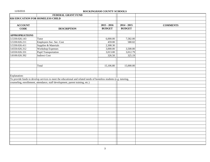|                                  | FEDERAL GRANT FUND                                                                                                  |               |               |                 |
|----------------------------------|---------------------------------------------------------------------------------------------------------------------|---------------|---------------|-----------------|
| 026 EDUCATION FOR HOMELESS CHILD |                                                                                                                     |               |               |                 |
|                                  |                                                                                                                     |               |               |                 |
| <b>ACCOUNT</b>                   |                                                                                                                     | $2015 - 2016$ | $2014 - 2015$ | <b>COMMENTS</b> |
| <b>CODE</b>                      | <b>DESCRIPTION</b>                                                                                                  | <b>BUDGET</b> | <b>BUDGET</b> |                 |
|                                  |                                                                                                                     |               |               |                 |
| <b>APPROPRIATIONS</b>            |                                                                                                                     |               |               |                 |
| 3.5330.026.143                   | Tutor                                                                                                               | 6,000.00      | 7,582.00      |                 |
| 3.5330.026.211                   | Employers Soc. Sec. Cost                                                                                            | 459.00        | 580.02        |                 |
| 3.5330.026.411                   | Supplies & Materials                                                                                                | 2,308.30      |               |                 |
| 3.6550.026.312                   | <b>Workshop Expenses</b>                                                                                            | 3,000.00      | 3,500.00      |                 |
| 3.6550.026.331                   | <b>Pupil Transportation</b>                                                                                         | 3,013.00      | 3,012.79      |                 |
| 3.8100.026.392                   | <b>Indirect Cost</b>                                                                                                | 326.50        | 325.19        |                 |
|                                  |                                                                                                                     |               |               |                 |
|                                  |                                                                                                                     |               |               |                 |
|                                  | Total                                                                                                               | 15,106.80     | 15,000.00     |                 |
|                                  |                                                                                                                     |               |               |                 |
|                                  |                                                                                                                     |               |               |                 |
| Explanation:                     |                                                                                                                     |               |               |                 |
|                                  | To provide funds to develop services to meet the educational and related needs of homeless students (e.g. tutoring, |               |               |                 |
|                                  | counseling, enrollement, attendance, staff development, parent training, etc.)                                      |               |               |                 |
|                                  |                                                                                                                     |               |               |                 |
|                                  |                                                                                                                     |               |               |                 |
|                                  |                                                                                                                     |               |               |                 |
|                                  |                                                                                                                     |               |               |                 |
|                                  |                                                                                                                     |               |               |                 |
|                                  |                                                                                                                     |               |               |                 |
|                                  |                                                                                                                     |               |               |                 |
|                                  |                                                                                                                     |               |               |                 |
|                                  |                                                                                                                     |               |               |                 |
|                                  |                                                                                                                     |               |               |                 |
|                                  |                                                                                                                     |               |               |                 |
|                                  |                                                                                                                     |               |               |                 |
|                                  |                                                                                                                     |               |               |                 |
|                                  |                                                                                                                     |               |               |                 |
|                                  |                                                                                                                     |               |               |                 |
|                                  |                                                                                                                     |               |               |                 |
|                                  |                                                                                                                     |               |               |                 |
|                                  |                                                                                                                     |               |               |                 |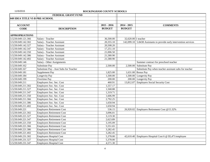|                                | FEDERAL GRANT FUND                     |               |                     |                                                                     |
|--------------------------------|----------------------------------------|---------------|---------------------|---------------------------------------------------------------------|
| 049 IDEA TITLE VI-B PRE-SCHOOL |                                        |               |                     |                                                                     |
|                                |                                        |               |                     |                                                                     |
| <b>ACCOUNT</b>                 |                                        | $2015 - 2016$ | $2014 - 2015$       | <b>COMMENTS</b>                                                     |
| <b>CODE</b>                    | <b>DESCRIPTION</b>                     | <b>BUDGET</b> | <b>BUDGET</b>       |                                                                     |
|                                |                                        |               |                     |                                                                     |
| <b>APPROPRIATIONS</b>          |                                        |               |                     |                                                                     |
| 3.5230.049.121.366             | Salary - Teacher                       | 36,500.00     | 32,620.00 1 teacher |                                                                     |
| 3.5230.049.142.302             | Salary - Teacher Assistant             | 20,355.10     |                     | 142,099.10 5.8438 Assistants to provide early intervention services |
| 3.5230.049.142.327             | Salary - Teacher Assistant             | 20,508.20     |                     |                                                                     |
| 3.5230.049.142.347             | Salary - Teacher Assistant             | 17,251.10     |                     |                                                                     |
| 3.5230.049.142.350             | Salary - Teacher Assistant             | 21,006.50     |                     |                                                                     |
| 3.5230.049.142.386             | Salary - Teacher Assistant             | 21,580.90     |                     |                                                                     |
| 3.5230.049.142.402             | Salary - Teacher Assistant             | 21,580.90     |                     |                                                                     |
| 3.5230.049.146                 | Salary - Other Assignments             |               |                     | Summer contract for preschool teacher                               |
| 3.5230.049.162                 | Substitute Pay                         | 2,500.00      | 2,500.00            | Substitute Pay                                                      |
| 3.5230.049.167                 | Substitute Pay - Asst Subs for Teacher |               |                     | Substitute Pay when teacher assistant subs for teacher              |
| 3.5230.049.181                 | Supplement Pay                         | 1,825.00      | 1,631.00            | <b>Bonus Pay</b>                                                    |
| 3.5230.049.184                 | Longevity Pay                          | 1,500.00      |                     | 1,500.00 Longevity Pay                                              |
| 3.5230.049.199                 | Overtime Pay                           | 200.00        |                     | 200.00 Longevity Pay                                                |
| 3.5230.049.211                 | Employers Soc. Sec. Cost               | 460.91        | 13,812.07           | <b>Employers Social Security Cost</b>                               |
| 3.5230.049.211.302             | Employers Soc. Sec. Cost               | 1,557.17      |                     |                                                                     |
| 3.5230.049.211.327             | Employers Soc. Sec. Cost               | 1,568.88      |                     |                                                                     |
| 3.5230.049.211.347             | Employers Soc. Sec. Cost               | 1,319.71      |                     |                                                                     |
| 3.5230.049.211.350             | Employers Soc. Sec. Cost               | 1,606.99      |                     |                                                                     |
| 3.5230.049.211.366             | Employers Soc. Sec. Cost               | 2,792.25      |                     |                                                                     |
| 3.5230.049.211.386             | Employers Soc. Sec. Cost               | 1,650.94      |                     |                                                                     |
| 3.5230.049.211.402             | Employers Soc. Sec. Cost               | 1,650.94      |                     |                                                                     |
| 3.5230.049.221                 | <b>Employers Retirement Cost</b>       | 536.15        | 26,920.02           | Employers Retirement Cost @15.32%                                   |
| 3.5230.049.221.302             | <b>Employers Retirement Cost</b>       | 3,096.01      |                     |                                                                     |
| 3.5230.049.221.327             | <b>Employers Retirement Cost</b>       | 3,119.30      |                     |                                                                     |
| 3.5230.049.221.347             | <b>Employers Retirement Cost</b>       | 2,623.89      |                     |                                                                     |
| 3.5230.049.221.350             | <b>Employers Retirement Cost</b>       | 3,195.09      |                     |                                                                     |
| 3.5230.049.221.366             | <b>Employers Retirement Cost</b>       | 5,551.65      |                     |                                                                     |
| 3.5230.049.221.386             | <b>Employers Retirement Cost</b>       | 3,282.45      |                     |                                                                     |
| 3.5230.049.221.402             | <b>Employers Retirement Cost</b>       | 3,282.45      |                     |                                                                     |
| 3.5230.049.231.302             | <b>Employers Hospital Cost</b>         | 5,378.00      |                     | 42,610.40 Employers Hospital Cost 6 @ \$5,471/employee              |
| 3.5230.049.231.327             | <b>Employers Hospital Cost</b>         | 5,378.00      |                     |                                                                     |
| 3.5230.049.231.347             | <b>Employers Hospital Cost</b>         | 4,571.30      |                     |                                                                     |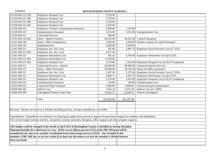| 3.5230.049.231.350 | <b>Employers Hospital Cost</b>                                                                                                               | 5,378.00   |            |                                                     |
|--------------------|----------------------------------------------------------------------------------------------------------------------------------------------|------------|------------|-----------------------------------------------------|
| 3.5230.049.231.366 | <b>Employers Hospital Cost</b>                                                                                                               | 5,378.00   |            |                                                     |
| 3.5230.049.231.386 | <b>Employers Hospital Cost</b>                                                                                                               | 5,378.00   |            |                                                     |
| 3.5230.049.231.402 | <b>Employers Hospital Cost</b>                                                                                                               | 5,378.00   |            |                                                     |
| 3.5230.049.232     | <b>Employers Workers Compensation Insurance</b>                                                                                              | 2,000.00   | 1,154.00   |                                                     |
| 3.5230.049.233     | <b>Unemployment Insurance</b>                                                                                                                | 1,015.00   |            | 1,015.00 Unemployment Cost                          |
| 3.5230.049.311     | <b>Contracted Services</b>                                                                                                                   | 300.00     |            |                                                     |
| 3.5241.049.132.402 | Salary - Speech Teachers                                                                                                                     | 40,150.00  |            | $40,561.40$ 1 speech therapists                     |
| 3.5241.049.146     | Salary - Other Assignments                                                                                                                   | 2,994.00   |            | $2,994.00$ Summer contract for speech therapist     |
| 3.5241.049.181     | Supplement Pay                                                                                                                               | 2,008.00   | 2,028.00   |                                                     |
| 3.5241.049.211     | Employers Soc. Sec. Cost                                                                                                                     | 382.66     |            | 3,487.14 Employers Social Security Cost @ 7.65%     |
| 3.5241.049.211.402 | Employers Soc. Sec. Cost                                                                                                                     | 3,071.48   |            |                                                     |
| 3.5241.049.221     | <b>Employers Retirement Cost</b>                                                                                                             | 305.42     |            | 6,796.48 Employers Retirement Cost $@15.32\%$       |
| 3.5241.049.221.402 | <b>Employers Retirement Cost</b>                                                                                                             | 6,106.82   |            |                                                     |
| 3.5241.049.231.402 | <b>Employers Hospital Cost</b>                                                                                                               | 5,378.00   |            | 5,435.00 Employers Hospital Cost @ \$5,471/employee |
| 3.5241.049.311     | <b>Contracted Services - Speech</b>                                                                                                          | 24,000.00  |            | 38,000.00 Contracted Speech Services                |
| 3.6201.049.151     | Salary - Office Personnel                                                                                                                    | 29,380.08  |            | 29,746.44 Salary for Office personnel               |
| 3.6201.049.211     | Employers Soc. Sec. Cost                                                                                                                     | 2,247.58   |            | 2,275.60 Employers Social Security Cost @ 7.65%     |
| 3.6201.049.221     | <b>Employers Retirement Cost</b>                                                                                                             | 4,468.71   |            | 4,435.19 Employers Retirement Cost @15.32%          |
| 3.6201.049.231     | <b>Employers Hospital Cost</b>                                                                                                               | 5,378.00   | 5,435.00   | Employers Hospital Cost @ \$5,471/employee          |
| 3.6201.049.233     | <b>Unemployment Insurance</b>                                                                                                                | 140.00     | 140.00     | <b>Unemployment Cost</b>                            |
| 3.6550.049.331     | <b>Contracted Pupil Transport</b>                                                                                                            | 3,000.00   | 3,000.00   | Contracted pupil transportation                     |
| 3.8100.049.392     | <b>Indirect Cost</b>                                                                                                                         | 7,654.10   | 8,252.29   | Indirect Cost @ 2.209%                              |
| 3.8200.049.399     | <b>Unbudgeted Federal Grant Fund</b>                                                                                                         | 76,502.37  | 22,949.55  | Federal Unbudgeted                                  |
|                    |                                                                                                                                              |            |            |                                                     |
|                    | Total                                                                                                                                        | 455,424.00 | 441,597.68 |                                                     |
|                    |                                                                                                                                              |            |            |                                                     |
|                    |                                                                                                                                              |            |            |                                                     |
|                    | Revenue: Monies are based on a formula including poverty, average expenditures, and ADM.                                                     |            |            |                                                     |
|                    |                                                                                                                                              |            |            |                                                     |
|                    | Expenditures: Expenditures are based on an annual grant application process to support the preschool program for students with disabilities. |            |            |                                                     |
|                    | The current budget includes teachers, interpreters, teacher assistants, therapists, office support and other program supports.               |            |            |                                                     |
|                    |                                                                                                                                              |            |            |                                                     |
|                    | This budget could be changed in the month of April 2015 if Rockingham County is identified as having Discipline                              |            |            |                                                     |
|                    | Disproportionality for a third year in a row. If this occurs, fifteen percent (15%) of the PRC 049 grant will be                             |            |            |                                                     |
|                    | mandated by the state to be used for Coordinated Early Intervening Services (CEIS). Also included in this                                    |            |            |                                                     |
|                    | mandate is PRC 060, but we are not certain if we have any discretion as to how the mandate is divided between                                |            |            |                                                     |
| these two funds.   |                                                                                                                                              |            |            |                                                     |
|                    |                                                                                                                                              |            |            |                                                     |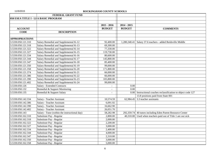|                       | FEDERAL GRANT FUND                            |                          |               |                                                             |
|-----------------------|-----------------------------------------------|--------------------------|---------------|-------------------------------------------------------------|
|                       | 050 ESEA TITLE I - LEA BASIC PROGRAM          |                          |               |                                                             |
|                       |                                               |                          |               |                                                             |
|                       |                                               | $2015 - 2016$            | $2014 - 2015$ |                                                             |
| <b>ACCOUNT</b>        |                                               | <b>BUDGET</b>            | <b>BUDGET</b> | <b>COMMENTS</b>                                             |
| <b>CODE</b>           | <b>DESCRIPTION</b>                            |                          |               |                                                             |
|                       |                                               |                          |               |                                                             |
| <b>APPROPRIATIONS</b> |                                               |                          |               |                                                             |
| 3.5330.050.121.310    | Salary Remedial and Supplemental K-12         | 92,400.00                |               | 1,280,340.41 Salary 37.6 teachers - added Reidsville Middle |
| 3.5330.050.121.318    | Salary Remedial and Supplemental K-13         | 69,300.00                |               |                                                             |
| 3.5330.050.121.322    | Salary Remedial and Supplemental K-14         | 77,330.00                |               |                                                             |
| 3.5330.050.121.327    | Salary Remedial and Supplemental K-15         | 119,730.00               |               |                                                             |
| 3.5330.050.121.334    | Salary Remedial and Supplemental K-16         | 80,600.00                |               |                                                             |
| 3.5330.050.121.344    | Salary Remedial and Supplemental K-17         | 145,800.00               |               |                                                             |
| 3.5330.050.121.347    | Salary Remedial and Supplemental K-18         | 85,400.00                |               |                                                             |
| 3.5330.050.121.350    | Salary Remedial and Supplemental K-19         | 99,000.00                |               |                                                             |
| 3.5330.050.121.358    | Salary Remedial and Supplemental K-20         | 171,800.00               |               |                                                             |
| 3.5330.050.121.374    | Salary Remedial and Supplemental K-21         | 66,000.00                |               |                                                             |
| 3.5330.050.121.386    | Salary Remedial and Supplemental K-22         | 66,000.00                |               |                                                             |
| 3.5330.050.121.390    | Salary Remedial and Supplemental K-23         | 105,800.00               |               |                                                             |
| 3.5330.050.121.402    | Salary Remedial and Supplemental K-24         | 99,000.00                |               |                                                             |
| 3.5330.050.126        | Salary - Extended Contracts                   |                          | 0.00          |                                                             |
| 3.5330.050.132        | Remedial & Support Monitoring                 | $\overline{\phantom{a}}$ | 0.00          |                                                             |
| 3.5330.050.135        | Remedial & Support Salary                     | $\blacksquare$           | 0.00          | Instructional coaches reclassification to object code 127   |
|                       |                                               |                          |               | 13.8 positions paid from State 001                          |
| 3.5330.050.142.334    | Salary - Teacher Assistant                    | 10,574.59                |               | 62,984.45 3.3 teacher assistants                            |
| 3.5330.050.142.386    | Salary - Teacher Assistant                    | 6,091.92                 |               |                                                             |
| 3.5330.050.142.390    | Salary - Teacher Assistant                    | 16,662.90                |               |                                                             |
| 3.5330.050.142.402    | Salary - Teacher Assistant                    | 26,051.70                |               |                                                             |
| 3.5330.050.143        | Salary - Tutor (within the instructional day) | 58,282.98                | 292,359.74    | 40 tutors including Eden Parent Resource Center             |
| 3.5330.050.162.310    | Substitute Pay - Regular                      | 2,800.00                 | 40,310.00     | Used when teachers paid out of Title 1 are out sick         |
| 3.5330.050.162.318    | Substitute Pay - Regular                      | 2,000.00                 |               |                                                             |
| 3.5330.050.162.322    | Substitute Pay - Regular                      | 2,200.00                 |               |                                                             |
| 3.5330.050.162.327    | Substitute Pay - Regular                      | 3,000.00                 |               |                                                             |
| 3.5330.050.162.334    | Substitute Pay - Regular                      | 2,400.00                 |               |                                                             |
| 3.5330.050.162.344    | Substitute Pay - Regular                      | 4,000.00                 |               |                                                             |
| 3.5330.050.162.347    | Substitute Pay - Regular                      | 2,310.00                 |               |                                                             |
| 3.5330.050.162.350    | Substitute Pay - Regular                      | 3,000.00                 |               |                                                             |
| 3.5330.050.162.358    | Substitute Pay - Regular                      | 5,000.00                 |               |                                                             |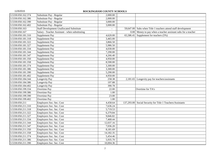| 3.5330.050.162.374 | Substitute Pay - Regular                        | 2,000.00          |            |                                                          |
|--------------------|-------------------------------------------------|-------------------|------------|----------------------------------------------------------|
| 3.5330.050.162.386 | Substitute Pay - Regular                        | 2,000.00          |            |                                                          |
| 3.5330.050.162.390 | Substitute Pay - Regular                        | 3,000.00          |            |                                                          |
| 3.5330.050.162.402 | Substitute Pay - Regular                        | 3,000.00          |            |                                                          |
| 3.5330.050.163     | <b>Staff Development Unallocated Substitute</b> |                   | 59,647.00  | Subs when Title 1 teachers attend staff development      |
| 3.5330.050.167     | Salary - Teacher Assistant - when substituting  |                   | 0.00       | Money to pay when a teacher assistant subs for a teacher |
| 3.5330.050.181.310 | Supplement Pay                                  | 4,620.00          | 65,586.41  | Supplement for teachers (5%)                             |
| 3.5330.050.181.318 | Supplement Pay                                  | 3,465.00          |            |                                                          |
| 3.5330.050.181.322 | Supplement Pay                                  | 3,866.50          |            |                                                          |
| 3.5330.050.181.327 | Supplement Pay                                  | 5,986.50          |            |                                                          |
| 3.5330.050.181.334 | Supplement Pay                                  | 4,030.00          |            |                                                          |
| 3.5330.050.181.344 | Supplement Pay                                  | 7,290.00          |            |                                                          |
| 3.5330.050.181.347 | Supplement Pay                                  | 4,266.40          |            |                                                          |
| 3.5330.050.181.350 | Supplement Pay                                  | 4,950.00          |            |                                                          |
| 3.5330.050.181.358 | Supplement Pay                                  | 8,590.00          |            |                                                          |
| 3.5330.050.181.374 | Supplement Pay                                  | 3,300.00          |            |                                                          |
| 3.5330.050.181.386 | Supplement Pay                                  | 3,300.00          |            |                                                          |
| 3.5330.050.181.390 | Supplement Pay                                  | 5,290.00          |            |                                                          |
| 3.5330.050.181.402 | Supplement Pay                                  | 4,950.00          |            |                                                          |
| 3.5330.050.184.344 | Longevity Pay                                   | 258.38            |            | $2,181.65$ Longevity pay for teachers/assistants         |
| 3.5330.050.184.386 | Longevity Pay                                   | 197.88            |            |                                                          |
| 3.5330.050.184.402 | Longevity Pay                                   | 390.78            |            |                                                          |
| 3.5330.050.199.334 | Overtime Pay                                    | 22.00             |            | Overtime for TA's                                        |
| 3.5330.050.199.386 | Overtime Pay                                    | 1.00              |            |                                                          |
| 3.5330.050.199.390 | Overtime Pay                                    | 23.00             |            |                                                          |
| 3.5330.050.199.402 | Overtime Pay                                    | $\overline{1.00}$ |            |                                                          |
| 3.5330.050.211     | Employers Soc. Sec. Cost                        | 4,458.64          | 137,293.00 | Social Security for Title 1 Teachers/Assistants          |
| 3.5330.050.211.310 | Employers Soc. Sec. Cost                        | 7,636.24          |            |                                                          |
| 3.5330.050.211.318 | Employers Soc. Sec. Cost                        | 5,719.53          |            |                                                          |
| 3.5330.050.211.322 | Employers Soc. Sec. Cost                        | 6,379.84          |            |                                                          |
| 3.5330.050.211.327 | Employers Soc. Sec. Cost                        | 9,846.82          |            |                                                          |
| 3.5330.050.211.334 | Employers Soc. Sec. Cost                        | 7,468.44          |            |                                                          |
| 3.5330.050.211.344 | Employers Soc. Sec. Cost                        | 12,037.16         |            |                                                          |
| 3.5330.050.211.347 | Employers Soc. Sec. Cost                        | 7,036.20          |            |                                                          |
| 3.5330.050.211.350 | Employers Soc. Sec. Cost                        | 8,181.69          |            |                                                          |
| 3.5330.050.211.358 | Employers Soc. Sec. Cost                        | 14,182.35         |            |                                                          |
| 3.5330.050.211.374 | Employers Soc. Sec. Cost                        | 5,454.46          |            |                                                          |
| 3.5330.050.211.386 | Employers Soc. Sec. Cost                        | 5,935.70          |            |                                                          |
| 3.5330.050.211.390 | Employers Soc. Sec. Cost                        | 10,004.36         |            |                                                          |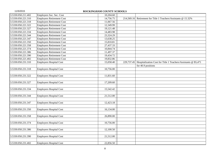| 3.5330.050.211.402 | Employers Soc. Sec. Cost         | 10,204.60 |            |                                                                |
|--------------------|----------------------------------|-----------|------------|----------------------------------------------------------------|
| 3.5330.050.221.310 | <b>Employers Retirement Cost</b> | 14,756.75 | 214,569.16 | Retirement for Title 1 Teachers/Assistants @ 15.32%            |
| 3.5330.050.221.318 | <b>Employers Retirement Cost</b> | 11,067.56 |            |                                                                |
| 3.5330.050.221.322 | <b>Employers Retirement Cost</b> | 12,349.99 |            |                                                                |
| 3.5330.050.221.327 | <b>Employers Retirement Cost</b> | 19,121.48 |            |                                                                |
| 3.5330.050.221.334 | <b>Employers Retirement Cost</b> | 14,483.98 |            |                                                                |
| 3.5330.050.221.344 | <b>Employers Retirement Cost</b> | 23,324.29 |            |                                                                |
| 3.5330.050.221.347 | <b>Employers Retirement Cost</b> | 13,638.25 |            |                                                                |
| 3.5330.050.221.350 | <b>Employers Retirement Cost</b> | 15,810.81 |            |                                                                |
| 3.5330.050.221.358 | <b>Employers Retirement Cost</b> | 27,437.33 |            |                                                                |
| 3.5330.050.221.374 | <b>Employers Retirement Cost</b> | 10,844.74 |            |                                                                |
| 3.5330.050.221.386 | <b>Employers Retirement Cost</b> | 11,497.37 |            |                                                                |
| 3.5330.050.221.390 | <b>Employers Retirement Cost</b> | 19,434.72 |            |                                                                |
| 3.5330.050.221.402 | <b>Employers Retirement Cost</b> | 19,832.86 |            |                                                                |
| 3.5330.050.231.310 | <b>Employers Hospital Cost</b>   | 15,058.40 | 229,737.45 | Hospitalization Cost for Title 1 Teachers/Assistants @ \$5,471 |
|                    |                                  |           |            | for 40.9 positions                                             |
| 3.5330.050.231.318 | <b>Employers Hospital Cost</b>   | 10,756.00 |            |                                                                |
|                    |                                  |           |            |                                                                |
| 3.5330.050.231.322 | <b>Employers Hospital Cost</b>   | 11,831.60 |            |                                                                |
|                    |                                  |           |            |                                                                |
| 3.5330.050.231.327 | <b>Employers Hospital Cost</b>   | 17,209.60 |            |                                                                |
|                    |                                  |           |            |                                                                |
| 3.5330.050.231.334 | <b>Employers Hospital Cost</b>   | 15,542.42 |            |                                                                |
|                    |                                  |           |            |                                                                |
| 3.5330.050.231.344 | <b>Employers Hospital Cost</b>   | 21,512.00 |            |                                                                |
|                    |                                  |           |            |                                                                |
| 3.5330.050.231.347 | <b>Employers Hospital Cost</b>   | 12,423.18 |            |                                                                |
|                    |                                  |           |            |                                                                |
| 3.5330.050.231.350 | <b>Employers Hospital Cost</b>   | 16,134.00 |            |                                                                |
|                    |                                  |           |            |                                                                |
| 3.5330.050.231.358 | <b>Employers Hospital Cost</b>   | 26,890.00 |            |                                                                |
|                    |                                  |           |            |                                                                |
| 3.5330.050.231.374 | <b>Employers Hospital Cost</b>   | 10,756.00 |            |                                                                |
|                    |                                  |           |            |                                                                |
| 3.5330.050.231.386 | <b>Employers Hospital Cost</b>   | 12,100.50 |            |                                                                |
|                    |                                  |           |            |                                                                |
| 3.5330.050.231.390 | <b>Employers Hospital Cost</b>   | 21,512.00 |            |                                                                |
|                    |                                  |           |            |                                                                |
| 3.5330.050.231.402 | <b>Employers Hospital Cost</b>   | 22,856.50 |            |                                                                |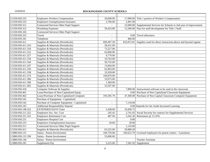| 3.5330.050.232     | <b>Employers Workers Compensation</b>          | 20,000.00                |                   | 17,000.00 Title 1 portion of Worker's Compensation            |
|--------------------|------------------------------------------------|--------------------------|-------------------|---------------------------------------------------------------|
| 3.5330.050.233     | <b>Employers Unemployment Insurance</b>        | 2,700.00                 | 2,491.00          |                                                               |
| 3.5330.050.311     | <b>Contracted Services Other Pupil Support</b> |                          | 22,000.00         | Supplemental Services for Schools in 2nd year of improvement  |
| 3.5330.050.312     | <b>Workshop Expenses</b>                       | 59,423.89                | 12,500.00         | Pays for staff development for Title 1 Staff                  |
| 3.5330.050.326     | Contracted Services Other Pupil Support        |                          |                   |                                                               |
| 3.5330.050.332     | Travel                                         | $\overline{a}$           | 0.00 <sub>l</sub> | Travel allowance                                              |
| 3.5330.050.341     | Telephone                                      |                          | 460.00            |                                                               |
| 3.5330.050.411     | Supplies & Materials (Periodicals)             | 609,497.58               | 833,872.01        | Supplies used for direct instruction-above and beyond regular |
| 3.5330.050.411.310 | Supplies & Materials (Periodicals)             | 58,431.00                |                   |                                                               |
| 3.5330.050.411.318 | Supplies & Materials (Periodicals)             | 73,227.00                |                   |                                                               |
| 3.5330.050.411.322 | Supplies & Materials (Periodicals)             | 62,860.00                |                   |                                                               |
| 3.5330.050.411.327 | Supplies & Materials (Periodicals)             | 9,779.00                 |                   |                                                               |
| 3.5330.050.411.334 | Supplies & Materials (Periodicals)             | 10,763.00                |                   |                                                               |
| 3.5330.050.411.344 | Supplies & Materials (Periodicals)             | 50,735.00                |                   |                                                               |
| 3.5330.050.411.347 | Supplies & Materials (Periodicals)             | 13,604.00                |                   |                                                               |
| 3.5330.050.411.350 | Supplies & Materials (Periodicals)             | 62,963.00                |                   |                                                               |
| 3.5330.050.411.358 | Supplies & Materials (Periodicals)             | 32,939.00                |                   |                                                               |
| 3.5330.050.411.374 | Supplies & Materials (Periodicals)             | 169,870.00               |                   |                                                               |
| 3.5330.050.411.386 | Supplies & Materials (Periodicals)             | 33,975.00                |                   |                                                               |
| 3.5330.050.411.390 | Supplies & Materials (Periodicals)             | 1,369.00                 |                   |                                                               |
| 3.5330.050.411.402 | Supplies & Materials (Periodicals)             | 55,597.00                |                   |                                                               |
| 3.5330.050.418     | Computer Software & Supplies                   | $\overline{\phantom{a}}$ | 7,800.00          | Instructional software to be used in the classroom            |
| 3.5330.050.461     | Lease/Purchase of Non-Capitalized Equip.       |                          | 0.00              | Purchase of Non Capitalized Classroom Equipment               |
| 3.5330.050.462     | Lease/Purchase of Non-Capitalized Computer     | 195,595.79               | 47,300.00         | Purchase of Non Capital Classroom Computer Equipment          |
| 3.5330.050.541     | Purchase of Equipment - Capitalized            |                          |                   |                                                               |
| 3.5330.050.542     | Purchase of Computer Equipment - Capitalized   |                          | 7,118.00          |                                                               |
| 3.5350.050.192     | <b>Additional Responsibility Stipend</b>       |                          |                   | 0.00 Stipends for Set Aside Increased Learning                |
| 3.5350.050.198.322 | <b>EXTENDED DAYS Tutor</b>                     | 3,208.00                 | 35,830.72         |                                                               |
| 3.5350.050.211.322 | Employers Soc. Sec. Cost                       | 245.42                   | 2,741.05          | Social Security for contract for Supplemental Services        |
| 3.5350.050.221.322 | <b>Employers Retirement Cost</b>               | 487.94                   | 5,342.36          | Retirement @ 15.32%                                           |
| 3.5350.050.231     | Employers Hospital Cost                        |                          | 0.00              |                                                               |
| 3.5350.050.233     | <b>Employers Unemployment Insurance</b>        | 20.00                    | 20.00             |                                                               |
| 3.5350.050.311     | Contracted Services Other Pupil Support        |                          | 1,110.00          |                                                               |
| 3.5350.050.411     | Supplies & Materials (Periodicals)             | 63,325.00                | 59,889.20         |                                                               |
| 3.5880.050.131     | Salary - Parent Involvement                    | 106,750.68               | 160,622.70        | Licensed employees for parent centers - 3 positions           |
| 3.5880.050.131.358 | Salary - Parent Involvement                    | 55,000.00                |                   |                                                               |
| 3.5880.050.146     | Salary - Parent Involvement                    |                          |                   | <b>Teacher Assistant</b>                                      |
| 3.5880.050.181     | Supplement Pay                                 | 5,225.00                 |                   | $7,581.93$ Supplement                                         |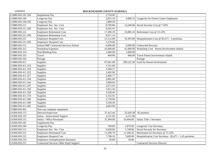| 3.5880.050.181.358 | Supplement Pay                                 | 2,750.00                 |            |                                                           |
|--------------------|------------------------------------------------|--------------------------|------------|-----------------------------------------------------------|
| 3.5880.050.184     | Longevity Pay                                  | 3,055.18                 |            | 4,868.16 Longevity for Parent Center Employees            |
| 3.5880.050.184.358 | Longevity Pay                                  | 1,889.28                 |            |                                                           |
| 3.5880.050.211     | Employers Soc. Sec. Cost                       | 8,799.86                 |            | 13,240.06 Social Security Cost @ 7.65%                    |
| 3.5880.050.211.358 | Employers Soc. Sec. Cost                       | 4,562.41                 |            |                                                           |
| 3.5880.050.221     | <b>Employers Retirement Cost</b>               | 17,496.19                |            | 25,805.16 Retirement Cost @ 15.32%                        |
| 3.5880.050.221.358 | <b>Employers Retirement Cost</b>               | 9,071.14                 |            |                                                           |
| 3.5880.050.231     | <b>Employers Hospital Cost</b>                 | 21,512.00                |            | 16,305.00 Hospitalization Cost @ \$5,471 - 3 positions    |
| 3.5880.050.231.358 | <b>Employers Hospital Cost</b>                 | 5,378.00                 |            |                                                           |
| 3.5880.050.311     | <b>School IMP Contracted Services School</b>   | 6,000.00                 |            | 6,000.00 Contracted Services                              |
| 3.5880.050.312     | <b>Workshop Expenses</b>                       | 41,000.00                |            | 41,000.00 Workshop Cost - Parent Involvement related      |
| 3.5880.050.314     | Print/Binding Fees                             | 1,000.00                 | 1,000.00   |                                                           |
| 3.5880.050.332     | Travel                                         | 400.00                   | 400.00     | Travel Parent Involvement related                         |
| 3.5880.050.342     | Postage                                        |                          |            | Postage                                                   |
| 3.5880.050.411     | Supplies                                       | 87,661.98                | 299,222.56 | Used for Parent Involvement                               |
| 3.5880.050.411.310 | Supplies                                       | 3,741.00                 |            |                                                           |
| 3.5880.050.411.318 | Supplies                                       | 3,384.57                 |            |                                                           |
| 3.5880.050.411.322 | Supplies                                       | 2,493.90                 |            |                                                           |
| 3.5880.050.411.327 | Supplies                                       | 3,400.77                 |            |                                                           |
| 3.5880.050.411.334 | Supplies                                       | 2,802.00                 |            |                                                           |
| 3.5880.050.411.344 | Supplies                                       | 5,084.94                 |            |                                                           |
| 3.5880.050.411.347 | Supplies                                       | 2,672.03                 |            |                                                           |
| 3.5880.050.411.350 | Supplies                                       | 3,951.36                 |            |                                                           |
| 3.5880.050.411.358 | Supplies                                       | 5,538.40                 |            |                                                           |
| 3.5880.050.411.374 | Supplies                                       | 5,165.91                 |            |                                                           |
| 3.5880.050.411.386 | Supplies                                       | 2,720.60                 |            |                                                           |
| 3.5880.050.411.390 | Supplies                                       | 3,530.30                 |            |                                                           |
| 3.5880.050.411.402 | Supplies                                       | 4,663.90                 |            |                                                           |
| 3.5880.050.462     | Non-cap computer equipment                     |                          |            |                                                           |
| 3.6300.050.113     | Director/Supervisor                            | 37,415.46                |            | 33,420.38 .45 position                                    |
| 3.6300.050.131     | Salary - Instructional Support                 | 4,151.00                 | 4,151.00   |                                                           |
| 3.6300.050.151     | Salary - Office Personnel                      | 31,384.68                | 35,694.60  | Salary Title 1 Secretary                                  |
| 3.6300.050.181     | Supplement Pay                                 |                          |            |                                                           |
| 3.6300.050.184     | Longevity Pay                                  | 749.00                   | 1,879.90   | <b>Longevity Cost Secretary</b>                           |
| 3.6300.050.211     | Employers Soc. Sec. Cost                       | 5,638.06                 | 5,748.66   | Social Security for Secretary                             |
| 3.6300.050.221     | <b>Employers Retirement Cost</b>               | 11,209.79                | 11,204.24  | Retirement for Secretary @ 15.32%                         |
| 3.6300.050.231     | <b>Employers Hospital Cost</b>                 | 7,798.10                 | 7,609.00   | Hospitalization Cost Secretary - \$5,471 - 1.45 positions |
| 3.6300.050.233     | <b>Employers Unemployment Insurance</b>        | 50.00                    | 50.00      |                                                           |
| 3.6300.050.311     | <b>Contracted Services Other Pupil Support</b> | $\overline{\phantom{a}}$ | $\sim$     | <b>Contracted Services Director</b>                       |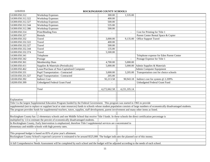| 3.6300.050.312     | <b>Workshop Expenses</b>                                                                                                                                                       | 300.00       | 1,535.00     |                                          |
|--------------------|--------------------------------------------------------------------------------------------------------------------------------------------------------------------------------|--------------|--------------|------------------------------------------|
| 3.6300.050.312.322 | <b>Workshop Expenses</b>                                                                                                                                                       | 400.00       |              |                                          |
| 3.6300.050.312.327 | <b>Workshop Expenses</b>                                                                                                                                                       | 500.00       |              |                                          |
| 3.6300.050.312.344 | <b>Workshop Expenses</b>                                                                                                                                                       | 535.00       |              |                                          |
| 3.6300.050.312.386 | <b>Workshop Expenses</b>                                                                                                                                                       | 500.00       |              |                                          |
| 3.6300.050.314     | Print/Binding Fees                                                                                                                                                             |              | $\sim$       | Cost for Printing for Title 1            |
| 3.6300.050.327     | Rentals                                                                                                                                                                        |              |              | Parent Center Rental Space & Copier      |
| 3.6300.050.332     | Travel                                                                                                                                                                         | 3,000.00     | 9,135.00     | Office Support Travel                    |
| 3.6300.050.332.322 | Travel                                                                                                                                                                         | 400.00       |              |                                          |
| 3.6300.050.332.327 | Travel                                                                                                                                                                         | 500.00       |              |                                          |
| 3.6300.050.332.344 | Travel                                                                                                                                                                         | 135.00       |              |                                          |
| 3.6300.050.332.374 | Travel                                                                                                                                                                         | 5,500.00     |              |                                          |
| 3.6300.050.341     | Telephone                                                                                                                                                                      |              |              | Telephone expense for Eden Parent Center |
| 3.6300.050.342     | Postage                                                                                                                                                                        |              |              | Postage Expense for Title 1              |
| 3.6300.050.361     | Membership Dues                                                                                                                                                                | 4,700.00     | 5,000.00     |                                          |
| 3.6300.050.411     | Supplies & Materials (Periodicals)                                                                                                                                             | 5,000.00     | 5,000.00     | Admin Supplies & Materials               |
| 3.6300.050.462     | Lease/Purchase of Non-Capitalized Computer                                                                                                                                     |              |              | Admin Computer Equipment                 |
| 3.6550.050.331     | <b>Pupil Transportation - Contracted</b>                                                                                                                                       | 3,000.00     | 3,205.00     | Transportation cost for choice schools   |
| 3.6550.050.331.327 | <b>Pupil Transportation - Contracted</b>                                                                                                                                       | 205.00       |              |                                          |
| 3.8100.050.392     | <b>Indirect Cost</b>                                                                                                                                                           | 92,213.58    | 90,943.18    | Indirect cost for system @ 2.209%        |
| 3.8200.050.399     | <b>Unbudgeted Federal Grant Fund</b>                                                                                                                                           |              |              | Unbudgeted Federal Grant Fund            |
|                    |                                                                                                                                                                                |              |              |                                          |
|                    | Total                                                                                                                                                                          | 4,272,662.58 | 4,231,105.14 |                                          |
|                    |                                                                                                                                                                                |              |              |                                          |
|                    |                                                                                                                                                                                |              |              |                                          |
| Explanation:       |                                                                                                                                                                                |              |              |                                          |
|                    | Title I is the largest Supplemental Education Program funded by the Federal Government. This program was started in 1965 to provide                                            |              |              |                                          |
|                    | supplemental (not to replace or supplant local or state resources) funds to schools whose student population consists of large numbers of economically disadvantaged students. |              |              |                                          |
|                    | The program provides funds for supplemental teachers, tutors, supplies, staff development, parent involvement and many other items as listed.                                  |              |              |                                          |
|                    |                                                                                                                                                                                |              |              |                                          |
|                    | Rockingham County has 12 elementary schools and one Middle School that receive Title I funds. In these schools the direct certification percentage is                          |              |              |                                          |
|                    | multiplied by 1.6 to estimate the percent of economically disadvantaged students.                                                                                              |              |              |                                          |
|                    | In Rockingham County, Early Intervention is emphasized, therefore Title I supplemental services are concentrated in                                                            |              |              |                                          |
|                    | elementary and middle schools with high poverty rates.                                                                                                                         |              |              |                                          |
|                    |                                                                                                                                                                                |              |              |                                          |
|                    | This proposed budget is based on 85% of prior year's allotment.                                                                                                                |              |              |                                          |
|                    | Rockingham County School's expected carryover is estimated to be around \$525,000. The budget indicates the planned use of this money.                                         |              |              |                                          |
|                    |                                                                                                                                                                                |              |              |                                          |
|                    | A full Comprehensive Needs Assessment will be completed by each school and the budget will be adjusted according to the needs of each school.                                  |              |              |                                          |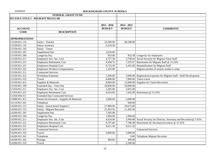|                                    | FEDERAL GRANT FUND                        |               |               |                                                               |
|------------------------------------|-------------------------------------------|---------------|---------------|---------------------------------------------------------------|
| 051 ESEA TITLE I - MIGRANT REGULAR |                                           |               |               |                                                               |
|                                    |                                           |               |               |                                                               |
|                                    |                                           | $2015 - 2016$ | $2014 - 2015$ |                                                               |
| <b>ACCOUNT</b>                     |                                           | <b>BUDGET</b> | <b>BUDGET</b> | <b>COMMENTS</b>                                               |
| <b>CODE</b>                        | <b>DESCRIPTION</b>                        |               |               |                                                               |
|                                    |                                           |               |               |                                                               |
| <b>APPROPRIATIONS</b>              |                                           |               |               |                                                               |
| 3.5330.051.135                     | Salary - Teacher                          | 52,500.00     | 48,180.00     |                                                               |
| 3.5330.051.142                     | <b>Salary Assistant</b>                   | 6,124.50      |               |                                                               |
| 3.5330.051.143                     | Salary - Tutors                           |               |               |                                                               |
| 3.5330.051.181                     | Supplement Pay                            | 2,610.00      |               |                                                               |
| 3.5330.051.184                     | <b>Longevity Pay</b>                      | 953.00        |               | 952.58 Longevity for employees                                |
| 3.5330.051.211                     | Employers Soc. Sec. Cost                  | 4,757.36      |               | 3,758.64 Social Security for Migrant Tutor Staff              |
| 3.5330.051.221                     | <b>Employers Retirement Cost</b>          | 9,458.72      |               | 7,325.67 Retirement for Migrant Staff @ 15.32%                |
| 3.5330.051.231                     | <b>Employers Hospital Cost</b>            | 6,722.50      | 5,435.00      | <b>Hospitalization for Migrant Staff</b>                      |
| 3.5330.051.232                     | <b>Employers Workers Compensation</b>     | 1,103.00      |               | Migrant portion of system worker's comp                       |
| 3.5330.051.311                     | <b>Contracted Services</b>                |               |               |                                                               |
| 3.5330.051.312                     | <b>Workshop Expenses</b>                  | 1,500.00      | 3,000.00      | Registration/expenses for Migrant Staff - Staff Development   |
| 3.5330.051.332                     | Travel                                    | 6,000.00      | 7,000.00      | Tutors travel                                                 |
| 3.5330.051.411                     | Supplies & Materials                      | 8,000.00      | 15,000.00     | Supplies for Tutors/Recruiters                                |
| 3.5350.051.198                     | <b>Extended Day - Tutor Pay</b>           | 30,000.00     | 50,000.00     |                                                               |
| 3.5350.051.211                     | Employers Soc. Sec. Cost                  | 2,295.00      | 3,825.00      |                                                               |
| 3.5350.051.221                     | <b>Employers Retirement Cost</b>          | 4,563.00      | 7,455.00      | Retirement @ 15.32%                                           |
| 3.5350.050.311                     | <b>Extended Day Contracted Services</b>   |               |               |                                                               |
| 3.5880.051.411                     | Parent Involvement - Supplies & Materials | 2,000.00      | 5,000.00      |                                                               |
| 3.6110.051.341                     | Telephone                                 |               | 600.00        |                                                               |
| 3.6200.051.131                     | Salary - Instructional Support I          | 27,900.00     | 29,673.00     |                                                               |
| 3.6200.051.153                     | Salary - Migrant Recruiter                | 21,463.56     | 21,463.56     |                                                               |
| 3.6200.051.181                     | Supplement Pay                            | 7,395.00      |               |                                                               |
| 3.6200.051.184                     | Longevity Pay                             | 1,084.00      | 1,084.00      |                                                               |
| 3.6200.051.211                     | Employers Soc. Sec. Cost                  | 4,424.96      | 3,994.88      | Social Security for Director, Secretary and Recruiters@ 7.65% |
| 3.6200.051.221                     | <b>Employers Retirement Cost</b>          | 8,797.86      | 7,786.08      | Retirement for Secretary/recruiters @ 15.32%                  |
| 3.6200.051.231                     | <b>Employers Hospital Cost</b>            | 9,411.50      | 9,511.25      |                                                               |
| 3.6200.051.311                     | <b>Contracted Services</b>                |               |               | <b>Contracted Services</b>                                    |
| 3.6200.051.332                     | Travel                                    | 6,000.00      | 5,000.00      |                                                               |
| 3.6200.051.341                     | Telephone                                 |               | 0.00          | Telephone Migrant Recruiter                                   |
| 3.6200.051.342                     | Postage                                   | 400.00        | 400.00        |                                                               |
| 3.6300.051.332                     | Travel                                    |               | 2,500.00      |                                                               |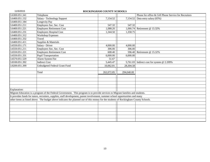| 3.6300.051.341 | Telephone                                                                                                                            |            |            | Phone for office & Cell Phone Service for Recruiters |
|----------------|--------------------------------------------------------------------------------------------------------------------------------------|------------|------------|------------------------------------------------------|
| 3.6400.051.152 | Salary - Technology Support                                                                                                          | 7,154.52   | 7,154.52   | Data entry salary (65%)                              |
| 3.6400.051.184 | Longevity Pay                                                                                                                        |            |            |                                                      |
| 3.6400.051.211 | Employers Soc. Sec. Cost                                                                                                             | 547.32     | 547.32     |                                                      |
| 3.6400.051.221 | <b>Employers Retirement Cost</b>                                                                                                     | 1,088.20   | 1,066.74   | Retirement @ 15.32%                                  |
| 3.6400.051.231 | Employers Hospital Cost                                                                                                              | 1,344.50   | 1,358.75   |                                                      |
| 3.6400.051.312 | <b>Workshop Expenses</b>                                                                                                             |            |            |                                                      |
| 3.6400.051.332 | Travel                                                                                                                               |            |            |                                                      |
| 3.6400.051.411 | Supplies & Materials                                                                                                                 |            |            |                                                      |
| 3.6550.051.171 | Salary - Driver                                                                                                                      | 4,000.00   | 4,000.00   |                                                      |
| 3.6550.051.211 | Employers Soc. Sec. Cost                                                                                                             | 306.00     | 306.00     |                                                      |
| 3.6550.051.221 | <b>Employers Retirement Cost</b>                                                                                                     | 608.40     | 596.40     | Retirement @ 15.32%                                  |
| 3.6550.051.331 | <b>Pupil Transportation</b>                                                                                                          | 6,000.00   | 6,000.00   |                                                      |
| 3.6570.051.529 | Alarm System Fee                                                                                                                     | 51.67      |            |                                                      |
| 3.8100.051.392 | <b>Indirect Cost</b>                                                                                                                 | 5,445.47   | 5,761.03   | Indirect cost for system @ 2.209%                    |
| 3.8200.051.399 | Unbudgeted Federal Grant Fund                                                                                                        | 10,062.81  | 28,304.58  |                                                      |
|                |                                                                                                                                      |            |            |                                                      |
|                | Total                                                                                                                                | 262,072.85 | 294,040.00 |                                                      |
|                |                                                                                                                                      |            |            |                                                      |
|                |                                                                                                                                      |            |            |                                                      |
|                |                                                                                                                                      |            |            |                                                      |
|                |                                                                                                                                      |            |            |                                                      |
| Explanation:   |                                                                                                                                      |            |            |                                                      |
|                | Migrant Education is a program of the Federal Government. This program is to provide services to Migrant families and students.      |            |            |                                                      |
|                | It provides funds for tutors, recruiters, supplies, staff development, parent involvement, summer school opportunities and many      |            |            |                                                      |
|                | other items as listed above. The budget above indicates the planned use of this money for the students of Rockingham County Schools. |            |            |                                                      |
|                |                                                                                                                                      |            |            |                                                      |
|                |                                                                                                                                      |            |            |                                                      |
|                |                                                                                                                                      |            |            |                                                      |
|                |                                                                                                                                      |            |            |                                                      |
|                |                                                                                                                                      |            |            |                                                      |
|                |                                                                                                                                      |            |            |                                                      |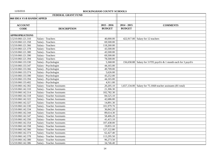|                           | FEDERAL GRANT FUND                 |               |               |                                                                  |
|---------------------------|------------------------------------|---------------|---------------|------------------------------------------------------------------|
| 060 IDEA VI-B HANDICAPPED |                                    |               |               |                                                                  |
|                           |                                    |               |               |                                                                  |
| <b>ACCOUNT</b>            |                                    | $2015 - 2016$ | $2014 - 2015$ | <b>COMMENTS</b>                                                  |
| <b>CODE</b>               | <b>DESCRIPTION</b>                 | <b>BUDGET</b> | <b>BUDGET</b> |                                                                  |
|                           |                                    |               |               |                                                                  |
| <b>APPROPRIATIONS</b>     |                                    |               |               |                                                                  |
| 3.5210.060.121.310        | Salary - Teachers                  | 40,000.00     |               | 422,917.00 Salary for 12 teachers                                |
| 3.5210.060.121.358        | Salary - Teachers                  | 69,500.00     |               |                                                                  |
| 3.5210.060.121.366        | Salary - Teachers                  | 118,260.00    |               |                                                                  |
| 3.5210.060.121.378        | Salary - Teachers                  | 43,500.00     |               |                                                                  |
| 3.5210.060.121.380        | Salary - Teachers                  | 43,500.00     |               |                                                                  |
| 3.5210.060.121.390        | Salary - Teachers                  | 69,500.00     |               |                                                                  |
| 3.5210.060.121.394        | Salary - Teachers                  | 78,500.00     |               |                                                                  |
| 3.5210.060.133.330        | Salary - Psychologist              | 5,368.00      |               | 156,658.88 Salary for 3 FTE psych's & 1 month each for 3 psych's |
| 3.5210.060.133.347        | Salary - Psychologist              | 44,165.00     |               |                                                                  |
| 3.5210.060.133.366        | Salary - Psychologist              | 49,709.00     |               |                                                                  |
| 3.5210.060.133.374        | Salary - Psychologist              | 5,626.00      |               |                                                                  |
| 3.5210.060.133.390        | Salary - Psychologist              | 43,252.00     |               |                                                                  |
| 3.5210.060.133.394        | Salary - Psychologist              | 44,165.00     |               |                                                                  |
| 3.5210.060.133.402        | Salary - Psychologist              | 4,911.00      |               |                                                                  |
| 3.5210.060.142.302        | Salary - Teacher Assistants        | 20,205.10     |               | 1,657,134.00 Salary for $75.1668$ teacher assistants (81 total)  |
| 3.5210.060.142.310        | Salary - Teacher Assistants        | 21,306.30     |               |                                                                  |
| 3.5210.060.142.314        | Salary - Teacher Assistants        | 102,782.30    |               |                                                                  |
| 3.5210.060.142.318        | Salary - Teacher Assistants        | 84,525.10     |               |                                                                  |
| 3.5210.060.142.322        | Salary - Teacher Assistants        | 42,686.00     |               |                                                                  |
| 3.5210.060.142.327        | <b>Salary - Teacher Assistants</b> | 14,891.30     |               |                                                                  |
| 3.5210.060.142.330        | <b>Salary - Teacher Assistants</b> | 101,979.70    |               |                                                                  |
| 3.5210.060.142.334        | Salary - Teacher Assistants        | 36,842.20     |               |                                                                  |
| 3.5210.060.142.344        | Salary - Teacher Assistants        | 89,614.30     |               |                                                                  |
| 3.5210.060.142.347        | Salary - Teacher Assistants        | 58,406.20     |               |                                                                  |
| 3.5210.060.142.350        | Salary - Teacher Assistants        | 41,415.10     |               |                                                                  |
| 3.5210.060.142.354        | Salary - Teacher Assistants        | 107,438.00    |               |                                                                  |
| 3.5210.060.142.358        | Salary - Teacher Assistants        | 19,855.10     |               |                                                                  |
| 3.5210.060.142.366        | Salary - Teacher Assistants        | 127,122.80    |               |                                                                  |
| 3.5210.060.142.374        | Salary - Teacher Assistants        | 62,427.40     |               |                                                                  |
| 3.5210.060.142.378        | Salary - Teacher Assistants        | 113,295.50    |               |                                                                  |
| 3.5210.060.142.380        | Salary - Teacher Assistants        | 96,273.50     |               |                                                                  |
| 3.5210.060.142.386        | Salary - Teacher Assistants        | 34,746.40     |               |                                                                  |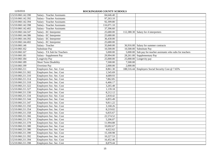| Salary - Teacher Assistants        | 84,646.40  |          |                                                                 |
|------------------------------------|------------|----------|-----------------------------------------------------------------|
| <b>Salary - Teacher Assistants</b> | 97,263.10  |          |                                                                 |
| <b>Salary - Teacher Assistants</b> | 92,399.80  |          |                                                                 |
| Salary - Teacher Assistants        | 116,071.10 |          |                                                                 |
| Salary - Teacher Assistants        | 37,396.60  |          |                                                                 |
| Salary - EC Interpreter            | 25,680.00  |          | 112,380.30 Salary for 4 interpreters                            |
| Salary - EC Interpreter            | 25,680.00  |          |                                                                 |
| Salary - EC Interpreter            | 36,430.00  |          |                                                                 |
| Salary - EC Interpreter            | 25,680.00  |          |                                                                 |
| Salary - Teacher                   | 35,840.00  |          | 36,916.00 Salary for summer contracts                           |
| Substitute Pay                     | 10,500.00  |          | 10,500.00 Substitute Pay                                        |
| Salary - TA Sub for Teachers       | 5,000.00   |          | $5,000.00$ Sub pay for teacher assistants who subs for teachers |
| Salary - Supplement Pay            | 29,994.00  |          | 28,261.00 Supplementary Pay                                     |
| Longevity Pay                      | 25,000.00  |          | $25,000.00$ Longevity pay                                       |
| Short Term Disability              | 7,500.00   | 7,500.00 |                                                                 |
| Overtime Pay                       | 2,000.00   | 2,000.00 |                                                                 |
| Employers Soc. Sec. Cost           | 8,861.30   |          | 188,516.44 Employers Social Security Cost @ 7.65%               |
| Employers Soc. Sec. Cost           | 1,545.69   |          |                                                                 |
| Employers Soc. Sec. Cost           | 4,689.93   |          |                                                                 |
| Employers Soc. Sec. Cost           | 7,862.85   |          |                                                                 |
| Employers Soc. Sec. Cost           | 6,466.17   |          |                                                                 |
| Employers Soc. Sec. Cost           | 3,265.48   |          |                                                                 |
| Employers Soc. Sec. Cost           | 1,139.18   |          |                                                                 |
| Employers Soc. Sec. Cost           | 8,212.12   |          |                                                                 |
| Employers Soc. Sec. Cost           | 2,818.42   |          |                                                                 |
| Employers Soc. Sec. Cost           | 6,855.49   |          |                                                                 |
| Employers Soc. Sec. Cost           | 9,811.22   |          |                                                                 |
| Employers Soc. Sec. Cost           | 3,168.26   |          |                                                                 |
| Employers Soc. Sec. Cost           | 8,219.02   |          |                                                                 |
| Employers Soc. Sec. Cost           | 6,835.67   |          |                                                                 |
| Employers Soc. Sec. Cost           | 22,574.52  |          |                                                                 |
| Employers Soc. Sec. Cost           | 5,206.07   |          |                                                                 |
| Employers Soc. Sec. Cost           | 11,994.88  |          |                                                                 |
| Employers Soc. Sec. Cost           | 10,692.67  |          |                                                                 |
| Employers Soc. Sec. Cost           | 4,622.62   |          |                                                                 |
| Employers Soc. Sec. Cost           | 15,100.98  |          |                                                                 |
| Employers Soc. Sec. Cost           | 10,227.53  |          |                                                                 |
| Employers Soc. Sec. Cost           | 16,452.46  |          |                                                                 |
| Employers Soc. Sec. Cost           | 8,879.44   |          |                                                                 |
|                                    |            |          |                                                                 |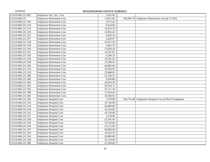| 3.5210.060.211.402 | Employers Soc. Sec. Cost         | 5,201.05  |            |                                            |
|--------------------|----------------------------------|-----------|------------|--------------------------------------------|
| 3.5210.060.221     | <b>Employers Retirement Cost</b> | 13,815.85 | 363,694.76 | Employers Retirement Cost @ 15.32%         |
| 3.5210.060.221.302 | <b>Employers Retirement Cost</b> | 3,073.20  |            |                                            |
| 3.5210.060.221.310 | <b>Employers Retirement Cost</b> | 9,324.69  |            |                                            |
| 3.5210.060.221.314 | <b>Employers Retirement Cost</b> | 15,633.19 |            |                                            |
| 3.5210.060.221.318 | <b>Employers Retirement Cost</b> | 12,856.26 |            |                                            |
| 3.5210.060.221.322 | <b>Employers Retirement Cost</b> | 6,492.54  |            |                                            |
| 3.5210.060.221.327 | <b>Employers Retirement Cost</b> | 2,264.97  |            |                                            |
| 3.5210.060.221.330 | <b>Employers Retirement Cost</b> | 16,327.59 |            |                                            |
| 3.5210.060.221.334 | <b>Employers Retirement Cost</b> | 5,603.70  |            |                                            |
| 3.5210.060.221.344 | <b>Employers Retirement Cost</b> | 13,630.34 |            |                                            |
| 3.5210.060.221.347 | <b>Employers Retirement Cost</b> | 19,507.01 |            |                                            |
| 3.5210.060.221.350 | <b>Employers Retirement Cost</b> | 6,299.23  |            |                                            |
| 3.5210.060.221.354 | <b>Employers Retirement Cost</b> | 16,341.32 |            |                                            |
| 3.5210.060.221.358 | <b>Employers Retirement Cost</b> | 13,590.91 |            |                                            |
| 3.5210.060.221.366 | <b>Employers Retirement Cost</b> | 44,883.46 |            |                                            |
| 3.5210.060.221.374 | <b>Employers Retirement Cost</b> | 10,350.92 |            |                                            |
| 3.5210.060.221.378 | <b>Employers Retirement Cost</b> | 23,848.61 |            |                                            |
| 3.5210.060.221.380 | <b>Employers Retirement Cost</b> | 21,259.55 |            |                                            |
| 3.5210.060.221.386 | <b>Employers Retirement Cost</b> | 9,190.86  |            |                                            |
| 3.5210.060.221.390 | <b>Employers Retirement Cost</b> | 30,024.30 |            |                                            |
| 3.5210.060.221.392 | <b>Employers Retirement Cost</b> | 20,334.72 |            |                                            |
| 3.5210.060.221.394 | <b>Employers Retirement Cost</b> | 32,711.36 |            |                                            |
| 3.5210.060.221.398 | <b>Employers Retirement Cost</b> | 17,654.42 |            |                                            |
| 3.5210.060.221.402 | <b>Employers Retirement Cost</b> | 10,340.92 |            |                                            |
| 3.5210.060.231.302 | <b>Employers Hospital Cost</b>   | 5,378.00  | 518,716.40 | Employers Hospital Cost @ \$5,471/employee |
| 3.5210.060.231.310 | <b>Employers Hospital Cost</b>   | 10,756.00 |            |                                            |
| 3.5210.060.231.314 | <b>Employers Hospital Cost</b>   | 26,890.00 |            |                                            |
| 3.5210.060.231.318 | <b>Employers Hospital Cost</b>   | 16,134.00 |            |                                            |
| 3.5210.060.231.322 | <b>Employers Hospital Cost</b>   | 10,756.00 |            |                                            |
| 3.5210.060.231.327 | <b>Employers Hospital Cost</b>   | 5,378.00  |            |                                            |
| 3.5210.060.231.330 | <b>Employers Hospital Cost</b>   | 25,545.50 |            |                                            |
| 3.5210.060.231.334 | <b>Employers Hospital Cost</b>   | 10,756.00 |            |                                            |
| 3.5210.060.231.344 | <b>Employers Hospital Cost</b>   | 21,512.00 |            |                                            |
| 3.5210.060.231.347 | <b>Employers Hospital Cost</b>   | 26,083.30 |            |                                            |
| 3.5210.060.231.350 | <b>Employers Hospital Cost</b>   | 10,433.32 |            |                                            |
| 3.5210.060.231.354 | <b>Employers Hospital Cost</b>   | 26,890.00 |            |                                            |
| 3.5210.060.231.358 | <b>Employers Hospital Cost</b>   | 16,134.00 |            |                                            |
| 3.5210.060.231.366 | <b>Employers Hospital Cost</b>   | 53,780.00 |            |                                            |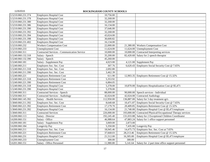| 3.5210.060.231.374 | <b>Employers Hospital Cost</b>                     | 10,756.00             |            |                                                           |
|--------------------|----------------------------------------------------|-----------------------|------------|-----------------------------------------------------------|
| 3.5210.060.231.378 | <b>Employers Hospital Cost</b>                     | 32,268.00             |            |                                                           |
| 3.5210.060.231.380 | <b>Employers Hospital Cost</b>                     | 32,268.00             |            |                                                           |
| 3.5210.060.231.386 | <b>Employers Hospital Cost</b>                     | 16,134.00             |            |                                                           |
| 3.5210.060.231.390 | <b>Employers Hospital Cost</b>                     | 37,646.00             |            |                                                           |
| 3.5210.060.231.392 | <b>Employers Hospital Cost</b>                     | 32,268.00             |            |                                                           |
| 3.5210.060.231.394 | <b>Employers Hospital Cost</b>                     | 43,024.00             |            |                                                           |
| 3.5210.060.231.398 | <b>Employers Hospital Cost</b>                     | 30,600.82             |            |                                                           |
| 3.5210.060.231.402 | <b>Employers Hospital Cost</b>                     | 16,134.00             |            |                                                           |
| 3.5210.060.232     | <b>Workers Compensation Cost</b>                   | 22,000.00             |            | 21,380.00 Workers Compensation Cost                       |
| 3.5210.060.233     | <b>Unemployment Cost</b>                           | 11,624.00             |            | 11,624.00 Unemployment Cost                               |
| 3.5210.060.311     | <b>Contracted Services - Communication Service</b> | 10,000.00             | 10,000.00  | Contracted Interpreting services                          |
| 3.5240.060.132.318 | Salary - Speech                                    | 35,200.00             | 82,420.60  | Salary for 2 speech therapist                             |
| 3.5240.060.132.390 | Salary - Speech                                    | 45,260.00             |            |                                                           |
| 3.5240.060.181     | Salary - Supplement Pay                            | $\overline{4,023.00}$ |            | 4,121.00 Supplement Pay                                   |
| 3.5240.060.211     | Employers Soc. Sec. Cost                           | 307.76                | 6,620.43   | Employers Social Security Cost @ 7.65%                    |
| 3.5240.060.211.318 | Employers Soc. Sec. Cost                           | 2,692.80              |            |                                                           |
| 3.5240.060.211.390 | Employers Soc. Sec. Cost                           | 3,462.39              |            |                                                           |
| 3.5240.060.221     | <b>Employers Retirement Cost</b>                   | 611.90                |            | 12,903.35 Employers Retirement Cost @ 15.32%              |
| 3.5240.060.221.318 | <b>Employers Retirement Cost</b>                   | 5,353.92              |            |                                                           |
| 3.5240.060.221.390 | <b>Employers Retirement Cost</b>                   | 6,884.05              |            |                                                           |
| 3.5240.060.231.318 | Employers Hospital Cost                            | 5,378.00              |            | 10,870.00 Employers Hospitalization Cost @ \$5,471        |
| 3.5240.060.231.390 | <b>Employers Hospital Cost</b>                     | 5,378.00              |            |                                                           |
| 3.5240.060.311     | <b>Contracted Services - Speech</b>                | 88,000.00             |            | 90,000.00 Speech services - Individual                    |
| 3.5250.060.311     | <b>Contracted Services - Audiology</b>             | 42,024.00             | 42,024.00  | <b>Contracted Audiology</b>                               |
| 3.5840.060.145.392 | Salary - Health Services                           | 112,950.00            |            | 136,887.00 Salary for 3 day treatment qp's                |
| 3.5840.060.211.392 | Employers Soc. Sec. Cost                           | 8,640.68              | 10,471.87  | Employers Social Security Cost @ 7.65%                    |
| 3.5840.060.221.392 | <b>Employers Retirement Cost</b>                   | 17,179.70             |            | 20,409.85 Employers Retirement Cost @ 15.32%              |
| 3.5840.060.231.392 | <b>Employers Hospital Cost</b>                     | 16,134.00             |            | 21,740.00 Employers Hospital Cost @ \$5,471/employee      |
| 3.5840.060.311     | <b>Contracted Services</b>                         | 226,000.00            | 193,000.00 | Contracted Physical/Occupational Therapy services         |
| 3.6200.060.113     | Salary - Director                                  | 192,245.40            | 131,033.88 | Salary for 2 Exceptional Children Coordinator             |
| 3.6200.060.151     | Salary - Office                                    | 46,988.64             | 47,883.24  | Salary for 1 office support personnel                     |
| 3.6200.060.181     | Salary - Supplement Pay                            | 3,069.00              | 2,873.00   |                                                           |
| 3.6200.060.184     | Longevity Pay                                      | 5,350.00              | 7,435.00   | Longevity Pay                                             |
| 3.6200.060.211     | Employers Soc. Sec. Cost                           | 18,945.46             | 14,475.73  | Employers Soc. Sec. Cost at 7.65%                         |
| 3.6200.060.221     | <b>Employers Retirement Cost</b>                   | 37,668.03             | 28,213.46  | Employers Retirement Cost @ 15.32%                        |
| 3.6200.060.231     | <b>Employers Hospital Cost</b>                     | 21,512.00             | 16,305.00  | Employers Hospital Cost @ \$5,471/employee                |
| 3.6200.060.233     | <b>Unemployment Cost</b>                           | 300.00                | 300.00     |                                                           |
| 3.6201.060.151     | Salary - Office Personnel                          | 11,980.80             |            | 5,141.64 Salary for .2 part time office support personnel |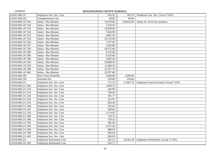| 3.6201.060.211     | Employers Soc. Sec. Cost         | 916.53    | 393.33     | Employers Soc. Sec. Cost at 7.65%      |
|--------------------|----------------------------------|-----------|------------|----------------------------------------|
| 3.6201.060.233     | <b>Unemployment Cost</b>         | 40.00     | 40.00      |                                        |
| 3.6550.060.147.302 | Salary - Bus Monitor             | 14,370.00 | 220,852.60 | Salary for 10.32 bus monitors          |
| 3.6550.060.147.310 | Salary - Bus Monitor             | 7,150.20  |            |                                        |
| 3.6550.060.147.314 | Salary - Bus Monitor             | 10,058.00 |            |                                        |
| 3.6550.060.147.318 | Salary - Bus Monitor             | 7,604.90  |            |                                        |
| 3.6550.060.147.322 | Salary - Bus Monitor             | 4,091.20  |            |                                        |
| 3.6550.060.147.334 | Salary - Bus Monitor             | 10,725.40 |            |                                        |
| 3.6550.060.147.344 | Salary - Bus Monitor             | 7,747.00  |            |                                        |
| 3.6550.060.147.347 | Salary - Bus Monitor             | 7,824.80  |            |                                        |
| 3.6550.060.147.350 | Salary - Bus Monitor             | 20,575.40 |            |                                        |
| 3.6550.060.147.380 | Salary - Bus Monitor             | 9,533.60  |            |                                        |
| 3.6550.060.147.386 | Salary - Bus Monitor             | 9,533.60  |            |                                        |
| 3.6550.060.147.390 | Salary - Bus Monitor             | 5,005.20  |            |                                        |
| 3.6550.060.147.392 | Salary - Bus Monitor             | 33,088.50 |            |                                        |
| 3.6550.060.147.394 | Salary - Bus Monitor             | 11,608.20 |            |                                        |
| 3.6550.060.147.398 | Salary - Bus Monitor             | 12,107.70 |            |                                        |
| 3.6550.060.147.402 | Salary - Bus Monitor             | 10,797.80 |            |                                        |
| 3.6550.060.189     | <b>Short Term Disability</b>     | 2,000.00  | 2,000.00   |                                        |
| 3.6550.060.199     | Overtime Pay                     | 250.00    | 250.00     |                                        |
| 3.6550.060.211     | Employers Soc. Sec. Cost         | 172.13    | 17,067.32  | Employers Social Security Cost @ 7.65% |
| 3.6550.060.211.302 | Employers Soc. Sec. Cost         | 1,099.32  |            |                                        |
| 3.6550.060.211.310 | Employers Soc. Sec. Cost         | 546.99    |            |                                        |
| 3.6550.060.211.314 | Employers Soc. Sec. Cost         | 769.44    |            |                                        |
| 3.6550.060.211.318 | Employers Soc. Sec. Cost         | 581.77    |            |                                        |
| 3.6550.060.211.322 | Employers Soc. Sec. Cost         | 312.97    |            |                                        |
| 3.6550.060.211.334 | Employers Soc. Sec. Cost         | 820.49    |            |                                        |
| 3.6550.060.211.344 | Employers Soc. Sec. Cost         | 592.64    |            |                                        |
| 3.6550.060.211.347 | Employers Soc. Sec. Cost         | 598.60    |            |                                        |
| 3.6550.060.211.350 | Employers Soc. Sec. Cost         | 1,574.03  |            |                                        |
| 3.6550.060.211.380 | Employers Soc. Sec. Cost         | 729.33    |            |                                        |
| 3.6550.060.211.386 | Employers Soc. Sec. Cost         | 729.33    |            |                                        |
| 3.6550.060.211.390 | Employers Soc. Sec. Cost         | 382.90    |            |                                        |
| 3.6550.060.211.392 | Employers Soc. Sec. Cost         | 2,531.26  |            |                                        |
| 3.6550.060.211.394 | Employers Soc. Sec. Cost         | 888.03    |            |                                        |
| 3.6550.060.211.398 | Employers Soc. Sec. Cost         | 926.24    |            |                                        |
| 3.6550.060.211.402 | Employers Soc. Sec. Cost         | 826.03    |            |                                        |
| 3.6550.060.221     | <b>Employers Retirement Cost</b> | 342.23    | 10,562.28  | Employers Retirement Cost @ 15.32%     |
| 3.6550.060.221.302 | <b>Employers Retirement Cost</b> | 543.77    |            |                                        |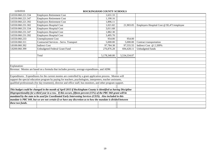| 3.6550.060.221.334                                                                                            | <b>Employers Retirement Cost</b>                                                                                   | 1,631.33     |              |                                            |
|---------------------------------------------------------------------------------------------------------------|--------------------------------------------------------------------------------------------------------------------|--------------|--------------|--------------------------------------------|
| 3.6550.060.221.347                                                                                            | <b>Employers Retirement Cost</b>                                                                                   | 1,190.16     |              |                                            |
| 3.6550.060.221.392                                                                                            | <b>Employers Retirement Cost</b>                                                                                   | 1,896.11     |              |                                            |
| 3.6550.060.231.302                                                                                            | <b>Employers Hospital Cost</b>                                                                                     | 1,021.82     | 21,903.05    | Employers Hospital Cost @ \$5,471/employee |
| 3.6550.060.231.334                                                                                            | <b>Employers Hospital Cost</b>                                                                                     | 3,011.68     |              |                                            |
| 3.6550.060.231.347                                                                                            | <b>Employers Hospital Cost</b>                                                                                     | 1,882.30     |              |                                            |
| 3.6550.060.231.392                                                                                            | <b>Employers Hospital Cost</b>                                                                                     | 3,495.70     |              |                                            |
| 3.6550.060.233                                                                                                | <b>Unemployment Cost</b>                                                                                           | 954.00       | 954.00       |                                            |
| 3.6550.060.311                                                                                                | Contracted Services - Servs. Transport                                                                             | 5,000.00     | 5,000.00     | Contract transportation                    |
| 3.8100.060.392                                                                                                | <b>Indirect Cost</b>                                                                                               | 97,784.38    | 97,555.55    | Indirect Cost @ 2.209%                     |
| 3.8200.060.399                                                                                                | Unbudgeted Federal Grant Fund                                                                                      | 276,876.28   | 694,428.11   | Unbudgeted funds                           |
|                                                                                                               |                                                                                                                    |              |              |                                            |
|                                                                                                               | Total                                                                                                              | 5,178,340.00 | 5,534,334.07 |                                            |
|                                                                                                               |                                                                                                                    |              |              |                                            |
|                                                                                                               |                                                                                                                    |              |              |                                            |
| Explanation:                                                                                                  |                                                                                                                    |              |              |                                            |
| Revenue: Monies are based on a formula that includes poverty, average expenditures, and ADM.                  |                                                                                                                    |              |              |                                            |
|                                                                                                               |                                                                                                                    |              |              |                                            |
|                                                                                                               | Expenditures: Expenditures for the current monies are controlled by a grant application process. Monies will       |              |              |                                            |
|                                                                                                               | support the special education program by paying for teachers, psychologists, interpreters, teacher assistants,     |              |              |                                            |
|                                                                                                               | qualified professionals (for day treatment), director and office staff, bus monitors, and other program support.   |              |              |                                            |
|                                                                                                               |                                                                                                                    |              |              |                                            |
|                                                                                                               | This budget could be changed in the month of April 2015 if Rockingham County is identified as having Discipline    |              |              |                                            |
|                                                                                                               | Disproportionality for a third year in a row. If this occurs, fifteen percent $(15%)$ of the PRC 060 grant will be |              |              |                                            |
|                                                                                                               | mandated by the state to be used for Coordinated Early Intervening Services (CEIS). Also included in this          |              |              |                                            |
| mandate is PRC 049, but we are not certain if we have any discretion as to how the mandate is divided between |                                                                                                                    |              |              |                                            |
| these two funds.                                                                                              |                                                                                                                    |              |              |                                            |
|                                                                                                               |                                                                                                                    |              |              |                                            |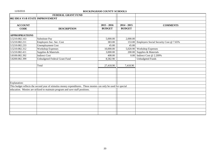|                                 | FEDERAL GRANT FUND                                                                                             |               |               |                                        |
|---------------------------------|----------------------------------------------------------------------------------------------------------------|---------------|---------------|----------------------------------------|
| 082 IDEA VI-B STATE IMPROVEMENT |                                                                                                                |               |               |                                        |
|                                 |                                                                                                                |               |               |                                        |
| <b>ACCOUNT</b>                  |                                                                                                                | $2015 - 2016$ | $2014 - 2015$ | <b>COMMENTS</b>                        |
| <b>CODE</b>                     | <b>DESCRIPTION</b>                                                                                             | <b>BUDGET</b> | <b>BUDGET</b> |                                        |
|                                 |                                                                                                                |               |               |                                        |
| <b>APPROPRIATIONS</b>           |                                                                                                                |               |               |                                        |
| 3.5210.082.163                  | Substitute Pay                                                                                                 | 5,000.00      | 2,000.00      |                                        |
| 3.5210.082.211                  | Employers Soc. Sec. Cost                                                                                       | 383.00        | 153.00        | Employers Social Security Cost @ 7.65% |
| 3.5210.082.233                  | <b>Unemployment Cost</b>                                                                                       | 45.00         | 45.00         |                                        |
| 3.5210.082.312                  | Workshop Expenses                                                                                              | 10,000.00     | 5,020.90      | <b>Workshop Expenses</b>               |
| 3.5210.082.411                  | Supplies & Materials                                                                                           | 3,000.00      | 200.00        | Supplies & Materials                   |
| 3.8100.082.392                  | <b>Indirect Cost</b>                                                                                           | 408.00        | 0.00          | Indirect Cost @ 2.209%                 |
| 3.8200.082.399                  | <b>Unbudgeted Federal Grant Fund</b>                                                                           | 8,582.90      |               | <b>Unbudgeted Funds</b>                |
|                                 |                                                                                                                |               |               |                                        |
|                                 | Total                                                                                                          | 27,418.90     | 7,418.90      |                                        |
|                                 |                                                                                                                |               |               |                                        |
|                                 |                                                                                                                |               |               |                                        |
|                                 |                                                                                                                |               |               |                                        |
|                                 |                                                                                                                |               |               |                                        |
| Explanation:                    |                                                                                                                |               |               |                                        |
|                                 | This budget reflects the second year of stimulus money expenditures. These monies can only be used for special |               |               |                                        |
|                                 | education. Monies are utilized to maintain program and save staff positions.                                   |               |               |                                        |
|                                 |                                                                                                                |               |               |                                        |
|                                 |                                                                                                                |               |               |                                        |
|                                 |                                                                                                                |               |               |                                        |
|                                 |                                                                                                                |               |               |                                        |
|                                 |                                                                                                                |               |               |                                        |
|                                 |                                                                                                                |               |               |                                        |
|                                 |                                                                                                                |               |               |                                        |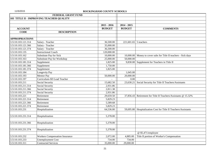|                       | FEDERAL GRANT FUND                       |               |                         |                                                                 |
|-----------------------|------------------------------------------|---------------|-------------------------|-----------------------------------------------------------------|
|                       | 103 TITLE II - IMPROVING TEACHER QUALITY |               |                         |                                                                 |
|                       |                                          |               |                         |                                                                 |
|                       |                                          | $2015 - 2016$ | $2014 - 2015$           |                                                                 |
| <b>ACCOUNT</b>        |                                          | <b>BUDGET</b> | <b>BUDGET</b>           | <b>COMMENTS</b>                                                 |
| <b>CODE</b>           | <b>DESCRIPTION</b>                       |               |                         |                                                                 |
|                       |                                          |               |                         |                                                                 |
| <b>APPROPRIATIONS</b> |                                          |               |                         |                                                                 |
| 3.5110.103.121.314    | Salary - Teacher                         | 36,500.00     | 221,601.65 $5$ teachers |                                                                 |
| 3.5110.103.121.366    | Salary - Teacher                         | 35,000.00     |                         |                                                                 |
| 3.5110.103.121.374    | Salary - Teacher                         | 36,500.00     |                         |                                                                 |
| 3.5110.103.135        | <b>Instructional Coach</b>               | 120,000.00    |                         |                                                                 |
| 3.5110.103.162        | Substitute Pay for Sick                  | 10,000.00     |                         | 10,000.00 Money to cover subs for Title II teachers - Sick days |
| 3.5110.103.163        | Substitute Pay for Workshop              | 25,000.00     | 50,000.00               |                                                                 |
| 3.5110.103.181.314    | Supplement                               | 1,825.00      |                         | 9,830.00 Supplement for Teachers in Title II                    |
| 3.5110.103.181.366    | Supplement                               | 1,750.00      |                         |                                                                 |
| 3.5110.103.181.374    | Supplement                               | 1,825.00      |                         |                                                                 |
| 3.5110.103.184        | Longevity Pay                            |               | 1,045.00                |                                                                 |
| 3.5110.103.193        | Mentor Pay                               | 50,000.00     | 20,000.00               |                                                                 |
| 3.5110.103.197        | Curriculum-SD Lead Teacher               |               | 0.00                    |                                                                 |
| 3.5110.103.211        | Social Security                          | 15,682.50     | 23,630.21               | Social Security for Title II Teachers/Assistants                |
| 3.5110.103.211.314    | Social Security                          | 2,931.86      |                         |                                                                 |
| 3.5110.103.211.366    | Social Security                          | 2,811.38      |                         |                                                                 |
| 3.5110.103.211.374    | Social Security                          | 2,931.86      |                         |                                                                 |
| 3.5110.103.221        | Retirement                               | 29,659.50     | 37,856.43               | Retirement for Title II Teachers/Assistants @ 15.32%            |
| 3.5110.103.221.314    | Retirement                               | 5,829.23      |                         |                                                                 |
| 3.5110.103.221.366    | Retirement                               | 5,589.68      |                         |                                                                 |
| 3.5110.103.221.374    | Retirement                               | 5,829.23      |                         |                                                                 |
| 3.5110.103.231        | Hospitalization                          | 64,536.00     |                         | 59,695.80 Hospitalization Cost for Title II Teachers/Assistants |
|                       |                                          |               |                         |                                                                 |
| 3.5110.103.231.314    | Hospitalization                          | 5,378.00      |                         |                                                                 |
|                       |                                          |               |                         |                                                                 |
| 3.5110.103.231.366    | Hospitalization                          | 5,378.00      |                         |                                                                 |
|                       |                                          |               |                         |                                                                 |
| 3.5110.103.231.374    | Hospitalization                          | 5,378.00      |                         |                                                                 |
|                       |                                          |               |                         | $@$ \$5,471/employee                                            |
| 3.5110.103.232        | <b>Workers Compensation Insurance</b>    | 2,072.00      | 4,885.00                | Title II portion of Worker's Compensation                       |
| 3.5110.103.233        | <b>Unemployment Cost</b>                 | 734.00        | 734.00                  |                                                                 |
| 3.5110.103.311        | <b>Contracted Services</b>               | 35,000.00     | 29,000.00               |                                                                 |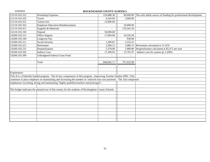| 3.5110.103.312 | <b>Workshop Expenses</b>                                                                                                | 216,888.30               |                | 90,000.00 The only dollar source of funding for professional development. |
|----------------|-------------------------------------------------------------------------------------------------------------------------|--------------------------|----------------|---------------------------------------------------------------------------|
| 3.5110.103.332 | Travel                                                                                                                  | 6,345.00                 | 5,000.00       |                                                                           |
| 3.5110.103.351 | <b>Tuition Fee</b>                                                                                                      | 15,000.00                |                |                                                                           |
| 3.5110.103.352 | <b>Employee Education Reimbursement</b>                                                                                 | $\overline{\phantom{a}}$ | 16,000.00      |                                                                           |
| 3.5110.103.411 | Supplies & Materials                                                                                                    |                          | 135,541.34     |                                                                           |
| 3.6110.103.192 | Stipend                                                                                                                 | 50,000.00                |                |                                                                           |
| 3.6200.103.151 | Office Support                                                                                                          | 17,004.00                | 19,256.28      |                                                                           |
| 3.6200.103.184 | Longevity Pay                                                                                                           |                          | 930.00         |                                                                           |
| 3.6200.103.211 | Social Security                                                                                                         | 1,300.81                 | 1,552.21       |                                                                           |
| 3.6200.103.221 | Retirement                                                                                                              | 2,586.31                 |                | 3,086.15 Retirement calculated at 15.32%                                  |
| 3.6200.103.231 | Hospitalization                                                                                                         | 5,378.00                 |                | 1,989.86 Hospitalization calculated at \$5,471 per year                   |
| 3.8100.103.392 | <b>Indirect Cost</b>                                                                                                    | 17,399.05                | 15,791.97      | Indirect cost for system @ 2.209%                                         |
| 3.8200.103.399 | Unbudgeted Federal Grant Fund                                                                                           |                          | $\blacksquare$ |                                                                           |
|                |                                                                                                                         |                          |                |                                                                           |
|                | Total                                                                                                                   | 840,042.71               | 757,425.90     |                                                                           |
|                |                                                                                                                         |                          |                |                                                                           |
|                |                                                                                                                         |                          |                |                                                                           |
| Explanation:   |                                                                                                                         |                          |                |                                                                           |
|                | Title II is a Federally funded program. The lst key components of this program, Improving Teacher Quality (PRC 103),    |                          |                |                                                                           |
|                | continues to place emphasis on maintaining and increasing the number of reduced class size positions. The 2nd component |                          |                |                                                                           |
|                | emphasizes recruiting, hiring and maintaining "highly qualified teachers and principals".                               |                          |                |                                                                           |
|                |                                                                                                                         |                          |                |                                                                           |
|                | The budget indicates the planned use of this money for the students of Rockingham County Schools.                       |                          |                |                                                                           |
|                |                                                                                                                         |                          |                |                                                                           |
|                |                                                                                                                         |                          |                |                                                                           |
|                |                                                                                                                         |                          |                |                                                                           |
|                |                                                                                                                         |                          |                |                                                                           |
|                |                                                                                                                         |                          |                |                                                                           |
|                |                                                                                                                         |                          |                |                                                                           |
|                |                                                                                                                         |                          |                |                                                                           |
|                |                                                                                                                         |                          |                |                                                                           |
|                |                                                                                                                         |                          |                |                                                                           |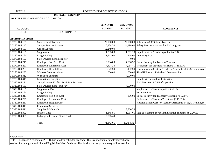|                       | FEDERAL GRANT FUND                                                                                                 |                |               |                                                                 |
|-----------------------|--------------------------------------------------------------------------------------------------------------------|----------------|---------------|-----------------------------------------------------------------|
|                       | 104 TITLE III - LANGUAGE ACQUISITION                                                                               |                |               |                                                                 |
|                       |                                                                                                                    |                |               |                                                                 |
|                       |                                                                                                                    | $2015 - 2016$  | $2014 - 2015$ |                                                                 |
| <b>ACCOUNT</b>        |                                                                                                                    | <b>BUDGET</b>  | <b>BUDGET</b> | <b>COMMENTS</b>                                                 |
| <b>CODE</b>           | <b>DESCRIPTION</b>                                                                                                 |                |               |                                                                 |
|                       |                                                                                                                    |                |               |                                                                 |
| <b>APPROPRIATIONS</b> |                                                                                                                    |                |               |                                                                 |
| 3.5270.104.135        | Salary - Lead Teacher                                                                                              | 27,900.00      |               | 27,900.00 Salary for 43.85% Lead Teacher                        |
| 3.5270.104.142        | Salary - Teacher Assistant                                                                                         | 6,124.50       |               | 24,498.00 Salary Teacher Assistant for ESL program              |
| 3.5270.104.151        | Office Support                                                                                                     | 12,249.00      |               |                                                                 |
| 3.5270.104.181        | Supplement                                                                                                         | 1,395.00       |               | 1,301.10 Supplement for Teachers paid out of 104                |
| 3.5270.104.184        | Longevity Pay                                                                                                      | 1,143.00       |               | 368.00 Longevity Pay                                            |
| 3.5270.104.197        | <b>Staff Development Instructor</b>                                                                                |                | 0.00          |                                                                 |
| 3.5270.104.211        | Employers Soc. Sec. Cost                                                                                           | 3,734.09       | 4,086.37      | Social Security for Teachers/Assistants                         |
| 3.5270.104.221        | <b>Employers Retirement Cost</b>                                                                                   | 7,424.23       | 7,964.41      | Retirement for Teachers/Assistants @ 15.32%                     |
| 3.5270.104.231        | <b>Employers Hospital Cost</b>                                                                                     | 6,722.50       | 8,152.50      | Hospitalization Cost for Teachers/Assistants @ \$5,471/employee |
| 3.5270.104.232        | <b>Workers Compensations</b>                                                                                       | 600.00         | 600.00        | Title III Portion of Workers' Compensation                      |
| 3.5270.104.312        | <b>Workshop Expenses</b>                                                                                           | $\overline{a}$ | 4,000.00      |                                                                 |
| 3.5270.104.411        | <b>Instructional Supplies</b>                                                                                      |                |               | Supplies to be used for Instruction                             |
| 3.5330.104.121        | Salary Limited English Proficient Teachers                                                                         |                |               | ESL Teachers 49.75% of a position                               |
| 3.5330.104.163        | Staff Development - Sub Pay                                                                                        | $\sim$         | 4,000.00      |                                                                 |
| 3.5330.104.181        | Supplement Pay                                                                                                     |                |               | Supplement for Teachers paid out of 104                         |
| 3.5330.104.184        | Longevity Pay                                                                                                      |                |               | Longevity Pay                                                   |
| 3.5330.104.211        | Employers Soc. Sec. Cost                                                                                           | $\overline{a}$ | 306.00        | Social Security for Teachers/Assistants @ 7.65%                 |
| 3.5330.104.221        | <b>Employers Retirement Cost</b>                                                                                   |                |               | Retirement for Teachers/Assistants @ 15.32%                     |
| 3.5330.104.231        | <b>Employers Hospital Cost</b>                                                                                     |                |               | Hospitalization Cost for Teachers/Assistants @ \$5,471/employee |
| 3.5330.104.311        | <b>Contracted Services</b>                                                                                         |                |               |                                                                 |
| 3.5330.104.411        | Supplies & Materials                                                                                               | $\blacksquare$ | 3,360.29      |                                                                 |
| 3.8100.104.392        | <b>Indirect Cost</b>                                                                                               | 1,345.85       | 1,917.65      | Paid to system to cover administration expenses @ 2.209%        |
| 3.8200.104.399        | Unbudgeted Federal Grant Fund                                                                                      | 2,705.49       |               |                                                                 |
|                       |                                                                                                                    |                |               |                                                                 |
|                       | Total                                                                                                              | 71,343.66      | 88,454.32     |                                                                 |
|                       |                                                                                                                    |                |               |                                                                 |
|                       |                                                                                                                    |                |               |                                                                 |
|                       |                                                                                                                    |                |               |                                                                 |
| Explanation:          |                                                                                                                    |                |               |                                                                 |
|                       | Title III Language Acquisition (PRC 104) is a federally funded program. This is a program to supplement/enhance    |                |               |                                                                 |
|                       | services for immigrant and Limited English Proficient Students. This is what the carryover money will be used for. |                |               |                                                                 |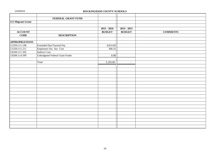|                       | FEDERAL GRANT FUND                    |                   |               |                 |
|-----------------------|---------------------------------------|-------------------|---------------|-----------------|
| 111 Migrant Grant     |                                       |                   |               |                 |
|                       |                                       |                   |               |                 |
|                       |                                       | $2015 - 2016$     | $2014 - 2015$ |                 |
| <b>ACCOUNT</b>        |                                       | <b>BUDGET</b>     | <b>BUDGET</b> | <b>COMMENTS</b> |
| <b>CODE</b>           | <b>DESCRIPTION</b>                    |                   |               |                 |
| <b>APPROPRIATIONS</b> |                                       |                   |               |                 |
| 3.5350.111.198        | Extended Day/Tutorial Pay             | 4,814.60          |               |                 |
| 3.5350.111.211        | Employers Soc. Sec. Cost              | 368.32            |               |                 |
| 3.8100.111.392        | <b>Indirect Cost</b>                  |                   |               |                 |
| 3.8200.114.399        | <b>Unbudgeted Federal Grant Funds</b> | $\overline{0.08}$ |               |                 |
|                       |                                       |                   |               |                 |
|                       | Total                                 | 5,183.00          | $\sim$        |                 |
|                       |                                       |                   |               |                 |
|                       |                                       |                   |               |                 |
|                       |                                       |                   |               |                 |
|                       |                                       |                   |               |                 |
|                       |                                       |                   |               |                 |
|                       |                                       |                   |               |                 |
|                       |                                       |                   |               |                 |
|                       |                                       |                   |               |                 |
|                       |                                       |                   |               |                 |
|                       |                                       |                   |               |                 |
|                       |                                       |                   |               |                 |
|                       |                                       |                   |               |                 |
|                       |                                       |                   |               |                 |
|                       |                                       |                   |               |                 |
|                       |                                       |                   |               |                 |
|                       |                                       |                   |               |                 |
|                       |                                       |                   |               |                 |
|                       |                                       |                   |               |                 |
|                       |                                       |                   |               |                 |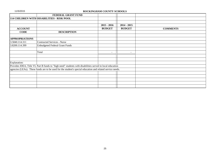|                       | FEDERAL GRANT FUND                                                                                         |                          |               |                 |
|-----------------------|------------------------------------------------------------------------------------------------------------|--------------------------|---------------|-----------------|
|                       | 114 CHILDREN WITH DISABILITIES - RISK POOL                                                                 |                          |               |                 |
|                       |                                                                                                            |                          |               |                 |
|                       |                                                                                                            | $2015 - 2016$            | $2014 - 2015$ |                 |
| <b>ACCOUNT</b>        |                                                                                                            | <b>BUDGET</b>            | <b>BUDGET</b> | <b>COMMENTS</b> |
| <b>CODE</b>           | <b>DESCRIPTION</b>                                                                                         |                          |               |                 |
| <b>APPROPRIATIONS</b> |                                                                                                            |                          |               |                 |
| 3.5840.114.311        | Contracted Services - Nurse                                                                                |                          |               |                 |
| 3.8200.114.399        | Unbudgeted Federal Grant Funds                                                                             |                          |               |                 |
|                       | Total                                                                                                      | $\overline{\phantom{a}}$ | $\sim$        |                 |
|                       |                                                                                                            |                          |               |                 |
| Explanation:          |                                                                                                            |                          |               |                 |
|                       | Provides IDEA, Title VI, Part B funds to "high need" students with disabilities served in local education  |                          |               |                 |
|                       | agencies (LEAs). These funds are to be used for the student's special education and related service needs. |                          |               |                 |
|                       |                                                                                                            |                          |               |                 |
|                       |                                                                                                            |                          |               |                 |
|                       |                                                                                                            |                          |               |                 |
|                       |                                                                                                            |                          |               |                 |
|                       |                                                                                                            |                          |               |                 |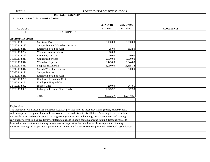|                       | FEDERAL GRANT FUND                                                                                                       |               |               |                 |
|-----------------------|--------------------------------------------------------------------------------------------------------------------------|---------------|---------------|-----------------|
|                       | 118 IDEA VI-B SPECIAL NEEDS TARGET                                                                                       |               |               |                 |
|                       |                                                                                                                          |               |               |                 |
|                       |                                                                                                                          | $2015 - 2016$ | $2014 - 2015$ |                 |
| <b>ACCOUNT</b>        |                                                                                                                          | <b>BUDGET</b> | <b>BUDGET</b> | <b>COMMENTS</b> |
| <b>CODE</b>           | <b>DESCRIPTION</b>                                                                                                       |               |               |                 |
| <b>APPROPRIATIONS</b> |                                                                                                                          |               |               |                 |
| 3.5210.118.163        | Substitute Pay                                                                                                           | 5,100.00      | 5,000.00      |                 |
| 3.5210.118.197        | Salary - Summer Workshop Instructor                                                                                      |               |               |                 |
| 3.5210.118.211        | Employers Soc. Sec. Cost                                                                                                 | 25.00         | 382.50        |                 |
| 3.5210.118.232        | <b>Workers Compensations</b>                                                                                             | 60.00         |               |                 |
| 3.5210.118.233        | <b>Unemployment Cost</b>                                                                                                 | 60.00         | 40.00         |                 |
| 3.5210.118.311        | <b>Contracted Services</b>                                                                                               | 2,660.00      | 3,500.00      |                 |
| 3.5210.118.312        | <b>Workshop Expenses</b>                                                                                                 | 2,425.00      | 5,844.88      |                 |
| 3.5210.118.411        | Supplies & Materials                                                                                                     | 8,060.00      | 13,155.12     |                 |
| 3.5240.118.312        | Speech Workshop Expense                                                                                                  |               | 300.00        |                 |
| 3.5330.118.121        | Salary - Teacher                                                                                                         |               |               |                 |
| 3.5330.118.211        | Employers Soc. Sec. Cost                                                                                                 |               |               |                 |
| 3.5330.118.221        | <b>Employers Retirement Cost</b>                                                                                         |               |               |                 |
| 3.5330.118.231        | <b>Employers Hospital Cost</b>                                                                                           |               |               |                 |
| 3.8100.118.392        | <b>Indirect Cost</b>                                                                                                     | 210.00        | 547.85        |                 |
| 3.8200.118.399        | <b>Unbudgeted Federal Grant Funds</b>                                                                                    | 17,973.37     | 777.50        |                 |
|                       |                                                                                                                          |               |               |                 |
|                       | Total                                                                                                                    | 36,573.37     | 29,547.85     |                 |
|                       |                                                                                                                          |               |               |                 |
|                       |                                                                                                                          |               |               |                 |
| Explanation:          |                                                                                                                          |               |               |                 |
|                       | The Individuals with Disabilities Education Act 2004 provides funds to local education agencies, charter schools         |               |               |                 |
|                       | and state-operated programs for specific areas of need for students with disabilities. These targeted areas include      |               |               |                 |
|                       | the establishment and coordination of reading/writing coordinators and training, math coordinators and training,         |               |               |                 |
|                       | ealy literacy activities, Positive Behavior Interventions and Support coordinators and training, Responsiveness to       |               |               |                 |
|                       | Instruction coordinators and training, related services support, autism and low incidence support and training,          |               |               |                 |
|                       | transition training and support for supervision and internships for related services personnel and school psychologists. |               |               |                 |
|                       |                                                                                                                          |               |               |                 |
|                       |                                                                                                                          |               |               |                 |
|                       |                                                                                                                          |               |               |                 |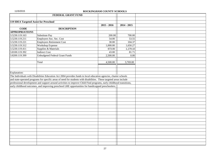|                                        | <b>FEDERAL GRANT FUND</b>                                                                                           |               |               |  |
|----------------------------------------|---------------------------------------------------------------------------------------------------------------------|---------------|---------------|--|
|                                        |                                                                                                                     |               |               |  |
| 119 IDEA Targeted Assist for Preschool |                                                                                                                     |               |               |  |
|                                        |                                                                                                                     | $2015 - 2016$ | $2014 - 2015$ |  |
| <b>CODE</b>                            | <b>DESCRIPTION</b>                                                                                                  |               |               |  |
| <b>APPROPRIATIONS</b>                  |                                                                                                                     |               |               |  |
| 3.5230.119.163                         | Substitute Pay                                                                                                      | 200.00        | 700.00        |  |
| 3.5230.119.211                         | Employers Soc. Sec. Cost                                                                                            | 54.00         | 53.55         |  |
| 3.5230.119.221                         | <b>Employers Retirement Cost</b>                                                                                    | 30.00         | 104.37        |  |
| 3.5230.119.312                         | Workshop Expense                                                                                                    | 1,000.00      | 1,650.27      |  |
| 3.5230.119.411                         | Supplies & Materials                                                                                                | 673.00        | 1,179.10      |  |
| 3.8100.119.392                         | <b>Indirect Cost</b>                                                                                                | 43.00         | 81.71         |  |
| 3.8200.119.399                         | <b>Unbudgeted Federal Grant Funds</b>                                                                               | 2,500.00      | 0.00          |  |
|                                        |                                                                                                                     |               |               |  |
|                                        | Total                                                                                                               | 4,500.00      | 3,769.00      |  |
|                                        |                                                                                                                     |               |               |  |
|                                        |                                                                                                                     |               |               |  |
| Explanation:                           |                                                                                                                     |               |               |  |
|                                        | The Individuals with Disabilities Education Act 2004 provides funds to local education agencies, charter schools    |               |               |  |
|                                        | and state-operated programs for specific areas of need for students with disabilities. These targeted areas include |               |               |  |
|                                        | professional development and support around activities to improve Child Find programs, early childhood transitions, |               |               |  |
|                                        | early childhood outcomes, and improving preschool LRE opportunities for handicapped preschoolers.                   |               |               |  |
|                                        |                                                                                                                     |               |               |  |
|                                        |                                                                                                                     |               |               |  |
|                                        |                                                                                                                     |               |               |  |
|                                        |                                                                                                                     |               |               |  |
|                                        |                                                                                                                     |               |               |  |
|                                        |                                                                                                                     |               |               |  |
|                                        |                                                                                                                     |               |               |  |
|                                        |                                                                                                                     |               |               |  |
|                                        |                                                                                                                     |               |               |  |
|                                        |                                                                                                                     |               |               |  |
|                                        |                                                                                                                     |               |               |  |
|                                        |                                                                                                                     |               |               |  |
|                                        |                                                                                                                     |               |               |  |
|                                        |                                                                                                                     |               |               |  |
|                                        |                                                                                                                     |               |               |  |
|                                        |                                                                                                                     |               |               |  |
|                                        |                                                                                                                     |               |               |  |
|                                        |                                                                                                                     |               |               |  |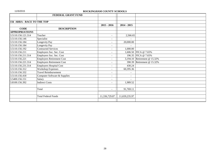|                            | FEDERAL GRANT FUND               |                          |                          |                              |
|----------------------------|----------------------------------|--------------------------|--------------------------|------------------------------|
|                            |                                  |                          |                          |                              |
| 156 ARRA - RACE TO THE TOP |                                  |                          |                          |                              |
|                            |                                  | $2015 - 2016$            | $2014 - 2015$            |                              |
| <b>CODE</b>                | <b>DESCRIPTION</b>               |                          |                          |                              |
| <b>APPROPRIATIONS</b>      |                                  |                          |                          |                              |
| 3.5110.156.121.314         | Teacher                          | $\blacksquare$           | 2,566.65                 |                              |
| 3.5110.156.146             | Specialist                       |                          |                          |                              |
| 3.5110.156.184             | Longevity Pay                    |                          | 20,000.00                |                              |
| 3.5110.156.184             | Longevity Pay                    | $\overline{\phantom{a}}$ |                          |                              |
| 3.5110.156.192             | <b>Contracted Services</b>       |                          | 1,000.00                 |                              |
| 3.5110.156.211             | Employers Soc. Sec. Cost         |                          |                          | 1,606.50 FICA @ 7.65%        |
| 3.5110.156.211.314         | Employers Soc. Sec. Cost         |                          |                          | 196.35   FICA @ 7.65%        |
| 3.5110.156.221             | <b>Employers Retirement Cost</b> |                          |                          | 3,194.10 Retirement @ 15.32% |
| 3.5110.156.221.314         | <b>Employers Retirement Cost</b> | $\blacksquare$           |                          | 390.39 Retirement @ 15.32%   |
| 3.5110.156.231.314         | <b>Employers Hospital Cost</b>   | $\overline{\phantom{a}}$ | 430.24                   |                              |
| 3.5110.156.312             | <b>Workshop Expenses</b>         |                          | 60,395.36                |                              |
| 3.5110.156.332             | <b>Travel Reimbursement</b>      |                          | $\overline{\phantom{a}}$ |                              |
| 3.5110.156.418             | Computer Software & Supplies     | $\overline{\phantom{a}}$ | $\overline{\phantom{a}}$ |                              |
| 3.5400.156.151             | Salary                           |                          |                          |                              |
| 3.8100.156.392             | <b>Indirect Costs</b>            | $\blacksquare$           | 1,989.52                 |                              |
|                            |                                  |                          |                          |                              |
|                            | Total                            |                          | 91,769.11                |                              |
|                            |                                  |                          |                          |                              |
|                            | <b>Total Federal Funds</b>       | 11,336,729.87            | 11,659,235.97            |                              |
|                            |                                  |                          |                          |                              |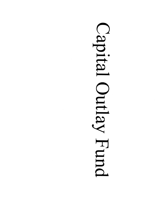# Capital Outlay Fund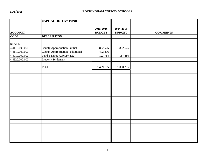|                | <b>CAPITAL OUTLAY FUND</b>        |               |               |                 |
|----------------|-----------------------------------|---------------|---------------|-----------------|
|                |                                   | 2015-2016     | 2014-2015     |                 |
| <b>ACCOUNT</b> |                                   | <b>BUDGET</b> | <b>BUDGET</b> | <b>COMMENTS</b> |
| <b>CODE</b>    | <b>DESCRIPTION</b>                |               |               |                 |
|                |                                   |               |               |                 |
| <b>REVENUE</b> |                                   |               |               |                 |
| 4.4110.000.000 | County Appropriation - initial    | 882,525       | 882,525       |                 |
| 4.4110.000.000 | County Appropriation - additional | 402,876       |               |                 |
| 4.4910.000.000 | Fund Balance Appropriated         | 123,764       | 167,680       |                 |
| 4.4820.000.000 | <b>Property Settlement</b>        |               |               |                 |
|                |                                   |               |               |                 |
|                | Total                             | 1,409,165     | 1,050,205     |                 |
|                |                                   |               |               |                 |
|                |                                   |               |               |                 |
|                |                                   |               |               |                 |
|                |                                   |               |               |                 |
|                |                                   |               |               |                 |
|                |                                   |               |               |                 |
|                |                                   |               |               |                 |
|                |                                   |               |               |                 |
|                |                                   |               |               |                 |
|                |                                   |               |               |                 |
|                |                                   |               |               |                 |
|                |                                   |               |               |                 |
|                |                                   |               |               |                 |
|                |                                   |               |               |                 |
|                |                                   |               |               |                 |
|                |                                   |               |               |                 |
|                |                                   |               |               |                 |
|                |                                   |               |               |                 |
|                |                                   |               |               |                 |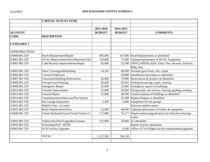|                       | <b>CAPITAL OUTLAY FUND</b>             |               |               |                                                           |
|-----------------------|----------------------------------------|---------------|---------------|-----------------------------------------------------------|
|                       |                                        |               |               |                                                           |
|                       |                                        | 2015-2016     | 2014-2015     |                                                           |
| <b>ACCOUNT</b>        |                                        | <b>BUDGET</b> | <b>BUDGET</b> | <b>COMMENTS</b>                                           |
| <b>CODE</b>           | <b>DESCRIPTION</b>                     |               |               |                                                           |
|                       |                                        |               |               |                                                           |
| <b>CATEGORY I</b>     |                                        |               |               |                                                           |
| <b>APPROPRIATIONS</b> |                                        |               |               |                                                           |
| 4.9000.801.529        | Roofs-Replacement/Repair               | 405,000       |               | 167,680 Roof Replacements as identified                   |
| 4.9001.801.529        | HVAC-Replacement/Parts/Materials/IAQ   | 130,000       |               | 72,598 Upkeep/replacement of HVAC Equipment               |
| 4.9003.801.529        | Code/Security Improvements/Repair      | 83,000        |               | 32,500 OSHA, AHERA, ADA, Elect. Fire, Security, Environ., |
|                       |                                        |               |               | Bldg, Reg.                                                |
| 4.9005.801.529        | Floor Coverings/Refinishing            | 14,165        | 40,000        | Wooden gym floors, tile, carpet                           |
| 4.9006.801.529        | <b>Covered Walkways</b>                |               | 20,000        | Installation/renovation as identified                     |
| 4.9007.801.529        | <b>Classroom/Building Renovations</b>  | 26,000        |               | 70,000 Renovations $\&$ projects as identified            |
| 4.9008.801.529        | Paving/Gravel/Sealing                  | 40,000        | 68,303        | Parking lot paving, repair, striping                      |
| 4.9009.801.529        | <b>Emergency Repair</b>                | 25,000        |               | $25,000$ Emergency repairs to buildings                   |
| 4.9010.801.529        | Grounds Improvement                    | 23,000        | 20,000        | Playgrounds, tree service, fencing, grading, seeding      |
| 4.9013.801.529        | General Repair                         | 31,000        | 28,500        | General upkeep of buildings as identified                 |
| 4.9014.801.529        | Communications/Intercom/Fire System    |               | 35,500        | Replace/Repair as identified                              |
| 4.9019.801.529        | <b>Bus Garage Equipment</b>            | 5,200         | 4,400         | Equipment for bus garage                                  |
| 4.9025.801.529        | Mobile Units - (4 units)               |               |               | Relocate mobile unit(s)                                   |
| 4.9031.801.529        | <b>Boiler Replacement/Parts</b>        | 22,000        | 46,000        | Upkeep/replacement of boilers & equipment                 |
| 4.9040.801.529        | School Stadiums/Gyms/Tracks/Tennis Ct. | 175,000       | 76,177        | Repair/replace/upgrade/parts for bleachers/fencing/       |
|                       |                                        |               |               | tracks                                                    |
| 4.9041.801.529        | Auditorium-Parts/Upgrades/Curtains     | 152,000       | 30,000        | As identified                                             |
| 4.9042.801.529        | <b>Swimming Pool - RCHS</b>            |               |               | Repair of pool, equipment                                 |
| 4.9043.801.529        | <b>OCR</b> Facility Upgrades           |               | 9,500         | Office of Civil Rights facility requirements/upgrades     |
|                       |                                        |               |               |                                                           |
|                       | <b>TOTAL</b>                           | 1,131,365     | 746,158       |                                                           |
|                       |                                        |               |               |                                                           |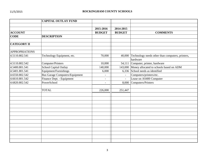|                       | <b>CAPITAL OUTLAY FUND</b>            |                |                          |                                                  |
|-----------------------|---------------------------------------|----------------|--------------------------|--------------------------------------------------|
|                       |                                       |                |                          |                                                  |
|                       |                                       | 2015-2016      | 2014-2015                |                                                  |
| <b>ACCOUNT</b>        |                                       | <b>BUDGET</b>  | <b>BUDGET</b>            | <b>COMMENTS</b>                                  |
| <b>CODE</b>           | <b>DESCRIPTION</b>                    |                |                          |                                                  |
|                       |                                       |                |                          |                                                  |
| <b>CATEGORY II</b>    |                                       |                |                          |                                                  |
| <b>APPROPRIATIONS</b> |                                       |                |                          |                                                  |
| 4.5110.802.541        | Technology Equipment, etc.            | 70,000         | 40,000                   | Technology needs other than computers, printers, |
|                       |                                       |                |                          | hardware                                         |
| 4.5110.802.542        | Computer/Printers                     | 10,000         |                          | 54,111 Computer, printer, hardware               |
| 4.5400.801.541        | School Capital Outlay                 | 140,000        |                          | 143,000 Money allocated to schools based on ADM  |
| 4.5401.801.541        | Equipment/Furnishings                 | 6,000          | 6,336                    | School needs as identified                       |
| 4.6550.802.542        | <b>Bus Garage Computers/Equipment</b> | $\blacksquare$ | $\equiv$                 | Computers/printers/etc.                          |
| 4.6610.801.542        | Finance Dept. - Equipment             | $\overline{a}$ | $\overline{\phantom{a}}$ | Lease on AS400 Computer                          |
| 4.6820.802.542        | PowerSchool                           | L,             | 8,000                    | Computers/Printers                               |
|                       |                                       |                |                          |                                                  |
|                       | <b>TOTAL</b>                          | 226,000        | 251,447                  |                                                  |
|                       |                                       |                |                          |                                                  |
|                       |                                       |                |                          |                                                  |
|                       |                                       |                |                          |                                                  |
|                       |                                       |                |                          |                                                  |
|                       |                                       |                |                          |                                                  |
|                       |                                       |                |                          |                                                  |
|                       |                                       |                |                          |                                                  |
|                       |                                       |                |                          |                                                  |
|                       |                                       |                |                          |                                                  |
|                       |                                       |                |                          |                                                  |
|                       |                                       |                |                          |                                                  |
|                       |                                       |                |                          |                                                  |
|                       |                                       |                |                          |                                                  |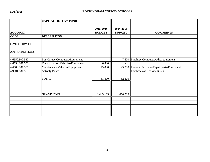|                       | <b>CAPITAL OUTLAY FUND</b>               |                          |                |                                          |
|-----------------------|------------------------------------------|--------------------------|----------------|------------------------------------------|
|                       |                                          |                          |                |                                          |
|                       |                                          | 2015-2016                | 2014-2015      |                                          |
| <b>ACCOUNT</b>        |                                          | <b>BUDGET</b>            | <b>BUDGET</b>  | <b>COMMENTS</b>                          |
| <b>CODE</b>           | <b>DESCRIPTION</b>                       |                          |                |                                          |
| <b>CATEGORY III</b>   |                                          |                          |                |                                          |
| <b>APPROPRIATIONS</b> |                                          |                          |                |                                          |
| 4.6550.802.542        | <b>Bus Garage Computers/Equipment</b>    | $\overline{a}$           |                | 7,600 Purchase Computers/other equipment |
| 4.6550.801.551        | <b>Transportation Vehicles/Equipment</b> | 6,800                    | $\overline{a}$ |                                          |
| 4.6580.801.551        | Maintenance Vehicles/Equipment           | 45,000                   | 45,000         | Lease & Purchase/Repair parts/Equipment  |
| 4.9301.881.551        | <b>Activity Buses</b>                    | $\overline{\phantom{a}}$ | $\blacksquare$ | Purchases of Activity Buses              |
|                       | <b>TOTAL</b>                             | 51,800                   | 52,600         |                                          |
|                       |                                          |                          |                |                                          |
|                       |                                          |                          |                |                                          |
|                       | <b>GRAND TOTAL</b>                       | 1,409,165                | 1,050,205      |                                          |
|                       |                                          |                          |                |                                          |
|                       |                                          |                          |                |                                          |
|                       |                                          |                          |                |                                          |
|                       |                                          |                          |                |                                          |
|                       |                                          |                          |                |                                          |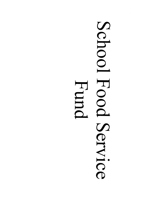# School Food Service Hund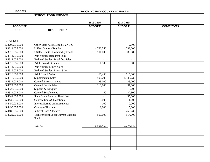| 11/5/2015 |  |
|-----------|--|
|-----------|--|

# ROCKINGHAM COUNTY SCHOOLS

|                | <b>SCHOOL FOOD SERVICE</b>                 |                          |                |                 |
|----------------|--------------------------------------------|--------------------------|----------------|-----------------|
|                |                                            |                          |                |                 |
|                |                                            | 2015-2016                | 2014-2015      |                 |
| <b>ACCOUNT</b> |                                            | <b>BUDGET</b>            | <b>BUDGET</b>  | <b>COMMENTS</b> |
| <b>CODE</b>    | <b>DESCRIPTION</b>                         |                          |                |                 |
|                |                                            |                          |                |                 |
|                |                                            |                          |                |                 |
| <b>REVENUE</b> |                                            |                          |                |                 |
| 5.3200.035.000 | Other-State Alloc. Disab.BYND.6            | $\overline{\phantom{a}}$ | 2,500          |                 |
| 5.3811.035.000 | USDA Grants - Regular                      | 4,782,550                | 4,732,000      |                 |
| 5.3815.035.000 | <b>USDA Grants - Commodity Foods</b>       | 501,000                  | 380,089        |                 |
| 5.4311.035.000 | <b>Paid Student Breakfast Sales</b>        |                          | $\mathbf{r}$   |                 |
| 5.4312.035.000 | <b>Reduced Student Breakfast Sales</b>     | $\mathbf{r}$             | $\overline{a}$ |                 |
| 5.4313.035.000 | <b>Adult Breakfast Sales</b>               | 1,500                    | 5,000          |                 |
| 5.4314.035.000 | <b>Paid Student Lunch Sales</b>            | $\overline{\phantom{a}}$ | $\mathbf{r}$   |                 |
| 5.4315.035.000 | <b>Reduced Student Lunch Sales</b>         | $\mathbf{r}$             |                |                 |
| 5.4316.035.000 | <b>Adult Lunch Sales</b>                   | 65,450                   | 115,000        |                 |
| 5.4318.035.000 | Supplemental Sales                         | 500,700                  | 1,549,230      |                 |
| 5.4321.035.000 | <b>Catered Breakfast Sales</b>             | 28,000                   | 28,000         |                 |
| 5.4322.035.000 | <b>Catered Lunch Sales</b>                 | 110,000                  | 97,800         |                 |
| 5.4323.035.000 | Suppers & Banquets                         |                          | 9,200          |                 |
| 5.4324.035.000 | <b>Catered Supplements</b>                 | 150                      | 32,800         |                 |
| 5.4341.035.000 | <b>State Grant Reduced Breakfast</b>       |                          | 35,000         |                 |
| 5.4430.035.000 | Contributions & Donations                  | 10,000                   | 1,000          |                 |
| 5.4450.035.000 | <b>Interest Earned on Investments</b>      | 100                      | 2,000          |                 |
| 5.4490.035.000 | Overages/Shortages                         | 2,000                    | 15,000         |                 |
| 5.4480.035.000 | <b>Indirect Cost Allocated</b>             |                          | 256,230        |                 |
| 5.4922.035.000 | <b>Transfer from Local Current Expense</b> | 900,000                  | 514,000        |                 |
|                | Fund                                       |                          |                |                 |
|                |                                            |                          |                |                 |
|                | <b>TOTAL</b>                               | 6,901,450                | 7,774,849      |                 |
|                |                                            |                          |                |                 |
|                |                                            |                          |                |                 |
|                |                                            |                          |                |                 |
|                |                                            |                          |                |                 |
|                |                                            |                          |                |                 |
|                |                                            |                          |                |                 |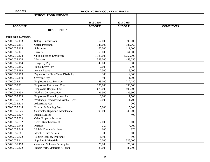|  |  | 11/5/2015 |  |  |  |  |
|--|--|-----------|--|--|--|--|
|--|--|-----------|--|--|--|--|

# ROCKINGHAM COUNTY SCHOOLS

|                       | <b>SCHOOL FOOD SERVICE</b>         |               |               |                 |
|-----------------------|------------------------------------|---------------|---------------|-----------------|
|                       |                                    |               |               |                 |
|                       |                                    | 2015-2016     | 2014-2015     |                 |
| <b>ACCOUNT</b>        |                                    | <b>BUDGET</b> | <b>BUDGET</b> | <b>COMMENTS</b> |
| <b>CODE</b>           | <b>DESCRIPTION</b>                 |               |               |                 |
|                       |                                    |               |               |                 |
| <b>APPROPRIATIONS</b> |                                    |               |               |                 |
| 5.7200.035.113        | Salary - Supervisors               | 62,000        | 95,000        |                 |
| 5.7200.035.151        | <b>Office Personnel</b>            | 145,000       | 183,760       |                 |
| 5.7200.035.165        | Substitutes                        | 60,000        | 111,200       |                 |
| 5.7200.035.171        | <b>Drivers</b>                     | 50,000        | 64,300        |                 |
| 5.7200.035.174        | <b>Child Nutrition Employees</b>   | 1,385,000     | 1,259,600     |                 |
| 5.7200.035.176        | Managers                           | 583,000       | 458,050       |                 |
| 5.7200.035.184        | Longevity Pay                      | 48,000        | 15,000        |                 |
| 5.7200.035.185        | <b>Bonus Leave Pay</b>             | 2,000         | 8,000         |                 |
| 5.7200.035.188        | <b>Annual Leave</b>                | 2,500         | 8,000         |                 |
| 5.7200.035.189        | Payments for Short Term Disability | 300           | 4,000         |                 |
| 5.7200.035.199        | Overtime Pay                       | 500           | 1,000         |                 |
| 5.7200.035.211        | Employers Soc. Sec. Cost           | 148,000       | 212,750       |                 |
| 5.7200.035.221        | <b>Employers Retirement Cost</b>   | 286,000       | 333,500       |                 |
| 5.7200.035.231        | <b>Employers Hospital Cost</b>     | 675,000       | 895,000       |                 |
| 5.7200.035.232        | <b>Workers Compensation</b>        | 126,500       | 126,500       |                 |
| 5.7200.035.233        | Employers Unemployment Ins.        | 10,000        | 1,500         |                 |
| 5.7200.035.312        | Workshop Expenses/Allowable Travel | 12,000        | 11,700        |                 |
| 5.7200.035.313        | <b>Advertising Cost</b>            |               | 200           |                 |
| 5.7200.035.314        | Printing & Binding Fees            | 5,000         | 15,000        |                 |
| 5.7200.035.326        | Contracted Repairs & Maintenance   | 90,000        | 40,000        |                 |
| 5.7200.035.327        | Rentals/Leases                     |               | 400           |                 |
| 5.7200.035.329        | Other Property Services            |               |               |                 |
| 5.7200.035.332        | <b>Travel Reimbursement</b>        | 12,000        | 15,600        |                 |
| 5.7200.035.342        | Postage                            | 250           | 4,000         |                 |
| 5.7200.035.344        | <b>Mobile Communications</b>       | 600           | 870           |                 |
| 5.7200.035.361        | Member Dues & Fees                 | 300           | 600           |                 |
| 5.7200.035.372        | Vehicle Liability Insurance        | 1,500         | 800           |                 |
| 5.7200.035.411        | Supplies & Materials               | 10,000        | 325,000       |                 |
| 5.7200.035.418        | Computer Software & Supplies       | 25,000        | 25,000        |                 |
| 5.7200.035.422        | Repair Parts, Materials & Labor    | 35,000        | 85,000        |                 |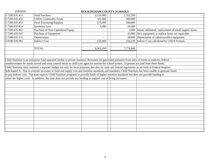| 11/5/2015      | ROCKINGHAM COUNTY SCHOOLS                                                                                                                                 |           |  |           |                                                         |  |  |
|----------------|-----------------------------------------------------------------------------------------------------------------------------------------------------------|-----------|--|-----------|---------------------------------------------------------|--|--|
| 5.7200.035.451 | Food Purchase                                                                                                                                             | 2,110,000 |  | 2,552,200 |                                                         |  |  |
| 5.7200.035.452 | <b>USDA Commodity Foods</b>                                                                                                                               | 501,000   |  | 380,089   |                                                         |  |  |
| 5.7200.035.453 | Food Processing/Supplies                                                                                                                                  | 275,000   |  | 200,000   |                                                         |  |  |
| 5.7200.035.454 | <b>Inventory Loss</b>                                                                                                                                     | 5,000     |  | 10,000    |                                                         |  |  |
| 5.7200.035.462 | Purchase of Non-Capitalized Equip.                                                                                                                        |           |  | 2,000     | Initial, additional, replacement of small support items |  |  |
| 5.7200.035.541 | Purchase of Equipment                                                                                                                                     |           |  | 45,000    | New equipment to replace items not repairable           |  |  |
| 5.7200.035.571 | Depreciation                                                                                                                                              |           |  |           | 28,000 Depreciation of cafeteria/office equipment       |  |  |
| 5.8100.035.392 | <b>Indirect Cost</b>                                                                                                                                      | 235,000   |  |           | 256,230 Indirect Cost calculated by USDA formula        |  |  |
|                |                                                                                                                                                           |           |  |           |                                                         |  |  |
|                | <b>TOTAL</b>                                                                                                                                              | 6,901,450 |  | 7,774,849 |                                                         |  |  |
|                |                                                                                                                                                           |           |  |           |                                                         |  |  |
|                |                                                                                                                                                           |           |  |           |                                                         |  |  |
|                | Child Nutrition is an enterprise fund operated similar to private business. Revenues are generated primarily from sales of meals to students, federal     |           |  |           |                                                         |  |  |
|                | reimbursement for meals served and some catered meals to child care agencies outside the school system. Expenses are paid from these funds.               |           |  |           |                                                         |  |  |
|                | Child Nutrition must maintain a separate budget not only for local purposes, but also for state and federal regulations as set forth in Federal Register, |           |  |           |                                                         |  |  |
|                | Subchapter A. Due to extreme increases in food and supply cost and nutrition standards and mandates, Child Nutrition has been unable to generate funds    |           |  |           |                                                         |  |  |
|                | to pay indirect cost. The state expects Child Nutrition programs to provide foods of higher nutrition standards but does not provide funding to           |           |  |           |                                                         |  |  |
|                | offset the higher costs. In addition, the state does not provide any funding to support cost of living increases.                                         |           |  |           |                                                         |  |  |
|                |                                                                                                                                                           |           |  |           |                                                         |  |  |
|                |                                                                                                                                                           |           |  |           |                                                         |  |  |
|                |                                                                                                                                                           |           |  |           |                                                         |  |  |
|                |                                                                                                                                                           |           |  |           |                                                         |  |  |
|                |                                                                                                                                                           |           |  |           |                                                         |  |  |
|                |                                                                                                                                                           |           |  |           |                                                         |  |  |
|                |                                                                                                                                                           |           |  |           |                                                         |  |  |
|                |                                                                                                                                                           |           |  |           |                                                         |  |  |
|                |                                                                                                                                                           |           |  |           |                                                         |  |  |
|                |                                                                                                                                                           |           |  |           |                                                         |  |  |
|                |                                                                                                                                                           |           |  |           |                                                         |  |  |
|                |                                                                                                                                                           |           |  |           |                                                         |  |  |
|                |                                                                                                                                                           |           |  |           |                                                         |  |  |
|                |                                                                                                                                                           |           |  |           |                                                         |  |  |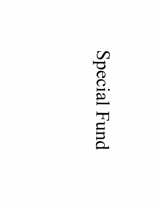# Special Fund

 $\sim$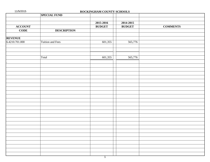| 11/5/2015<br>ROCKINGHAM COUNTY SCHOOLS |                     |               |               |                 |  |  |
|----------------------------------------|---------------------|---------------|---------------|-----------------|--|--|
|                                        | <b>SPECIAL FUND</b> |               |               |                 |  |  |
|                                        |                     |               |               |                 |  |  |
|                                        |                     | 2015-2016     | 2014-2015     |                 |  |  |
| <b>ACCOUNT</b>                         |                     | <b>BUDGET</b> | <b>BUDGET</b> | <b>COMMENTS</b> |  |  |
| <b>CODE</b>                            | <b>DESCRIPTION</b>  |               |               |                 |  |  |
|                                        |                     |               |               |                 |  |  |
| <b>REVENUE</b>                         |                     |               |               |                 |  |  |
| 6.4210.701.000                         | Tuition and Fees    | 601,355       | 565,776       |                 |  |  |
|                                        |                     |               |               |                 |  |  |
|                                        |                     |               |               |                 |  |  |
|                                        |                     |               |               |                 |  |  |
|                                        | Total               | 601,355       | 565,776       |                 |  |  |
|                                        |                     |               |               |                 |  |  |
|                                        |                     |               |               |                 |  |  |
|                                        |                     |               |               |                 |  |  |
|                                        |                     |               |               |                 |  |  |
|                                        |                     |               |               |                 |  |  |
|                                        |                     |               |               |                 |  |  |
|                                        |                     |               |               |                 |  |  |
|                                        |                     |               |               |                 |  |  |
|                                        |                     |               |               |                 |  |  |
|                                        |                     |               |               |                 |  |  |
|                                        |                     |               |               |                 |  |  |
|                                        |                     |               |               |                 |  |  |
|                                        |                     |               |               |                 |  |  |
|                                        |                     |               |               |                 |  |  |
|                                        |                     |               |               |                 |  |  |
|                                        |                     |               |               |                 |  |  |
|                                        |                     |               |               |                 |  |  |
|                                        |                     |               |               |                 |  |  |
|                                        |                     |               |               |                 |  |  |
|                                        |                     |               |               |                 |  |  |
|                                        |                     |               |               |                 |  |  |
|                                        |                     |               |               |                 |  |  |
|                                        |                     |               |               |                 |  |  |
|                                        |                     |               |               |                 |  |  |
|                                        |                     |               |               |                 |  |  |
|                                        |                     |               |               |                 |  |  |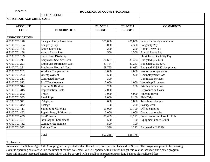| 11/5/2015                        |                                                                                                                                                        | ROCKINGHAM COUNTY SCHOOLS |                          |                               |
|----------------------------------|--------------------------------------------------------------------------------------------------------------------------------------------------------|---------------------------|--------------------------|-------------------------------|
|                                  | <b>SPECIAL FUND</b>                                                                                                                                    |                           |                          |                               |
| <b>701 SCHOOL AGE CHILD CARE</b> |                                                                                                                                                        |                           |                          |                               |
|                                  |                                                                                                                                                        |                           |                          |                               |
| <b>ACCOUNT</b>                   |                                                                                                                                                        | 2015-2016                 | 2014-2015                | <b>COMMENTS</b>               |
| <b>CODE</b>                      | <b>DESCRIPTION</b>                                                                                                                                     | <b>BUDGET</b>             | <b>BUDGET</b>            |                               |
| <b>APPROPRIATIONS</b>            |                                                                                                                                                        |                           |                          |                               |
| 6.7100.701.178                   | Salary - Hourly Associates                                                                                                                             | 395,000                   | 406,850                  | Salary for hourly associates  |
| 6.7100.701.184                   | Longevity Pay                                                                                                                                          | 5,000                     | 2,300                    | Longevity Pay                 |
| 6.7100.701.185                   | <b>Bonus Leave Pay</b>                                                                                                                                 | 250                       | 250                      | <b>Bonus Leave Pay</b>        |
| 6.7100.701.188                   | <b>Annual Leave Pay</b>                                                                                                                                | 500                       | 1,500                    | Annual Leave Pay              |
| 6.7100.701.189                   | <b>Short Term Disability</b>                                                                                                                           |                           |                          | Short Term Disability Pay     |
| 6.7100.701.211                   | Employers Soc. Sec. Cost                                                                                                                               | 30,657                    | 31,434                   | Budgeted @ 7.65%              |
| 6.7100.701.221                   | <b>Employers Retirement Cost</b>                                                                                                                       | 31,754                    | 31,267                   | Budgeted @ 15.32%             |
| 6.7100.701.231                   | <b>Employers Hospital Cost</b>                                                                                                                         | 69,755                    | 44,032                   | Budgeted @ \$5,471/employee   |
| 6.7100.701.232                   | <b>Workers Compensation</b>                                                                                                                            | 2,000                     | 2,000                    | <b>Workers Compensation</b>   |
| 6.7100.701.233                   | Unemployment                                                                                                                                           | 500                       | 500                      | <b>Unemployment Cost</b>      |
| 6.7100.701.311                   | <b>Contracted Services</b>                                                                                                                             | 300                       |                          | Contracted services           |
| 6.7100.701.312                   | <b>Staff Development</b>                                                                                                                               | 2,000                     | 1,000                    | <b>Workshop Expenses</b>      |
| 6.7100.701.314                   | Printing & Binding                                                                                                                                     | 200                       | 200                      | Printing & Binding            |
| 6.7100.701.315                   | <b>Reproduction Costs</b>                                                                                                                              | 2,000                     | $\overline{\phantom{a}}$ | <b>Reproduction Costs</b>     |
| 6.7100.701.332                   | Travel                                                                                                                                                 | 5,000                     | 4,000                    | Itinerant travel              |
| 6.7100.701.333                   | <b>Field Trips</b>                                                                                                                                     | 8,000                     | 8,100                    | <b>Field Trips</b>            |
| 6.7100.701.341                   | Telephone                                                                                                                                              | 600                       | 1,800                    | Telephone charges             |
| 6.7100.701.342                   | Postage                                                                                                                                                | 100                       | 200                      | Postage cost                  |
| 6.7100.701.411                   | Supplies & Materials                                                                                                                                   | 13,000                    | 11,700                   | Office Supplies               |
| 6.7100.701.422                   | Repair, Parts, & Materials                                                                                                                             | 5,000                     | 4,000                    | Contracted repairs            |
| 6.7100.701.459                   | Food/Snacks                                                                                                                                            | 27,409                    | 13,221                   | Food/snacks purchase for kids |
| 6.7100.701.461                   | Non-Capital Equipment                                                                                                                                  | 500                       | 100                      | Equipment under \$2000        |
| 6.7100.701.462                   | <b>Computer Equipment</b>                                                                                                                              | 500                       | 100                      |                               |
| 6.8100.701.392                   | <b>Indirect Cost</b>                                                                                                                                   | 1,330                     | 1,222                    | Budgeted at 2.209%            |
|                                  |                                                                                                                                                        |                           |                          |                               |
|                                  | Total                                                                                                                                                  | 601,355                   | 565,776                  |                               |
|                                  |                                                                                                                                                        |                           |                          |                               |
| <b>Explanations:</b>             |                                                                                                                                                        |                           |                          |                               |
|                                  | Revenues: The School Age Child Care program is operated with collected fees, both parental fees and DSS fees. The program appears to be breaking       |                           |                          |                               |
|                                  | even; its operating costs are within the limits of monies collected. We will operate with a similar budget this year as last year; anticipated program |                           |                          |                               |
|                                  | costs will include increased benefit costs which will be covered with a small anticipated program fund balance plus collected fees.                    |                           |                          |                               |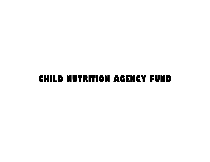# **CHILD NUTRITION AGENCY FUND**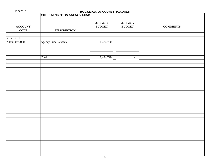| 11/5/2015      |                                    | ROCKINGHAM COUNTY SCHOOLS |                          |                 |
|----------------|------------------------------------|---------------------------|--------------------------|-----------------|
|                | <b>CHILD NUTRITION AGENCY FUND</b> |                           |                          |                 |
|                |                                    |                           |                          |                 |
|                |                                    | 2015-2016                 | 2014-2015                |                 |
| <b>ACCOUNT</b> |                                    | <b>BUDGET</b>             | <b>BUDGET</b>            | <b>COMMENTS</b> |
| <b>CODE</b>    | <b>DESCRIPTION</b>                 |                           |                          |                 |
| <b>REVENUE</b> |                                    |                           |                          |                 |
| 7.4890.035.000 | Agency Fund Revenue                | 1,424,720                 |                          |                 |
|                |                                    |                           |                          |                 |
|                |                                    |                           |                          |                 |
|                |                                    |                           |                          |                 |
|                | Total                              | 1,424,720                 | $\overline{\phantom{a}}$ |                 |
|                |                                    |                           |                          |                 |
|                |                                    |                           |                          |                 |
|                |                                    |                           |                          |                 |
|                |                                    |                           |                          |                 |
|                |                                    |                           |                          |                 |
|                |                                    |                           |                          |                 |
|                |                                    |                           |                          |                 |
|                |                                    |                           |                          |                 |
|                |                                    |                           |                          |                 |
|                |                                    |                           |                          |                 |
|                |                                    |                           |                          |                 |
|                |                                    |                           |                          |                 |
|                |                                    |                           |                          |                 |
|                |                                    |                           |                          |                 |
|                |                                    |                           |                          |                 |
|                |                                    |                           |                          |                 |
|                |                                    |                           |                          |                 |
|                |                                    |                           |                          |                 |
|                |                                    |                           |                          |                 |
|                |                                    |                           |                          |                 |
|                |                                    |                           |                          |                 |
|                |                                    |                           |                          |                 |
|                |                                    | 1                         |                          |                 |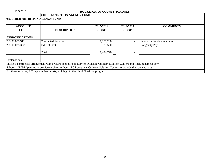| 11/5/2015                              | ROCKINGHAM COUNTY SCHOOLS                                                                                                  |               |                          |                              |  |  |  |  |
|----------------------------------------|----------------------------------------------------------------------------------------------------------------------------|---------------|--------------------------|------------------------------|--|--|--|--|
|                                        | <b>CHILD NUTRITION AGENCY FUND</b>                                                                                         |               |                          |                              |  |  |  |  |
| <b>035 CHILD NUTRITION AGENCY FUND</b> |                                                                                                                            |               |                          |                              |  |  |  |  |
| <b>ACCOUNT</b>                         |                                                                                                                            | 2015-2016     | 2014-2015                | <b>COMMENTS</b>              |  |  |  |  |
| <b>CODE</b>                            | <b>DESCRIPTION</b>                                                                                                         | <b>BUDGET</b> | <b>BUDGET</b>            |                              |  |  |  |  |
| <b>APPROPRIATIONS</b>                  |                                                                                                                            |               |                          |                              |  |  |  |  |
| 7.7200.035.311                         | <b>Contracted Services</b>                                                                                                 | 1,295,200     | $\overline{\phantom{a}}$ | Salary for hourly associates |  |  |  |  |
| 7.8100.035.392                         | <b>Indirect Cost</b>                                                                                                       | 129,520       | $\overline{\phantom{a}}$ | Longevity Pay                |  |  |  |  |
|                                        | Total                                                                                                                      | 1,424,720     | $\overline{\phantom{a}}$ |                              |  |  |  |  |
| Explanations:                          |                                                                                                                            |               |                          |                              |  |  |  |  |
|                                        | This is a contractual arrangement with NCDPI School Food Service Division, Culinary Solution Centers and Rockingham County |               |                          |                              |  |  |  |  |
|                                        | Schools. NCDPI pays us to provide services to them. RCS contracts Culinary Solution Centers to provide the services to us. |               |                          |                              |  |  |  |  |
|                                        | For these services, RCS gets indirect costs, which go to the Child Nutrition program.                                      |               |                          |                              |  |  |  |  |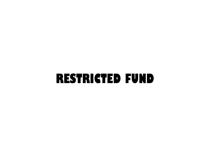# **RESTRICTED FUND**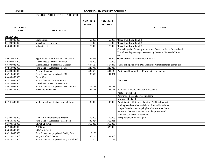|                 | <b>FUND 8 - OTHER RESTRICTED FUNDS</b>    |                |               |                                                                      |
|-----------------|-------------------------------------------|----------------|---------------|----------------------------------------------------------------------|
|                 |                                           |                |               |                                                                      |
|                 |                                           | $2015 - 2016$  | $2014 - 2015$ |                                                                      |
|                 |                                           | <b>BUDGET</b>  | <b>BUDGET</b> |                                                                      |
| <b>ACCOUNT</b>  |                                           |                |               | <b>COMMENTS</b>                                                      |
| <b>CODE</b>     | <b>DESCRIPTION</b>                        |                |               |                                                                      |
|                 |                                           |                |               |                                                                      |
| <b>REVENUES</b> |                                           |                |               |                                                                      |
| 8.4430.000.000  | Contributions                             | 50,000         |               | 50,000 Moved from Local Fund 2                                       |
| 8.4490.000.000  | Miscellaneous Revenue                     | 10,000         |               | 10,000 Moved from Local Fund 2                                       |
| 8.4880.000.000  | <b>Indirect Cost</b>                      | 175,000        |               | 175,000 Moved from Local Fund 2                                      |
|                 |                                           |                |               | Costs charged to Federal programs and Enterprise funds for overhead. |
|                 |                                           |                |               | The allowable percentage decreased by the state. Reduced C/N to      |
|                 |                                           |                |               | $0\%$ .                                                              |
| 8.4910.012.000  | Appropriated Fund Balance - Drivers Ed.   | 182,616        | 48,000        | Moved director salary from local Fund 2                              |
| 8.4490.012.000  | Miscellaneous - Driver Education          | 65,000         | 10,000        |                                                                      |
| 8.4490.032.000  | Miscellaneous - Exceptional Children      | 607,187        | 567,843       | Funds anticipated from Day Treatment reimbursements, grants, etc.    |
| 8.4910.032.000  | Fund Balance Appropriated - EC            | 226,945        | 220,015       |                                                                      |
| 8.4490.049.000  | Preschool Income                          | 432,680        | 441,140       | Anticipated funding for 108 More at Four students                    |
| 8.4910.049.000  | Fund Balance Appropriated - EC            | 86,598         | 41,871        |                                                                      |
| 8.4490.050.000  | Parent Center                             |                |               |                                                                      |
| 8.4910.050.000  | Fund Balance Appr. - Parent Ctr           |                |               | Carryover                                                            |
| 8.4470.069.000  | Miscellaneous Rev. - Remediation          |                |               |                                                                      |
| 8.4910.069.000  | Fund Balance Appropriated - Remediation   | 76,128         | 81,131        |                                                                      |
| 8.3700.301.000  | <b>ROTC</b> Reimbursement                 | 327,141        | 327,141       | Estimated reimbursement for four schools                             |
|                 |                                           |                |               | Army - Morehead                                                      |
|                 |                                           |                |               | Air Force - McMichael/Rockingham                                     |
|                 |                                           |                |               | Marines - Reidsville                                                 |
| 8.3701.305.000  | Medicaid Administrative Outreach Prog.    | 180,000        | 195,000       | Administrative Outreach Claiming (AOC) is Medicaid                   |
|                 |                                           |                |               | funding based on submitted claims from collected time                |
|                 |                                           |                |               | sample data documenting eligible administrative duties               |
|                 |                                           |                |               | performed that are associated with the provision of                  |
|                 |                                           |                |               | Medicaid services in the schools.                                    |
| 8.3700.306.000  | Medicaid Reimbursement Program            | 60,000         | 60,000        | <b>Exceptional Children Program</b>                                  |
| 8.4910.306.000  | Fund Balance Appropriated-Medicaid        | 439,024        | 360,311       |                                                                      |
| 8.3700.311.000  | <b>GEAR UP Grant</b>                      | 359,336        | 359,336       |                                                                      |
| 8.3700.332.000  | <b>PEP Grant</b>                          | $\overline{a}$ | 625,000       |                                                                      |
| 8.4890.340.000  | <b>NC Quest Grant</b>                     |                |               |                                                                      |
| 8.4910.403.000  | Fund Balance Appropriated-Quality Sch     | 2,100          |               |                                                                      |
| 8.4210.410.000  | Early Childhood Center                    | 256,255        | 247,000       |                                                                      |
| 8.4910.410.000  | Fund Balance Appropriated-Early Childhood |                | 10,759        |                                                                      |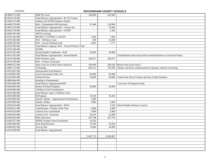| 8.4890.573.000 | <b>KBR PE Grant</b>                             | 100,000                  | 425,600        |                                                                        |
|----------------|-------------------------------------------------|--------------------------|----------------|------------------------------------------------------------------------|
| 8.4910.574.000 | Fund Balance Appropriated - RC Ed. Found.       |                          |                |                                                                        |
| 8.3200.575.000 | Golden Leaf STEM Initiative Project             |                          |                |                                                                        |
| 8.4490.576.000 | Misc. Chromebook Self Insurance                 | 97,400                   | 129,000        |                                                                        |
| 8.4910.576.000 | Fund Balance Appropriated - Chrome Ins          |                          | 79,286         |                                                                        |
| 8.4910.578.000 | Fund Balance Appropriated - USTEP               | $\blacksquare$           | 2,365          |                                                                        |
| 8.4490.581.000 | <b>APEX</b> Learning                            |                          |                |                                                                        |
| 8.4470.582.000 | PROJECT CONNECT GRANT                           | 7,400                    | 7,400          |                                                                        |
| 8.4470.583.000 | RAF - Wellness Grant                            | 948                      | 25,948         |                                                                        |
| 8.4490.585.000 | RAF - Social Working Fund                       | 6,091                    | 7,771          |                                                                        |
| 8.4910.585.000 | Fund Balance Approp. RAF - Social Workers' Fund |                          |                |                                                                        |
| 8.4470.589.000 | <b>SPARK</b>                                    |                          |                |                                                                        |
| 8.4470.591.000 | School Health Coordinator - RAF                 | 30,000                   | 30,000         |                                                                        |
| 8.4910.591.000 | Fund Balance Appropriated - School Health       |                          |                | Fund Balance from local will be transferred here to cover local share. |
| 8.4470.594.000 | <b>RAF-Wireless Grant</b>                       | 266,977                  | 266,977        |                                                                        |
| 8.4470.596.000 | RAF - Science Classroom                         |                          |                |                                                                        |
| 8.4890.615.000 | State Grant for School Nurse Initiative         | 200,000                  |                | 200,546 Moved from local Fund 2                                        |
| 8.4490.715.000 | Technology                                      | 684,514                  | 792,000        | Reimb. and Erate reimbursement on phones, internet, & hosting          |
| 8.4910.801.000 | <b>Appropriated Fund Balance</b>                |                          |                |                                                                        |
| 8.4140.801.000 | <b>Local Government Sales Tax</b>               | 85,000                   | 85,000         |                                                                        |
| 8.4210.801.000 | Tuition & Fees                                  | 20,000                   | 20,000         | Funds from Out of County and Out of State Students                     |
| 8.4890.804.000 | Reading is Fundamental                          |                          |                |                                                                        |
| 8.4910.804.000 | Fund Balance Appropriated-RIF                   |                          |                | Carryover of Program Funds                                             |
| 8.4420.805.000 | Rental of School Property                       | 20,000                   | 20,000         |                                                                        |
| 8.4430.806.000 | <b>Childrens Fund Contributions</b>             |                          |                |                                                                        |
| 8.4910.806.000 | Fund Balance Appr.-Childrens Fund               |                          |                |                                                                        |
| 8.4910.808.000 | <b>IB</b> Program                               | 33,500                   | 36,583         |                                                                        |
| 8.4910.809.000 | Scholar Athlete - Appropriated Fund Balance     | 1,000                    |                |                                                                        |
| 8.4430.809.000 | Scholar Athlete                                 | 3,000                    | 5,000          |                                                                        |
| 8.4910.819.000 | Fund Balance Appropriated - SHAC                | $\overline{\phantom{a}}$ |                | 3,182 School Health Advisory Council                                   |
| 8.4430.821.000 | Contributions -Teacher of the Year              | 2,000                    | 2,000          |                                                                        |
| 8.4470.833.000 | <b>Cultural Arts Contributed</b>                | 5,000                    | 5,000          |                                                                        |
| 8.4430.834.000 | Cultural Arts - Keystone                        | 26,265                   | 22,000         |                                                                        |
| 8.4430.835.000 | <b>Bible Education</b>                          | 207,788                  | 207,792        |                                                                        |
| 8.4430.837.000 | <b>WRMS</b> Summer Stem Enrichment              | 10,320                   | $\blacksquare$ |                                                                        |
| 8.4490.880.000 | Print Shop Revenue                              | 70,500                   | 70,500         |                                                                        |
| 8.4490.881.000 | <b>Activity Bus</b>                             | 74,000                   | 36,000         |                                                                        |
| 8.2910.000.000 | Fund Balance Appropriated                       | $\blacksquare$           | $\blacksquare$ |                                                                        |
|                |                                                 |                          |                |                                                                        |
|                |                                                 | 5,487,713                | 6,309,497      |                                                                        |
|                |                                                 |                          |                |                                                                        |
|                |                                                 |                          |                |                                                                        |
|                |                                                 |                          |                |                                                                        |
|                |                                                 |                          |                |                                                                        |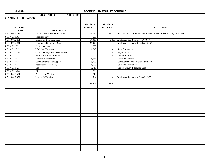|                       | <b>FUND 8 - OTHER RESTRICTED FUNDS</b> |                 |                             |                                                                                  |
|-----------------------|----------------------------------------|-----------------|-----------------------------|----------------------------------------------------------------------------------|
| 012 DRIVERS EDUCATION |                                        |                 |                             |                                                                                  |
|                       |                                        |                 |                             |                                                                                  |
|                       |                                        | $2015 - 2016$   | $2014 - 2015$               |                                                                                  |
| <b>ACCOUNT</b>        |                                        | <b>BUDGET</b>   | <b>BUDGET</b>               | <b>COMMENTS</b>                                                                  |
| <b>CODE</b>           | <b>DESCRIPTION</b>                     |                 |                             |                                                                                  |
| 8.5110.012.148        | Salary - Non Certified Instructor      | 155,567         |                             | 47,500 Local cost of Instructors and director - moved director salary from local |
| 8.5110.012.162        | Substitute Pay                         | 500             |                             |                                                                                  |
| 8.5110.012.211        | Employers Soc. Sec. Cost               | 14,000          |                             | 3,400 Employers Soc. Sec. Cost @ 7.65%                                           |
| 8.5110.012.221        | <b>Employers Retirement Cost</b>       | 24,000          |                             | 7,100 Employers Retirement Cost @ 15.32%                                         |
| 8.5110.012.311        | Contracted Services                    | $\frac{375}{ }$ | $\overline{\phantom{a}}$    |                                                                                  |
| 8.5110.012.312        | <b>Workshop Expenses</b>               | 1,945           | $\mathcal{L}_{\mathcal{A}}$ | <b>State Conference</b>                                                          |
| 8.5110.012.326        | Contracted Repairs & Maintenance       | 2,500           | $\sim$                      | Repair of Cars                                                                   |
| 8.5110.012.372        | Vehicle Liability Insurance            | 7,000           | $\blacksquare$              | 18 cars to insure                                                                |
| 8.5110.012.411        | Supplies & Materials                   | 4,265           | $\sim$                      | <b>Teaching Supplies</b>                                                         |
| 8.5110.012.418        | Computer Software/Supplies             | 5,200           | $\sim$                      | <b>Computer Drivers Education Software</b>                                       |
| 8.5110.012.422        | Repair parts, Materials, Etc           | 4,800           | $\omega$                    | Car parts, lubrication                                                           |
| 8.5110.012.423        | Gas                                    | 9,710           | $\mathcal{L}$               | <b>Gas for Drivers Education Cars</b>                                            |
| 8.5110.012.424        | Oil                                    | 500             | $\blacksquare$              |                                                                                  |
| 8.5110.012.551        | Purchase of Vehicle                    | 16,740          | $\sim$                      |                                                                                  |
| 8.5110.012.552        | License & Title Fees                   | 514             | $\mathbf{r}$                | Employers Retirement Cost @ 15.32%                                               |
|                       |                                        |                 |                             |                                                                                  |
|                       |                                        | 247,616         | 58,000                      |                                                                                  |
|                       |                                        |                 |                             |                                                                                  |
|                       |                                        |                 |                             |                                                                                  |
|                       |                                        |                 |                             |                                                                                  |
|                       |                                        |                 |                             |                                                                                  |
|                       |                                        |                 |                             |                                                                                  |
|                       |                                        |                 |                             |                                                                                  |
|                       |                                        |                 |                             |                                                                                  |
|                       |                                        |                 |                             |                                                                                  |
|                       |                                        |                 |                             |                                                                                  |
|                       |                                        |                 |                             |                                                                                  |
|                       |                                        |                 |                             |                                                                                  |
|                       |                                        |                 |                             |                                                                                  |
|                       |                                        |                 |                             |                                                                                  |
|                       |                                        |                 |                             |                                                                                  |
|                       |                                        |                 |                             |                                                                                  |
|                       |                                        |                 |                             |                                                                                  |
|                       |                                        |                 |                             |                                                                                  |
|                       |                                        |                 |                             |                                                                                  |
|                       |                                        |                 |                             |                                                                                  |
|                       |                                        |                 |                             |                                                                                  |
|                       |                                        |                 |                             |                                                                                  |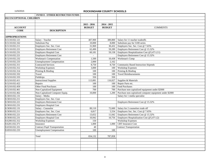|                          | <b>FUND 8 - OTHER RESTRICTED FUNDS</b> |               |               |                                                          |
|--------------------------|----------------------------------------|---------------|---------------|----------------------------------------------------------|
| 032 EXCEPTIONAL CHILDREN |                                        |               |               |                                                          |
|                          |                                        |               |               |                                                          |
|                          |                                        | $2015 - 2016$ | $2014 - 2015$ |                                                          |
| <b>ACCOUNT</b>           |                                        | <b>BUDGET</b> | <b>BUDGET</b> | <b>COMMENTS</b>                                          |
| <b>CODE</b>              | <b>DESCRIPTION</b>                     |               |               |                                                          |
|                          |                                        |               |               |                                                          |
| <b>APPROPRIATIONS</b>    |                                        |               |               |                                                          |
| 8.5110.032.121           | Salary - Teacher                       | 407,900       | 389,800       | Salary for 11 teacher tradeoffs                          |
| 8.5110.032.162           | Substitute Pay                         | 10,000        | 8,000         | Substitute pay for 5100 series                           |
| 8.5110.032.211           | Employers Soc. Sec. Cost               | 31,969        | 30,432        | Employers Soc. Sec. Cost @ 7.65%                         |
| 8.5110.032.221           | <b>Employers Retirement Cost</b>       | 62,490        | 59,289        | Employers Retirement Cost @ 15.32%                       |
| 8.5110.032.231           | <b>Employers Hospital Cost</b>         | 60,181        | 59,158        | Employers Hospitalization Cost @5,471 (11)               |
| 8.5210.032.221           | <b>Employers Retirement Cost</b>       |               |               | Employers Retirement Cost @ 15.32%                       |
| 8.5210.032.232           | Workman's Compensation                 | 1,500         | 10,438        | Workman's Comp                                           |
| 8.5210.032.233           | <b>Unemployment Compensation</b>       | 2,000         | 2,162         |                                                          |
| 8.5210.032.311           | <b>Contracted Services</b>             | 8,750         | 8,750         | <b>Community Based Instruction Stipends</b>              |
| 8.5210.032.312           | <b>Workshop Expenses</b>               | 3,000         | 100           | <b>Workshop Expenses</b>                                 |
| 8.5210.032.314           | Printing & Binding                     | 100           | 100           | Printing & Binding                                       |
| 8.5210.032.332           | Travel                                 | 100           | 100           | <b>Travel Reimbursements</b>                             |
| 8.5210.032.333           | Fieldtrips                             | 350           | 350           |                                                          |
| 8.5210.032.411           | <b>Instructional Supplies</b>          | 113,081       | 116,027       | Supplies & Materials                                     |
| 8.5210.032.422           | Repairs                                | 100           | 100           | Repair Parts etc.                                        |
| 8.5210.032.459           | Other Food Purchases                   | 100           | 100           | Food Purchases                                           |
| 8.5210.032.461           | Non-Capitalized Equipment              | 700           | 700           | Purchase non-capitalized equipment under \$2000          |
| 8.5210.032.462           | Non-Capitalized Computer Equip.        | 10,000        | 1,200         | Purchase non-capitalized computer equipment under \$2000 |
| 8.5810.032.131           | Salary - Media                         |               |               | Salary for 1 media specialist                            |
| 8.5810.032.211           | Employers Soc. Sec. Cost               |               |               |                                                          |
| 8.5810.032.221           | <b>Employers Retirement Cost</b>       |               |               | Employers Retirement Cost @ 15.32%                       |
| 8.5810.032.231           | <b>Employers Hospital Cost</b>         |               |               |                                                          |
| 8.5830.032.131           | Salary - Counselor                     | 89,110        | 72,600        | Salary for 2 counselors trade off                        |
| 8.5830.032.211           | Employers Soc. Sec. Cost               | 6,817         | 5,554         | Employers Soc. Sec. Cost @ 7.65%                         |
| 8.5830.032.221           | <b>Employers Retirement Cost</b>       | 13,652        | 11,042        | Employers Retirement Cost @ 15.32%                       |
| 8.5830.032.231           | <b>Employers Hospital Cost</b>         | 10,942        | 10,756        | Employers Hospitalization Cost @5,471 (2)                |
| 8.6200.032.312           | <b>Workshop Expenses</b>               | 150           |               | <b>Workshop Expenses</b>                                 |
| 8.6201.032.371           | Insurance                              | 1,000         | 1.000         | <b>CBT</b> Insurance Cost                                |
| 8.6550.032.331           | <b>Contract Pupil Transportation</b>   | 40            |               | <b>Contract Transportation</b>                           |
| 8.6910.032.233           | <b>Unemployment Compensation</b>       | 100           | 100           |                                                          |
|                          |                                        |               |               |                                                          |
|                          | Total                                  | 834,132       | 787,858       |                                                          |
|                          |                                        |               |               |                                                          |
|                          |                                        |               |               |                                                          |
|                          |                                        |               |               |                                                          |
|                          |                                        |               |               |                                                          |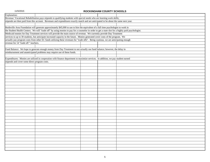| Explanation:                                                                                                                          |                                                                                                                                                                                                                                                           |  |  |  |  |  |  |  |
|---------------------------------------------------------------------------------------------------------------------------------------|-----------------------------------------------------------------------------------------------------------------------------------------------------------------------------------------------------------------------------------------------------------|--|--|--|--|--|--|--|
|                                                                                                                                       | Revenue: Vocational Rehabilitation pays stipends to qualifying students with special needs who are learning work skills;                                                                                                                                  |  |  |  |  |  |  |  |
| stipends are then paid from this account. Revenues and expenditures exactly match and are anticipated to be about the same next year. |                                                                                                                                                                                                                                                           |  |  |  |  |  |  |  |
|                                                                                                                                       |                                                                                                                                                                                                                                                           |  |  |  |  |  |  |  |
|                                                                                                                                       | Reidsville Area Foundation will generate approximately \$45,000 to use to hire the equivalent of a full time psychologist to work in                                                                                                                      |  |  |  |  |  |  |  |
|                                                                                                                                       | the Student Health Centers. We will "trade off" by using monies to pay for a counselor in order to get a state slot for a highly paid psychologist.                                                                                                       |  |  |  |  |  |  |  |
|                                                                                                                                       |                                                                                                                                                                                                                                                           |  |  |  |  |  |  |  |
|                                                                                                                                       | Medicaid monies for Day Treatment services will provide the main source of revenue. We currently provide Day Treatment<br>services to up to 30 students, but anticipate increased capacity in the future. Monies generated cover costs of the program. We |  |  |  |  |  |  |  |
| actually pay program costs from other EC funds utilizing these revenues for "trade offs". Being cautious, we are anticipating enough  |                                                                                                                                                                                                                                                           |  |  |  |  |  |  |  |
| revenue for 14 "trade off " teachers.                                                                                                 |                                                                                                                                                                                                                                                           |  |  |  |  |  |  |  |
|                                                                                                                                       |                                                                                                                                                                                                                                                           |  |  |  |  |  |  |  |
|                                                                                                                                       | Fund Balance: We hope to generate enough money from Day Treatment to not actually use fund balance; however, the delay in                                                                                                                                 |  |  |  |  |  |  |  |
|                                                                                                                                       | reimbursement and unanticipated problems may require use of these funds.                                                                                                                                                                                  |  |  |  |  |  |  |  |
|                                                                                                                                       |                                                                                                                                                                                                                                                           |  |  |  |  |  |  |  |
|                                                                                                                                       | Expenditures: Monies are utilized in cooperation with finance department to maximize services. In addition, we pay student earned                                                                                                                         |  |  |  |  |  |  |  |
| stipends and cover some direct program costs.                                                                                         |                                                                                                                                                                                                                                                           |  |  |  |  |  |  |  |
|                                                                                                                                       |                                                                                                                                                                                                                                                           |  |  |  |  |  |  |  |
|                                                                                                                                       |                                                                                                                                                                                                                                                           |  |  |  |  |  |  |  |
|                                                                                                                                       |                                                                                                                                                                                                                                                           |  |  |  |  |  |  |  |
|                                                                                                                                       |                                                                                                                                                                                                                                                           |  |  |  |  |  |  |  |
|                                                                                                                                       |                                                                                                                                                                                                                                                           |  |  |  |  |  |  |  |
|                                                                                                                                       |                                                                                                                                                                                                                                                           |  |  |  |  |  |  |  |
|                                                                                                                                       |                                                                                                                                                                                                                                                           |  |  |  |  |  |  |  |
|                                                                                                                                       |                                                                                                                                                                                                                                                           |  |  |  |  |  |  |  |
|                                                                                                                                       |                                                                                                                                                                                                                                                           |  |  |  |  |  |  |  |
|                                                                                                                                       |                                                                                                                                                                                                                                                           |  |  |  |  |  |  |  |
|                                                                                                                                       |                                                                                                                                                                                                                                                           |  |  |  |  |  |  |  |
|                                                                                                                                       |                                                                                                                                                                                                                                                           |  |  |  |  |  |  |  |
|                                                                                                                                       |                                                                                                                                                                                                                                                           |  |  |  |  |  |  |  |
|                                                                                                                                       |                                                                                                                                                                                                                                                           |  |  |  |  |  |  |  |
|                                                                                                                                       |                                                                                                                                                                                                                                                           |  |  |  |  |  |  |  |
|                                                                                                                                       |                                                                                                                                                                                                                                                           |  |  |  |  |  |  |  |
|                                                                                                                                       |                                                                                                                                                                                                                                                           |  |  |  |  |  |  |  |
|                                                                                                                                       |                                                                                                                                                                                                                                                           |  |  |  |  |  |  |  |
|                                                                                                                                       |                                                                                                                                                                                                                                                           |  |  |  |  |  |  |  |
|                                                                                                                                       |                                                                                                                                                                                                                                                           |  |  |  |  |  |  |  |
|                                                                                                                                       |                                                                                                                                                                                                                                                           |  |  |  |  |  |  |  |
|                                                                                                                                       |                                                                                                                                                                                                                                                           |  |  |  |  |  |  |  |
|                                                                                                                                       |                                                                                                                                                                                                                                                           |  |  |  |  |  |  |  |
|                                                                                                                                       |                                                                                                                                                                                                                                                           |  |  |  |  |  |  |  |
|                                                                                                                                       |                                                                                                                                                                                                                                                           |  |  |  |  |  |  |  |
|                                                                                                                                       |                                                                                                                                                                                                                                                           |  |  |  |  |  |  |  |
|                                                                                                                                       |                                                                                                                                                                                                                                                           |  |  |  |  |  |  |  |
|                                                                                                                                       |                                                                                                                                                                                                                                                           |  |  |  |  |  |  |  |
|                                                                                                                                       |                                                                                                                                                                                                                                                           |  |  |  |  |  |  |  |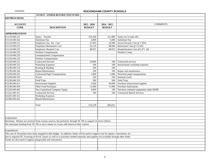|                       | <b>FUND 8 - OTHER RESTRICTED FUNDS</b>                                                                                                    |               |               |                                          |
|-----------------------|-------------------------------------------------------------------------------------------------------------------------------------------|---------------|---------------|------------------------------------------|
| 049 PRESCHOOL         |                                                                                                                                           |               |               |                                          |
|                       |                                                                                                                                           |               |               |                                          |
| <b>ACCOUNT</b>        |                                                                                                                                           | $2015 - 2016$ | $2014 - 2015$ | <b>COMMENTS</b>                          |
| <b>CODE</b>           | <b>DESCRIPTION</b>                                                                                                                        | <b>BUDGET</b> | <b>BUDGET</b> |                                          |
|                       |                                                                                                                                           |               |               |                                          |
| <b>APPROPRIATIONS</b> |                                                                                                                                           |               |               |                                          |
| 8.5110.049.121        | Salary - Teacher                                                                                                                          | 353,200       | 321,800       | Salary for 9 trade-offs                  |
| 8.5110.049.162        | Substitute Pay                                                                                                                            | 5,000         | 5,000         | Substitute Pay                           |
| 8.5110.049.211        | Employers Soc. Sec. Cost                                                                                                                  | 27,403        | 25,000        | Social Security Cost @ 7.65%             |
| 8.5110.049.221        | <b>Employers Retirement Cost</b>                                                                                                          | 54,110        | 48,946        | Retirement Cost @ 15.32%                 |
| 8.5110.049.231        | <b>Employers Hospital Cost</b>                                                                                                            | 48,915        | 48,915        | Hospitalization Cost @5,471 (9)          |
| 8.5110.049.232        | Workers Compensation                                                                                                                      |               |               | <b>Workers Comp</b>                      |
| 8.5110.049.233        | <b>Unemployment Compensation</b>                                                                                                          |               |               |                                          |
| 8.5230.049.232        | <b>Workers Compensation</b>                                                                                                               |               |               |                                          |
| 8.5230.049.311        | <b>Contracted Services</b>                                                                                                                | 10,000        | 100           | Contracted services                      |
| 8.5230.049.312        | <b>Workshop Expenses</b>                                                                                                                  | 100           | 100           | Instructional workshop expenses          |
| 8.5230.049.314        | Printing & Binding                                                                                                                        | 100           | 100           |                                          |
| 8.5230.049.326        | Repair/Maintenance                                                                                                                        | 100           | 100           | Repair and maintenance                   |
| 8.5230.049.331        | Contracted Pupil Transportation                                                                                                           | 1,000         | 1,000         | Preschool pupil transportation           |
| 8.5230.049.332        | Travel                                                                                                                                    | 250           | 250           | Itinerant travel                         |
| 8.5230.049.333        | <b>Field Trips</b>                                                                                                                        | 500           | 500           | Field Trips                              |
| 8.5230.049.411        | <b>Instructional Supplies</b>                                                                                                             | 3,500         | 20,000        | Purchase instructional supplies          |
| 8.5230.049.459        | Other Food Purchases                                                                                                                      | 11,000        | 11,000        | Purchase food/snacks                     |
| 8.5230.049.462        | Non-Capitalized Computer Equip.                                                                                                           | 4,000         | 100           | Purchase computer equipment under \$2000 |
| 8.5241.049.311        | <b>Contracted Services</b>                                                                                                                | 100           | 100           | <b>Contracted Speech Services</b>        |
| 8.6201.049.312        | <b>Workshop Expenses</b>                                                                                                                  |               |               |                                          |
| 8.6580.049.422        | Repair/Maintenance                                                                                                                        |               |               |                                          |
|                       |                                                                                                                                           |               |               |                                          |
|                       | Total                                                                                                                                     | 519,278       | 483,011       |                                          |
|                       |                                                                                                                                           |               |               |                                          |
|                       |                                                                                                                                           |               |               |                                          |
|                       |                                                                                                                                           |               |               |                                          |
| Explanation:          |                                                                                                                                           |               |               |                                          |
|                       | Revenues: Monies are received from various sources, but primarily through NC PK to support inclusive efforts.                             |               |               |                                          |
|                       | We anticipate funding from NC PK to serve ninety six 4-year olds based on their criteria.                                                 |               |               |                                          |
|                       |                                                                                                                                           |               |               |                                          |
| Expenditures:         |                                                                                                                                           |               |               |                                          |
|                       | The cost of 10 teachers have been assigned to this budget. In addition, funds will be used to support cost for repairs, renovations, etc. |               |               |                                          |
|                       | due to required NC licensing of Pre-K classes as well as to purchase needed materials and supplies not available through other funds.     |               |               |                                          |
|                       | Funds are also used to support playgrounds and renovations.                                                                               |               |               |                                          |
|                       |                                                                                                                                           |               |               |                                          |
|                       |                                                                                                                                           |               |               |                                          |
|                       |                                                                                                                                           |               |               |                                          |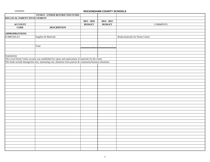|                              | FUND 8 - OTHER RESTRICTED FUNDS                                                                             |               |               |                                   |
|------------------------------|-------------------------------------------------------------------------------------------------------------|---------------|---------------|-----------------------------------|
| 050 LOCAL PARENT INVOLVEMENT |                                                                                                             |               |               |                                   |
|                              |                                                                                                             | $2015 - 2016$ | $2014 - 2015$ |                                   |
| <b>ACCOUNT</b>               |                                                                                                             | <b>BUDGET</b> | <b>BUDGET</b> | <b>COMMENTS</b>                   |
| <b>CODE</b>                  | <b>DESCRIPTION</b>                                                                                          |               |               |                                   |
|                              |                                                                                                             |               |               |                                   |
| <b>APPROPRIATIONS</b>        |                                                                                                             |               |               |                                   |
| 8.5880.050.411               | Supplies & Materials                                                                                        |               |               | Books/materials for Parent Center |
|                              |                                                                                                             |               |               |                                   |
|                              |                                                                                                             |               |               |                                   |
|                              | Total                                                                                                       | $\sim$        | $\omega$      |                                   |
|                              |                                                                                                             |               |               |                                   |
|                              |                                                                                                             |               |               |                                   |
| Explanation:                 |                                                                                                             |               |               |                                   |
|                              | The Local Parent Center account was established for repair and replacement of materials for the center.     |               |               |                                   |
|                              | The funds include damage/lost fees, laminating cost, donations form patrons & community/business donations. |               |               |                                   |
|                              |                                                                                                             |               |               |                                   |
|                              |                                                                                                             |               |               |                                   |
|                              |                                                                                                             |               |               |                                   |
|                              |                                                                                                             |               |               |                                   |
|                              |                                                                                                             |               |               |                                   |
|                              |                                                                                                             |               |               |                                   |
|                              |                                                                                                             |               |               |                                   |
|                              |                                                                                                             |               |               |                                   |
|                              |                                                                                                             |               |               |                                   |
|                              |                                                                                                             |               |               |                                   |
|                              |                                                                                                             |               |               |                                   |
|                              |                                                                                                             |               |               |                                   |
|                              |                                                                                                             |               |               |                                   |
|                              |                                                                                                             |               |               |                                   |
|                              |                                                                                                             |               |               |                                   |
|                              |                                                                                                             |               |               |                                   |
|                              |                                                                                                             |               |               |                                   |
|                              |                                                                                                             |               |               |                                   |
|                              |                                                                                                             |               |               |                                   |
|                              |                                                                                                             |               |               |                                   |
|                              |                                                                                                             |               |               |                                   |
|                              |                                                                                                             |               |               |                                   |
|                              |                                                                                                             |               |               |                                   |
|                              |                                                                                                             |               |               |                                   |
|                              |                                                                                                             |               |               |                                   |
|                              |                                                                                                             |               |               |                                   |
|                              |                                                                                                             |               |               |                                   |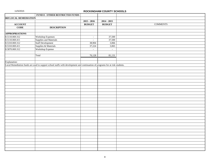|                       | FUND 8 - OTHER RESTRICTED FUNDS                                                                                               |                          |               |                 |
|-----------------------|-------------------------------------------------------------------------------------------------------------------------------|--------------------------|---------------|-----------------|
| 069 LOCAL REMEDIATION |                                                                                                                               |                          |               |                 |
|                       |                                                                                                                               | $2015 - 2016$            | $2014 - 2015$ |                 |
| <b>ACCOUNT</b>        |                                                                                                                               | <b>BUDGET</b>            | <b>BUDGET</b> | <b>COMMENTS</b> |
| <b>CODE</b>           | <b>DESCRIPTION</b>                                                                                                            |                          |               |                 |
|                       |                                                                                                                               |                          |               |                 |
| <b>APPROPRIATIONS</b> |                                                                                                                               |                          |               |                 |
| 8.5110.069.312        | Workshop Expenses                                                                                                             | $\overline{\phantom{a}}$ | 37,500        |                 |
| 8.5110.069.411        | Supplies and Materials                                                                                                        | $\sim$                   | 37,500        |                 |
| 8.5310.069.312        | <b>Staff Development</b>                                                                                                      | 38,904                   | 3,066         |                 |
| 8.5310.069.411        | Supplies & Materials                                                                                                          | 37,224                   | 3,065         |                 |
| 8.5870.069.312        | Workshop Expense                                                                                                              | $\sim$                   | $\mathcal{L}$ |                 |
|                       |                                                                                                                               |                          |               |                 |
|                       | Total                                                                                                                         | 76,128                   | 81,131        |                 |
|                       |                                                                                                                               |                          |               |                 |
| Explanation:          |                                                                                                                               |                          |               |                 |
|                       | Local Remediation funds are used to support school staffs with development and continuation of programs for at risk students. |                          |               |                 |
|                       |                                                                                                                               |                          |               |                 |
|                       |                                                                                                                               |                          |               |                 |
|                       |                                                                                                                               |                          |               |                 |
|                       |                                                                                                                               |                          |               |                 |
|                       |                                                                                                                               |                          |               |                 |
|                       |                                                                                                                               |                          |               |                 |
|                       |                                                                                                                               |                          |               |                 |
|                       |                                                                                                                               |                          |               |                 |
|                       |                                                                                                                               |                          |               |                 |
|                       |                                                                                                                               |                          |               |                 |
|                       |                                                                                                                               |                          |               |                 |
|                       |                                                                                                                               |                          |               |                 |
|                       |                                                                                                                               |                          |               |                 |
|                       |                                                                                                                               |                          |               |                 |
|                       |                                                                                                                               |                          |               |                 |
|                       |                                                                                                                               |                          |               |                 |
|                       |                                                                                                                               |                          |               |                 |
|                       |                                                                                                                               |                          |               |                 |
|                       |                                                                                                                               |                          |               |                 |
|                       |                                                                                                                               |                          |               |                 |
|                       |                                                                                                                               |                          |               |                 |
|                       |                                                                                                                               |                          |               |                 |
|                       |                                                                                                                               |                          |               |                 |
|                       |                                                                                                                               |                          |               |                 |
|                       |                                                                                                                               |                          |               |                 |
|                       |                                                                                                                               |                          |               |                 |
|                       |                                                                                                                               |                          |               |                 |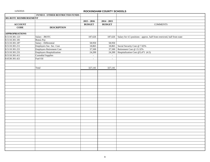| FUND 8 - OTHER RESTRICTED FUNDS                    |                             |                  |                                                                                  |
|----------------------------------------------------|-----------------------------|------------------|----------------------------------------------------------------------------------|
| 301-ROTC REIMBURSEMENT                             |                             |                  |                                                                                  |
|                                                    | $2015 - 2016$               | $2014 - 2015$    |                                                                                  |
| <b>ACCOUNT</b>                                     | <b>BUDGET</b>               | <b>BUDGET</b>    | <b>COMMENTS</b>                                                                  |
| $\overline{CODE}$<br><b>DESCRIPTION</b>            |                             |                  |                                                                                  |
|                                                    |                             |                  |                                                                                  |
| <b>APPROPRIATIONS</b>                              |                             |                  |                                                                                  |
| Salary - JROTC<br>8.5110.301.123                   | 187,626                     |                  | 187,626 Salary for 4.5 positions - approx. half from restricted, half from state |
| 8.5110.301.181<br><b>Bonus Pay</b>                 |                             |                  |                                                                                  |
| 8.5110.301.187<br>Salary - Differential            | 58,950                      | 58,950           |                                                                                  |
| 8.5110.301.211<br>Employers Soc. Sec. Cost         | 18,865                      |                  | 18,865 Social Security Cost @ 7.65%                                              |
| 8.5110.301.221<br><b>Employers Retirement Cost</b> | 37,500                      |                  | 37,500 Retirement Cost @ 15.32%                                                  |
| 8.5110.301.231<br>Employers Hospitalization        | 24,200                      |                  | 24,200 Hospitalization Cost @5,471 (4.5)                                         |
| 8.5110.301.411<br><b>Custodial Supplies</b>        | $\mathcal{L}_{\mathcal{A}}$ | $\blacksquare$   |                                                                                  |
| Fuel Oil<br>8.6530.301.421                         | $\omega$                    | $\omega_{\rm c}$ |                                                                                  |
|                                                    |                             |                  |                                                                                  |
|                                                    |                             |                  |                                                                                  |
| Total                                              | 327,141                     | 327,141          |                                                                                  |
|                                                    |                             |                  |                                                                                  |
|                                                    |                             |                  |                                                                                  |
|                                                    |                             |                  |                                                                                  |
|                                                    |                             |                  |                                                                                  |
|                                                    |                             |                  |                                                                                  |
|                                                    |                             |                  |                                                                                  |
|                                                    |                             |                  |                                                                                  |
|                                                    |                             |                  |                                                                                  |
|                                                    |                             |                  |                                                                                  |
|                                                    |                             |                  |                                                                                  |
|                                                    |                             |                  |                                                                                  |
|                                                    |                             |                  |                                                                                  |
|                                                    |                             |                  |                                                                                  |
|                                                    |                             |                  |                                                                                  |
|                                                    |                             |                  |                                                                                  |
|                                                    |                             |                  |                                                                                  |
|                                                    |                             |                  |                                                                                  |
|                                                    |                             |                  |                                                                                  |
|                                                    |                             |                  |                                                                                  |
|                                                    |                             |                  |                                                                                  |
|                                                    |                             |                  |                                                                                  |
|                                                    |                             |                  |                                                                                  |
|                                                    |                             |                  |                                                                                  |
|                                                    |                             |                  |                                                                                  |
|                                                    |                             |                  |                                                                                  |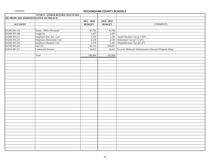|                                      | FUND 8 - OTHER RESTRICTED FUNDS |               |               |                                                                  |
|--------------------------------------|---------------------------------|---------------|---------------|------------------------------------------------------------------|
| 305 MEDICAID ADMINISTRATIVE OUTREACH |                                 |               |               |                                                                  |
|                                      |                                 | $2015 - 2016$ | $2014 - 2015$ |                                                                  |
| <b>ACCOUNT</b>                       |                                 | <b>BUDGET</b> | <b>BUDGET</b> | <b>COMMENTS</b>                                                  |
|                                      |                                 |               |               |                                                                  |
| 8.6200.305.151                       | Salary - Office Personnel       | 43,790        | 43,790        |                                                                  |
| 8.6200.305.184                       | Longevity                       | 1,423         | 1,423         |                                                                  |
| 8.6200.305.211                       | Employers Soc. Sec. Cost        | 3,350         |               | 3,350 Social Security Cost @ 7.65%                               |
| 8.6200.305.221                       | Employers Retirement Cost       | 6,530         |               | 6,530 Retirement Cost @ 15.32%                                   |
| 8.6200.305.231                       | Employers Hospital Cost         | 5,378         |               | 5,435 Hospitalization Cost @5,471                                |
| 8.6530.305.421                       | Fuel Oil                        | 85,114        | 100,057       |                                                                  |
| 8.6910.305.311                       | <b>Contracted Services</b>      | 34,415        |               | 34,415 To cover Medicaid Administrative Outreach Program filing. |
|                                      |                                 |               |               |                                                                  |
|                                      | Total                           | 180,000       | 195,000       |                                                                  |
|                                      |                                 |               |               |                                                                  |
|                                      |                                 |               |               |                                                                  |
|                                      |                                 |               |               |                                                                  |
|                                      |                                 |               |               |                                                                  |
|                                      |                                 |               |               |                                                                  |
|                                      |                                 |               |               |                                                                  |
|                                      |                                 |               |               |                                                                  |
|                                      |                                 |               |               |                                                                  |
|                                      |                                 |               |               |                                                                  |
|                                      |                                 |               |               |                                                                  |
|                                      |                                 |               |               |                                                                  |
|                                      |                                 |               |               |                                                                  |
|                                      |                                 |               |               |                                                                  |
|                                      |                                 |               |               |                                                                  |
|                                      |                                 |               |               |                                                                  |
|                                      |                                 |               |               |                                                                  |
|                                      |                                 |               |               |                                                                  |
|                                      |                                 |               |               |                                                                  |
|                                      |                                 |               |               |                                                                  |
|                                      |                                 |               |               |                                                                  |
|                                      |                                 |               |               |                                                                  |
|                                      |                                 |               |               |                                                                  |
|                                      |                                 |               |               |                                                                  |
|                                      |                                 |               |               |                                                                  |
|                                      |                                 |               |               |                                                                  |
|                                      |                                 |               |               |                                                                  |
|                                      |                                 |               |               |                                                                  |
|                                      |                                 |               |               |                                                                  |
|                                      |                                 |               |               |                                                                  |
|                                      |                                 |               |               |                                                                  |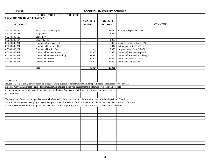|                                   | <b>FUND 8 - OTHER RESTRICTED FUNDS</b>                                                                                                      |                          |               |                                  |
|-----------------------------------|---------------------------------------------------------------------------------------------------------------------------------------------|--------------------------|---------------|----------------------------------|
| <b>306 MEDICAID REIMBURSEMENT</b> |                                                                                                                                             |                          |               |                                  |
|                                   |                                                                                                                                             | $2015 - 2016$            | $2014 - 2015$ |                                  |
| <b>ACCOUNT</b>                    |                                                                                                                                             | <b>BUDGET</b>            | <b>BUDGET</b> | <b>COMMENTS</b>                  |
|                                   |                                                                                                                                             |                          |               |                                  |
| 8.5240.306.132                    | Salary - Speech Therapists                                                                                                                  | $\sim$                   | 61,330        | Salary for 0 speech teacher      |
| 8.5240.306.181                    | Supplement                                                                                                                                  | $\overline{\phantom{a}}$ | 3,067         |                                  |
| 8.5240.306.183                    | <b>Bonus Pay</b>                                                                                                                            | $\sim$                   |               |                                  |
| 8.5240.306.184                    | Longevity Pay                                                                                                                               | $\sim$                   | 1,000         |                                  |
| 8.5240.306.211                    | Employers Soc. Sec. Cost                                                                                                                    | $\overline{\phantom{a}}$ | 5,003         | Social Security Cost @ 7.65%     |
| 8.5240.306.221                    | <b>Employers Retirement Cost</b>                                                                                                            | $\sim$                   | 9,947         | Retirement Cost @ 15.32%         |
| 8.5240.306.231                    | <b>Employers Hospital Cost</b>                                                                                                              | $\sim$                   | 5,378         | Hospitalization Cost @5,471      |
| 8.5240.306.311                    | Contracted Services - Speech                                                                                                                | 200,000                  | 123,376       | Contracted Sservices - speech    |
| 8.5250.306.311                    | <b>Contracted Services - Audiology</b>                                                                                                      | 42,024                   | $\sim$        | Contracted Sservices - audiology |
| 8.5840.306.311                    | Contracted Services                                                                                                                         | 42,000                   | 86,210        | Contracted Services - pt/ot      |
| 8.6200.306.311                    | <b>Contracted Services</b>                                                                                                                  | 215,000                  | 125,000       | Contracted services - PCG        |
|                                   |                                                                                                                                             |                          |               |                                  |
|                                   | Total                                                                                                                                       | 499,024                  | 420,311       |                                  |
|                                   |                                                                                                                                             |                          |               |                                  |
|                                   |                                                                                                                                             |                          |               |                                  |
|                                   |                                                                                                                                             |                          |               |                                  |
| Explanation:                      |                                                                                                                                             |                          |               |                                  |
|                                   | Revenue: Monies are generated based on strict Medicaid guidelines for reimbursement for specific related services provided in the           |                          |               |                                  |
|                                   | schools. Currently, services eligible for reimbursement include therapy and assessments performed by speech pathologists,                   |                          |               |                                  |
|                                   | occupational therapists, physical therapists, and audiologists. We may begin billing some limited nursing services                          |                          |               |                                  |
| next year as well.                |                                                                                                                                             |                          |               |                                  |
|                                   |                                                                                                                                             |                          |               |                                  |
|                                   | Expenditures: Based on our signed contract with Medicaid, these monies may only be used to support related services. Therefore              |                          |               |                                  |
|                                   | we utilize these monies to employ a speech therapist. We will use some of the restricted fund balance that we expect at the end of the year |                          |               |                                  |
|                                   | in this area combined with anticipated revenues for the 2014-15 year to pay for 1 therapists as well as some contracted services.           |                          |               |                                  |
|                                   |                                                                                                                                             |                          |               |                                  |
|                                   |                                                                                                                                             |                          |               |                                  |
|                                   |                                                                                                                                             |                          |               |                                  |
|                                   |                                                                                                                                             |                          |               |                                  |
|                                   |                                                                                                                                             |                          |               |                                  |
|                                   |                                                                                                                                             |                          |               |                                  |
|                                   |                                                                                                                                             |                          |               |                                  |
|                                   |                                                                                                                                             |                          |               |                                  |
|                                   |                                                                                                                                             |                          |               |                                  |
|                                   |                                                                                                                                             |                          |               |                                  |
|                                   |                                                                                                                                             |                          |               |                                  |
|                                   |                                                                                                                                             |                          |               |                                  |
|                                   |                                                                                                                                             |                          |               |                                  |
|                                   |                                                                                                                                             |                          |               |                                  |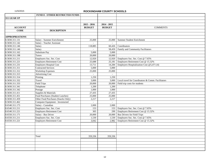|                       | <b>FUND 8 - OTHER RESTRICTED FUNDS</b> |                          |                |                                                    |
|-----------------------|----------------------------------------|--------------------------|----------------|----------------------------------------------------|
| 311 GEAR UP           |                                        |                          |                |                                                    |
|                       |                                        |                          |                |                                                    |
|                       |                                        | $2015 - 2016$            | $2014 - 2015$  |                                                    |
| <b>ACCOUNT</b>        |                                        | <b>BUDGET</b>            | <b>BUDGET</b>  | <b>COMMENTS</b>                                    |
| <b>CODE</b>           | <b>DESCRIPTION</b>                     |                          |                |                                                    |
|                       |                                        |                          |                |                                                    |
| <b>APPROPRIATIONS</b> |                                        |                          |                |                                                    |
| 8.5830.311.131        | Salary - Summer Enrichiment            | 25,000                   | 25,000         | <b>Summer Student Enrichment</b>                   |
| 8.5830.311.142        | Salary - Teacher Assistant             | $\overline{a}$           | $\mathbf{r}$   |                                                    |
| 8.5830.311.146        | Salary                                 | 118,885                  | 60,426         | Coordinators                                       |
| 8.5830.311.146        | Salary                                 | $\sim$                   | 58.459         | <b>Family and Community Facilitators</b>           |
| 8.5830.311.162        | Substitute Pay                         | 5,000                    | 5,000          |                                                    |
| 8.5830.311.198        | Tutors                                 | 20,000                   | 20,000         |                                                    |
| 8.5830.311.211        | Employers Soc. Sec. Cost               | 12,920                   | 12,920         | Employers Soc. Sec. Cost @ 7.65%                   |
| 8.5830.311.221        | <b>Employers Retirement Cost</b>       | 25,688                   | 25,181         | Employers Retirement Cost @ 15.32%                 |
| 8.5830.311.231        | <b>Employers Hospital Cost</b>         | 13,711                   | 14,284         | Employers Hospitalization Cost @5,471 (4)          |
| 8.5830.311.311        | <b>Contracted Services</b>             | 5,000                    | 5,000          |                                                    |
| 8.5830.311.312        | <b>Workshop Expenses</b>               | 25,000                   | 25,000         |                                                    |
| 8.5830.311.313        | <b>Advertising Cost</b>                | $\sim$                   | $\sim$         |                                                    |
| 8.5830.311.314        | Printing                               | 1,250                    | 1,250          |                                                    |
| 8.5830.311.332        | Travel                                 | 3,000                    | 3,000          | Local travel for Coordinators & Comm. Facilitators |
| 8.5830.311.333        | <b>Field Trips</b>                     | 20,000                   | 20,000         | Field trip costs for students                      |
| 8.5830.311.341        | Telephone                              | 1,200                    | 1,200          |                                                    |
| 8.5830.311.342        | Postage                                | 1,000                    | 1,000          |                                                    |
| 8.5830.311.411        | Supplies & Materials                   | 27,435                   | 27,435         |                                                    |
| 8.5830.311.451        | Food Purchases (Student Lunches)       | 25,000                   | 25,000         |                                                    |
| 8.5830.311.459        | Other Food Purchases (Snacks Only)     | 2,217                    | 2,217          |                                                    |
| 8.5830.311.462        | Computer Equipment - Inventoried       | $\overline{\phantom{a}}$ | $\overline{a}$ |                                                    |
| 8.6540.311.173        | Salary - Custodian                     | 2,000                    | 2,000          |                                                    |
| 8.6540.311.211        | Employers Soc. Sec. Cost               | 153                      | 153            | Employers Soc. Sec. Cost @ 7.65%                   |
| 8.6540.311.221        | <b>Employers Retirement Cost</b>       | 305                      | 299            | Employers Retirement Cost @ 15.32%                 |
| 8.6550.311.171        | Salary - Bus Driver                    | 20,000                   | 20,000         | <b>Bus Drivers for Field Trips</b>                 |
| 8.6550.311.211        | Employers Soc. Sec. Cost               | 1,530                    | 1,530          | Employers Soc. Sec. Cost @ 7.65%                   |
| 8.6550.311.221        | <b>Employers Retirement Cost</b>       | 3,042                    | 2.982          | Employers Retirement Cost @ 15.32%                 |
|                       |                                        |                          |                |                                                    |
|                       |                                        |                          |                |                                                    |
|                       |                                        |                          |                |                                                    |
|                       |                                        |                          |                |                                                    |
|                       | Total                                  | 359,336                  | 359,336        |                                                    |
|                       |                                        |                          |                |                                                    |
|                       |                                        |                          |                |                                                    |
|                       |                                        |                          |                |                                                    |
|                       |                                        |                          |                |                                                    |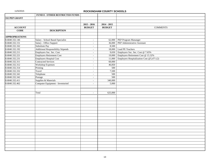|                       | <b>FUND 8 - OTHER RESTRICTED FUNDS</b>    |                          |               |                                           |
|-----------------------|-------------------------------------------|--------------------------|---------------|-------------------------------------------|
| 332 PEP GRANT         |                                           |                          |               |                                           |
|                       |                                           |                          |               |                                           |
|                       |                                           | $2015 - 2016$            | $2014 - 2015$ |                                           |
| <b>ACCOUNT</b>        |                                           | <b>BUDGET</b>            | <b>BUDGET</b> | <b>COMMENTS</b>                           |
| <b>CODE</b>           | <b>DESCRIPTION</b>                        |                          |               |                                           |
|                       |                                           |                          |               |                                           |
| <b>APPROPRIATIONS</b> |                                           |                          |               |                                           |
| 8.6840.332.146        | Salary - School Based Specialist          | $\sim$                   | 62,000        | PEP Program Mananger                      |
| 8.6840.332.151        | Salary - Office Support                   | $\overline{\phantom{a}}$ | 36,000        | PEP Administrative Assistant              |
| 8.6840.332.162        | Substitute Pay                            | $\blacksquare$           | 8,500         |                                           |
| 8.6840.332.192        | <b>Additional Responsibility Stipends</b> | $\overline{\phantom{a}}$ | 18,000        | Lead PE Teachers                          |
| 8.6840.332.211        | Employers Soc. Sec. Cost                  | $\overline{\phantom{a}}$ | 9,650         | Employers Soc. Sec. Cost @ 7.65%          |
| 8.6840.332.221        | <b>Employers Retirement Cost</b>          | $\overline{\phantom{a}}$ | 19,000        | Employers Retirement Cost @ 15.32%        |
| 8.6840.332.231        | Employers Hospital Cost                   | $\mathbf{r}$             | 11,000        | Employers Hospitalization Cost @5,471 (2) |
| 8.6840.332.311        | <b>Contracted Services</b>                | $\overline{\phantom{a}}$ | 60,000        |                                           |
| 8.6840.332.312        | <b>Workshop Expenses</b>                  | $\sim$                   | 46,850        |                                           |
| 8.6840.332.314        | Printing                                  | $\mathbb{L}^+$           | 500           |                                           |
| 8.6840.332.332        | Travel                                    | $\overline{\phantom{a}}$ | 7,500         |                                           |
| 8.6840.332.341        | Telephone                                 | $\overline{\phantom{a}}$ | 500           |                                           |
| 8.6840.332.342        | Postage                                   | $\overline{\phantom{a}}$ | 500           |                                           |
| 8.6840.332.411        | Supplies & Materials                      | $\blacksquare$           | 340,000       |                                           |
| 8.6840.332.462        | Computer Equipment - Inventoried          | $\blacksquare$           | 5,000         |                                           |
|                       |                                           |                          |               |                                           |
|                       |                                           |                          |               |                                           |
|                       | Total                                     | $\omega$                 | 625,000       |                                           |
|                       |                                           |                          |               |                                           |
|                       |                                           |                          |               |                                           |
|                       |                                           |                          |               |                                           |
|                       |                                           |                          |               |                                           |
|                       |                                           |                          |               |                                           |
|                       |                                           |                          |               |                                           |
|                       |                                           |                          |               |                                           |
|                       |                                           |                          |               |                                           |
|                       |                                           |                          |               |                                           |
|                       |                                           |                          |               |                                           |
|                       |                                           |                          |               |                                           |
|                       |                                           |                          |               |                                           |
|                       |                                           |                          |               |                                           |
|                       |                                           |                          |               |                                           |
|                       |                                           |                          |               |                                           |
|                       |                                           |                          |               |                                           |
|                       |                                           |                          |               |                                           |
|                       |                                           |                          |               |                                           |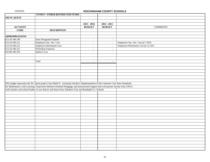|                       | <b>FUND 8 - OTHER RESTRICTED FUNDS</b>                                                                                            |                |                          |                                    |
|-----------------------|-----------------------------------------------------------------------------------------------------------------------------------|----------------|--------------------------|------------------------------------|
| 340 NC QUEST          |                                                                                                                                   |                |                          |                                    |
|                       |                                                                                                                                   |                |                          |                                    |
|                       |                                                                                                                                   | $2015 - 2016$  | $2014 - 2015$            |                                    |
| <b>ACCOUNT</b>        |                                                                                                                                   | <b>BUDGET</b>  | <b>BUDGET</b>            | <b>COMMENTS</b>                    |
| <b>CODE</b>           | <b>DESCRIPTION</b>                                                                                                                |                |                          |                                    |
|                       |                                                                                                                                   |                |                          |                                    |
| <b>APPROPRIATIONS</b> |                                                                                                                                   |                |                          |                                    |
| 8.5110.340.196        | <b>State Designated Stipend</b>                                                                                                   | $\omega$       | $\overline{\phantom{a}}$ |                                    |
| 8.5110.340.211        | Employers Soc. Sec. Cost                                                                                                          | $\blacksquare$ | $\omega$                 | Employers Soc. Sec. Cost @ 7.65%   |
| 8.5110.340.221        | Employers Retirement Cost                                                                                                         | $\sim$         | $\sim$                   | Employers Retirement Cost @ 15.32% |
| 8.5110.340.312        | <b>Workshop Expenses</b>                                                                                                          | $\sim$         | $\overline{\phantom{a}}$ |                                    |
| 8.8100.340.392        | <b>Indirect Cost</b>                                                                                                              | $\omega$       | $\blacksquare$           |                                    |
|                       |                                                                                                                                   |                |                          |                                    |
|                       |                                                                                                                                   |                |                          |                                    |
|                       | Total                                                                                                                             | $\sim$         | $\sim$                   |                                    |
|                       |                                                                                                                                   |                |                          |                                    |
|                       |                                                                                                                                   |                |                          |                                    |
|                       |                                                                                                                                   |                |                          |                                    |
|                       |                                                                                                                                   |                |                          |                                    |
|                       |                                                                                                                                   |                |                          |                                    |
|                       |                                                                                                                                   |                |                          |                                    |
|                       | This budget represents the NC Quest project Core-Math II: Assisting Teacher's Implementation of the Common Core State Standards   |                |                          |                                    |
|                       | for Mathematics with Learning Trajectories Reform-Oriented Pedagogy and Instructional Support that will partner faculty from UNCG |                |                          |                                    |
|                       | with teachers and school leaders in our district and those from Asheboro City and Randolph Co. Schools.                           |                |                          |                                    |
|                       |                                                                                                                                   |                |                          |                                    |
|                       |                                                                                                                                   |                |                          |                                    |
|                       |                                                                                                                                   |                |                          |                                    |
|                       |                                                                                                                                   |                |                          |                                    |
|                       |                                                                                                                                   |                |                          |                                    |
|                       |                                                                                                                                   |                |                          |                                    |
|                       |                                                                                                                                   |                |                          |                                    |
|                       |                                                                                                                                   |                |                          |                                    |
|                       |                                                                                                                                   |                |                          |                                    |
|                       |                                                                                                                                   |                |                          |                                    |
|                       |                                                                                                                                   |                |                          |                                    |
|                       |                                                                                                                                   |                |                          |                                    |
|                       |                                                                                                                                   |                |                          |                                    |
|                       |                                                                                                                                   |                |                          |                                    |
|                       |                                                                                                                                   |                |                          |                                    |
|                       |                                                                                                                                   |                |                          |                                    |
|                       |                                                                                                                                   |                |                          |                                    |
|                       |                                                                                                                                   |                |                          |                                    |
|                       |                                                                                                                                   |                |                          |                                    |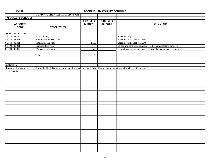|                            | <b>FUND 8 - OTHER RESTRICTED FUNDS</b>                                                                                                               |               |               |                                                                   |
|----------------------------|------------------------------------------------------------------------------------------------------------------------------------------------------|---------------|---------------|-------------------------------------------------------------------|
| <b>403 QUALITY SCHOOLS</b> |                                                                                                                                                      |               |               |                                                                   |
|                            |                                                                                                                                                      | $2015 - 2016$ | $2014 - 2015$ |                                                                   |
| <b>ACCOUNT</b>             |                                                                                                                                                      | <b>BUDGET</b> | <b>BUDGET</b> | <b>COMMENTS</b>                                                   |
| <b>CODE</b>                | <b>DESCRIPTION</b>                                                                                                                                   |               |               |                                                                   |
|                            |                                                                                                                                                      |               |               |                                                                   |
| <b>APPROPRIATIONS</b>      |                                                                                                                                                      |               |               |                                                                   |
| 8.5110.403.162             | Substitute Pay                                                                                                                                       |               |               | Substitute Pay                                                    |
| 8.5110.403.211             | Employers Soc. Sec. Cost                                                                                                                             |               |               | Social Security Cost @ 7.65%                                      |
| 8.5110.403.411             | Supplies & Materials                                                                                                                                 | 1,600         |               | Social Security Cost @ 7.65%                                      |
| 8.5400.403.311             | Contracted Services                                                                                                                                  |               |               | To pay any contracted services - workshop facilitator's contracts |
| 8.5400.403.312             | <b>Workshop Expenses</b>                                                                                                                             | 500           |               | Instructional workshop expenses - workshop equipment & supplies   |
|                            |                                                                                                                                                      |               |               |                                                                   |
|                            | Total                                                                                                                                                | 2,100         | $\sim$        |                                                                   |
|                            |                                                                                                                                                      |               |               |                                                                   |
|                            |                                                                                                                                                      |               |               |                                                                   |
|                            |                                                                                                                                                      |               |               |                                                                   |
| Explanation:               |                                                                                                                                                      |               |               |                                                                   |
|                            | Revenues: Monies were received from the North Carolina Partnership for Excellence for the use of training administrators and teachers in the area of |               |               |                                                                   |
| Total Quality.             |                                                                                                                                                      |               |               |                                                                   |
|                            |                                                                                                                                                      |               |               |                                                                   |
|                            |                                                                                                                                                      |               |               |                                                                   |
|                            |                                                                                                                                                      |               |               |                                                                   |
|                            |                                                                                                                                                      |               |               |                                                                   |
|                            |                                                                                                                                                      |               |               |                                                                   |
|                            |                                                                                                                                                      |               |               |                                                                   |
|                            |                                                                                                                                                      |               |               |                                                                   |
|                            |                                                                                                                                                      |               |               |                                                                   |
|                            |                                                                                                                                                      |               |               |                                                                   |
|                            |                                                                                                                                                      |               |               |                                                                   |
|                            |                                                                                                                                                      |               |               |                                                                   |
|                            |                                                                                                                                                      |               |               |                                                                   |
|                            |                                                                                                                                                      |               |               |                                                                   |
|                            |                                                                                                                                                      |               |               |                                                                   |
|                            |                                                                                                                                                      |               |               |                                                                   |
|                            |                                                                                                                                                      |               |               |                                                                   |
|                            |                                                                                                                                                      |               |               |                                                                   |
|                            |                                                                                                                                                      |               |               |                                                                   |
|                            |                                                                                                                                                      |               |               |                                                                   |
|                            |                                                                                                                                                      |               |               |                                                                   |
|                            |                                                                                                                                                      |               |               |                                                                   |
|                            |                                                                                                                                                      |               |               |                                                                   |
|                            |                                                                                                                                                      |               |               |                                                                   |
|                            |                                                                                                                                                      |               |               |                                                                   |
|                            |                                                                                                                                                      |               |               |                                                                   |
|                            |                                                                                                                                                      |               |               |                                                                   |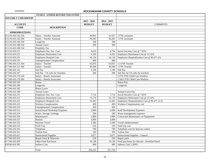|                            | <b>FUND 8 - OTHER RESTRICTED FUNDS</b> |                          |                |                                                |
|----------------------------|----------------------------------------|--------------------------|----------------|------------------------------------------------|
| <b>410 EARLY CHILDHOOD</b> |                                        |                          |                |                                                |
|                            |                                        | $2015 - 2016$            | $2014 - 2015$  |                                                |
| <b>ACCOUNT</b>             |                                        | <b>BUDGET</b>            | <b>BUDGET</b>  | <b>COMMENTS</b>                                |
| <b>CODE</b>                | <b>DESCRIPTION</b>                     |                          |                |                                                |
| <b>APPROPRIATIONS</b>      |                                        |                          |                |                                                |
| 8.5110.410.142.334         | Salary - Teacher Assistant             | 40,061                   | 41,937         | 2 FTE assistants                               |
| 8.5110.410.142.366         | Salary - Teacher Assistant             | 20,205                   | 20,205         | 1 FTE assistants                               |
| 8.5110.410.184.334         | Longevity                              | 100                      | 100            |                                                |
| 8.5110.410.188.334         | Annual Leave                           | 300                      | 300            |                                                |
| 8.5110.410.189.334         | Disability Pay                         |                          |                |                                                |
| 8.5110.410.211             | Employers Soc. Sec. Cost               | 4,610                    | 4,754          | Social Security Cost @ 7.65%                   |
| 8.5110.410.221             | <b>Employers Retirement Cost</b>       | 9,166                    | 9,452          | Employers Retirement Cost @ 15.32%             |
| 8.5110.410.231             | <b>Employers Hospital Cost</b>         | 16,134                   | 16,134         | Employers Hospitalization Cost @ \$5,471 (3)   |
| 8.5110.410.233             | <b>Unemployment Compensation</b>       | 400                      | 400            |                                                |
| 8.7100.410.121.334         | Salary - Teacher                       | 63,035                   | 63,035         | 1.5 FTE Teacher                                |
| 8.7100.410.121.366         | Salary - Teacher                       | 36,500                   | 36,500         | 1 FTE Teacher                                  |
| 8.7100.410.162             | Sub Pay                                | 1,100                    | 1,100          | Sub Pay                                        |
| 8.7100.410.167             | Sub Pay - TA subs for Teachers         | 200                      | 200            | Sub Pay for TA subs for teachers               |
| 8.7100.410.178.334         | Salary - Hourly Associates             | $\overline{a}$           | $\blacksquare$ | 2 FTE PTE Child Care Workers                   |
| 8.7100.410.178.366         | Salary - Hourly Associates             | $\overline{\phantom{0}}$ | $\blacksquare$ | 1.5625 FTE Child Care Workers                  |
| 8.7100.410.183             | Bonus                                  |                          |                | <b>Bonus Pay</b>                               |
| 8.7100.410.184             | Longevity                              |                          |                | Longevity                                      |
| 8.7100.410.185             | <b>Bonus</b> Leave                     |                          |                |                                                |
| 8.7100.410.188             | <b>Annual Leave</b>                    |                          |                | Annual Leave Pay                               |
| 8.7100.410.211             | Employers Soc. Sec. Cost               | 7,714                    | 7,714          | Social Security Cost @ 7.65%                   |
| 8.7100.410.221             | <b>Employers Retirement Cost</b>       | 15,170                   | 15,170         | Employers Retirement Cost @ 15.32%             |
| 8.7100.410.231             | <b>Employers Hospital Cost</b>         | 13,445                   | 13,445         | Employers Hospitalization Cost @ \$5,471 (2.5) |
| 8.7100.410.232             | <b>Workers Compensation</b>            | 400                      | 400            | Workers Compensation cost                      |
| 8.7100.410.233             | <b>Unemployment Compensation</b>       | 450                      | 450            |                                                |
| 8.7100.410.312             | <b>Instructional Workshop Expenses</b> | 2,600                    | 2,600          | <b>Staff Development Expenses</b>              |
| 8.7100.410.324             | Water, Sewage, Garbage                 | 200                      | 200            | Waste management expenses                      |
| 8.7100.410.326             | Maintenance                            | 1,800                    | 1,000          | Contracted Maintenance on Equipment            |
| 8.7100.410.327             | Rentals                                | 3,000                    | 3,000          |                                                |
| 8.7100.410.332             | Itinerant Travel                       | 2,500                    | 2,500          | Travel reimbursement                           |
| 8.7100.410.333             | Field Trip                             | 250                      | 250            | Field trip cost                                |
| 8.7100.410.341             | Telephone                              | 700                      | 700            | Telephone cost for daycare centers             |
| 8.7100.410.351             | <b>Tuition Fees</b>                    | 350                      |                | 350 Tuition fees                               |
| 8.7100.410.411             | <b>Instructional Supplies</b>          | 5,077                    | 5,077          | <b>Instructional Supplies - General</b>        |
| 8.7100.410.422             | Repair Parts & Materials               | 250                      | 250            | Repair parts                                   |
| 8.7100.410.459             | Other Food Purchases                   | 10,138                   | 10,136         | Food purchases for daycare - breakfast/lunch   |
| 8.8100.410.392             | <b>Indirect Cost</b>                   | 400                      | 400            | Indirect Cost 2.209%                           |
|                            |                                        |                          |                |                                                |
|                            | Total                                  | 256,255                  | 257,759        |                                                |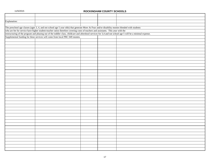| Explanation: |                                                                                                                                                              |  |  |
|--------------|--------------------------------------------------------------------------------------------------------------------------------------------------------------|--|--|
|              |                                                                                                                                                              |  |  |
|              | The preschool age classes (ages 3, 4, and not school age 5 year olds) that generate More At Four and/or disability monies blended with students              |  |  |
|              | who are fee for service have higher student-teacher ratios therefore covering costs of teachers and assistants. This year with the                           |  |  |
|              | restructuring of the program and phasing out of the toddler class, childcare and aftershool services for 3,4 and not school age 5 will be a minimal expense. |  |  |
|              | Supplemental funding for these services will come from local PRC 049 monies.                                                                                 |  |  |
|              |                                                                                                                                                              |  |  |
|              |                                                                                                                                                              |  |  |
|              |                                                                                                                                                              |  |  |
|              |                                                                                                                                                              |  |  |
|              |                                                                                                                                                              |  |  |
|              |                                                                                                                                                              |  |  |
|              |                                                                                                                                                              |  |  |
|              |                                                                                                                                                              |  |  |
|              |                                                                                                                                                              |  |  |
|              |                                                                                                                                                              |  |  |
|              |                                                                                                                                                              |  |  |
|              |                                                                                                                                                              |  |  |
|              |                                                                                                                                                              |  |  |
|              |                                                                                                                                                              |  |  |
|              |                                                                                                                                                              |  |  |
|              |                                                                                                                                                              |  |  |
|              |                                                                                                                                                              |  |  |
|              |                                                                                                                                                              |  |  |
|              |                                                                                                                                                              |  |  |
|              |                                                                                                                                                              |  |  |
|              |                                                                                                                                                              |  |  |
|              |                                                                                                                                                              |  |  |
|              |                                                                                                                                                              |  |  |
|              |                                                                                                                                                              |  |  |
|              |                                                                                                                                                              |  |  |
|              |                                                                                                                                                              |  |  |
|              |                                                                                                                                                              |  |  |
|              |                                                                                                                                                              |  |  |
|              |                                                                                                                                                              |  |  |
|              |                                                                                                                                                              |  |  |
|              |                                                                                                                                                              |  |  |
|              |                                                                                                                                                              |  |  |
|              |                                                                                                                                                              |  |  |
|              |                                                                                                                                                              |  |  |
|              |                                                                                                                                                              |  |  |
|              |                                                                                                                                                              |  |  |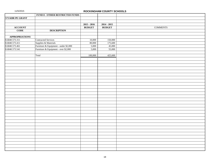|                       | FUND 8 - OTHER RESTRICTED FUNDS                                                                       |               |               |                 |
|-----------------------|-------------------------------------------------------------------------------------------------------|---------------|---------------|-----------------|
| 573 KBR PE GRANT      |                                                                                                       |               |               |                 |
|                       |                                                                                                       |               |               |                 |
|                       |                                                                                                       | $2015 - 2016$ | $2014 - 2015$ |                 |
| <b>ACCOUNT</b>        |                                                                                                       | <b>BUDGET</b> | <b>BUDGET</b> | <b>COMMENTS</b> |
| <b>CODE</b>           | <b>DESCRIPTION</b>                                                                                    |               |               |                 |
|                       |                                                                                                       |               |               |                 |
| <b>APPROPRIATIONS</b> |                                                                                                       |               |               |                 |
| 8.6840.573.311        | Contracted Services                                                                                   | 10,000        | 150,000       |                 |
| 8.6840.573.411        |                                                                                                       | 80,000        | 175,600       |                 |
| 8.6840.573.461        |                                                                                                       | 5,000         | 45,000        |                 |
| 8.6840.573.541        | Supplies & Materials<br>Furniture & Equipment - under \$2,000<br>Furniture & Equipment - over \$2,000 | 5,000         | 55,000        |                 |
|                       |                                                                                                       |               |               |                 |
|                       | Total                                                                                                 | 100,000       | 425,600       |                 |
|                       |                                                                                                       |               |               |                 |
|                       |                                                                                                       |               |               |                 |
|                       |                                                                                                       |               |               |                 |
|                       |                                                                                                       |               |               |                 |
|                       |                                                                                                       |               |               |                 |
|                       |                                                                                                       |               |               |                 |
|                       |                                                                                                       |               |               |                 |
|                       |                                                                                                       |               |               |                 |
|                       |                                                                                                       |               |               |                 |
|                       |                                                                                                       |               |               |                 |
|                       |                                                                                                       |               |               |                 |
|                       |                                                                                                       |               |               |                 |
|                       |                                                                                                       |               |               |                 |
|                       |                                                                                                       |               |               |                 |
|                       |                                                                                                       |               |               |                 |
|                       |                                                                                                       |               |               |                 |
|                       |                                                                                                       |               |               |                 |
|                       |                                                                                                       |               |               |                 |
|                       |                                                                                                       |               |               |                 |
|                       |                                                                                                       |               |               |                 |
|                       |                                                                                                       |               |               |                 |
|                       |                                                                                                       |               |               |                 |
|                       |                                                                                                       |               |               |                 |
|                       |                                                                                                       |               |               |                 |
|                       |                                                                                                       |               |               |                 |
|                       |                                                                                                       |               |               |                 |
|                       |                                                                                                       |               |               |                 |
|                       |                                                                                                       |               |               |                 |
|                       |                                                                                                       |               |               |                 |
|                       |                                                                                                       |               |               |                 |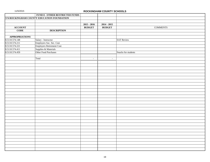|                       | <b>FUND 8 - OTHER RESTRICTED FUNDS</b>     |               |               |                     |
|-----------------------|--------------------------------------------|---------------|---------------|---------------------|
|                       | 574 ROCKINGHAM COUNTY EDUCATION FOUNDATION |               |               |                     |
|                       |                                            |               |               |                     |
|                       |                                            | $2015 - 2016$ | $2014 - 2015$ |                     |
| <b>ACCOUNT</b>        |                                            | <b>BUDGET</b> | <b>BUDGET</b> | <b>COMMENTS</b>     |
| <b>CODE</b>           | <b>DESCRIPTION</b>                         |               |               |                     |
|                       |                                            |               |               |                     |
| <b>APPROPRIATIONS</b> |                                            |               |               |                     |
| 8.5110.574.148        | Salary - Instructor                        |               |               | <b>SAT Review</b>   |
| 8.5110.574.211        | Employers Soc. Sec. Cost                   |               |               |                     |
| 8.5110.574.221        | <b>Employers Retirement Cost</b>           |               |               |                     |
| 8.5110.574.411        | Supplies & Materials                       |               |               |                     |
| 8.5110.574.459        | Other Food Purchases                       |               |               | Snacks for students |
|                       |                                            |               |               |                     |
|                       | Total                                      | $\sim$        | $\sim$        |                     |
|                       |                                            |               |               |                     |
|                       |                                            |               |               |                     |
|                       |                                            |               |               |                     |
|                       |                                            |               |               |                     |
|                       |                                            |               |               |                     |
|                       |                                            |               |               |                     |
|                       |                                            |               |               |                     |
|                       |                                            |               |               |                     |
|                       |                                            |               |               |                     |
|                       |                                            |               |               |                     |
|                       |                                            |               |               |                     |
|                       |                                            |               |               |                     |
|                       |                                            |               |               |                     |
|                       |                                            |               |               |                     |
|                       |                                            |               |               |                     |
|                       |                                            |               |               |                     |
|                       |                                            |               |               |                     |
|                       |                                            |               |               |                     |
|                       |                                            |               |               |                     |
|                       |                                            |               |               |                     |
|                       |                                            |               |               |                     |
|                       |                                            |               |               |                     |
|                       |                                            |               |               |                     |
|                       |                                            |               |               |                     |
|                       |                                            |               |               |                     |
|                       |                                            |               |               |                     |
|                       |                                            |               |               |                     |
|                       |                                            |               |               |                     |
|                       |                                            |               |               |                     |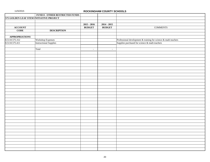|                                         | <b>FUND 8 - OTHER RESTRICTED FUNDS</b> |               |               |                                                                 |
|-----------------------------------------|----------------------------------------|---------------|---------------|-----------------------------------------------------------------|
| 575 GOLDEN LEAF STEM INITIATIVE PROJECT |                                        |               |               |                                                                 |
|                                         |                                        |               |               |                                                                 |
|                                         |                                        | $2015 - 2016$ | $2014 - 2015$ |                                                                 |
| <b>ACCOUNT</b>                          |                                        | <b>BUDGET</b> | <b>BUDGET</b> | <b>COMMENTS</b>                                                 |
| <b>CODE</b>                             | <b>DESCRIPTION</b>                     |               |               |                                                                 |
|                                         |                                        |               |               |                                                                 |
| <b>APPROPRIATIONS</b>                   |                                        |               |               |                                                                 |
| 8.5110.575.312                          | <b>Workshop Expenses</b>               |               |               | Professional development & training for science & math teachers |
| 8.5110.575.411                          | <b>Instructional Supplies</b>          |               |               | Supplies purchased for science & math teachers                  |
|                                         |                                        |               |               |                                                                 |
|                                         | Total                                  | $\sim$        | $\sim$        |                                                                 |
|                                         |                                        |               |               |                                                                 |
|                                         |                                        |               |               |                                                                 |
|                                         |                                        |               |               |                                                                 |
|                                         |                                        |               |               |                                                                 |
|                                         |                                        |               |               |                                                                 |
|                                         |                                        |               |               |                                                                 |
|                                         |                                        |               |               |                                                                 |
|                                         |                                        |               |               |                                                                 |
|                                         |                                        |               |               |                                                                 |
|                                         |                                        |               |               |                                                                 |
|                                         |                                        |               |               |                                                                 |
|                                         |                                        |               |               |                                                                 |
|                                         |                                        |               |               |                                                                 |
|                                         |                                        |               |               |                                                                 |
|                                         |                                        |               |               |                                                                 |
|                                         |                                        |               |               |                                                                 |
|                                         |                                        |               |               |                                                                 |
|                                         |                                        |               |               |                                                                 |
|                                         |                                        |               |               |                                                                 |
|                                         |                                        |               |               |                                                                 |
|                                         |                                        |               |               |                                                                 |
|                                         |                                        |               |               |                                                                 |
|                                         |                                        |               |               |                                                                 |
|                                         |                                        |               |               |                                                                 |
|                                         |                                        |               |               |                                                                 |
|                                         |                                        |               |               |                                                                 |
|                                         |                                        |               |               |                                                                 |
|                                         |                                        |               |               |                                                                 |
|                                         |                                        |               |               |                                                                 |
|                                         |                                        |               |               |                                                                 |
|                                         |                                        |               |               |                                                                 |
|                                         |                                        |               |               |                                                                 |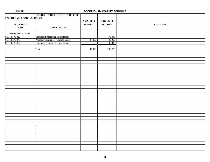|                                  | FUND 8 - OTHER RESTRICTED FUNDS    |               |               |                 |
|----------------------------------|------------------------------------|---------------|---------------|-----------------|
| <b>576 CHROME BOOK INSURANCE</b> |                                    |               |               |                 |
|                                  |                                    | $2015 - 2016$ | $2014 - 2015$ |                 |
| <b>ACCOUNT</b>                   |                                    | <b>BUDGET</b> | <b>BUDGET</b> | <b>COMMENTS</b> |
| <b>CODE</b>                      | <b>DESCRIPTION</b>                 |               |               |                 |
|                                  |                                    |               |               |                 |
| <b>APPROPRIATIONS</b>            |                                    |               |               |                 |
| 8.5110.576.326                   | Contracted Repairs and Maintenance | $\omega$      | 70,446        |                 |
| 8.5110.576.373                   | Propoerty Insurance - Chrome Books | 97,400        | 98,900        |                 |
| 8.5110.576.462                   | Computer Equipment - Inventoried   | $\sim$        | 38,940        |                 |
|                                  |                                    |               |               |                 |
|                                  | Total                              | 97,400        | 208,286       |                 |
|                                  |                                    |               |               |                 |
|                                  |                                    |               |               |                 |
|                                  |                                    |               |               |                 |
|                                  |                                    |               |               |                 |
|                                  |                                    |               |               |                 |
|                                  |                                    |               |               |                 |
|                                  |                                    |               |               |                 |
|                                  |                                    |               |               |                 |
|                                  |                                    |               |               |                 |
|                                  |                                    |               |               |                 |
|                                  |                                    |               |               |                 |
|                                  |                                    |               |               |                 |
|                                  |                                    |               |               |                 |
|                                  |                                    |               |               |                 |
|                                  |                                    |               |               |                 |
|                                  |                                    |               |               |                 |
|                                  |                                    |               |               |                 |
|                                  |                                    |               |               |                 |
|                                  |                                    |               |               |                 |
|                                  |                                    |               |               |                 |
|                                  |                                    |               |               |                 |
|                                  |                                    |               |               |                 |
|                                  |                                    |               |               |                 |
|                                  |                                    |               |               |                 |
|                                  |                                    |               |               |                 |
|                                  |                                    |               |               |                 |
|                                  |                                    |               |               |                 |
|                                  |                                    |               |               |                 |
|                                  |                                    |               |               |                 |
|                                  |                                    |               |               |                 |
|                                  |                                    |               |               |                 |
|                                  |                                    |               |               |                 |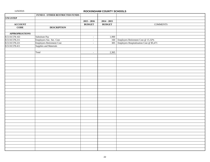|                       | <b>FUND 8 - OTHER RESTRICTED FUNDS</b> |                          |               |                                              |
|-----------------------|----------------------------------------|--------------------------|---------------|----------------------------------------------|
| 578 USTEP             |                                        |                          |               |                                              |
|                       |                                        | $2015 - 2016$            | $2014 - 2015$ |                                              |
| <b>ACCOUNT</b>        |                                        | <b>BUDGET</b>            | <b>BUDGET</b> | <b>COMMENTS</b>                              |
| <b>CODE</b>           | <b>DESCRIPTION</b>                     |                          |               |                                              |
|                       |                                        |                          |               |                                              |
| <b>APPROPRIATIONS</b> |                                        |                          |               |                                              |
| 8.5110.578.163        | Substitute Pay                         | $\omega_{\rm c}$         | 1,900         |                                              |
| 8.5110.578.211        | Employers Soc. Sec. Cost               | $\sim$                   |               | 160 Employers Retirement Cost @ 15.32%       |
| 8.5110.578.221        | Employers Retirement Cost              | $\overline{\phantom{a}}$ |               | 305 Employers Hospitalization Cost @ \$5,471 |
| 8.5110.578.411        | Supplies and Materials                 |                          |               |                                              |
|                       |                                        |                          |               |                                              |
|                       | Total                                  | $\omega$                 | 2,365         |                                              |
|                       |                                        |                          |               |                                              |
|                       |                                        |                          |               |                                              |
|                       |                                        |                          |               |                                              |
|                       |                                        |                          |               |                                              |
|                       |                                        |                          |               |                                              |
|                       |                                        |                          |               |                                              |
|                       |                                        |                          |               |                                              |
|                       |                                        |                          |               |                                              |
|                       |                                        |                          |               |                                              |
|                       |                                        |                          |               |                                              |
|                       |                                        |                          |               |                                              |
|                       |                                        |                          |               |                                              |
|                       |                                        |                          |               |                                              |
|                       |                                        |                          |               |                                              |
|                       |                                        |                          |               |                                              |
|                       |                                        |                          |               |                                              |
|                       |                                        |                          |               |                                              |
|                       |                                        |                          |               |                                              |
|                       |                                        |                          |               |                                              |
|                       |                                        |                          |               |                                              |
|                       |                                        |                          |               |                                              |
|                       |                                        |                          |               |                                              |
|                       |                                        |                          |               |                                              |
|                       |                                        |                          |               |                                              |
|                       |                                        |                          |               |                                              |
|                       |                                        |                          |               |                                              |
|                       |                                        |                          |               |                                              |
|                       |                                        |                          |               |                                              |
|                       |                                        |                          |               |                                              |
|                       |                                        |                          |               |                                              |
|                       |                                        |                          |               |                                              |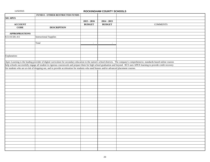|                       | <b>FUND 8 - OTHER RESTRICTED FUNDS</b>                                                                                                    |               |               |                                                                                                                                                                                   |
|-----------------------|-------------------------------------------------------------------------------------------------------------------------------------------|---------------|---------------|-----------------------------------------------------------------------------------------------------------------------------------------------------------------------------------|
| <b>581 APEX</b>       |                                                                                                                                           |               |               |                                                                                                                                                                                   |
|                       |                                                                                                                                           | $2015 - 2016$ | $2014 - 2015$ |                                                                                                                                                                                   |
| <b>ACCOUNT</b>        |                                                                                                                                           | <b>BUDGET</b> | <b>BUDGET</b> | <b>COMMENTS</b>                                                                                                                                                                   |
| $\overline{CODE}$     | <b>DESCRIPTION</b>                                                                                                                        |               |               |                                                                                                                                                                                   |
|                       |                                                                                                                                           |               |               |                                                                                                                                                                                   |
| <b>APPROPRIATIONS</b> |                                                                                                                                           |               |               |                                                                                                                                                                                   |
| 8.5110.581.411        | <b>Instructional Supplies</b>                                                                                                             |               |               |                                                                                                                                                                                   |
|                       |                                                                                                                                           |               |               |                                                                                                                                                                                   |
|                       | Total                                                                                                                                     | $\sim$        | $\sim$        |                                                                                                                                                                                   |
|                       |                                                                                                                                           |               |               |                                                                                                                                                                                   |
|                       |                                                                                                                                           |               |               |                                                                                                                                                                                   |
|                       |                                                                                                                                           |               |               |                                                                                                                                                                                   |
| Explanation:          |                                                                                                                                           |               |               |                                                                                                                                                                                   |
|                       |                                                                                                                                           |               |               |                                                                                                                                                                                   |
|                       |                                                                                                                                           |               |               | Apex Learning is the leading provider of digital curriculum for secondary education to the nation's school districts. The company's comprehensive, standards-based online courses |
|                       |                                                                                                                                           |               |               | help schools successfully engage all student in rigorous coursework and prepare them for high school graduation and beyond. RCS uses APEX learning to provide credit recovery     |
|                       | for students who are at-risk of dropping out, and to provide acceleration for students who need honors and/or advanced placement courses. |               |               |                                                                                                                                                                                   |
|                       |                                                                                                                                           |               |               |                                                                                                                                                                                   |
|                       |                                                                                                                                           |               |               |                                                                                                                                                                                   |
|                       |                                                                                                                                           |               |               |                                                                                                                                                                                   |
|                       |                                                                                                                                           |               |               |                                                                                                                                                                                   |
|                       |                                                                                                                                           |               |               |                                                                                                                                                                                   |
|                       |                                                                                                                                           |               |               |                                                                                                                                                                                   |
|                       |                                                                                                                                           |               |               |                                                                                                                                                                                   |
|                       |                                                                                                                                           |               |               |                                                                                                                                                                                   |
|                       |                                                                                                                                           |               |               |                                                                                                                                                                                   |
|                       |                                                                                                                                           |               |               |                                                                                                                                                                                   |
|                       |                                                                                                                                           |               |               |                                                                                                                                                                                   |
|                       |                                                                                                                                           |               |               |                                                                                                                                                                                   |
|                       |                                                                                                                                           |               |               |                                                                                                                                                                                   |
|                       |                                                                                                                                           |               |               |                                                                                                                                                                                   |
|                       |                                                                                                                                           |               |               |                                                                                                                                                                                   |
|                       |                                                                                                                                           |               |               |                                                                                                                                                                                   |
|                       |                                                                                                                                           |               |               |                                                                                                                                                                                   |
|                       |                                                                                                                                           |               |               |                                                                                                                                                                                   |
|                       |                                                                                                                                           |               |               |                                                                                                                                                                                   |
|                       |                                                                                                                                           |               |               |                                                                                                                                                                                   |
|                       |                                                                                                                                           |               |               |                                                                                                                                                                                   |
|                       |                                                                                                                                           |               |               |                                                                                                                                                                                   |
|                       |                                                                                                                                           |               |               |                                                                                                                                                                                   |
|                       |                                                                                                                                           |               |               |                                                                                                                                                                                   |
|                       |                                                                                                                                           |               |               |                                                                                                                                                                                   |
|                       |                                                                                                                                           |               |               |                                                                                                                                                                                   |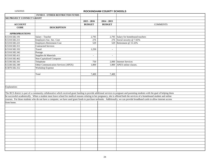|                                  | FUND 8 - OTHER RESTRICTED FUNDS     |               |                          |                                                                                                                                                                                    |
|----------------------------------|-------------------------------------|---------------|--------------------------|------------------------------------------------------------------------------------------------------------------------------------------------------------------------------------|
| <b>582 PROJECT CONNECT GRANT</b> |                                     |               |                          |                                                                                                                                                                                    |
|                                  |                                     | $2015 - 2016$ | $2014 - 2015$            |                                                                                                                                                                                    |
| <b>ACCOUNT</b>                   |                                     | <b>BUDGET</b> | <b>BUDGET</b>            | <b>COMMENTS</b>                                                                                                                                                                    |
| <b>CODE</b>                      | <b>DESCRIPTION</b>                  |               |                          |                                                                                                                                                                                    |
|                                  |                                     |               |                          |                                                                                                                                                                                    |
| <b>APPROPRIATIONS</b>            |                                     |               |                          |                                                                                                                                                                                    |
| 8.5310.582.191                   | Salary - Teacher                    | 2,795         |                          | 2,795 Salary for homebound teachers                                                                                                                                                |
| 8.5310.582.211                   | Employers Soc. Sec. Cost            | 276           |                          | 276 Social security @ 7.65%                                                                                                                                                        |
| 8.5310.582.221                   | <b>Employers Retirement Cost</b>    | 529           | 529                      | Retirement @ 15.32%                                                                                                                                                                |
| 8.5310.582.311                   | <b>Contracted Services</b>          |               |                          |                                                                                                                                                                                    |
| 8.5310.582.332                   | Travel                              | 1,250         | $\overline{\phantom{a}}$ |                                                                                                                                                                                    |
| 8.5310.582.342                   | Postage                             |               |                          |                                                                                                                                                                                    |
| 8.5310.582.411                   | Supplies & Materials                | $\sim$        | $\overline{\phantom{a}}$ |                                                                                                                                                                                    |
| 8.5310.582.462                   | Non-Capitalized Computer            |               |                          |                                                                                                                                                                                    |
| 8.5330.582.341                   | Telephone                           | 750           |                          | 2,000 Internet Services                                                                                                                                                            |
| 8.5330.582.349                   | Other Communication Services (APEX) | 1,800         |                          | 1,800 APEX online classes.                                                                                                                                                         |
| 8.5870.582.312                   | Workshop Expense                    |               |                          |                                                                                                                                                                                    |
|                                  |                                     |               |                          |                                                                                                                                                                                    |
|                                  | Total                               | 7,400         | 7,400                    |                                                                                                                                                                                    |
|                                  |                                     |               |                          |                                                                                                                                                                                    |
|                                  |                                     |               |                          |                                                                                                                                                                                    |
|                                  |                                     |               |                          |                                                                                                                                                                                    |
| Explanation:                     |                                     |               |                          |                                                                                                                                                                                    |
|                                  |                                     |               |                          |                                                                                                                                                                                    |
|                                  |                                     |               |                          | The RCS district is part of a community collaborative which received grant funding to provide additional services to pregnant and parenting students with the goal of helping them |
|                                  |                                     |               |                          | be successful academically. When a student must leave school for medical reasons relating to her pregnancy, she is offered both the services of a homebound student and online     |
|                                  |                                     |               |                          | courses. For those students who do not have a computer, we have used grant funds to purchase netbooks. Additionally, we can provide broadband cards to allow internet access       |
| from home.                       |                                     |               |                          |                                                                                                                                                                                    |
|                                  |                                     |               |                          |                                                                                                                                                                                    |
|                                  |                                     |               |                          |                                                                                                                                                                                    |
|                                  |                                     |               |                          |                                                                                                                                                                                    |
|                                  |                                     |               |                          |                                                                                                                                                                                    |
|                                  |                                     |               |                          |                                                                                                                                                                                    |
|                                  |                                     |               |                          |                                                                                                                                                                                    |
|                                  |                                     |               |                          |                                                                                                                                                                                    |
|                                  |                                     |               |                          |                                                                                                                                                                                    |
|                                  |                                     |               |                          |                                                                                                                                                                                    |
|                                  |                                     |               |                          |                                                                                                                                                                                    |
|                                  |                                     |               |                          |                                                                                                                                                                                    |
|                                  |                                     |               |                          |                                                                                                                                                                                    |
|                                  |                                     |               |                          |                                                                                                                                                                                    |
|                                  |                                     |               |                          |                                                                                                                                                                                    |
|                                  |                                     |               |                          |                                                                                                                                                                                    |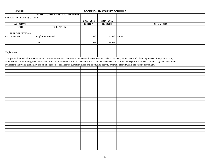|                          | <b>FUND 8 - OTHER RESTRICTED FUNDS</b>                                                                                                                          |               |               |                                                                                                                                                                                        |
|--------------------------|-----------------------------------------------------------------------------------------------------------------------------------------------------------------|---------------|---------------|----------------------------------------------------------------------------------------------------------------------------------------------------------------------------------------|
| 583 RAF - WELLNESS GRANT |                                                                                                                                                                 |               |               |                                                                                                                                                                                        |
|                          |                                                                                                                                                                 | $2015 - 2016$ | $2014 - 2015$ |                                                                                                                                                                                        |
| <b>ACCOUNT</b>           |                                                                                                                                                                 | <b>BUDGET</b> | <b>BUDGET</b> | <b>COMMENTS</b>                                                                                                                                                                        |
| <b>CODE</b>              | <b>DESCRIPTION</b>                                                                                                                                              |               |               |                                                                                                                                                                                        |
|                          |                                                                                                                                                                 |               |               |                                                                                                                                                                                        |
| <b>APPROPRIATIONS</b>    |                                                                                                                                                                 |               |               |                                                                                                                                                                                        |
| 8.5110.583.411           | Supplies & Materials                                                                                                                                            | 948           |               | 25,948 For PE                                                                                                                                                                          |
|                          |                                                                                                                                                                 |               |               |                                                                                                                                                                                        |
|                          | Total                                                                                                                                                           | 948           | 25,948        |                                                                                                                                                                                        |
|                          |                                                                                                                                                                 |               |               |                                                                                                                                                                                        |
|                          |                                                                                                                                                                 |               |               |                                                                                                                                                                                        |
| Explanation:             |                                                                                                                                                                 |               |               |                                                                                                                                                                                        |
|                          |                                                                                                                                                                 |               |               |                                                                                                                                                                                        |
|                          |                                                                                                                                                                 |               |               | The goal of the Reidsville Area Foundation Fitness & Nutrition Initiative is to increase the awareness of students, teachers, parents and staff of the importance of physical activity |
|                          |                                                                                                                                                                 |               |               | and nutrition. Additionally, they aim to support the public schools efforts to create healthier school environments and healthy and responsible students. Wellness grants make funds   |
|                          | available to individual elementary and middle schools to enhance the current nutrition and/or physical activity programs offered within the current curriculum. |               |               |                                                                                                                                                                                        |
|                          |                                                                                                                                                                 |               |               |                                                                                                                                                                                        |
|                          |                                                                                                                                                                 |               |               |                                                                                                                                                                                        |
|                          |                                                                                                                                                                 |               |               |                                                                                                                                                                                        |
|                          |                                                                                                                                                                 |               |               |                                                                                                                                                                                        |
|                          |                                                                                                                                                                 |               |               |                                                                                                                                                                                        |
|                          |                                                                                                                                                                 |               |               |                                                                                                                                                                                        |
|                          |                                                                                                                                                                 |               |               |                                                                                                                                                                                        |
|                          |                                                                                                                                                                 |               |               |                                                                                                                                                                                        |
|                          |                                                                                                                                                                 |               |               |                                                                                                                                                                                        |
|                          |                                                                                                                                                                 |               |               |                                                                                                                                                                                        |
|                          |                                                                                                                                                                 |               |               |                                                                                                                                                                                        |
|                          |                                                                                                                                                                 |               |               |                                                                                                                                                                                        |
|                          |                                                                                                                                                                 |               |               |                                                                                                                                                                                        |
|                          |                                                                                                                                                                 |               |               |                                                                                                                                                                                        |
|                          |                                                                                                                                                                 |               |               |                                                                                                                                                                                        |
|                          |                                                                                                                                                                 |               |               |                                                                                                                                                                                        |
|                          |                                                                                                                                                                 |               |               |                                                                                                                                                                                        |
|                          |                                                                                                                                                                 |               |               |                                                                                                                                                                                        |
|                          |                                                                                                                                                                 |               |               |                                                                                                                                                                                        |
|                          |                                                                                                                                                                 |               |               |                                                                                                                                                                                        |
|                          |                                                                                                                                                                 |               |               |                                                                                                                                                                                        |
|                          |                                                                                                                                                                 |               |               |                                                                                                                                                                                        |
|                          |                                                                                                                                                                 |               |               |                                                                                                                                                                                        |
|                          |                                                                                                                                                                 |               |               |                                                                                                                                                                                        |
|                          |                                                                                                                                                                 |               |               |                                                                                                                                                                                        |
|                          |                                                                                                                                                                 |               |               |                                                                                                                                                                                        |
|                          |                                                                                                                                                                 |               |               |                                                                                                                                                                                        |
|                          |                                                                                                                                                                 |               |               |                                                                                                                                                                                        |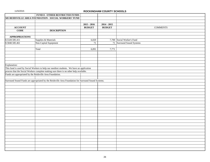|                                                           | FUND 8 - OTHER RESTRICTED FUNDS                                                                     |               |               |                            |
|-----------------------------------------------------------|-----------------------------------------------------------------------------------------------------|---------------|---------------|----------------------------|
|                                                           | 585 REIDSVILLE AREA FOUNDATION - SOCIAL WORKERS' FUND                                               |               |               |                            |
|                                                           |                                                                                                     |               |               |                            |
|                                                           |                                                                                                     | $2015 - 2016$ | $2014 - 2015$ |                            |
| <b>ACCOUNT</b>                                            |                                                                                                     | <b>BUDGET</b> | <b>BUDGET</b> | <b>COMMENTS</b>            |
| <b>CODE</b>                                               | <b>DESCRIPTION</b>                                                                                  |               |               |                            |
|                                                           |                                                                                                     |               |               |                            |
| <b>APPROPRIATIONS</b>                                     |                                                                                                     |               |               |                            |
| 8.5320.585.411                                            | Supplies & Materials                                                                                | 6,020         |               | 7,700 Social Worker's Fund |
| 8.5840.585.461                                            | Non-Capital Equipment                                                                               | 71            |               | 71 Surround Sound Systems  |
|                                                           |                                                                                                     |               |               |                            |
|                                                           | Total                                                                                               | 6,091         | 7,771         |                            |
|                                                           |                                                                                                     |               |               |                            |
|                                                           |                                                                                                     |               |               |                            |
|                                                           |                                                                                                     |               |               |                            |
|                                                           |                                                                                                     |               |               |                            |
| Explanation:                                              |                                                                                                     |               |               |                            |
|                                                           | This fund is used by Social Workers to help our neediest students. We have an application           |               |               |                            |
|                                                           | process that the Social Workers complete making sure there is no other help available.              |               |               |                            |
| Funds are appropriated by the Reidsville Area Foundation. |                                                                                                     |               |               |                            |
|                                                           |                                                                                                     |               |               |                            |
|                                                           | Surround Sound Funds are appropriated by the Reidsville Area Foundation for Surround Sound Systems. |               |               |                            |
|                                                           |                                                                                                     |               |               |                            |
|                                                           |                                                                                                     |               |               |                            |
|                                                           |                                                                                                     |               |               |                            |
|                                                           |                                                                                                     |               |               |                            |
|                                                           |                                                                                                     |               |               |                            |
|                                                           |                                                                                                     |               |               |                            |
|                                                           |                                                                                                     |               |               |                            |
|                                                           |                                                                                                     |               |               |                            |
|                                                           |                                                                                                     |               |               |                            |
|                                                           |                                                                                                     |               |               |                            |
|                                                           |                                                                                                     |               |               |                            |
|                                                           |                                                                                                     |               |               |                            |
|                                                           |                                                                                                     |               |               |                            |
|                                                           |                                                                                                     |               |               |                            |
|                                                           |                                                                                                     |               |               |                            |
|                                                           |                                                                                                     |               |               |                            |
|                                                           |                                                                                                     |               |               |                            |
|                                                           |                                                                                                     |               |               |                            |
|                                                           |                                                                                                     |               |               |                            |
|                                                           |                                                                                                     |               |               |                            |
|                                                           |                                                                                                     |               |               |                            |
|                                                           |                                                                                                     |               |               |                            |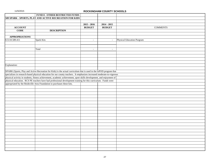|                       | FUND 8 - OTHER RESTRICTED FUNDS                                                                                        |               |               |                            |
|-----------------------|------------------------------------------------------------------------------------------------------------------------|---------------|---------------|----------------------------|
|                       | 589 SPARK - SPORTS, PLAY AND ACTIVE RECREATION FOR KIDS                                                                |               |               |                            |
|                       |                                                                                                                        |               |               |                            |
|                       |                                                                                                                        | $2015 - 2016$ | $2014 - 2015$ |                            |
| <b>ACCOUNT</b>        |                                                                                                                        | <b>BUDGET</b> | <b>BUDGET</b> | <b>COMMENTS</b>            |
| <b>CODE</b>           | <b>DESCRIPTION</b>                                                                                                     |               |               |                            |
|                       |                                                                                                                        |               |               |                            |
| <b>APPROPRIATIONS</b> |                                                                                                                        |               |               |                            |
| 8.5110.589.411        | Spark Kits                                                                                                             | $\sim$        | $\sim$        | Physical Education Porgram |
|                       |                                                                                                                        |               |               |                            |
|                       |                                                                                                                        |               |               |                            |
|                       | Total                                                                                                                  | $\sim$        | $\sim$        |                            |
|                       |                                                                                                                        |               |               |                            |
|                       |                                                                                                                        |               |               |                            |
|                       |                                                                                                                        |               |               |                            |
|                       |                                                                                                                        |               |               |                            |
| Explanation:          |                                                                                                                        |               |               |                            |
|                       |                                                                                                                        |               |               |                            |
|                       | SPARK (Sports, Play and Active Recreation for Kids) is the actual curriculum that is used in the IsPOD program that    |               |               |                            |
|                       | specializes in research-based physical education for our county teachers. It emphasizes increased moderate-to-vigorous |               |               |                            |
|                       | physical activity in students, fitness achievement, academic achievement, sport skills development, and enjoyment of   |               |               |                            |
|                       | physical education. RCS PE teachers have had professional development training for this curriculum. Funds were         |               |               |                            |
|                       | appropriated by the Reidsville Area Foundation to purchases these kits.                                                |               |               |                            |
|                       |                                                                                                                        |               |               |                            |
|                       |                                                                                                                        |               |               |                            |
|                       |                                                                                                                        |               |               |                            |
|                       |                                                                                                                        |               |               |                            |
|                       |                                                                                                                        |               |               |                            |
|                       |                                                                                                                        |               |               |                            |
|                       |                                                                                                                        |               |               |                            |
|                       |                                                                                                                        |               |               |                            |
|                       |                                                                                                                        |               |               |                            |
|                       |                                                                                                                        |               |               |                            |
|                       |                                                                                                                        |               |               |                            |
|                       |                                                                                                                        |               |               |                            |
|                       |                                                                                                                        |               |               |                            |
|                       |                                                                                                                        |               |               |                            |
|                       |                                                                                                                        |               |               |                            |
|                       |                                                                                                                        |               |               |                            |
|                       |                                                                                                                        |               |               |                            |
|                       |                                                                                                                        |               |               |                            |
|                       |                                                                                                                        |               |               |                            |
|                       |                                                                                                                        |               |               |                            |
|                       |                                                                                                                        |               |               |                            |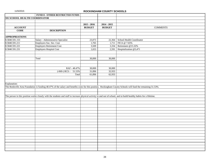|                                      | FUND 8 - OTHER RESTRICTED FUNDS                                                                                                                                       |               |               |                                  |
|--------------------------------------|-----------------------------------------------------------------------------------------------------------------------------------------------------------------------|---------------|---------------|----------------------------------|
| <b>591 SCHOOL HEALTH COORDINATOR</b> |                                                                                                                                                                       |               |               |                                  |
|                                      |                                                                                                                                                                       |               |               |                                  |
|                                      |                                                                                                                                                                       | $2015 - 2016$ | $2014 - 2015$ |                                  |
| <b>ACCOUNT</b>                       |                                                                                                                                                                       | <b>BUDGET</b> | <b>BUDGET</b> | <b>COMMENTS</b>                  |
| <b>CODE</b>                          | <b>DESCRIPTION</b>                                                                                                                                                    |               |               |                                  |
|                                      |                                                                                                                                                                       |               |               |                                  |
| <b>APPROPRIATIONS</b>                |                                                                                                                                                                       |               |               |                                  |
| 8.5840.591.153                       | Salary - Administrative Specialist                                                                                                                                    | 23,073        |               | 22,364 School Health Coordinator |
| 8.5840.591.211                       | Employers Soc. Sec. Cost                                                                                                                                              | 1,765         | 1,711         | FICA @ 7.65%                     |
| 8.5840.591.221                       | <b>Employers Retirement Cost</b>                                                                                                                                      | 3,509         | 3,334         | Retirement @15.32%               |
| 8.5840.591.231                       | <b>Employers Hospital Cost</b>                                                                                                                                        | 1,653         | 2,591         | Hospitalization @5,471           |
|                                      |                                                                                                                                                                       |               |               |                                  |
|                                      |                                                                                                                                                                       |               |               |                                  |
|                                      | Total                                                                                                                                                                 | 30,000        | 30,000        |                                  |
|                                      |                                                                                                                                                                       |               |               |                                  |
|                                      |                                                                                                                                                                       |               |               |                                  |
|                                      | RAF - 48.47%                                                                                                                                                          | 30,000        | 30,000        |                                  |
|                                      | $(-069)$ RCS - 51.53%                                                                                                                                                 | 31,896        | 32,933        |                                  |
|                                      | Total                                                                                                                                                                 | 61,896        | 62,933        |                                  |
|                                      |                                                                                                                                                                       |               |               |                                  |
|                                      |                                                                                                                                                                       |               |               |                                  |
| Explanation:                         |                                                                                                                                                                       |               |               |                                  |
|                                      | The Reidsville Area Foundation is funding 48.47% of the salary and benefits costs for this position. Rockingham County Schools will fund the remaining 51.53%.        |               |               |                                  |
|                                      |                                                                                                                                                                       |               |               |                                  |
|                                      |                                                                                                                                                                       |               |               |                                  |
|                                      | The person in this position works closely with the students and staff to increase physical activity in and out of school, and to build healthy habits for a lifetime. |               |               |                                  |
|                                      |                                                                                                                                                                       |               |               |                                  |
|                                      |                                                                                                                                                                       |               |               |                                  |
|                                      |                                                                                                                                                                       |               |               |                                  |
|                                      |                                                                                                                                                                       |               |               |                                  |
|                                      |                                                                                                                                                                       |               |               |                                  |
|                                      |                                                                                                                                                                       |               |               |                                  |
|                                      |                                                                                                                                                                       |               |               |                                  |
|                                      |                                                                                                                                                                       |               |               |                                  |
|                                      |                                                                                                                                                                       |               |               |                                  |
|                                      |                                                                                                                                                                       |               |               |                                  |
|                                      |                                                                                                                                                                       |               |               |                                  |
|                                      |                                                                                                                                                                       |               |               |                                  |
|                                      |                                                                                                                                                                       |               |               |                                  |
|                                      |                                                                                                                                                                       |               |               |                                  |
|                                      |                                                                                                                                                                       |               |               |                                  |
|                                      |                                                                                                                                                                       |               |               |                                  |
|                                      |                                                                                                                                                                       |               |               |                                  |
|                                      |                                                                                                                                                                       |               |               |                                  |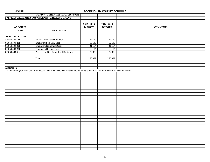|                       | <b>FUND 8 - OTHER RESTRICTED FUNDS</b>                                                                                                |               |               |                 |
|-----------------------|---------------------------------------------------------------------------------------------------------------------------------------|---------------|---------------|-----------------|
|                       | 594 REIDSVILLE AREA FOUNDATION - WIRELESS GRANT                                                                                       |               |               |                 |
|                       |                                                                                                                                       |               |               |                 |
|                       |                                                                                                                                       | $2015 - 2016$ | $2014 - 2015$ |                 |
| <b>ACCOUNT</b>        |                                                                                                                                       | <b>BUDGET</b> | <b>BUDGET</b> | <b>COMMENTS</b> |
| <b>CODE</b>           | <b>DESCRIPTION</b>                                                                                                                    |               |               |                 |
|                       |                                                                                                                                       |               |               |                 |
| <b>APPROPRIATIONS</b> |                                                                                                                                       |               |               |                 |
| 8.5860.594.131        | Salary - Instructional Support - IT                                                                                                   | 139,150       | 139,150       |                 |
| 8.5860.594.211        | Employers Soc. Sec. Cost                                                                                                              | 10,646        | 10,646        |                 |
| 8.5860.594.221        | Employers Retirement Cost                                                                                                             | 21,164        | 21,164        |                 |
| 8.5860.594.231        | Employers Hospital Cost                                                                                                               | 16,134        | 16,134        |                 |
| 8.5860.594.462        | Purchase of Non-Capitalized Equipment                                                                                                 | 79,883        | 79,883        |                 |
|                       |                                                                                                                                       |               |               |                 |
|                       | Total                                                                                                                                 | 266,977       | 266,977       |                 |
|                       |                                                                                                                                       |               |               |                 |
|                       |                                                                                                                                       |               |               |                 |
| Explanation:          |                                                                                                                                       |               |               |                 |
|                       | This is funding for expansion of wireless capabilities to elementary schools. Funding is pending with the Reidsville Area Foundation. |               |               |                 |
|                       |                                                                                                                                       |               |               |                 |
|                       |                                                                                                                                       |               |               |                 |
|                       |                                                                                                                                       |               |               |                 |
|                       |                                                                                                                                       |               |               |                 |
|                       |                                                                                                                                       |               |               |                 |
|                       |                                                                                                                                       |               |               |                 |
|                       |                                                                                                                                       |               |               |                 |
|                       |                                                                                                                                       |               |               |                 |
|                       |                                                                                                                                       |               |               |                 |
|                       |                                                                                                                                       |               |               |                 |
|                       |                                                                                                                                       |               |               |                 |
|                       |                                                                                                                                       |               |               |                 |
|                       |                                                                                                                                       |               |               |                 |
|                       |                                                                                                                                       |               |               |                 |
|                       |                                                                                                                                       |               |               |                 |
|                       |                                                                                                                                       |               |               |                 |
|                       |                                                                                                                                       |               |               |                 |
|                       |                                                                                                                                       |               |               |                 |
|                       |                                                                                                                                       |               |               |                 |
|                       |                                                                                                                                       |               |               |                 |
|                       |                                                                                                                                       |               |               |                 |
|                       |                                                                                                                                       |               |               |                 |
|                       |                                                                                                                                       |               |               |                 |
|                       |                                                                                                                                       |               |               |                 |
|                       |                                                                                                                                       |               |               |                 |
|                       |                                                                                                                                       |               |               |                 |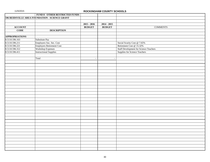|                       | <b>FUND 8 - OTHER RESTRICTED FUNDS</b>                |               |               |                                               |
|-----------------------|-------------------------------------------------------|---------------|---------------|-----------------------------------------------|
|                       | <b>596 REIDSVILLE AREA FOUNDATION - SCIENCE GRANT</b> |               |               |                                               |
|                       |                                                       |               |               |                                               |
|                       |                                                       | $2015 - 2016$ | $2014 - 2015$ |                                               |
| <b>ACCOUNT</b>        |                                                       | <b>BUDGET</b> | <b>BUDGET</b> | <b>COMMENTS</b>                               |
| <b>CODE</b>           | <b>DESCRIPTION</b>                                    |               |               |                                               |
|                       |                                                       |               |               |                                               |
| <b>APPROPRIATIONS</b> |                                                       |               |               |                                               |
| 8.5110.596.163        | Substitute Pay                                        |               |               |                                               |
| 8.5110.596.211        | Employers Soc. Sec. Cost                              |               |               | Social Scurity Cost @ 7.65%                   |
| 8.5110.596.221        | Employers Retirement Cost                             |               |               | Retirement Cost @ 15.32%                      |
| 8.5110.596.312        | Workshop Expenses                                     |               |               | <b>Staff Development for Science Teachers</b> |
| 8.5110.596.411        | <b>Instructional Supplies</b>                         |               |               | <b>Supplies for Science Teachers</b>          |
|                       |                                                       |               |               |                                               |
|                       | Total                                                 | $\bar{a}$     | $\omega$      |                                               |
|                       |                                                       |               |               |                                               |
|                       |                                                       |               |               |                                               |
|                       |                                                       |               |               |                                               |
|                       |                                                       |               |               |                                               |
|                       |                                                       |               |               |                                               |
|                       |                                                       |               |               |                                               |
|                       |                                                       |               |               |                                               |
|                       |                                                       |               |               |                                               |
|                       |                                                       |               |               |                                               |
|                       |                                                       |               |               |                                               |
|                       |                                                       |               |               |                                               |
|                       |                                                       |               |               |                                               |
|                       |                                                       |               |               |                                               |
|                       |                                                       |               |               |                                               |
|                       |                                                       |               |               |                                               |
|                       |                                                       |               |               |                                               |
|                       |                                                       |               |               |                                               |
|                       |                                                       |               |               |                                               |
|                       |                                                       |               |               |                                               |
|                       |                                                       |               |               |                                               |
|                       |                                                       |               |               |                                               |
|                       |                                                       |               |               |                                               |
|                       |                                                       |               |               |                                               |
|                       |                                                       |               |               |                                               |
|                       |                                                       |               |               |                                               |
|                       |                                                       |               |               |                                               |
|                       |                                                       |               |               |                                               |
|                       |                                                       |               |               |                                               |
|                       |                                                       |               |               |                                               |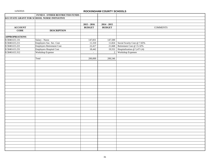|                       | FUND 8 - OTHER RESTRICTED FUNDS                    |               |                |                                    |
|-----------------------|----------------------------------------------------|---------------|----------------|------------------------------------|
|                       | <b>615 STATE GRANT FOR SCHOOL NURSE INITIATIVE</b> |               |                |                                    |
|                       |                                                    |               |                |                                    |
|                       |                                                    | $2015 - 2016$ | $2014 - 2015$  |                                    |
| <b>ACCOUNT</b>        |                                                    | <b>BUDGET</b> | <b>BUDGET</b>  | <b>COMMENTS</b>                    |
| <b>CODE</b>           | <b>DESCRIPTION</b>                                 |               |                |                                    |
|                       |                                                    |               |                |                                    |
| <b>APPROPRIATIONS</b> |                                                    |               |                |                                    |
| 8.5840.615.131        | Salary - Nurse                                     | 147,831       | 147,500        |                                    |
| 8.5840.615.211        | Employers Soc. Sec. Cost                           | 11,310        |                | 11,824 Social Scurity Cost @ 7.65% |
| 8.5840.615.221        | <b>Employers Retirement Cost</b>                   | 22,417        | 21,668         | Retirement Cost @ 15.32%           |
| 8.5840.615.231        | <b>Employers Hospital Cost</b>                     | 18,442        |                | 19,552 Hospitalization @ 5,471 (4) |
| 8.5840.615.312        | Workshop Expense                                   | $\omega$      | $\overline{2}$ | Workshop Expenses                  |
|                       |                                                    |               |                |                                    |
|                       | Total                                              | 200,000       | 200,546        |                                    |
|                       |                                                    |               |                |                                    |
|                       |                                                    |               |                |                                    |
|                       |                                                    |               |                |                                    |
|                       |                                                    |               |                |                                    |
|                       |                                                    |               |                |                                    |
|                       |                                                    |               |                |                                    |
|                       |                                                    |               |                |                                    |
|                       |                                                    |               |                |                                    |
|                       |                                                    |               |                |                                    |
|                       |                                                    |               |                |                                    |
|                       |                                                    |               |                |                                    |
|                       |                                                    |               |                |                                    |
|                       |                                                    |               |                |                                    |
|                       |                                                    |               |                |                                    |
|                       |                                                    |               |                |                                    |
|                       |                                                    |               |                |                                    |
|                       |                                                    |               |                |                                    |
|                       |                                                    |               |                |                                    |
|                       |                                                    |               |                |                                    |
|                       |                                                    |               |                |                                    |
|                       |                                                    |               |                |                                    |
|                       |                                                    |               |                |                                    |
|                       |                                                    |               |                |                                    |
|                       |                                                    |               |                |                                    |
|                       |                                                    |               |                |                                    |
|                       |                                                    |               |                |                                    |
|                       |                                                    |               |                |                                    |
|                       |                                                    |               |                |                                    |
|                       |                                                    |               |                |                                    |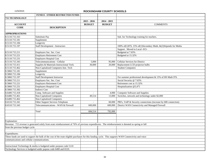|                                             | <b>FUND 8 - OTHER RESTRICTED FUNDS</b>                                                                                                                |               |               |                                                                 |
|---------------------------------------------|-------------------------------------------------------------------------------------------------------------------------------------------------------|---------------|---------------|-----------------------------------------------------------------|
| <b>715 TECHNOLOGY</b>                       |                                                                                                                                                       |               |               |                                                                 |
|                                             |                                                                                                                                                       | $2015 - 2016$ | $2014 - 2015$ |                                                                 |
| <b>ACCOUNT</b>                              |                                                                                                                                                       | <b>BUDGET</b> | <b>BUDGET</b> | <b>COMMENTS</b>                                                 |
| <b>CODE</b>                                 | <b>DESCRIPTION</b>                                                                                                                                    |               |               |                                                                 |
|                                             |                                                                                                                                                       |               |               |                                                                 |
| <b>APPROPRIATIONS</b>                       |                                                                                                                                                       |               |               |                                                                 |
| 8.5110.715.163                              | Substitute Pay                                                                                                                                        |               |               | Sub. for Technology training for teachers.                      |
| 8.5110.715.181                              | Supplement                                                                                                                                            |               |               |                                                                 |
| 8.5110.715.184                              | Longevity                                                                                                                                             |               |               |                                                                 |
| 8.5110.715.197                              | <b>Staff Development - Instructors</b>                                                                                                                |               |               | 100% of(1)ITS, 15% of(1)Secondary Math, &(2)Stipends for Media  |
|                                             |                                                                                                                                                       |               |               | Support. Moved to Local -015-                                   |
| 8.5110.715.211                              | Employers Soc. Sec. Cost                                                                                                                              |               |               | Budgeted at 7.65%                                               |
| 8.5110.715.221                              | <b>Employers Retirement Cost</b>                                                                                                                      |               |               | Budgeted at 15.32%                                              |
| 8.5110.715.231                              | Employers Hospital Cost                                                                                                                               |               |               |                                                                 |
| 8.5110.715.343                              | Telecommunications - Cellular                                                                                                                         | 5,000         | 95,000        | Cellular Services for District                                  |
| 8.5110.715.411                              | Supplies & Materials-Instructional Tech.                                                                                                              | 30,000        | 20,000        | Replacement LCD projector bulbs                                 |
| 8.5110.715.462                              | Non-Capitalized Computers-Inst. Tech                                                                                                                  |               |               | <b>Student Computers</b>                                        |
| 8.5860.715.181                              | Supplement                                                                                                                                            |               |               |                                                                 |
| 8.5860.715.184                              | Longevity                                                                                                                                             |               |               |                                                                 |
| 8.5860.715.197                              | <b>Staff Development Instructor</b>                                                                                                                   |               |               | For summer professional development & 15% of HS Math ITS.       |
| 8.5860.715.211                              | Employers Soc. Sec. Cost                                                                                                                              |               |               | Social Security @ 7.65%                                         |
| 8.5860.715.221                              | <b>Employers Retirement Cost</b>                                                                                                                      |               |               | Retirement cost at 15.32%                                       |
| 8.5860.715.231                              | Employers Hospital Cost                                                                                                                               |               |               | Hospitalization @5,471                                          |
| 8.5860.715.392                              | <b>Indirect Cost</b>                                                                                                                                  |               |               |                                                                 |
| 8.6400.715.418                              | Comp. Software and Supplies                                                                                                                           |               | 4,000         | Computer Software and Supplies                                  |
| 8.6400.715.461                              | Non-Capitalized Computers                                                                                                                             | 49,514        | 13,000        | Switches, network and technology under \$2,000                  |
| 8.6400.715.462                              | <b>Non-Capitalized Computers</b>                                                                                                                      |               |               |                                                                 |
| 8.6510.715.341                              | Other Support Services Telephone                                                                                                                      |               | 60,000        | PRI's, VoIP & Security connections (increase by 600 connection) |
| 8.6510.715.343                              | Telecommunications - WAN & Firewall                                                                                                                   | 600,000       | 600,000       | District WAN Connectivity and Managed Firewall                  |
|                                             |                                                                                                                                                       |               |               |                                                                 |
|                                             | Total                                                                                                                                                 | 684,514       | 792,000       |                                                                 |
|                                             |                                                                                                                                                       |               |               |                                                                 |
|                                             |                                                                                                                                                       |               |               |                                                                 |
| Explanation:                                |                                                                                                                                                       |               |               |                                                                 |
|                                             | Revenue: 715 revenue is generated solely from erate reimbursement of 76% of previous expenditures. The reimbursement is denoted as spring or fall     |               |               |                                                                 |
| from the previous budget cycle.             |                                                                                                                                                       |               |               |                                                                 |
|                                             |                                                                                                                                                       |               |               |                                                                 |
| Expenditures:                               |                                                                                                                                                       |               |               |                                                                 |
|                                             | These funds are used to support the bulk of the cost of the erate eligible purchases for this funding cycle. This supports WAN Connectivity and voice |               |               |                                                                 |
| communications and cellular communications. |                                                                                                                                                       |               |               |                                                                 |
|                                             |                                                                                                                                                       |               |               |                                                                 |
|                                             | Instructional Technology & media is budgeted under purpose code 5110                                                                                  |               |               |                                                                 |
|                                             | Technology Services is budgeted under pupose code 6400 and 6510.                                                                                      |               |               |                                                                 |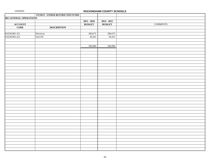|                               | FUND 8 - OTHER RESTRICTED FUNDS |               |                          |                 |
|-------------------------------|---------------------------------|---------------|--------------------------|-----------------|
| <b>801 GENERAL OPERATIONS</b> |                                 |               |                          |                 |
|                               |                                 | $2015 - 2016$ | $2014 - 2015$            |                 |
| ACCOUNT<br>CODE               |                                 | <b>BUDGET</b> | <b>BUDGET</b>            | <b>COMMENTS</b> |
|                               | <b>DESCRIPTION</b>              |               |                          |                 |
|                               |                                 |               |                          |                 |
| 8.6530.801.321                | Electricty                      | 300,675       |                          |                 |
| 8.6530.801.421                | Fuel Oil                        | 39,325        | $\frac{300,675}{39,325}$ |                 |
|                               |                                 |               |                          |                 |
|                               |                                 |               |                          |                 |
|                               |                                 | 340,000       | 340,000                  |                 |
|                               |                                 |               |                          |                 |
|                               |                                 |               |                          |                 |
|                               |                                 |               |                          |                 |
|                               |                                 |               |                          |                 |
|                               |                                 |               |                          |                 |
|                               |                                 |               |                          |                 |
|                               |                                 |               |                          |                 |
|                               |                                 |               |                          |                 |
|                               |                                 |               |                          |                 |
|                               |                                 |               |                          |                 |
|                               |                                 |               |                          |                 |
|                               |                                 |               |                          |                 |
|                               |                                 |               |                          |                 |
|                               |                                 |               |                          |                 |
|                               |                                 |               |                          |                 |
|                               |                                 |               |                          |                 |
|                               |                                 |               |                          |                 |
|                               |                                 |               |                          |                 |
|                               |                                 |               |                          |                 |
|                               |                                 |               |                          |                 |
|                               |                                 |               |                          |                 |
|                               |                                 |               |                          |                 |
|                               |                                 |               |                          |                 |
|                               |                                 |               |                          |                 |
|                               |                                 |               |                          |                 |
|                               |                                 |               |                          |                 |
|                               |                                 |               |                          |                 |
|                               |                                 |               |                          |                 |
|                               |                                 |               |                          |                 |
|                               |                                 |               |                          |                 |
|                               |                                 |               |                          |                 |
|                               |                                 |               |                          |                 |
|                               |                                 |               |                          |                 |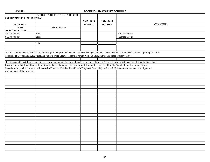|                                  | FUND 8 - OTHER RESTRICTED FUNDS                                                                                                     |               |                                                                                                                                                                  |
|----------------------------------|-------------------------------------------------------------------------------------------------------------------------------------|---------------|------------------------------------------------------------------------------------------------------------------------------------------------------------------|
| 804 READING IS FUNDAMENTAL       |                                                                                                                                     |               |                                                                                                                                                                  |
|                                  |                                                                                                                                     | $2015 - 2016$ | $2014 - 2015$                                                                                                                                                    |
| <b>ACCOUNT</b>                   |                                                                                                                                     | <b>BUDGET</b> | <b>BUDGET</b><br><b>COMMENTS</b>                                                                                                                                 |
| <b>CODE</b>                      | <b>DESCRIPTION</b>                                                                                                                  |               |                                                                                                                                                                  |
| <b>APPROPRIATIONS</b>            |                                                                                                                                     |               |                                                                                                                                                                  |
| 8.5330.804.414                   | <b>Books</b>                                                                                                                        |               | Purchase Books                                                                                                                                                   |
| 8.5330.804.414                   | <b>Books</b>                                                                                                                        |               | <b>Purchase Books</b>                                                                                                                                            |
|                                  |                                                                                                                                     |               |                                                                                                                                                                  |
|                                  | Total                                                                                                                               | $\sim$        | $\omega$                                                                                                                                                         |
|                                  |                                                                                                                                     |               |                                                                                                                                                                  |
|                                  |                                                                                                                                     |               |                                                                                                                                                                  |
|                                  |                                                                                                                                     |               | Reading Is Fundamental (RIF) is a Federal Program that provides free books to disadvantaged students. The Reidsville Zone Elementary Schools participate in this |
|                                  | donations of area service clubs, Reidsville Junior Service League, Reidsville Junior Woman's Club, and the Federated Woman's Clubs. |               |                                                                                                                                                                  |
|                                  |                                                                                                                                     |               |                                                                                                                                                                  |
|                                  |                                                                                                                                     |               | RIF representatives at these schools purchase low cost books. Each school has 3 separate distributions. At each distribution students are allowed to choose one  |
|                                  |                                                                                                                                     |               | book to add to their home library. In addition to the free book, incentives are provided for students who read 25, 50, 75 and 100 books. Some of these           |
|                                  |                                                                                                                                     |               | incentives are provided by local businesses (McDonalds of Reidsville and Pete's Burgers of Reidsville) the Local RIF Account and the local school provides       |
| the remainder of the incentives. |                                                                                                                                     |               |                                                                                                                                                                  |
|                                  |                                                                                                                                     |               |                                                                                                                                                                  |
|                                  |                                                                                                                                     |               |                                                                                                                                                                  |
|                                  |                                                                                                                                     |               |                                                                                                                                                                  |
|                                  |                                                                                                                                     |               |                                                                                                                                                                  |
|                                  |                                                                                                                                     |               |                                                                                                                                                                  |
|                                  |                                                                                                                                     |               |                                                                                                                                                                  |
|                                  |                                                                                                                                     |               |                                                                                                                                                                  |
|                                  |                                                                                                                                     |               |                                                                                                                                                                  |
|                                  |                                                                                                                                     |               |                                                                                                                                                                  |
|                                  |                                                                                                                                     |               |                                                                                                                                                                  |
|                                  |                                                                                                                                     |               |                                                                                                                                                                  |
|                                  |                                                                                                                                     |               |                                                                                                                                                                  |
|                                  |                                                                                                                                     |               |                                                                                                                                                                  |
|                                  |                                                                                                                                     |               |                                                                                                                                                                  |
|                                  |                                                                                                                                     |               |                                                                                                                                                                  |
|                                  |                                                                                                                                     |               |                                                                                                                                                                  |
|                                  |                                                                                                                                     |               |                                                                                                                                                                  |
|                                  |                                                                                                                                     |               |                                                                                                                                                                  |
|                                  |                                                                                                                                     |               |                                                                                                                                                                  |
|                                  |                                                                                                                                     |               |                                                                                                                                                                  |
|                                  |                                                                                                                                     |               |                                                                                                                                                                  |
|                                  |                                                                                                                                     |               |                                                                                                                                                                  |
|                                  |                                                                                                                                     |               |                                                                                                                                                                  |
|                                  |                                                                                                                                     |               |                                                                                                                                                                  |
|                                  |                                                                                                                                     |               |                                                                                                                                                                  |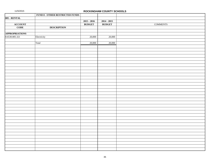|                       | <b>FUND 8 - OTHER RESTRICTED FUNDS</b> |               |               |                 |
|-----------------------|----------------------------------------|---------------|---------------|-----------------|
| 805 - RENTAL          |                                        |               |               |                 |
|                       |                                        | $2015 - 2016$ | $2014 - 2015$ |                 |
| ACCOUNT<br>CODE       |                                        | <b>BUDGET</b> | <b>BUDGET</b> | <b>COMMENTS</b> |
|                       | <b>DESCRIPTION</b>                     |               |               |                 |
|                       |                                        |               |               |                 |
| <b>APPROPRIATIONS</b> |                                        |               |               |                 |
| 8.6530.805.321        | Electricity                            | 20,000        | 20,000        |                 |
|                       |                                        |               |               |                 |
|                       | Total                                  | 20,000        | 20,000        |                 |
|                       |                                        |               |               |                 |
|                       |                                        |               |               |                 |
|                       |                                        |               |               |                 |
|                       |                                        |               |               |                 |
|                       |                                        |               |               |                 |
|                       |                                        |               |               |                 |
|                       |                                        |               |               |                 |
|                       |                                        |               |               |                 |
|                       |                                        |               |               |                 |
|                       |                                        |               |               |                 |
|                       |                                        |               |               |                 |
|                       |                                        |               |               |                 |
|                       |                                        |               |               |                 |
|                       |                                        |               |               |                 |
|                       |                                        |               |               |                 |
|                       |                                        |               |               |                 |
|                       |                                        |               |               |                 |
|                       |                                        |               |               |                 |
|                       |                                        |               |               |                 |
|                       |                                        |               |               |                 |
|                       |                                        |               |               |                 |
|                       |                                        |               |               |                 |
|                       |                                        |               |               |                 |
|                       |                                        |               |               |                 |
|                       |                                        |               |               |                 |
|                       |                                        |               |               |                 |
|                       |                                        |               |               |                 |
|                       |                                        |               |               |                 |
|                       |                                        |               |               |                 |
|                       |                                        |               |               |                 |
|                       |                                        |               |               |                 |
|                       |                                        |               |               |                 |
|                       |                                        |               |               |                 |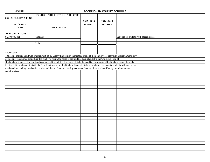|                       | <b>FUND 8 - OTHER RESTRICTED FUNDS</b>                                                                                                   |               |               |                                           |
|-----------------------|------------------------------------------------------------------------------------------------------------------------------------------|---------------|---------------|-------------------------------------------|
| 806 - CHILDREN'S FUND |                                                                                                                                          |               |               |                                           |
|                       |                                                                                                                                          | $2015 - 2016$ | $2014 - 2015$ |                                           |
| <b>ACCOUNT</b>        |                                                                                                                                          | <b>BUDGET</b> | <b>BUDGET</b> |                                           |
| <b>CODE</b>           | <b>DESCRIPTION</b>                                                                                                                       |               |               |                                           |
|                       |                                                                                                                                          |               |               |                                           |
| <b>APPROPRIATIONS</b> |                                                                                                                                          |               |               |                                           |
| 8.7100.806.411        | Supplies                                                                                                                                 |               |               | Supplies for students with special needs. |
|                       |                                                                                                                                          |               |               |                                           |
|                       | Total                                                                                                                                    | $\omega$      | $\sim$        |                                           |
|                       |                                                                                                                                          |               |               |                                           |
|                       |                                                                                                                                          |               |               |                                           |
| Explanation:          |                                                                                                                                          |               |               |                                           |
|                       | The Jackie Stevens Fund was originally set-up by Liberty Embroidery in memory of one of their employees. However, Liberty Embroidery     |               |               |                                           |
|                       | decided not to continue supporting this fund. As result, the name of the fund has been changed to the Children's Fund of                 |               |               |                                           |
|                       | Rockingham County. The new fund is supported through the generosity of Duke Power, Ball Corporation, Rockingham County Schools           |               |               |                                           |
|                       | Central Office and many individuals. The donations to the Rockingham County Children's fund are used to assist students with emergency   |               |               |                                           |
|                       | needs such as clothing, medication, vision and dental. Students needing assistance from this fund are identified by the school nurses or |               |               |                                           |
| social workers.       |                                                                                                                                          |               |               |                                           |
|                       |                                                                                                                                          |               |               |                                           |
|                       |                                                                                                                                          |               |               |                                           |
|                       |                                                                                                                                          |               |               |                                           |
|                       |                                                                                                                                          |               |               |                                           |
|                       |                                                                                                                                          |               |               |                                           |
|                       |                                                                                                                                          |               |               |                                           |
|                       |                                                                                                                                          |               |               |                                           |
|                       |                                                                                                                                          |               |               |                                           |
|                       |                                                                                                                                          |               |               |                                           |
|                       |                                                                                                                                          |               |               |                                           |
|                       |                                                                                                                                          |               |               |                                           |
|                       |                                                                                                                                          |               |               |                                           |
|                       |                                                                                                                                          |               |               |                                           |
|                       |                                                                                                                                          |               |               |                                           |
|                       |                                                                                                                                          |               |               |                                           |
|                       |                                                                                                                                          |               |               |                                           |
|                       |                                                                                                                                          |               |               |                                           |
|                       |                                                                                                                                          |               |               |                                           |
|                       |                                                                                                                                          |               |               |                                           |
|                       |                                                                                                                                          |               |               |                                           |
|                       |                                                                                                                                          |               |               |                                           |
|                       |                                                                                                                                          |               |               |                                           |
|                       |                                                                                                                                          |               |               |                                           |
|                       |                                                                                                                                          |               |               |                                           |
|                       |                                                                                                                                          |               |               |                                           |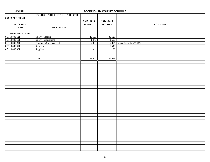|                       | <b>FUND 8 - OTHER RESTRICTED FUNDS</b> |                           |               |                         |                 |  |
|-----------------------|----------------------------------------|---------------------------|---------------|-------------------------|-----------------|--|
| 808 IB PROGRAM        |                                        |                           |               |                         |                 |  |
|                       |                                        | $2015 - 2016$             | $2014 - 2015$ |                         |                 |  |
| <b>ACCOUNT</b>        |                                        | <b>BUDGET</b>             | <b>BUDGET</b> |                         | <b>COMMENTS</b> |  |
| $\overline{CODE}$     | <b>DESCRIPTION</b>                     |                           |               |                         |                 |  |
|                       |                                        |                           |               |                         |                 |  |
| <b>APPROPRIATIONS</b> |                                        |                           |               |                         |                 |  |
| 8.5110.808.121        | Salary - Teacher                       | 29,655                    | 30,128        |                         |                 |  |
| 8.5110.808.181        | Salary - Supplement                    | 1,475                     | 1,506         |                         |                 |  |
| 8.5110.808.211        | Employers Soc. Sec. Cost               | 2,370                     | 2,304         | Social Security @ 7.65% |                 |  |
| 8.5110.808.411        | Supplies                               | $\sim$                    | 2,545         |                         |                 |  |
| 8.5110.808.361        | Supplies                               | $\mathbb{Z}^{\mathbb{Z}}$ | 100           |                         |                 |  |
|                       |                                        |                           |               |                         |                 |  |
|                       |                                        |                           |               |                         |                 |  |
|                       | Total                                  | 33,500                    | 36,583        |                         |                 |  |
|                       |                                        |                           |               |                         |                 |  |
|                       |                                        |                           |               |                         |                 |  |
|                       |                                        |                           |               |                         |                 |  |
|                       |                                        |                           |               |                         |                 |  |
|                       |                                        |                           |               |                         |                 |  |
|                       |                                        |                           |               |                         |                 |  |
|                       |                                        |                           |               |                         |                 |  |
|                       |                                        |                           |               |                         |                 |  |
|                       |                                        |                           |               |                         |                 |  |
|                       |                                        |                           |               |                         |                 |  |
|                       |                                        |                           |               |                         |                 |  |
|                       |                                        |                           |               |                         |                 |  |
|                       |                                        |                           |               |                         |                 |  |
|                       |                                        |                           |               |                         |                 |  |
|                       |                                        |                           |               |                         |                 |  |
|                       |                                        |                           |               |                         |                 |  |
|                       |                                        |                           |               |                         |                 |  |
|                       |                                        |                           |               |                         |                 |  |
|                       |                                        |                           |               |                         |                 |  |
|                       |                                        |                           |               |                         |                 |  |
|                       |                                        |                           |               |                         |                 |  |
|                       |                                        |                           |               |                         |                 |  |
|                       |                                        |                           |               |                         |                 |  |
|                       |                                        |                           |               |                         |                 |  |
|                       |                                        |                           |               |                         |                 |  |
|                       |                                        |                           |               |                         |                 |  |
|                       |                                        |                           |               |                         |                 |  |
|                       |                                        |                           |               |                         |                 |  |
|                       |                                        |                           |               |                         |                 |  |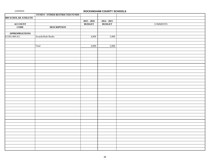|                            | <b>FUND 8 - OTHER RESTRICTED FUNDS</b> |               |               |                 |
|----------------------------|----------------------------------------|---------------|---------------|-----------------|
| <b>809 SCHOLAR ATHLETE</b> |                                        |               |               |                 |
|                            |                                        | $2015 - 2016$ | $2014 - 2015$ |                 |
|                            |                                        | <b>BUDGET</b> | <b>BUDGET</b> | $\sf{COMMENTS}$ |
| ACCOUNT<br>CODE            | <b>DESCRIPTION</b>                     |               |               |                 |
|                            |                                        |               |               |                 |
| <b>APPROPRIATIONS</b>      |                                        |               |               |                 |
| 8.5501.809.411             | Awards/Rule Books                      | 4,000         | 5,000         |                 |
|                            |                                        |               |               |                 |
|                            |                                        |               |               |                 |
|                            | Total                                  | 4,000         | 5,000         |                 |
|                            |                                        |               |               |                 |
|                            |                                        |               |               |                 |
|                            |                                        |               |               |                 |
|                            |                                        |               |               |                 |
|                            |                                        |               |               |                 |
|                            |                                        |               |               |                 |
|                            |                                        |               |               |                 |
|                            |                                        |               |               |                 |
|                            |                                        |               |               |                 |
|                            |                                        |               |               |                 |
|                            |                                        |               |               |                 |
|                            |                                        |               |               |                 |
|                            |                                        |               |               |                 |
|                            |                                        |               |               |                 |
|                            |                                        |               |               |                 |
|                            |                                        |               |               |                 |
|                            |                                        |               |               |                 |
|                            |                                        |               |               |                 |
|                            |                                        |               |               |                 |
|                            |                                        |               |               |                 |
|                            |                                        |               |               |                 |
|                            |                                        |               |               |                 |
|                            |                                        |               |               |                 |
|                            |                                        |               |               |                 |
|                            |                                        |               |               |                 |
|                            |                                        |               |               |                 |
|                            |                                        |               |               |                 |
|                            |                                        |               |               |                 |
|                            |                                        |               |               |                 |
|                            |                                        |               |               |                 |
|                            |                                        |               |               |                 |
|                            |                                        |               |               |                 |
|                            |                                        |               |               |                 |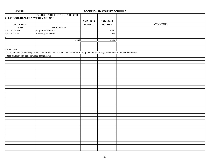|                                                   | <b>FUND 8 - OTHER RESTRICTED FUNDS</b>                                                                                                  |               |                                  |  |
|---------------------------------------------------|-----------------------------------------------------------------------------------------------------------------------------------------|---------------|----------------------------------|--|
| <b>819 SCHOOL HEALTH ADVISORY COUNCIL</b>         |                                                                                                                                         |               |                                  |  |
|                                                   |                                                                                                                                         | $2015 - 2016$ | $2014 - 2015$                    |  |
| <b>ACCOUNT</b>                                    |                                                                                                                                         | <b>BUDGET</b> | <b>BUDGET</b><br><b>COMMENTS</b> |  |
| $\overline{\mathrm{CODE}}$                        | <b>DESCRIPTION</b>                                                                                                                      |               |                                  |  |
| 8.5110.819.411                                    | Supplies & Materials                                                                                                                    | $\sim$        | 2,234                            |  |
| 8.6110.819.312                                    | Workshop Expenses                                                                                                                       | $\omega$      | 948                              |  |
|                                                   |                                                                                                                                         |               |                                  |  |
|                                                   | Total                                                                                                                                   | $\omega$      | 3,182                            |  |
|                                                   |                                                                                                                                         |               |                                  |  |
|                                                   |                                                                                                                                         |               |                                  |  |
| Explanation:                                      |                                                                                                                                         |               |                                  |  |
|                                                   | The School Health Advisory Council (SHAC) is a district-wide and community group that advises the system on health and wellness issues. |               |                                  |  |
| These funds support the operations of this group. |                                                                                                                                         |               |                                  |  |
|                                                   |                                                                                                                                         |               |                                  |  |
|                                                   |                                                                                                                                         |               |                                  |  |
|                                                   |                                                                                                                                         |               |                                  |  |
|                                                   |                                                                                                                                         |               |                                  |  |
|                                                   |                                                                                                                                         |               |                                  |  |
|                                                   |                                                                                                                                         |               |                                  |  |
|                                                   |                                                                                                                                         |               |                                  |  |
|                                                   |                                                                                                                                         |               |                                  |  |
|                                                   |                                                                                                                                         |               |                                  |  |
|                                                   |                                                                                                                                         |               |                                  |  |
|                                                   |                                                                                                                                         |               |                                  |  |
|                                                   |                                                                                                                                         |               |                                  |  |
|                                                   |                                                                                                                                         |               |                                  |  |
|                                                   |                                                                                                                                         |               |                                  |  |
|                                                   |                                                                                                                                         |               |                                  |  |
|                                                   |                                                                                                                                         |               |                                  |  |
|                                                   |                                                                                                                                         |               |                                  |  |
|                                                   |                                                                                                                                         |               |                                  |  |
|                                                   |                                                                                                                                         |               |                                  |  |
|                                                   |                                                                                                                                         |               |                                  |  |
|                                                   |                                                                                                                                         |               |                                  |  |
|                                                   |                                                                                                                                         |               |                                  |  |
|                                                   |                                                                                                                                         |               |                                  |  |
|                                                   |                                                                                                                                         |               |                                  |  |
|                                                   |                                                                                                                                         |               |                                  |  |
|                                                   |                                                                                                                                         |               |                                  |  |
|                                                   |                                                                                                                                         |               |                                  |  |
|                                                   |                                                                                                                                         |               |                                  |  |
|                                                   |                                                                                                                                         |               |                                  |  |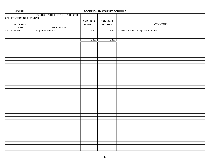|                           | FUND 8 - OTHER RESTRICTED FUNDS |               |               |                                                |
|---------------------------|---------------------------------|---------------|---------------|------------------------------------------------|
| 821 - TEACHER OF THE YEAR |                                 |               |               |                                                |
|                           |                                 | $2015 - 2016$ | $2014 - 2015$ |                                                |
|                           |                                 | <b>BUDGET</b> | <b>BUDGET</b> | <b>COMMENTS</b>                                |
| ACCOUNT<br>CODE           | <b>DESCRIPTION</b>              |               |               |                                                |
| 8.5110.821.411            | Supplies & Materials            | 2,000         |               | 2,000 Teacher of the Year Banquet and Supplies |
|                           |                                 |               |               |                                                |
|                           |                                 |               |               |                                                |
|                           |                                 | 2,000         | 2,000         |                                                |
|                           |                                 |               |               |                                                |
|                           |                                 |               |               |                                                |
|                           |                                 |               |               |                                                |
|                           |                                 |               |               |                                                |
|                           |                                 |               |               |                                                |
|                           |                                 |               |               |                                                |
|                           |                                 |               |               |                                                |
|                           |                                 |               |               |                                                |
|                           |                                 |               |               |                                                |
|                           |                                 |               |               |                                                |
|                           |                                 |               |               |                                                |
|                           |                                 |               |               |                                                |
|                           |                                 |               |               |                                                |
|                           |                                 |               |               |                                                |
|                           |                                 |               |               |                                                |
|                           |                                 |               |               |                                                |
|                           |                                 |               |               |                                                |
|                           |                                 |               |               |                                                |
|                           |                                 |               |               |                                                |
|                           |                                 |               |               |                                                |
|                           |                                 |               |               |                                                |
|                           |                                 |               |               |                                                |
|                           |                                 |               |               |                                                |
|                           |                                 |               |               |                                                |
|                           |                                 |               |               |                                                |
|                           |                                 |               |               |                                                |
|                           |                                 |               |               |                                                |
|                           |                                 |               |               |                                                |
|                           |                                 |               |               |                                                |
|                           |                                 |               |               |                                                |
|                           |                                 |               |               |                                                |
|                           |                                 |               |               |                                                |
|                           |                                 |               |               |                                                |
|                           |                                 |               |               |                                                |
|                           |                                 |               |               |                                                |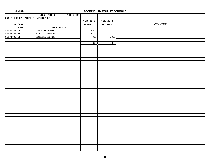|                                   | FUND 8 - OTHER RESTRICTED FUNDS |               |               |                 |
|-----------------------------------|---------------------------------|---------------|---------------|-----------------|
| 833 - CULTURAL ARTS - CONTRIBUTED |                                 |               |               |                 |
|                                   |                                 | $2015 - 2016$ | $2014 - 2015$ |                 |
|                                   |                                 | <b>BUDGET</b> | <b>BUDGET</b> | <b>COMMENTS</b> |
| ACCOUNT<br>CODE                   | <b>DESCRIPTION</b>              |               |               |                 |
| 8.5502.833.311                    | <b>Contracted Services</b>      | 3,000         | $\sim$        |                 |
| 8.5502.833.331                    | Pupil Transportation            | 1,100         |               |                 |
| 8.5502.833.411                    | Supplies & Materials            | 900           | 5,000         |                 |
|                                   |                                 |               |               |                 |
|                                   |                                 | 5,000         | 5,000         |                 |
|                                   |                                 |               |               |                 |
|                                   |                                 |               |               |                 |
|                                   |                                 |               |               |                 |
|                                   |                                 |               |               |                 |
|                                   |                                 |               |               |                 |
|                                   |                                 |               |               |                 |
|                                   |                                 |               |               |                 |
|                                   |                                 |               |               |                 |
|                                   |                                 |               |               |                 |
|                                   |                                 |               |               |                 |
|                                   |                                 |               |               |                 |
|                                   |                                 |               |               |                 |
|                                   |                                 |               |               |                 |
|                                   |                                 |               |               |                 |
|                                   |                                 |               |               |                 |
|                                   |                                 |               |               |                 |
|                                   |                                 |               |               |                 |
|                                   |                                 |               |               |                 |
|                                   |                                 |               |               |                 |
|                                   |                                 |               |               |                 |
|                                   |                                 |               |               |                 |
|                                   |                                 |               |               |                 |
|                                   |                                 |               |               |                 |
|                                   |                                 |               |               |                 |
|                                   |                                 |               |               |                 |
|                                   |                                 |               |               |                 |
|                                   |                                 |               |               |                 |
|                                   |                                 |               |               |                 |
|                                   |                                 |               |               |                 |
|                                   |                                 |               |               |                 |
|                                   |                                 |               |               |                 |
|                                   |                                 |               |               |                 |
|                                   |                                 |               |               |                 |
|                                   |                                 |               |               |                 |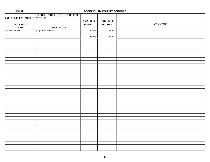|                                | FUND 8 - OTHER RESTRICTED FUNDS |               |               |                 |
|--------------------------------|---------------------------------|---------------|---------------|-----------------|
| 834 - CULTURAL ARTS - KEYSTONE |                                 |               |               |                 |
|                                |                                 | $2015 - 2016$ | $2014 - 2015$ |                 |
| ACCOUNT<br>CODE                |                                 | <b>BUDGET</b> | <b>BUDGET</b> | <b>COMMENTS</b> |
|                                | <b>DESCRIPTION</b>              |               |               |                 |
| 8.5502.833.411                 | Supplies & Materials            | 26,265        | 22,000        |                 |
|                                |                                 |               |               |                 |
|                                |                                 | 26,265        | 22,000        |                 |
|                                |                                 |               |               |                 |
|                                |                                 |               |               |                 |
|                                |                                 |               |               |                 |
|                                |                                 |               |               |                 |
|                                |                                 |               |               |                 |
|                                |                                 |               |               |                 |
|                                |                                 |               |               |                 |
|                                |                                 |               |               |                 |
|                                |                                 |               |               |                 |
|                                |                                 |               |               |                 |
|                                |                                 |               |               |                 |
|                                |                                 |               |               |                 |
|                                |                                 |               |               |                 |
|                                |                                 |               |               |                 |
|                                |                                 |               |               |                 |
|                                |                                 |               |               |                 |
|                                |                                 |               |               |                 |
|                                |                                 |               |               |                 |
|                                |                                 |               |               |                 |
|                                |                                 |               |               |                 |
|                                |                                 |               |               |                 |
|                                |                                 |               |               |                 |
|                                |                                 |               |               |                 |
|                                |                                 |               |               |                 |
|                                |                                 |               |               |                 |
|                                |                                 |               |               |                 |
|                                |                                 |               |               |                 |
|                                |                                 |               |               |                 |
|                                |                                 |               |               |                 |
|                                |                                 |               |               |                 |
|                                |                                 |               |               |                 |
|                                |                                 |               |               |                 |
|                                |                                 |               |               |                 |
|                                |                                 |               |               |                 |
|                                |                                 |               |               |                 |
|                                |                                 |               |               |                 |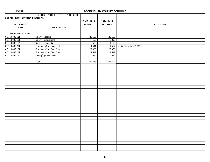|                                    | FUND 8 - OTHER RESTRICTED FUNDS |               |               |                                |
|------------------------------------|---------------------------------|---------------|---------------|--------------------------------|
| <b>835 BIBLE EDUCATION PROGRAM</b> |                                 |               |               |                                |
|                                    |                                 | $2015 - 2016$ | $2014 - 2015$ |                                |
| <b>ACCOUNT</b>                     |                                 | <b>BUDGET</b> | <b>BUDGET</b> | <b>COMMENTS</b>                |
| <b>CODE</b>                        | <b>DESCRIPTION</b>              |               |               |                                |
|                                    |                                 |               |               |                                |
| <b>APPROPRIATIONS</b>              |                                 |               |               |                                |
| 8.5110.835.121                     | Salary - Teacher                | 143,150       | 143,150       |                                |
| 8.5110.835.181                     | Salary - Supplement             | 7,158         | 6,820         |                                |
| 8.5110.835.184                     | Salary - Longevity              | 686           | 1,100         |                                |
| 8.5110.835.211                     | Employers Soc. Sec. Cost        | 11,641        |               | 11,557 Social Security @ 7.65% |
| 8.5110.835.221                     | Employers Soc. Sec. Cost        | 22,966        | 22,978        |                                |
| 8.5110.835.231                     | Employers Soc. Sec. Cost        | 21,512        | 21,512        |                                |
| 8.5110.835.233                     | <b>Unemployment Costs</b>       | 675           | 675           |                                |
|                                    |                                 |               |               |                                |
|                                    | Total                           | 207,788       | 207,792       |                                |
|                                    |                                 |               |               |                                |
|                                    |                                 |               |               |                                |
|                                    |                                 |               |               |                                |
|                                    |                                 |               |               |                                |
|                                    |                                 |               |               |                                |
|                                    |                                 |               |               |                                |
|                                    |                                 |               |               |                                |
|                                    |                                 |               |               |                                |
|                                    |                                 |               |               |                                |
|                                    |                                 |               |               |                                |
|                                    |                                 |               |               |                                |
|                                    |                                 |               |               |                                |
|                                    |                                 |               |               |                                |
|                                    |                                 |               |               |                                |
|                                    |                                 |               |               |                                |
|                                    |                                 |               |               |                                |
|                                    |                                 |               |               |                                |
|                                    |                                 |               |               |                                |
|                                    |                                 |               |               |                                |
|                                    |                                 |               |               |                                |
|                                    |                                 |               |               |                                |
|                                    |                                 |               |               |                                |
|                                    |                                 |               |               |                                |
|                                    |                                 |               |               |                                |
|                                    |                                 |               |               |                                |
|                                    |                                 |               |               |                                |
|                                    |                                 |               |               |                                |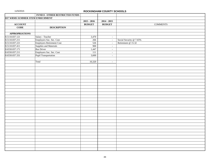|                                 | <b>FUND 8 - OTHER RESTRICTED FUNDS</b> |               |                             |                         |
|---------------------------------|----------------------------------------|---------------|-----------------------------|-------------------------|
| 837 WRMS SUMMER STEM ENRICHMENT |                                        |               |                             |                         |
|                                 |                                        | $2015 - 2016$ | $2014 - 2015$               |                         |
| <b>ACCOUNT</b>                  |                                        | <b>BUDGET</b> | <b>BUDGET</b>               | <b>COMMENTS</b>         |
| <b>CODE</b>                     | <b>DESCRIPTION</b>                     |               |                             |                         |
|                                 |                                        |               |                             |                         |
| <b>APPROPRIATIONS</b>           |                                        |               |                             |                         |
| 8.5110.837.121                  | Salary - Teacher                       | 3,470         | $\sim$                      |                         |
| 8.5110.837.211                  | Employers Soc. Sec. Cost               | 266           | $\mathbb{Z}^2$              | Social Security @ 7.65% |
| 8.5110.837.221                  | Employers Retirement Cost              | 526           | $\mathcal{L}_{\mathcal{A}}$ | Retirement @ 15.32      |
| 8.5110.837.411                  | Supplies and Materials                 | 900           | $\sim$                      |                         |
| 8.6550.837.171                  | <b>Bus Driver</b>                      | 1,447         | $\sim$                      |                         |
| 8.6550.837.211                  | Employers Soc. Sec. Cost               | 111           | $\sim$                      |                         |
| 8.6550.837.331                  | Pupil Transportation                   | 3,600         | $\sim$                      |                         |
|                                 |                                        |               |                             |                         |
|                                 | Total                                  | 10,320        | $\sim$                      |                         |
|                                 |                                        |               |                             |                         |
|                                 |                                        |               |                             |                         |
|                                 |                                        |               |                             |                         |
|                                 |                                        |               |                             |                         |
|                                 |                                        |               |                             |                         |
|                                 |                                        |               |                             |                         |
|                                 |                                        |               |                             |                         |
|                                 |                                        |               |                             |                         |
|                                 |                                        |               |                             |                         |
|                                 |                                        |               |                             |                         |
|                                 |                                        |               |                             |                         |
|                                 |                                        |               |                             |                         |
|                                 |                                        |               |                             |                         |
|                                 |                                        |               |                             |                         |
|                                 |                                        |               |                             |                         |
|                                 |                                        |               |                             |                         |
|                                 |                                        |               |                             |                         |
|                                 |                                        |               |                             |                         |
|                                 |                                        |               |                             |                         |
|                                 |                                        |               |                             |                         |
|                                 |                                        |               |                             |                         |
|                                 |                                        |               |                             |                         |
|                                 |                                        |               |                             |                         |
|                                 |                                        |               |                             |                         |
|                                 |                                        |               |                             |                         |
|                                 |                                        |               |                             |                         |
|                                 |                                        |               |                             |                         |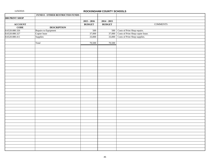|                   | <b>FUND 8 - OTHER RESTRICTED FUNDS</b> |               |               |                                                                                  |
|-------------------|----------------------------------------|---------------|---------------|----------------------------------------------------------------------------------|
| 880 PRINT SHOP    |                                        |               |               |                                                                                  |
|                   |                                        | $2015 - 2016$ | $2014 - 2015$ |                                                                                  |
| <b>ACCOUNT</b>    |                                        | <b>BUDGET</b> | <b>BUDGET</b> | <b>COMMENTS</b>                                                                  |
| $\overline{CODE}$ | <b>DESCRIPTION</b>                     |               |               |                                                                                  |
| 8.6520.880.326    | Repairs to Equipment                   | 500           |               | 500 Costs of Print Shop repairs.                                                 |
| 8.6520.880.327    | Copier lease                           | 37,000        |               |                                                                                  |
| 8.6520.880.411    | Supplies                               | 33,000        |               | 37,000 Costs of Print Shop copier lease.<br>33,000 Costs of Print Shop supplies. |
|                   |                                        |               |               |                                                                                  |
|                   | Total                                  | 70,500        | 70,500        |                                                                                  |
|                   |                                        |               |               |                                                                                  |
|                   |                                        |               |               |                                                                                  |
|                   |                                        |               |               |                                                                                  |
|                   |                                        |               |               |                                                                                  |
|                   |                                        |               |               |                                                                                  |
|                   |                                        |               |               |                                                                                  |
|                   |                                        |               |               |                                                                                  |
|                   |                                        |               |               |                                                                                  |
|                   |                                        |               |               |                                                                                  |
|                   |                                        |               |               |                                                                                  |
|                   |                                        |               |               |                                                                                  |
|                   |                                        |               |               |                                                                                  |
|                   |                                        |               |               |                                                                                  |
|                   |                                        |               |               |                                                                                  |
|                   |                                        |               |               |                                                                                  |
|                   |                                        |               |               |                                                                                  |
|                   |                                        |               |               |                                                                                  |
|                   |                                        |               |               |                                                                                  |
|                   |                                        |               |               |                                                                                  |
|                   |                                        |               |               |                                                                                  |
|                   |                                        |               |               |                                                                                  |
|                   |                                        |               |               |                                                                                  |
|                   |                                        |               |               |                                                                                  |
|                   |                                        |               |               |                                                                                  |
|                   |                                        |               |               |                                                                                  |
|                   |                                        |               |               |                                                                                  |
|                   |                                        |               |               |                                                                                  |
|                   |                                        |               |               |                                                                                  |
|                   |                                        |               |               |                                                                                  |
|                   |                                        |               |               |                                                                                  |
|                   |                                        |               |               |                                                                                  |
|                   |                                        |               |               |                                                                                  |
|                   |                                        |               |               |                                                                                  |
|                   |                                        |               |               |                                                                                  |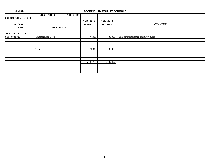|                             | <b>FUND 8 - OTHER RESTRICTED FUNDS</b> |               |               |                                         |
|-----------------------------|----------------------------------------|---------------|---------------|-----------------------------------------|
| <b>881 ACTIVITY BUS USE</b> |                                        |               |               |                                         |
|                             |                                        | $2015 - 2016$ | $2014 - 2015$ |                                         |
| <b>ACCOUNT</b>              |                                        | <b>BUDGET</b> | <b>BUDGET</b> | <b>COMMENTS</b>                         |
| <b>CODE</b>                 | <b>DESCRIPTION</b>                     |               |               |                                         |
|                             |                                        |               |               |                                         |
| <b>APPROPRIATIONS</b>       |                                        |               |               |                                         |
| 8.6550.881.329              | <b>Transportation Costs</b>            | 74,000        | 36,000        | Funds for maintenance of activity buses |
|                             |                                        |               |               |                                         |
|                             |                                        |               |               |                                         |
|                             |                                        |               |               |                                         |
|                             | Total                                  | 74,000        | 36,000        |                                         |
|                             |                                        |               |               |                                         |
|                             |                                        |               |               |                                         |
|                             |                                        |               |               |                                         |
|                             |                                        | 5,487,713     | 6,309,497     |                                         |
|                             |                                        |               |               |                                         |
|                             |                                        |               |               |                                         |
|                             |                                        |               |               | $\bullet$                               |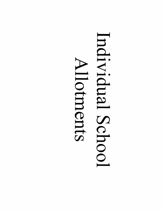# Individual School Allotments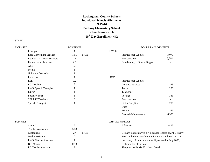# **Rockingham County Schools Individual Schools Allotments 2015-16 Bethany Elementary School School Number 302 10th Day Enrollment 442**

### **STAFF**

| <b>LICENSED</b> |                             | <b>POSITIONS</b> |            |              | DOLLAR ALLOTMENTS                                         |                          |  |
|-----------------|-----------------------------|------------------|------------|--------------|-----------------------------------------------------------|--------------------------|--|
|                 | Principal                   |                  |            | <b>STATE</b> |                                                           |                          |  |
|                 | Lead Curriculum Teacher     | 10.5             | <b>MOE</b> |              | <b>Instructional Supplies</b>                             | 3,079                    |  |
|                 | Regular Classroom Teachers  | 18               |            |              | Reproduction                                              | 6,284                    |  |
|                 | <b>Enhancement Teachers</b> | 2.5              |            |              | Disadvantaged Student Supple.                             |                          |  |
|                 | <b>AIG</b>                  | 0.6              |            |              |                                                           |                          |  |
|                 | Media                       | 1                |            |              |                                                           |                          |  |
|                 | Guidance Counselor          |                  |            |              |                                                           |                          |  |
|                 | Preschool                   |                  |            | <b>LOCAL</b> |                                                           |                          |  |
|                 | <b>ESL</b>                  | 0.2              |            |              | <b>Instructional Supplies</b>                             | $\overline{\phantom{a}}$ |  |
|                 | <b>EC</b> Teachers          | $\overline{2}$   |            |              | <b>Contract Services</b>                                  | 348                      |  |
|                 | Pre-K Speech Therapist      |                  |            |              | Travel                                                    | 1,293                    |  |
|                 | <b>Nurse</b>                |                  |            |              | Telephone                                                 |                          |  |
|                 | Social Worker               |                  |            |              | Postage                                                   | 343                      |  |
|                 | <b>SPLASH Teachers</b>      | 3                |            |              | Reproduction                                              | $\overline{\phantom{a}}$ |  |
|                 | Speech Therapist            |                  |            |              | Office Supplies                                           | 206                      |  |
|                 |                             |                  |            |              | Dues                                                      |                          |  |
|                 |                             |                  |            |              | Printing                                                  | 1,386                    |  |
|                 |                             |                  |            |              | Grounds Maintenance                                       | 6,900                    |  |
| SUPPORT         |                             |                  |            |              | <b>CAPITAL OUTLAY</b>                                     |                          |  |
|                 | Clerical                    | $\mathbf{2}$     |            |              | Allotment                                                 | 3,458                    |  |
|                 | <b>Teacher Assistants</b>   | 5.38             |            |              |                                                           |                          |  |
|                 | Custodians                  | 27               | <b>MOE</b> |              | Bethany Elementary is a K-5 school located at 271 Bethany |                          |  |
|                 | Media Assistant             | $\mathbf{0}$     |            |              | Road in the Bethany Community in the southwest area of    |                          |  |
|                 | Pre-K Teacher Assistant     |                  |            |              | the county. A new modern facility opened in July 2006,    |                          |  |
|                 | <b>Bus Monitor</b>          | 0.18             |            |              | replacing the old school.                                 |                          |  |

### 1

EC Teacher Assistant 2 2 The principal is Ms. Elizabeth Covell.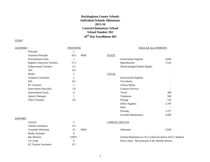# **Rockingham County Schools Individual Schools Allotments 2015-16 Central Elementary School School Number 302 10th Day Enrollment 463**

| <b>LICENSED</b> |                                | <b>POSITIONS</b> | <b>DOLLAR ALLOTMENTS</b> |              |                               |       |
|-----------------|--------------------------------|------------------|--------------------------|--------------|-------------------------------|-------|
|                 | Principal                      | 1                |                          |              |                               |       |
|                 | <b>Assistant Principal</b>     | 10.5             | <b>MOE</b>               | <b>STATE</b> |                               |       |
|                 | <b>Instructional Coach</b>     | 1                |                          |              | <b>Instructional Supplies</b> | 3,838 |
|                 | Regular Classroom Teachers     | 17.2             |                          |              | Reproduction                  | 7,143 |
|                 | <b>Enhancement Teachers</b>    | 2.5              |                          |              | Disadvantaged Student Supple. |       |
|                 | AIG                            | 0.4              |                          |              |                               |       |
|                 | Media                          | 1                |                          | <b>LOCAL</b> |                               |       |
|                 | <b>Guidance Counselor</b>      | 1                |                          |              | <b>Instructional Supplies</b> |       |
|                 | <b>ESL</b>                     | 0.3              |                          |              | <b>Text Books</b>             |       |
|                 | <b>EC</b> Teachers             | 1                |                          |              | <b>Library Books</b>          |       |
|                 | <b>Intervention Specialist</b> | 1.8              |                          |              | <b>Contract Services</b>      |       |
|                 | <b>Instructional Coach</b>     | $\boldsymbol{0}$ |                          |              | Travel                        | 300   |
|                 | Speech Therapist               | 1                |                          |              | Telephone                     | 500   |
|                 | <b>Title I Teachers</b>        | 2.8              |                          |              | Postage                       | 135   |
|                 |                                |                  |                          |              | <b>Office Supplies</b>        | 1,795 |
|                 |                                |                  |                          |              | Dues                          |       |
|                 |                                |                  |                          |              | Printing                      | 1,727 |
|                 |                                |                  |                          |              | Grounds Maintenance           | 4,200 |
| <b>SUPPORT</b>  |                                |                  |                          |              |                               |       |
|                 | Clerical                       | $\overline{c}$   |                          |              | <b>CAPITAL OUTLAY</b>         |       |
|                 |                                |                  |                          |              |                               |       |

| <b>URLICAL</b>               | ∼                | CALITAL OUTLAT                                   |                                                              |
|------------------------------|------------------|--------------------------------------------------|--------------------------------------------------------------|
| <b>Teacher Assistants</b>    | 5.3              |                                                  |                                                              |
| Custodial Allotment          | <b>MOE</b><br>23 | Allotment                                        | 3,549                                                        |
| Media Assistant              |                  |                                                  |                                                              |
| <b>Bus Monitor</b>           | 0.8971           |                                                  | Central Elementary is a K-5 school located at 435 E. Stadium |
| TA Trade                     | $\Omega$         | Drive, Eden. The principal is Ms. Barbara Brown. |                                                              |
| <b>EC</b> Teacher Assistants | 0.5              |                                                  |                                                              |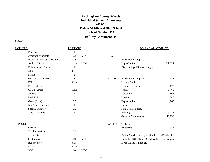# **Rockingham County Schools Individual Schools Allotments 2015-16 Dalton McMichael High School School Number 314 10th Day Enrollment 993**

#### **STAFF**

LICENSED POSITIONS DOLLAR ALLOTMENTS Principal 1 Assistant Principals 22 MOE STATE Regular Classroom Teachers 30.81 1170 Instructional Supplies 7,170 Athletic Director 11.5 MOE Reproduction 14,633 Enhancement Teachers 1 1 1 Disadvantaged Student Supple. AIG 0.125 Media 1 Guidance Counselor(s) 2 LOCA ESL 6.19 COMPUTER CONTROLLER EST CONTROLLER CONTROLLER EST CONTROLLER CONTROLLER CONTROLLER CONTROLLER CONTROLLER CONTROLLER CONTROLLER CONTROLLER CONTROLLER CONTROLLER CONTROLLER CONTROLLER CONTROLLER CONTROLLER CONTROLLE EC Teachers 622 CTE Teachers 2,466 and 2.2 Travel 3,466 JROTC 2 2 Telephone 1,466 DOP/ISS 3 3 3 3 DOP/ISS 746 Grant (Bible) 0.5 0.5 Reproduction 1,868 Inst. Tech. Specialist 1

| Clerical                  | 5        |            |
|---------------------------|----------|------------|
| <b>Teacher Assistants</b> | 0.5      |            |
| TA Media                  | $\theta$ |            |
| Custodians                | 60       | <b>MOE</b> |
| <b>Bus Monitor</b>        | 0.65     |            |
| EC TA <sub>s</sub>        | 4.75     |            |
| <b>SRO</b>                | 10       | MOE        |

Speech Therapist 0.8 Title II Teachers 1

| <b>Instructional Supplies</b> | 2,032  |
|-------------------------------|--------|
| Library Books                 |        |
| <b>Contract Services</b>      | 622    |
| Travel                        | 3,466  |
| Telephone                     | 1,466  |
| Postage                       | 746    |
| Reproduction                  | 1,868  |
| Dues                          |        |
| Non-Capital Equip.            |        |
| Printing                      | 3,227  |
| Grounds Maintenance           | 12,836 |

#### SUPPORT CAPITAL OUTLAY

| Clerical | tment<br>. | $- - -$<br> |
|----------|------------|-------------|
|          |            |             |

Dalton McMichael High School is a 9-12 school OE located at 6845 Hwy. 135, Mayodan. The principal is Mr. Duane Whittaker.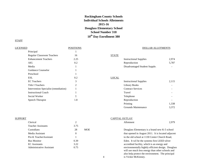# **Rockingham County Schools Individual Schools Allotments 2015-16 Douglass Elementary School School Number 318 10th Day Enrollment 380**

## **STAFF**

# LICENSED POSITIONS POSITIONS POSITIONS Principal 1 Regular Classroom Teachers 16 16 STATE Enhancement Teachers 2.25 1nstructional Supplies 2,974 AIG 2 0.2 Reproduction 5,787 Media 1 1 1 Disadvantaged Student Supple. Guidance Counselor 1 Preschool 1 ESL 0.2 LOCAL EC Teachers 2,115 Title I Teachers 2 Library Books - Intervention Specialist (remediation) 1 Instructional Coach 1 1 Social Worker and the state of the 1 and 1 and 1 and 1 and 1 and 1 and 1 and 1 and 1 and 1 and 1 and 1 and 1 and 1 and 1 and 1 and 1 and 1 and 1 and 1 and 1 and 1 and 1 and 1 and 1 and 1 and 1 and 1 and 1 and 1 and 1 and 1 Speech Therapist 1.8

| <b>Instructional Supplies</b> | 2,115 |
|-------------------------------|-------|
| Library Books                 |       |
| <b>Contract Services</b>      |       |
| Travel                        |       |
| Telephone                     |       |
| Reproduction                  |       |
| Printing                      | 1,338 |
| Grounds Maintenance           | 3,372 |
|                               |       |

| SUPPORT |                           |      |            | CAPITAL OUTLAY                                     |       |
|---------|---------------------------|------|------------|----------------------------------------------------|-------|
|         | Clerical                  |      |            | Allotment                                          | 2.979 |
|         | <b>Teacher Assistants</b> | 3.75 |            |                                                    |       |
|         | Custodians                | 28   | <b>MOE</b> | Douglass Elementary is a brand new K-5 school      |       |
|         | Media Assistant           | 0    |            | that opened in August 2011. It is located adjacent |       |
|         | Pre-K Teacher Assistant   |      |            | to the old school at 1130 Center Church Road,      |       |
|         | <b>Bus Monitor</b>        | 0.39 |            | Eden. It wil be the systems first LEED silver      |       |
|         | <b>EC</b> Assistants      | 3.22 |            | accredited facility, which is an energy and        |       |
|         | Administrative Assistant  | 0.75 |            | environmentally hightly efficient design. Douglass |       |
|         |                           |      |            | will use much less energy than other schools and   |       |
|         |                           |      |            | also help protect the environment. The principal   |       |

4 is Vickie McKinney.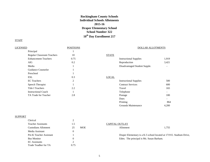# **Rockingham County Schools Individual Schools Allotments 2015-16 Draper Elementary School School Number 322 10th Day Enrollment 217**

# **STAFF**

| <b>LICENSED</b>                   | <b>POSITIONS</b> |              | <b>DOLLAR ALLOTMENTS</b>      |       |
|-----------------------------------|------------------|--------------|-------------------------------|-------|
| Principal                         |                  |              |                               |       |
| <b>Regular Classroom Teachers</b> | 10               | <b>STATE</b> |                               |       |
| <b>Enhancement Teachers</b>       | 0.75             |              | <b>Instructional Supplies</b> | 1,919 |
| AIG                               | 0.2              |              | Reproduction                  | 3,421 |
| Media                             |                  |              | Disadvantaged Student Supple. |       |
| Guidance Counselor                |                  |              |                               |       |
| Preschool                         |                  |              |                               |       |
| ESL                               | 0.3              | <b>LOCAL</b> |                               |       |
| <b>EC</b> Teachers                | 2                |              | <b>Instructional Supplies</b> | 500   |
| Speech Therapist                  |                  |              | <b>Contract Services</b>      | 600   |
| <b>Title I Teachers</b>           | 2.2              |              | Travel                        | 165   |
| <b>Instructional Coach</b>        |                  |              | Telephone                     |       |
| TA Trade for Teacher              | 2.8              |              | Postage                       | 100   |

# **SUPPORT**

| Clerical                    |                  |                                          |                                                                     |
|-----------------------------|------------------|------------------------------------------|---------------------------------------------------------------------|
| <b>Teacher Assistants</b>   | 1.5              | <b>CAPITAL OUTLAY</b>                    |                                                                     |
| <b>Custodians Allotment</b> | <b>MOE</b><br>25 | Allotment                                | 1.755                                                               |
| Media Assistant             |                  |                                          |                                                                     |
| Pre-K Teacher Assistant     |                  |                                          | Draper Elementary is a K-5 school located at 1719 E. Stadium Drive, |
| <b>Bus Monitor</b>          |                  | Eden. The principal is Ms. Susan Barham. |                                                                     |
| <b>EC</b> Assistants        |                  |                                          |                                                                     |
| Trade Teadher for TA        | 0.75             |                                          |                                                                     |

Dues and the set of the set of the set of the set of the set of the set of the set of the set of the set of the set of the set of the set of the set of the set of the set of the set of the set of the set of the set of the Printing 864 Grounds Maintenance 4,200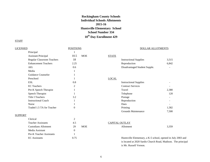# **Rockingham County Schools Individual Schools Allotments 2015-16 Huntsville Elementary School School Number 334 10th Day Enrollment 429**

## **STAFF**

| <b>LICENSED</b> |                                   | <b>POSITIONS</b> |            |                       | DOLLAR ALLOTMENTS                                             |                          |
|-----------------|-----------------------------------|------------------|------------|-----------------------|---------------------------------------------------------------|--------------------------|
|                 | Principal                         |                  |            |                       |                                                               |                          |
|                 | <b>Assistant Principal</b>        | 10.5             | <b>MOE</b> | <b>STATE</b>          |                                                               |                          |
|                 | <b>Regular Classroom Teachers</b> | 18               |            |                       | <b>Instructional Supplies</b>                                 | 3,515                    |
|                 | <b>Enhancement Teachers</b>       | 2.25             |            |                       | Reproduction                                                  | 6,842                    |
|                 | <b>AIG</b>                        | 0.6              |            |                       | Disadvantaged Student Supple.                                 | $\overline{\phantom{0}}$ |
|                 | Media                             |                  |            |                       |                                                               |                          |
|                 | <b>Guidance Counselor</b>         |                  |            |                       |                                                               |                          |
|                 | Preschool                         |                  |            | <b>LOCAL</b>          |                                                               |                          |
|                 | <b>ESL</b>                        | 0.8              |            |                       | <b>Instructional Supplies</b>                                 |                          |
|                 | <b>EC</b> Teachers                | 2                |            |                       | <b>Contract Services</b>                                      |                          |
|                 | Pre-K Speech Therapist            |                  |            |                       | Travel                                                        | 2,380                    |
|                 | Speech Therapist                  |                  |            |                       | Telephone                                                     | 120                      |
|                 | <b>Title I Teachers</b>           | 3.2              |            |                       | Postage                                                       |                          |
|                 | <b>Instructional Coach</b>        |                  |            |                       | Reproduction                                                  |                          |
|                 | Nurse                             |                  |            |                       | Dues                                                          |                          |
|                 | Traded 1.5 TA for Teacher         | $\Omega$         |            |                       | Printing                                                      | 1,582                    |
|                 |                                   |                  |            |                       | <b>Grounds Maintenance</b>                                    | 7,500                    |
| <b>SUPPORT</b>  |                                   |                  |            |                       |                                                               |                          |
|                 | Clerical                          | 2                |            |                       |                                                               |                          |
|                 | <b>Teacher Assistants</b>         | 4.5              |            | <b>CAPITAL OUTLAY</b> |                                                               |                          |
|                 | <b>Custodians Allotment</b>       | 29               | <b>MOE</b> |                       | Allotment                                                     | 3,359                    |
|                 | Media Assistant                   | $\overline{0}$   |            |                       |                                                               |                          |
|                 | Pre-K Teacher Assistants          |                  |            |                       |                                                               |                          |
|                 | <b>EC</b> Assistants              | 0.75             |            |                       | Huntsville Elementary, a K-5 school, opened in July 2003 and  |                          |
|                 |                                   |                  |            |                       | is located at 2020 Sardis Church Road, Madison. The principal |                          |

6

is Mr. Russell Vernon.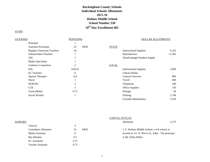# **Rockingham County Schools Individual Schools Allotments 2015-16 Holmes Middle School School Number 330 10th Day Enrollment 681**

| LICENSED                          | <b>POSITIONS</b> |                               | DOLLAR ALLOTMENTS |
|-----------------------------------|------------------|-------------------------------|-------------------|
| Principal                         |                  |                               |                   |
| <b>Assistant Principals</b>       | <b>MOE</b><br>22 | <b>STATE</b>                  |                   |
| <b>Regular Classroom Teachers</b> | 24               | <b>Instructional Supplies</b> | 6,102             |
| <b>Enhancement Teachers</b>       | 7                | Reproduction                  | 11,363            |
| AIG                               |                  | Disadvantaged Student Supple. |                   |
| Media Specialists                 |                  |                               |                   |
| <b>Guidance Counselors</b>        | $\overline{c}$   | <b>LOCAL</b>                  |                   |
| <b>ESL</b>                        | 0.8125           | <b>Instructional Supplies</b> | 2,600             |
| <b>EC</b> Teachers                | 6                | <b>Library Books</b>          | ۰.                |
| Speech Therapist                  | 0.8              | <b>Contract Services</b>      | 800               |
| <b>Nurse</b>                      |                  | Travel                        | 400               |
| DOP/ISS                           | $\overline{c}$   | Telephone                     | 340               |
| <b>CTE</b>                        | 3                | <b>Office Supplies</b>        | 150               |
| Grant (Bible)                     | 0.75             | Postage                       | 50                |
| Social Worker                     |                  | Printing                      | 2,746             |
|                                   |                  | Grounds Maintenance           | 5,250             |

|                             |      | <b>CAPITAL OUTLAY</b>                                      |       |
|-----------------------------|------|------------------------------------------------------------|-------|
| SUPPORT                     |      | Allotment                                                  | 5,175 |
| Clerical                    | 4    |                                                            |       |
| <b>Custodians Allotment</b> | 52   | <b>MOE</b><br>J. E. Holmes Middle School, a 6-8 school, is |       |
| Media Assistant             |      | located at 211 N. Pierce St., Eden. The principal          |       |
| <b>Bus Monitor</b>          | 0.5  | is Mr. Elliot Miller.                                      |       |
| <b>EC</b> Assistants        | 4.75 |                                                            |       |
| <b>Teacher Assistant</b>    | 0.75 |                                                            |       |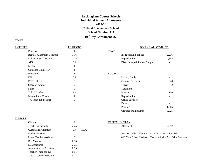# **Rockingham County Schools Individual Schools Allotments 2015-16 Dillard Elementary School School Number 334 10th Day Enrollment 268**

# **STAFF**

| <b>LICENSED</b>             | <b>POSITIONS</b> |                               | <b>DOLLAR ALLOTMENTS</b> |  |
|-----------------------------|------------------|-------------------------------|--------------------------|--|
| Principal                   |                  | <b>STATE</b>                  |                          |  |
| Regular Classroom Teachers  | 11.6             | <b>Instructional Supplies</b> | 2,236                    |  |
| <b>Enhancement Teachers</b> | 2.25             | Reproduction                  | 4,355                    |  |
| AIG                         | 0.4              | Disadvantaged Student Supple. |                          |  |
| Media                       |                  |                               |                          |  |
| Guidance Counselor          |                  |                               |                          |  |
| Preschool                   | 3                | <b>LOCAL</b>                  |                          |  |
| ESL                         | 0.2              | <b>Library Books</b>          | $\overline{\phantom{0}}$ |  |
| <b>EC</b> Teachers          | 3                | <b>Contract Services</b>      | 628                      |  |
| Speech Therapist            | 0.8              | Travel                        | 812                      |  |
| <b>Nurse</b>                | $\overline{0}$   | Telephone                     |                          |  |
| <b>Title I Teachers</b>     | 2.4              | Postage                       | 150                      |  |
| <b>Instructional Coach</b>  |                  | Reproduction                  |                          |  |
| TA Trade for Teacher        | $\Omega$         | <b>Office Supplies</b>        |                          |  |
|                             |                  | Dues                          |                          |  |
|                             |                  | Printing                      | 1,006                    |  |

## **SUPPORT**

| Clerical                  | 2                | CAPITAL OUTLAY                                     |
|---------------------------|------------------|----------------------------------------------------|
| <b>Teacher Assistants</b> | 2.25             | 2.052<br>Allotment                                 |
| Custodians Allotment      | <b>MOE</b><br>33 |                                                    |
| Media Assistant           | 0                | John W. Dillard Elementary, a K-5 school, is local |
| Pre-K Teacher Assistant   | 0                | 810 Cure Drive, Madison. The principal is Ms. I    |
| <b>Bus Monitor</b>        | 0.56             |                                                    |
| <b>EC</b> Assistants      | 2.75             |                                                    |
| Administrative Assistant  | 0.75             |                                                    |
| Teacher Trade for TA      | 0.51             |                                                    |
| Title I Teacher Assistant | 0.24             | 8                                                  |

# CAPITAL OUTLAY

| Allotment | 2,052 |
|-----------|-------|
|           |       |

Grounds Maintenance 3,825

John W. Dillard Elementary, a K-5 school, is located at 810 Cure Drive, Madison. The principal is Ms. Erica Blackwell.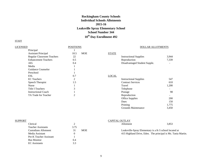# **Rockingham County Schools Individual Schools Allotments 2015-16 Leaksville Spray Elementary School School Number 344 10th Day Enrollment 492**

# **STAFF**

| <b>LICENSED</b>                   | <b>POSITIONS</b>   |                               | <b>DOLLAR ALLOTMENTS</b> |  |
|-----------------------------------|--------------------|-------------------------------|--------------------------|--|
| Principal                         |                    |                               |                          |  |
| <b>Assistant Principal</b>        | <b>MOE</b><br>10.5 | <b>STATE</b>                  |                          |  |
| <b>Regular Classroom Teachers</b> | 22                 | <b>Instructional Supplies</b> | 3,944                    |  |
| <b>Enhancement Teachers</b>       | 0.5                | Reproduction                  | 7,339                    |  |
| AIG                               | 0.4                | Disadvantaged Student Supple. |                          |  |
| Media                             |                    |                               |                          |  |
| Guidance Counselor                |                    |                               |                          |  |
| Preschool                         |                    |                               |                          |  |
| <b>ESL</b>                        | 0.7                | <b>LOCAL</b>                  |                          |  |
| <b>EC</b> Teachers                | 2                  | <b>Instructional Supplies</b> | 547                      |  |
| Speech Therapist                  | 1.5                | <b>Contract Services</b>      | 610                      |  |
| <b>Nurse</b>                      |                    | Travel                        | 1,200                    |  |
| <b>Title I Teachers</b>           | 3                  | Telephone                     |                          |  |
| <b>Instructional Coach</b>        |                    | Postage                       | 98                       |  |
| TA Trade for Teacher              | 2                  | Reproduction                  |                          |  |
|                                   |                    | <b>Office Supplies</b>        | 200                      |  |
|                                   |                    | <b>Dues</b>                   | 150                      |  |
|                                   |                    | Printing                      | 1,775                    |  |

| SUPPORT |                           |      |            | CAPITAL OUTLAY                                         |                                                              |
|---------|---------------------------|------|------------|--------------------------------------------------------|--------------------------------------------------------------|
|         | Clerical                  |      |            | Allotment                                              | 3,853                                                        |
|         | <b>Teacher Assistants</b> | 3.75 |            |                                                        |                                                              |
|         | Custodians Allotment      | 31   | <b>MOE</b> | Leaksville-Spray Elementary is a K-5 school located at |                                                              |
|         | Media Assistant           |      |            |                                                        | 415 Highland Drive, Eden. The principal is Ms. Tania Martin. |
|         | Pre-K Teacher Assistant   |      |            |                                                        |                                                              |
|         | <b>Bus Monitor</b>        | 0.4  |            |                                                        |                                                              |
|         | <b>EC</b> Assistants      | 3.3  |            |                                                        |                                                              |

Grounds Maintenance 3,450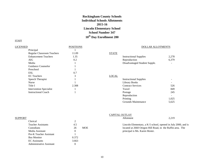# **Rockingham County Schools Individual Schools Allotments 2015-16 Lincoln Elementary School School Number 347 10th Day Enrollment 280**

## **STAFF**

# LICENSED POSITIONS POSITIONS POSITIONS Principal 1 Regular Classroom Teachers 11.09 STATE Enhancement Teachers 1.35 1.35 Instructional Supplies 2,278 AIG 0.2 Reproduction 6,379 Media 1 1 1 1 Disadvantaged Student Supple. Guidance Counselor 1 Preschool 1  $\text{ESL}$  0.7 EC Teachers 3 LOCAL Speech Therapist 1 Nurse and the set of the 1 million of the 1 million of the 1 million of the 1 million of the 1 million of the 1 Intervention Specialist 1 Instructional Coach 1 Postage 2455 and 2455 and 2455 and 2455 and 2455 and 2455 and 2455 and 2455 and 2455 and 2455 and 2455 and 2455 and 2455 and 2455 and 2456 and 2456 and 2456 and 2456 and 2456 and 2456 and 2456 and 245

Administrative Assistant 0

| Guidance Counselor             |       |                               |     |
|--------------------------------|-------|-------------------------------|-----|
| Preschool                      |       |                               |     |
| ESL                            | 0.7   |                               |     |
| <b>EC</b> Teachers             |       | <b>LOCAL</b>                  |     |
| Speech Therapist               |       | <b>Instructional Supplies</b> |     |
| Nurse                          |       | <b>Library Books</b>          |     |
| Title I                        | 2.308 | <b>Contract Services</b>      | 526 |
| <b>Intervention Specialist</b> |       | Travel                        | 849 |
| <b>Instructional Coach</b>     |       | Postage                       | 245 |
|                                |       |                               |     |

| Reproduction        | -     |
|---------------------|-------|
| Printing            | 1.025 |
| Grounds Maintenance | 5.625 |

|         |                                |       |            | <b>CAPITAL OUTLAY</b> |                                |                                                               |
|---------|--------------------------------|-------|------------|-----------------------|--------------------------------|---------------------------------------------------------------|
| SUPPORT |                                |       |            |                       | Allotment                      | 2,219                                                         |
|         | Clerical                       |       |            |                       |                                |                                                               |
|         | <b>Teacher Assistants</b>      | 4.5   |            |                       |                                | Lincoln Elementary, a K-5 school, opened in July 2000, and is |
|         | Custodians                     | 26    | <b>MOE</b> |                       |                                | located at 2660 Oregon Hill Road, in the Ruffin area. The     |
|         | Media Assistant                |       |            |                       | principal is Ms. Karen Hester. |                                                               |
|         | <b>Pre-K Teacher Assistant</b> |       |            |                       |                                |                                                               |
|         | <b>Bus Monitor</b>             | 0.372 |            |                       |                                |                                                               |
|         | <b>EC</b> Assistants           | 3.663 |            |                       |                                |                                                               |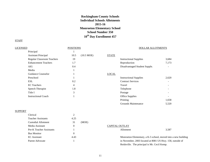# **Rockingham County Schools Individual Schools Allotments 2015-16 Monroeton Elementary School School Number 350 10th Day Enrollment 457**

#### STAFF

# LICENSED POSITIONS DOLLAR ALLOTMENTS Principal 1 Assistant Principal 10.5 (10.5 MOE) STATE Regular Classroom Teachers 19 19 Instructional Supplies 3,684 Enhancement Teachers 1.7 173 AIG 2014 0.4 Disadvantaged Student Supple. Media 1 Guidance Counselor 1 LOCAL Preschool 1 1 Instructional Supplies 2,620 ESL 0.2 Contract Services -EC Teachers **1** and 2 and 2 and 2 and 2 and 2 and 2 and 2 and 2 and 2 and 2 and 2 and 2 and 2 and 2 and 2 and 2 and 2 and 2 and 2 and 2 and 2 and 2 and 2 and 2 and 2 and 2 and 2 and 2 and 2 and 2 and 2 and 2 and 2 and 2 an Speech Therapist 1.8 1.8 Telephone -Title I and the set of the set of the set of the set of the set of the set of the set of the set of the set of the set of the set of the set of the set of the set of the set of the set of the set of the set of the set of t Instructional Coach 1 Office Supplies - Printing 1,658

## **SUPPORT**

| Clerical                        | $\overline{ }$ |       |                                              |                                                               |
|---------------------------------|----------------|-------|----------------------------------------------|---------------------------------------------------------------|
| <b>Teacher Assistants</b>       | 4.25           |       |                                              |                                                               |
| Custodial Allotment             | 31             | (MOE) |                                              |                                                               |
| Media Assistant                 |                |       | <b>CAPITAL OUTLAY</b>                        |                                                               |
| <b>Pre-K Teacher Assistants</b> |                |       | Allotment                                    | 3.587                                                         |
| <b>Bus Monitor</b>              |                |       |                                              |                                                               |
| <b>EC</b> Assistant             | 4.43           |       |                                              | Monroeton Elementary, a K-5 school, moved into a new building |
| Parent Advocate                 |                |       |                                              | in November, 2003 located at 8081 US Hwy. 158, outside of     |
|                                 |                |       | Reidsville. The principal is Mr. Cecil Kemp. |                                                               |

Grounds Maintenance 5,520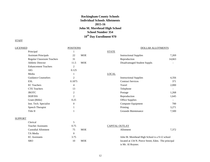# **Rockingham County Schools Individual Schools Allotments 2015-16 John M. Morehead High School School Number 354 10th Day Enrollment 970**

# **STAFF**

| <b>LICENSED</b> |                             | <b>POSITIONS</b> | DOLLAR ALLOTMENTS |              |                                               |        |
|-----------------|-----------------------------|------------------|-------------------|--------------|-----------------------------------------------|--------|
|                 | Principal                   |                  |                   | <b>STATE</b> |                                               |        |
|                 | <b>Assistant Principals</b> | 22               | <b>MOE</b>        |              | <b>Instructional Supplies</b>                 | 7,269  |
|                 | Regular Classroom Teachers  | 31               |                   |              | Reproduction                                  | 14,663 |
|                 | <b>Athletic Director</b>    | 11.5             | <b>MOE</b>        |              | Disadvantaged Student Supple.                 |        |
|                 | <b>Enhancement Teachers</b> | 2                |                   |              |                                               |        |
|                 | AIG                         | 0.125            |                   |              |                                               |        |
|                 | Media                       |                  |                   | <b>LOCAL</b> |                                               |        |
|                 | <b>Guidance Counselors</b>  | $\overline{2}$   |                   |              | <b>Instructional Supplies</b>                 | 4,356  |
|                 | <b>ESL</b>                  | 0.1875           |                   |              | <b>Contract Services</b>                      | 371    |
|                 | <b>EC</b> Teachers          | $\overline{4}$   |                   |              | Travel                                        | 2,000  |
|                 | <b>CTE</b> Teachers         | 13               |                   |              | Telephone                                     |        |
|                 | <b>JROTC</b>                | $\overline{c}$   |                   |              | Postage                                       | 1,268  |
|                 | DOP/ISS                     | $\overline{2}$   |                   |              | Reproduction                                  | 1,645  |
|                 | Grant (Bible)               | 0.25             |                   |              | <b>Office Supplies</b>                        |        |
|                 | Inst. Tech. Specialist      | $\overline{0}$   |                   |              | Computer Equipment                            | 700    |
|                 | Speech Therapist            | 1                |                   |              | Printing                                      | 3,271  |
|                 | Title II                    | 1                |                   |              | Grounds Maintenance                           | 7,500  |
| <b>SUPPORT</b>  |                             |                  |                   |              |                                               |        |
|                 | Clerical                    | 5                |                   |              |                                               |        |
|                 | <b>Teacher Assistants</b>   | 0.75             |                   |              | CAPITAL OUTLAY                                |        |
|                 | <b>Custodial Allotment</b>  | 75               | <b>MOE</b>        |              | Allotment                                     | 7,372  |
|                 | TA Media                    | $\overline{0}$   |                   |              |                                               |        |
|                 | <b>EC</b> Assistants        | 3.75             |                   |              | John M. Morehead High School is a 9-12 school |        |
|                 |                             |                  |                   |              |                                               |        |

SRO 10 MOE located at 134 N. Pierce Street, Eden. The principal is Mr. Al Royster.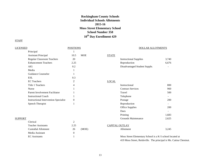# **Rockingham County Schools Individual Schools Allotments 2015-16 Moss Street Elementary School School Number 358 10th Day Enrollment 429**

| <b>LICENSED</b> |                                              | <b>POSITIONS</b> |            | <b>DOLLAR ALLOTMENTS</b> |                                                                    |                |
|-----------------|----------------------------------------------|------------------|------------|--------------------------|--------------------------------------------------------------------|----------------|
|                 | Principal                                    |                  |            |                          |                                                                    |                |
|                 | <b>Assistant Principal</b>                   | 10.5             | <b>MOE</b> | <b>STATE</b>             |                                                                    |                |
|                 | Regular Classroom Teachers                   | 20               |            |                          | <b>Instructional Supplies</b>                                      | 3,740          |
|                 | <b>Enhancement Teachers</b>                  | 2.25             |            |                          | Reproduction                                                       | 6,676          |
|                 | AIG                                          | 0.2              |            |                          | Disadvantaged Student Supple.                                      |                |
|                 | Media                                        |                  |            |                          |                                                                    |                |
|                 | <b>Guidance Counselor</b>                    |                  |            |                          |                                                                    |                |
|                 | <b>ESL</b>                                   | 0.3              |            |                          |                                                                    |                |
|                 | <b>EC</b> Teachers                           | $\overline{c}$   |            | <b>LOCAL</b>             |                                                                    |                |
|                 | Title 1 Teachers                             | 4                |            |                          | Instructional                                                      | 800            |
|                 | Nurse                                        |                  |            |                          | <b>Contract Services</b>                                           | 960            |
|                 | Parent Involvement Facilitator               |                  |            |                          | Travel                                                             | 500            |
|                 | <b>Instructional Coach</b>                   |                  |            |                          | Telephone                                                          | $\blacksquare$ |
|                 | <b>Instructional Intervention Specialist</b> | $\overline{0}$   |            |                          | Postage                                                            | 200            |
|                 | Speech Therapist                             |                  |            |                          | Reproduction                                                       |                |
|                 |                                              |                  |            |                          | <b>Office Supplies</b>                                             | 200            |
|                 |                                              |                  |            |                          | Dues                                                               |                |
|                 |                                              |                  |            |                          | Printing                                                           | 1,683          |
| <b>SUPPORT</b>  |                                              |                  |            |                          | <b>Grounds Maintenance</b>                                         | 2,625          |
|                 | Clerical                                     | 2                |            |                          |                                                                    |                |
|                 | <b>Teacher Assistants</b>                    | 2.25             |            |                          | <b>CAPITAL OUTLAY</b>                                              |                |
|                 | <b>Custodial Allotment</b>                   | 26               | (MOE)      |                          | Allotment                                                          | 3,245          |
|                 | Media Assistant                              | $\boldsymbol{0}$ |            |                          |                                                                    |                |
|                 | <b>EC</b> Assistants                         |                  |            |                          | Moss Street Elementary School is a K-5 school located at           |                |
|                 |                                              |                  |            |                          | 419 Moss Street, Reidsville. The principal is Ms. Catina Chestnut. |                |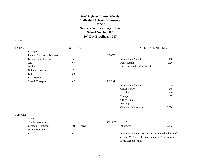# **Rockingham County Schools Individual Schools Allotments 2015-16 New Vision Elementary School School Number 362 10th Day Enrollment 327**

# **STAFF**

| <b>LICENSED</b> |                             | <b>POSITIONS</b> |              | <b>DOLLAR ALLOTMENTS</b>      |       |
|-----------------|-----------------------------|------------------|--------------|-------------------------------|-------|
|                 | Principal                   |                  |              |                               |       |
|                 | Regular Classroom Teachers  | 14               | <b>STATE</b> |                               |       |
|                 | <b>Enhancement Teachers</b> | $\overline{c}$   |              | <b>Instructional Supplies</b> | 2,158 |
|                 | AIG                         | 0.4              |              | Reproduction                  | 4,626 |
|                 | Media                       |                  |              | Disadvantaged Student Supple. |       |
|                 | Guidance Counselor          |                  |              |                               |       |
|                 | ESL                         | 0.05             |              |                               |       |
|                 | <b>EC</b> Teachers          |                  |              |                               |       |
|                 | Speech Therapist            | 0.3              | <b>LOCAL</b> |                               |       |
|                 |                             |                  |              | <b>Instructional Supplies</b> | 734   |
|                 |                             |                  |              | <b>Contract Services</b>      | 348   |
|                 |                             |                  |              | Telephone                     | 360   |
|                 |                             |                  |              | Postage                       | 93    |
|                 |                             |                  |              | <b>Office Supplies</b>        |       |
|                 |                             |                  |              | Printing                      | 971   |
|                 |                             |                  |              | Grounds Maintenance           | 6,000 |

# **SUPPORT**

| Clerical                   |               |            |                                                      |       |
|----------------------------|---------------|------------|------------------------------------------------------|-------|
| <b>Teacher Assistants</b>  | $\mathcal{R}$ |            | CAPITAL OUTLAY                                       |       |
| <b>Custodial Allotment</b> | 21            | <b>MOE</b> | Allotment                                            | 2,492 |
| Media Assistant            |               |            |                                                      |       |
| EC TA                      | 0.3           |            | New Vision is a K-5 year round magnet school located |       |
|                            |               |            | at 705 NW Ayersville Road, Madison. The principal    |       |
|                            |               |            | is Ms. Debbie Smith.                                 |       |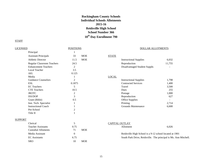# **Rockingham County Schools Individual Schools Allotments 2015-16 Reidsville High School School Number 366 10th Day Enrollment 790**

# **STAFF**

SRO 10 MOE

# LICENSED POSITIONS POSITIONS POSITIONS

|                | Principal                         |          |            |                |                                                                  |        |
|----------------|-----------------------------------|----------|------------|----------------|------------------------------------------------------------------|--------|
|                | <b>Assistant Principals</b>       | 33       | <b>MOE</b> | <b>STATE</b>   |                                                                  |        |
|                | <b>Athletic Director</b>          | 11.5     | <b>MOE</b> |                | <b>Instructional Supplies</b>                                    | 6,032  |
|                | <b>Regular Classroom Teachers</b> | 24.5     |            |                | Reproduction                                                     | 11,755 |
|                | <b>Enhancement Teachers</b>       | 2        |            |                | Disadvantaged Student Supple.                                    |        |
|                | Local Teacher                     | 3.5      |            |                |                                                                  |        |
|                | <b>AIG</b>                        | 0.125    |            |                |                                                                  |        |
|                | Media                             |          |            | <b>LOCAL</b>   |                                                                  |        |
|                | <b>Guidance Counselors</b>        | 2        |            |                | <b>Instructional Supplies</b>                                    | 1,798  |
|                | ESL                               | 0.1875   |            |                | <b>Contracted Services</b>                                       | 1,400  |
|                | <b>EC</b> Teachers                | 5        |            |                | Travel                                                           | 3,500  |
|                | <b>CTE</b> Teachers               | 10.5     |            |                | Dues                                                             | 255    |
|                | <b>JROTC</b>                      | 2        |            |                | Postage                                                          | 1,000  |
|                | ISS/DOP                           | 3        |            |                | Reproduction                                                     | 627    |
|                | Grant (Bible)                     | 0.5      |            |                | Office Supplies                                                  |        |
|                | Inst. Tech. Specialist            |          |            |                | Printing                                                         | 2,714  |
|                | <b>Instructional Coach</b>        |          |            |                | Grounds Maintenance                                              | 6,600  |
|                | Pre-School                        | 2        |            |                |                                                                  |        |
|                | Title II                          |          |            |                |                                                                  |        |
| <b>SUPPORT</b> |                                   |          |            |                |                                                                  |        |
|                | Clerical                          | 5        |            | CAPITAL OUTLAY |                                                                  |        |
|                | <b>Teacher Assistants</b>         | 0.75     |            |                | Allotment                                                        | 6,026  |
|                | <b>Custodial Alloments</b>        | 71       | <b>MOE</b> |                |                                                                  |        |
|                | Media Assistant                   | $\Omega$ |            |                | Reidsville High School is a 9-12 school located at 1901          |        |
|                | <b>EC</b> Assistants              | 6.75     |            |                | South Park Drive, Reidsville. The principal is Ms. Ann Mitchell. |        |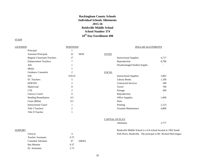# **Rockingham County Schools Individual Schools Allotments 2015-16 Reidsville Middle School School Number 374 10th Day Enrollment 498**

# **STAFF**

| <u>LICENSED</u>                   | <b>POSITIONS</b> |                               | <b>DOLLAR ALLOTMENTS</b> |  |
|-----------------------------------|------------------|-------------------------------|--------------------------|--|
| Principal                         |                  |                               |                          |  |
| <b>Assistant Principals</b>       | <b>MOE</b><br>22 | <b>STATE</b>                  |                          |  |
| <b>Regular Classroom Teachers</b> | 17               | <b>Instructional Supplies</b> | 4,717                    |  |
| <b>Enhancement Teachers</b>       | $\overline{7}$   | Reproduction                  | 8,786                    |  |
| AIG                               |                  | Disadvantaged Student Supple. |                          |  |
| Media                             |                  |                               |                          |  |
| Guidance Counselor                | $\overline{c}$   | <b>LOCAL</b>                  |                          |  |
| <b>ESL</b>                        | 0.8125           | <b>Instructional Supplies</b> | 3,062                    |  |
| <b>EC</b> Teachers                | 5                | <b>Library Books</b>          | 1,100                    |  |
| DOP/ISS                           | 2                | <b>Contracted Services</b>    | 348                      |  |
| Math/Lead                         | $\theta$         | Travel                        | 700                      |  |
| <b>CTE</b>                        | 2                | Postage                       | 500                      |  |
| Literacy Coach                    | $\Omega$         | Reproduction                  |                          |  |
| Reading Remediation               | 0.5              | Office Supplies               | 1,000                    |  |
| Grant (Bible)                     | 0.5              | Dues                          |                          |  |
| <b>Instructional Coach</b>        |                  | Printing                      | 2,123                    |  |
| <b>Title I Teachers</b>           | $\overline{c}$   | Grounds Maintenance           | 4,800                    |  |
| Title II Teacher                  |                  |                               |                          |  |

# CAPTIAL OUTLAY

Allotment 3,777

SUPPORT SUPPORT Reidsville Middle School is a 6-8 school located at 1903 South Park Drive, Reidsville. The principal is Mr. Richard McGoogan.

| Clerical                  |      |       |
|---------------------------|------|-------|
| <b>Teacher Assistants</b> | 0.75 |       |
| Custodial Alloment        | 47   | (MOE) |
| <b>Bus Monitor</b>        | 0.37 |       |
| <b>EC</b> Assistants      | 2.72 |       |
|                           |      |       |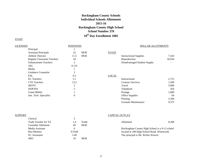# **Rockingham County Schools Individual Schools Allotments 2015-16 Rockingham County High School School Number 378 10th Day Enrollment 1085**

| <b>LICENSED</b>                   | <b>POSITIONS</b> |            |              | <b>DOLLAR ALLOTMENTS</b>      |        |  |
|-----------------------------------|------------------|------------|--------------|-------------------------------|--------|--|
| Principal                         |                  |            |              |                               |        |  |
| <b>Assistant Principals</b>       | 22               | <b>MOE</b> | <b>STATE</b> |                               |        |  |
| <b>Athletic Director</b>          | 11.5             | <b>MOE</b> |              | <b>Instructional Supplies</b> | 7,543  |  |
| <b>Regular Classroom Teachers</b> | 34               |            |              | Reproduction                  | 26,924 |  |
| <b>Enhancement Teachers</b>       | 2                |            |              | Disadvantaged Student Supple. |        |  |
| AIG                               | 0.125            |            |              |                               |        |  |
| Media                             |                  |            |              |                               |        |  |
| Guidance Counselor                | 3                |            |              |                               |        |  |
| <b>ESL</b>                        | 0.2              |            | <b>LOCAL</b> |                               |        |  |
| <b>EC</b> Teachers                | 5.1              |            |              | Instructional                 | 2,712  |  |
| <b>CTE</b> Teachers               | 13.2             |            |              | <b>Contract Services</b>      | 1,500  |  |
| <b>JROTC</b>                      | 2                |            |              | Travel                        | 5,000  |  |
| DOP/ISS                           | 2                |            |              | Telephone                     | 454    |  |
| Grant (Bible)                     |                  |            |              | Postage                       | 1,000  |  |
| Inst. Tech. Specialist            | $\theta$         |            |              | <b>Office Supplies</b>        | 64     |  |
|                                   |                  |            |              | Printing                      | 3,394  |  |
|                                   |                  |            |              | Grounds Maintenance           | 9,375  |  |

| SUPPORT |                            |        |            | <b>CAPITAL OUTLAY</b>                          |       |
|---------|----------------------------|--------|------------|------------------------------------------------|-------|
|         | Clerical                   |        |            |                                                |       |
|         | Trade Teacher for TA       | 1.4    | Trade      | Allotment                                      | 8.268 |
|         | <b>Custodial Allotment</b> | 69     | <b>MOE</b> |                                                |       |
|         | Media Assistant            |        |            | Rockingham County High School is a 9-12 school |       |
|         | Bus-Monitor                | 0.5549 |            | located at 180 High School Road, Wentworth.    |       |
|         | <b>EC</b> Assistants       | 5.49   |            | The principal is Mr. Richie Weaver.            |       |
|         | <b>SRO</b>                 |        | <b>MOE</b> |                                                |       |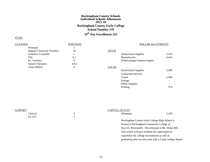# **Rockingham County Schools Individual Schools Allotments 2015-16 Rockingham County Early College School Number 379 10th Day Enrollment 325**

# **STAFF**

| LICENSED |                                   | <b>POSITIONS</b> |              | DOLLAR ALLOTMENTS             |       |
|----------|-----------------------------------|------------------|--------------|-------------------------------|-------|
|          | Principal                         |                  |              |                               |       |
|          | <b>Regular Classroom Teachers</b> | 10               | <b>STATE</b> |                               |       |
|          | Guidance Counselor                |                  |              | <b>Instructional Supplies</b> | 2,165 |
|          | <b>ESL</b>                        | 0.1              |              | Reproduction                  | 4,642 |
|          | <b>EC</b> Teachers                | 0                |              | Disadvantaged Student Supple. |       |
|          | Speech Therapist                  | 0.02             |              |                               |       |
|          | Grant (Bible)                     | $\theta$         | <b>LOCAL</b> |                               |       |
|          |                                   |                  |              | <b>Instructional Supplies</b> | 2,080 |
|          |                                   |                  |              | <b>Contracted Services</b>    |       |

| <b>SUPPORT</b> |
|----------------|
|----------------|

|             | CALITAL OUTLAT |       |
|-------------|----------------|-------|
| Clerical    | Allotment      | 2,470 |
| <b>ECTA</b> |                |       |

# CAPITAL OUTLAY

Rockingham County Early College High School is located at Rockingham Community College at Hwy 65, Wentworth. The principal is Ms. Diane Hill. This school will give students the opportunity to experience the college environment as well as graduating after an extra year with a 2 year college degree.

Travel 1,000 Postage  $\overline{\phantom{a}}$  -Office Supplies **-**Printing 974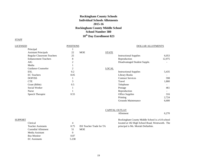# **Rockingham County Schools Individual Schools Allotments 2015-16 Rockingham County Middle School School Number 380 10th Day Enrollment 823**

| LICENSED                    | <b>POSITIONS</b> |            |              | <b>DOLLAR ALLOTMENTS</b>      |        |
|-----------------------------|------------------|------------|--------------|-------------------------------|--------|
| Principal                   |                  |            |              |                               |        |
| <b>Assistant Principals</b> | 22               | <b>MOE</b> | <b>STATE</b> |                               |        |
| Regular Classroom Teachers  | 25               |            |              | <b>Instructional Supplies</b> | 6,053  |
| <b>Enhancement Teachers</b> | 8                |            |              | Reproduction                  | 12,975 |
| AIG                         | っ                |            |              | Disadvantaged Student Supple. |        |
| Media                       |                  |            |              |                               |        |
| Guidance Counselor          | 2                |            | <b>LOCAL</b> |                               |        |
| ESL                         | 0.2              |            |              | <b>Instructional Supplies</b> | 5,435  |
| <b>EC</b> Teachers          | 8.05             |            |              | Library Books                 |        |
| DOP/ISS                     |                  |            |              | <b>Contract Services</b>      | 598    |
| <b>CTE</b>                  | 3                |            |              | Travel                        | 1,800  |
| Grant (Bible)               | 0.5              |            |              | Telephone                     |        |
| Social Worker               |                  |            |              | Postage                       | 461    |
| <b>Nurse</b>                |                  |            |              | Reproduction                  |        |
| Speech Therapist            | 0.55             |            |              | <b>Office Supplies</b>        | 316    |
|                             |                  |            |              | Printing                      | 2,724  |
|                             |                  |            |              | Grounds Maintenance           | 6,600  |

|         |                           |                |                                 | <b>CAPITAL OUTLAY</b>                           |       |
|---------|---------------------------|----------------|---------------------------------|-------------------------------------------------|-------|
|         |                           |                |                                 | Allotment                                       | 6.270 |
| SUPPORT |                           |                |                                 | Rockingham County Middle School is a 6-8 school |       |
|         | Clerical                  | 4              |                                 | located at 182 High School Road, Wentworth. The |       |
|         | <b>Teacher Assistants</b> | 0.75           | <b>ISS</b> Teacher Trade for TA | principal is Ms. Moriah Dollarhite.             |       |
|         | Custodial Allotment       | 51             | <b>MOE</b>                      |                                                 |       |
|         | Media Assistant           | $\overline{0}$ |                                 |                                                 |       |
|         | <b>Bus Monitor</b>        | 0.87           |                                 |                                                 |       |
|         | <b>EC</b> Assistants      | 5.238          |                                 |                                                 |       |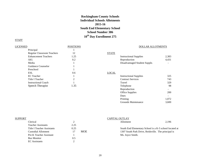# **Rockingham County Schools Individual Schools Allotments 2015-16 South End Elementary School School Number 386 10th Day Enrollment 275**

# **STAFF**

| LICENSED                          | <b>POSITIONS</b> |              | DOLLAR ALLOTMENTS             |                          |
|-----------------------------------|------------------|--------------|-------------------------------|--------------------------|
| Principal                         |                  |              |                               |                          |
| <b>Regular Classroom Teachers</b> | 12               | <b>STATE</b> |                               |                          |
| <b>Enhancement Teachers</b>       | 1.25             |              | <b>Instructional Supplies</b> | 2,383                    |
| AIG                               | 0.2              |              | Reproduction                  | 4,431                    |
| Media                             |                  |              | Disadvantaged Student Supple. | $\overline{\phantom{0}}$ |
| Guidance Counselor                |                  |              |                               |                          |
| Preschool                         |                  |              |                               |                          |
| <b>ESL</b>                        | 0.6              | <b>LOCAL</b> |                               |                          |
| <b>EC</b> Teacher                 |                  |              | <b>Instructional Supplies</b> | 325                      |
| Title I Teacher                   | ↑                |              | <b>Contract Services</b>      | 743                      |
| <b>Instructional Coach</b>        |                  |              | Travel                        | 329                      |
| Speech Therapist                  | 1.35             |              | Telephone                     | 98                       |
|                                   |                  |              | Reproduction                  |                          |
|                                   |                  |              | Office Supplies               | 200                      |

| SUPPORT |                            |      |            | CAPITAL OUTLAY                                         |       |
|---------|----------------------------|------|------------|--------------------------------------------------------|-------|
|         | Clerical                   |      |            | Allotment                                              | 2,196 |
|         | <b>Teacher Assistants</b>  | 2.25 |            |                                                        |       |
|         | Title I Teacher Assistants | 0.25 |            | South End Elementary School is a K-5 school located at |       |
|         | Custodial Allotment        |      | <b>MOE</b> | 1307 South Park Drive, Reidsville. The principal is    |       |
|         | Pre-K Teacher Assistant    |      |            | Ms. Joyce Smith.                                       |       |
|         | <b>Bus Monitor</b>         | 0.5  |            |                                                        |       |
|         | <b>EC</b> Assistants       |      |            |                                                        |       |

Dues<br>
Printing<br>
1,072

Grounds Maintenance 3,600

Printing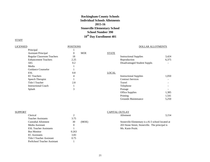# **Rockingham County Schools Individual Schools Allotments 2015-16 Stoneville Elementary School School Number 390 10th Day Enrollment 401**

| LICENSED                    | <b>POSITIONS</b> |            |              | <b>DOLLAR ALLOTMENTS</b>      |       |
|-----------------------------|------------------|------------|--------------|-------------------------------|-------|
| Principal                   |                  |            |              |                               |       |
| <b>Assistant Principal</b>  | $\Omega$         | <b>MOE</b> | <b>STATE</b> |                               |       |
| Regular Classroom Teachers  | 18               |            |              | <b>Instructional Supplies</b> | 3,424 |
| <b>Enhancement Teachers</b> | 2.25             |            |              | Reproduction                  | 6,375 |
| AIG                         | 0.2              |            |              | Disadvantaged Student Supple. |       |
| Media                       |                  |            |              |                               |       |
| Guidance Counselor          |                  |            |              |                               |       |
| <b>ESL</b>                  | 0.8              |            | <b>LOCAL</b> |                               |       |
| <b>EC</b> Teachers          | 4                |            |              | <b>Instructional Supplies</b> | 1,050 |
| Speech Therapist            |                  |            |              | <b>Contract Services</b>      |       |
| Title I Teacher             | 2.8              |            |              | Travel                        |       |
| <b>Instructional Coach</b>  |                  |            |              | Telephone                     |       |
| Splash                      | 3                |            |              | Postage                       |       |
|                             |                  |            |              | Office Supplies               | 1,385 |
|                             |                  |            |              | Printing                      | 1,541 |
|                             |                  |            |              | Grounds Maintenance           | 5,250 |

| <b>SUPPORT</b> |                               |          |       | CAPITAL OUTLAY                                   |       |
|----------------|-------------------------------|----------|-------|--------------------------------------------------|-------|
|                | Clerical                      | 2        |       | Allotment                                        | 3,154 |
|                | <b>Teacher Assistants</b>     | 3.75     |       |                                                  |       |
|                | Custodial Allotment           | 30       | (MOE) | Stoneville Elementary is a K-5 school located at |       |
|                | Media Assistant               | $\theta$ |       | 203 Stone Street, Stoneville. The principal is   |       |
|                | <b>ESL Teacher Assistants</b> |          |       | Ms. Kasie Pruitt.                                |       |
|                | <b>Bus Monitor</b>            | 0.263    |       |                                                  |       |
|                | <b>EC</b> Assistants          | 3.83     |       |                                                  |       |
|                | Title I Teacher Assistant     | 0.75     |       |                                                  |       |
|                | PreSchool Teacher Assistant   |          |       |                                                  |       |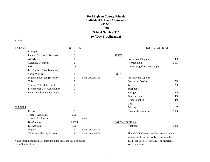# **Rockingham County Schools Individual Schools Allotments 2015-16 SCORE School Number 392 10th Day Enrollment 28**

# **STAFF**

| <b>LICENSED</b> |                                   | <b>POSITIONS</b> |                         |                | DOLLAR ALLOTMENTS                             |                          |
|-----------------|-----------------------------------|------------------|-------------------------|----------------|-----------------------------------------------|--------------------------|
|                 | Principal                         |                  |                         |                |                                               |                          |
|                 | <b>Regular Classroom Teachers</b> | 6                |                         | <b>STATE</b>   |                                               |                          |
|                 | AIG (Lead)                        |                  |                         |                | <b>Instructional Supplies</b>                 | 408                      |
|                 | <b>Guidance Counselor</b>         |                  |                         |                | Reproduction                                  | 1,537                    |
|                 | <b>ESL</b>                        | 0.2              |                         |                | Disadvantaged Student Supple.                 |                          |
|                 | EC Teachers (Day Treatment)       | 6                |                         |                |                                               |                          |
|                 | Social Worker                     |                  |                         | <b>LOCAL</b>   |                                               |                          |
|                 | Migrant Education (Director)      |                  | <b>Base Lawsonville</b> |                | <b>Instructional Supplies</b>                 |                          |
|                 | Title I                           | 2                |                         |                | <b>Contracted Services</b>                    | 500                      |
|                 | System-Wide Math Coach            |                  |                         |                | Travel                                        | 200                      |
|                 | Professional Dev. Coordinator     | 0                |                         |                | Telephone                                     |                          |
|                 | Parent Involvement Facilitator    |                  |                         |                | Postage                                       | <b>200</b>               |
|                 |                                   |                  |                         |                | Reproduction                                  | 400                      |
|                 |                                   |                  |                         |                | Office Supplies                               | 440                      |
|                 |                                   |                  |                         |                | Dues                                          | $\overline{\phantom{a}}$ |
| <b>SUPPORT</b>  |                                   |                  |                         |                | Printing                                      | 183                      |
|                 | Clerical                          | 2                |                         |                | Grounds Maintenance                           | 3,900                    |
|                 | <b>Teacher Assistants</b>         | 0.75             |                         |                |                                               |                          |
|                 | <b>Custodial Allotment</b>        | 23               | <b>MOE</b>              |                |                                               |                          |
|                 | <b>Bus-Monitor</b>                | 2.1634           |                         | CAPITAL OUTLAY |                                               |                          |
|                 | <b>EC</b> Assistants              | 9.75             |                         |                | Allotment                                     | 1,230                    |
|                 | Migrant TA                        |                  | <b>Base Lawsonville</b> |                |                                               |                          |
|                 | TA Occup Therapy Assistant        | 4                | Base Lawsonville        |                | The SCORE Center is an alternative school for |                          |

\* The enrollment fluctuates throughout the year, and has a potential 401 Moss Street, Reidsville. The principal is enrollment of 120. Mr. Curtis Gore.

students with special needs. It is located at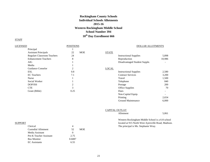# **Rockingham County Schools Individual Schools Allotments 2015-16 Western Rockingham Middle School School Number 394 10th Day Enrollment 666**

| <b>LICENSED</b>                    | <b>POSITIONS</b> |            |              | <b>DOLLAR ALLOTMENTS</b>      |        |
|------------------------------------|------------------|------------|--------------|-------------------------------|--------|
| Principal                          |                  |            |              |                               |        |
| <b>Assistant Principals</b>        | 22               | <b>MOE</b> | <b>STATE</b> |                               |        |
| <b>Regulart Classroom Teachers</b> | 24               |            |              | <b>Instructional Supplies</b> | 5,898  |
| <b>Enhancement Teachers</b>        | 8                |            |              | Reproduction                  | 10,986 |
| AIG                                |                  |            |              | Disadvantaged Student Supple. |        |
| Media                              |                  |            |              |                               |        |
| Guidance Conselor                  | 2                |            | <b>LOCAL</b> |                               |        |
| <b>ESL</b>                         | 0.8              |            |              | <b>Instructional Supplies</b> | 2,580  |
| <b>EC</b> Teachers                 | 7.1              |            |              | <b>Contract Services</b>      | 3,200  |
| <b>Nurse</b>                       |                  |            |              | Travel                        | 1,500  |
| Social Worker                      |                  |            |              | Telephone                     | 840    |
| DOP/ISS                            | 2                |            |              | Postage                       | 200    |
| <b>CTE</b>                         | 3                |            |              | Office Supplies               | 70     |
| Grant (Bible)                      | 0.25             |            |              | Dues                          |        |
|                                    |                  |            |              | Non-Capital Equip.            |        |
|                                    |                  |            |              | Printing                      | 2,654  |
|                                    |                  |            |              | <b>Ground Maintenance</b>     | 6,000  |

|         |                            |    |            | <b>CAPITAL OUTLAY</b>                               |       |
|---------|----------------------------|----|------------|-----------------------------------------------------|-------|
|         |                            |    |            | Allotment                                           | 5,061 |
|         |                            |    |            | Western Rockingham Middle School is a 6-8 school    |       |
| SUPPORT |                            |    |            | located at 915 North West Ayersville Road, Madison. |       |
|         | Clerical                   | 4  |            | The principal is Ms. Stephanie Wray.                |       |
|         | <b>Custodial Allotment</b> | 52 | <b>MOE</b> |                                                     |       |
|         | Media Assistant            |    |            |                                                     |       |

| Clerical                |        |      |
|-------------------------|--------|------|
| Custodial Allotment     | 52.    | MOE. |
| Media Assistant         |        |      |
| Pre-K Teacher Assistant | 2.75   |      |
| <b>Bus Monitor</b>      | 0.6087 |      |
| <b>EC</b> Assistants    | 6 55   |      |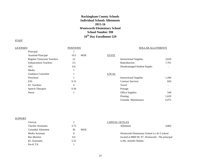# **Rockingham County Schools Individual Schools Allotments 2015-16 Wentworth Elementary School School Number 398 10th Day Enrollment 529**

# **STAFF**

| LICENSED |                             | <b>POSITIONS</b> |            |              | DOLLAR ALLOTMENTS             |        |
|----------|-----------------------------|------------------|------------|--------------|-------------------------------|--------|
|          | Principal                   |                  |            |              |                               |        |
|          | <b>Assistant Principal</b>  | 10.5             | <b>MOE</b> | <b>STATE</b> |                               |        |
|          | Regular Classroom Teachers  | 22               |            |              | <b>Instructional Supplies</b> | 3,620  |
|          | <b>Enhancement Teachers</b> | 3.5              |            |              | Reproduction                  | 7,761  |
|          | AIG                         | 0.6              |            |              | Disadvantaged Student Supple. | ۰.     |
|          | Media                       |                  |            |              |                               |        |
|          | Guidance Counselor          |                  |            | <b>LOCAL</b> |                               |        |
|          | Preschool                   |                  |            |              | <b>Instructional Supplies</b> | 1,200  |
|          | <b>ESL</b>                  | 0.15             |            |              | <b>Contract Services</b>      | 826    |
|          | <b>EC</b> Teachers          | 4                |            |              | Travel                        | $\sim$ |
|          | Speech Therapist            | 0.58             |            |              | Postage                       | н.     |
|          | Nurse                       |                  |            |              | <b>Office Supplies</b>        | 549    |
|          |                             |                  |            |              | Printing                      | 1,629  |

# **SUPPORT**

| Clerical                  | ∠                | CAPITAL OUTLAY                                  |
|---------------------------|------------------|-------------------------------------------------|
| <b>Teacher Assistants</b> | 3.75             | 4.864<br>Allotment                              |
| Custodial Allotment       | <b>MOE</b><br>30 |                                                 |
| Media Assistant           |                  | Wentworth Elementary School is a K-5 school     |
| <b>Bus Monitor</b>        | 0.6              | located at 8806 NC 87, Wentworth. The principal |
| <b>EC</b> Assistants      | 5.55             | is Ms. Jennifer Hardin.                         |
| Pre-K TA                  |                  |                                                 |

Grounds Maintenance 6,975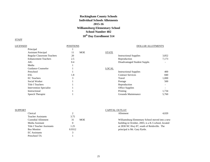# **Rockingham County Schools Individual Schools Allotments 2015-16 Williamsburg Elementary School School Number 402 10th Day Enrollment 514**

| LICENSED                       | <b>POSITIONS</b> | <b>DOLLAR ALLOTMENTS</b>      |       |
|--------------------------------|------------------|-------------------------------|-------|
| Principal                      |                  |                               |       |
| <b>Assistant Principal</b>     | <b>MOE</b><br>11 | <b>STATE</b>                  |       |
| Regular Classroom Teachers     | 20               | <b>Instructional Supplies</b> | 3,852 |
| <b>Enhancement Teachers</b>    | 2.5              | Reproduction                  | 7,173 |
| AIG                            | 0.4              | Disadvantaged Student Supple. |       |
| Media                          |                  |                               |       |
| Guidance Counselor             |                  | <b>LOCAL</b>                  |       |
| Preschool                      |                  | <b>Instructional Supplies</b> | 400   |
| <b>ESL</b>                     | 1.8              | <b>Contract Services</b>      | 840   |
| <b>EC</b> Teachers             | 3                | Travel                        | 1,000 |
| Social Worker                  |                  | Postage                       | 500   |
| <b>Title I Teachers</b>        |                  | Reproduction                  |       |
| <b>Intervention Specialist</b> |                  | <b>Office Supplies</b>        |       |
| Instructional                  |                  | Printing                      | 1,734 |
| Speech Therapist               |                  | Grounds Maintenance           | 5,760 |
|                                |                  |                               |       |

| SUPPORT                           |                  | <b>CAPITAL OUTLAY</b>                               |       |
|-----------------------------------|------------------|-----------------------------------------------------|-------|
| Clerical                          |                  | Allotment                                           | 4.020 |
| <b>Teacher Assistants</b>         | 3.75             |                                                     |       |
| Custodial Allotment               | <b>MOE</b><br>31 | Williamsburg Elementary School moved into a new     |       |
| Media Assistant                   |                  | building in October, 2003, is a K-5 school, located |       |
| <b>Title I Teacher Assistants</b> | 1.25             | at 2830 NC Hwy 87, south of Reidsville. The         |       |
| <b>Bus Monitor</b>                | 0.9312           | principal is Mr. Gary Pyrtle.                       |       |
| <b>EC</b> Assistants              |                  |                                                     |       |
| Preschool TA                      |                  |                                                     |       |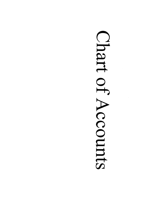# Chart of Accounts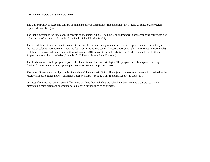## **CHART OF ACCOUNTS STRUCTURE**

The Uniform Chart of Accounts consists of minimum of four dimensions. The dimensions are 1) fund, 2) function, 3) program report code, and 4) object.

The first dimension is the fund code. It consists of one numeric digit. The fund is an independent fiscal accounting entity with a selfbalancing set of accounts. (Example: State Public School Fund is fund 1).

The second dimension is the function code. It consists of four numeric digits and describes the purpose for which the activity exists or the type of balance sheet account. There are four types of functions codes: 1) Asset Codes (Example: 1100 Accounts Receivable); 2) Liabilities, Reserves and Fund Balance Codes (Example: 2010 Accounts Payable); 3) Revenue Codes (Example: 4110 County Appropriation); 4) Purpose Codes (Example: 5100 Regular Instructional Programs).

The third dimension is the program report code. It consists of three numeric digits. The program describes a plan of activity or a funding for a particular activity. (Example: Non-Instructional Support is code 003).

The fourth dimension is the object code. It consists of three numeric digits. The object is the service or commodity obtained as the result of a specific expenditure. (Example: Teachers Salary is code 121; Instructional Supplies is code 411).

On most of our reports you will see a fifth dimension, three digits which is the school number. In some cases we use a sixth dimension, a third digit code to separate accounts even further, such as by director.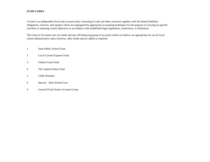# **FUND CODES**

A fund is an independent fiscal and account entity consisting of cash and other resources together with all related liabilities, obligations, reserves, and equities which are segregated by appropriate accounting techniques for the purpose of carrying on specific activities or attaining certain objectives in accordance with established legal regulations, restrictions, or limitations.

The Chart of Accounts uses six funds and one self-balancing group of accounts which we believe are appropriate for use by local school administrative units; however, other funds may be added as required.

- 1 State Public School Fund
- 2 Local Current Expense Fund
- 3 Federal Grant Fund
- 4 The Capital Outlay Fund
- 5 Child Nutrition
- 6 Special After School Care
- 9 General Fixed Assets Account Group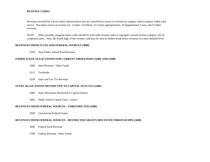#### **REVENUE CODES**

Revenues received by a local school administrative unit are classified by source of revenue by category and/or purpose within each source. The major source of revenue are: 1) State; 2) Federal; 3) County appropriations; 4) Supplemental Taxes; and 5) Other revenues.

NOTE: When possible, program report codes should be used with revenue codes to segregate a broad revenue category into its component parts. Also, the fourth digit of the revenue code may be used to further break down revenues to a more detailed level.

#### **REVENUES FROM STATE AND FEDERAL SOURCES (3000)**

3100 State Public School Fund Revenue

#### **OTHER STATE ALLOCATIONS FOR CURRENT OPERATIONS (3200) AND (3300)**

- 3200 State Revenue Other Funds
- 3211 Textbooks
- 3250 Sales and Use Tax Revenue

#### **STATE ALLOCATIONS RESTRICTED TO CAPITAL OUTLAYS (3400)**

- 3400 State Allocations Restricted to Capital Outlays
- 3460 Public School Capital Fund Lottery

#### **REVENUES FROM FEDERAL SOURCES - UNRESTRICTED (3500)**

3590 Unrestricted Federal Grants

#### **REVENUES FROM FEDERAL SOURCES - RESTRICTED GRANTS (RECEIVED THROUGH DPI) (3600)**

- 3600 Federal Fund Revenue
- 3700 Federal Revenue Other Funds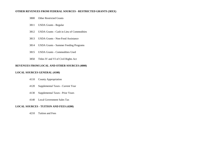#### **OTHER REVENUES FROM FEDERAL SOURCES - RESTRICTED GRANTS (38XX)**

- Other Restricted Grants
- USDA Grants Regular
- USDA Grants Cash in Lieu of Commodities
- USDA Grants Non-Food Assistance
- USDA Grants Summer Feeding Programs
- USDA Grants Commodities Used
- Titles IV and VI of Civil Rights Act

# **REVENUES FROM LOCAL AND OTHER SOURCES (4000)**

#### **LOCAL SOURCES GENERAL (4100)**

- County Appropriation
- Supplemental Taxes Current Year
- Supplemental Taxes Prior Years
- Local Government Sales Tax

## **LOCAL SOURCES - TUITION AND FEES (4200)**

Tuition and Fees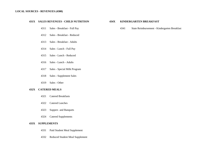#### **LOCAL SOURCES - REVENUES (4300)**

#### **431X SALES REVENUES - CHILD NUTRITION 434X KINDERGARTEN BREAKFAST**

- 
- Sales Breakfast Reduced
- Sales Breakfast Adults
- Sales Lunch Full Pay
- Sales Lunch Reduced
- Sales Lunch Adults
- Sales Special Milk Program
- Sales Supplement Sales
- Sales Other

## **432X CATERED MEALS**

- Catered Breakfasts
- Catered Lunches
- Suppers and Banquets
- Catered Supplements

## **433X SUPPLEMENTS**

- Paid Student Meal Supplement
- Reduced Student Meal Supplement

Sales - Breakfast - Full Pay 4341 State Reimbursement - Kindergarten Breakfast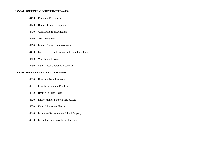#### **LOCAL SOURCES - UNRESTRICTED (4400)**

| 4410<br>Fines and Forfeitures |
|-------------------------------|
|                               |

- Rental of School Property
- Contributions & Donations
- ABC Revenues
- Interest Earned on Investments
- Income from Endowment and other Trust Funds
- Warehouse Revenue
- Other Local Operating Revenues

# **LOCAL SOURCES - RESTRICTED (4800)**

- Bond and Note Proceeds
- County Installment Purchase
- Restricted Sales Taxes
- Disposition of School Fixed Assets
- Federal Revenues Sharing
- Insurance Settlement on School Property
- Lease Purchase/Installment Purchase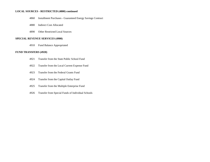#### **LOCAL SOURCES - RESTRICTED (4800) continued**

- Installment Purchases Guaranteed Energy Savings Contract
- Indirect Cost Allocated
- Other Restricted Local Sources

#### **SPECIAL REVENUE SERVICES (4900)**

Fund Balance Appropriated

# **FUND TRANSFERS (4920)**

- Transfer from the State Public School Fund
- Transfer from the Local Current Expense Fund
- Transfer from the Federal Grants Fund
- Transfer from the Capital Outlay Fund
- Transfer from the Multiple Enterprise Fund
- Transfer from Special Funds of Individual Schools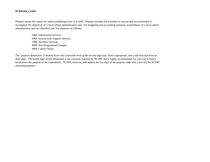#### **PURPOSE CODE**

Purpose means the reason for which something exists or is used. Purpose includes the activities or actions that are performed to accomplish the objectives of a local school administrative unit. For budgeting and accounting purposes, expenditures of a local school administrative unit are classified into five purposes as follows:

> Instructional Services System-wide Support Services Ancillary Services Non-Programmed Charges Capital Outlay

The "purpose dimension" is broken down into a function level at the second digit and, where appropriate, into a sub-function level at third digit. The fourth digit of this dimension is not currently required by NCDPI, but is highly recommended for your use to future break down the purpose of the expenditure. NCDPI, however, will replace the last digit of the purpose code with a zero (0) for NCDPI reporting purposes.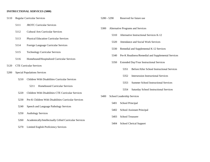# **INSTRUCTIONAL SERVICES (5000)**

| 5110 | <b>Regular Curricular Services</b>  |                                                        | 5280 - 5290 |                                   | Reserved for future use    |                                                    |
|------|-------------------------------------|--------------------------------------------------------|-------------|-----------------------------------|----------------------------|----------------------------------------------------|
|      | 5111                                | <b>JROTC Curricular Services</b>                       |             |                                   |                            |                                                    |
|      | 5112                                | <b>Cultural Arts Curricular Services</b>               | 5300        | Alternative Programs and Services |                            |                                                    |
|      |                                     |                                                        |             | 5310                              |                            | Alternative Instructional Services K-12            |
|      | 5113                                | <b>Physical Education Curricular Services</b>          |             | 5320                              |                            | Attendance and Social Work Services                |
|      | 5114                                | Foreign Language Curricular Services                   |             |                                   |                            |                                                    |
|      |                                     |                                                        |             | 5330                              |                            | Remedial and Supplemental K-12 Services            |
|      | 5115                                | <b>Technology Curricular Services</b>                  |             | 5340                              |                            | Pre-K Readiness/Remedial and Supplemental Services |
|      | 5116                                | Homebound/Hospitalized Curricular Services             |             |                                   |                            |                                                    |
|      |                                     |                                                        |             | 5350                              |                            | Extended Day/Year Instructional Services           |
| 5120 | <b>CTE Curricular Services</b>      |                                                        |             |                                   | 5351                       | Before/After School Instructional Services         |
| 5200 | <b>Special Populations Services</b> |                                                        |             |                                   |                            |                                                    |
|      | 5210                                | Children With Disabilities Curricular Services         |             |                                   | 5352                       | <b>Intersession Instructional Services</b>         |
|      |                                     |                                                        |             |                                   | 5353                       | <b>Summer School Instructional Services</b>        |
|      |                                     | Homebound Curricular Services<br>5211                  |             |                                   |                            |                                                    |
|      | 5220                                | Children With Disabilities CTE Curricular Services     |             |                                   | 5354                       | <b>Saturday School Instructional Services</b>      |
|      |                                     |                                                        | 5400        |                                   | School Leadership Services |                                                    |
|      | 5230                                | Pre-K Children With Disabilities Curricular Services   |             | 5401                              | School Principal           |                                                    |
|      | 5240                                | Speech and Language Pathology Services                 |             |                                   |                            |                                                    |
|      |                                     |                                                        |             | 5402                              |                            | School Assistant Principal                         |
|      | 5250                                | <b>Audiology Services</b>                              |             | 5403                              | School Treasurer           |                                                    |
|      | 5260                                | Academically/Intellectually Gifted Curricular Services |             |                                   |                            |                                                    |
|      |                                     |                                                        |             | 5404                              |                            | <b>School Clerical Support</b>                     |
|      | 5270                                | <b>Limited English Proficiency Services</b>            |             |                                   |                            |                                                    |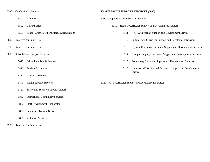- 
- 
- 
- 
- 
- -
	-
	- Guidance Services
	-
	- Safety and Security Support Services
	- Instructional Technology Services
	- Staff Development Unallocated
	- Parent Involvement Services
	- Volunteer Services
- Reserved for Future Use

### Co-Curricular Services **SYSTEM-WIDE SUPPORT SERVICES (6000)**

- Athletics 6100 Support and Development Services
- Cultural Arts 6110 Regular Curricular Support and Development Services
- School Clubs & Other Student Organizations 6111 JROTC Curricular Support and Development Services
- Reserved for Future Use 6112 Cultural Arts Curricular Support and Development Services
- Reserved for Future Use 6113 Physical Education Curricular Support and Development Services
- School-Based Support Services 6114 Foreign Language Curricular Support and Development Services
	- Educational Media Services 6115 Technology Curricular Support and Development Services
	- Student Accounting 6116 Homebound/Hospitalized Curricular Support and Development Services
	- Health Support Services 6120 CTE Curricular Support and Development Services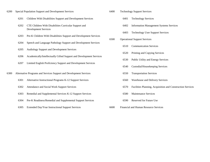- Special Population Support and Development Services 6400 Technology Support Services
	- Children With Disabilities Support and Development Services 6401 Technology Services
	- CTE Children With Disabilities Curricular Support and 6402 Information Management Systems Services Development Services
	- Pre-K Children With Disabilities Support and Development Services
	- Speech and Language Pathology Support and Development Services
	- Audiology Support and Development Services
	- Academically/Intellectually Gifted Support and Development Services
	- Limited English Proficiency Support and Development Services
- Alternative Programs and Services Support and Development Services 6550 Transportation Services
	- Alternative Instructional Programs K-12 Support Services 6560 Warehouse and Delivery Services
	-
	- Remedial and Supplemental Services K-12 Support Services 6580 Maintenance Services
	- Pre-K Readiness/Remedial and Supplemental Support Services 6590 Reserved for Future Use
	- Extended Day/Year Instructional Support Services 6600 Financial and Human Resource Services
- -
	-
	- Technology User Support Services
- Operational Support Services
	- Communication Services
	- Printing and Copying Services
	- Public Utility and Energy Services
	- Custodial/Housekeeping Services
	-
	-
- Attendance and Social Work Support Services 6570 Facilities Planning, Acquisition and Construction Services
	-
	-
	-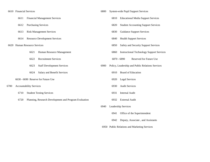|      | 6610 Financial Services |                                | 6800                                                  |      | <b>System-wide Pupil Support Services</b> |                                                  |
|------|-------------------------|--------------------------------|-------------------------------------------------------|------|-------------------------------------------|--------------------------------------------------|
|      | 6611                    |                                | <b>Financial Management Services</b>                  |      | 6810                                      | <b>Educational Media Support Services</b>        |
|      | 6612                    |                                | <b>Purchasing Services</b>                            |      | 6820                                      | <b>Student Accounting Support Services</b>       |
|      | 6613                    |                                | <b>Risk Management Services</b>                       |      | 6830                                      | <b>Guidance Support Services</b>                 |
|      | 6614                    |                                | <b>Resource Development Services</b>                  |      | 6840                                      | <b>Health Support Services</b>                   |
|      |                         | 6620 Human Resource Services   |                                                       |      | 6850                                      | Safety and Security Support Services             |
|      |                         | 6621                           | Human Resource Management                             |      | 6860                                      | <b>Instructional Technology Support Services</b> |
|      |                         | 6622                           | <b>Recruitment Services</b>                           |      |                                           | <b>Reserved for Future Use</b><br>6870 - 6890    |
|      |                         | 6623                           | <b>Staff Development Services</b>                     | 6900 |                                           | Policy, Leadership and Public Relations Services |
|      |                         | 6624                           | Salary and Benefit Services                           |      | 6910                                      | <b>Board of Education</b>                        |
|      |                         |                                | 6630 - 6690 Reserve for Future Use                    |      | 6920                                      | <b>Legal Services</b>                            |
| 6700 |                         | <b>Accountability Services</b> |                                                       |      | 6930                                      | <b>Audit Services</b>                            |
|      | 6710                    |                                | <b>Student Testing Services</b>                       |      | 6931                                      | Internal Audit                                   |
|      | 6720                    |                                | Planning, Research Development and Program Evaluation |      | 6932                                      | <b>External Audit</b>                            |
|      |                         |                                |                                                       | 6940 |                                           | <b>Leadership Services</b>                       |

- Office of the Superintendent
- Deputy, Associate , and Assistants
- Public Relations and Marketing Services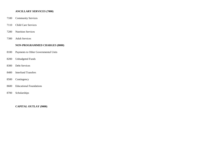## **ANCILLARY SERVICES (7000)**

- Community Services
- Child Care Services
- Nutrition Services
- Adult Services

## **NON-PROGRAMMED CHARGES (8000)**

- Payments to Other Governmental Units
- Unbudgeted Funds
- Debt Services
- Interfund Transfers
- Contingency
- Educational Foundations
- Scholarships

**CAPITAL OUTLAY (9000)**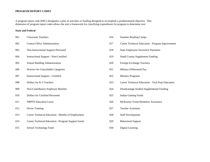# **PROGRAM REPORT CODES**

A program report code (PRC) designates a plan of activities or funding designed to accomplish a predetermined objective. This dimension of program report codes allows the unit a framework for classifying expenditures by program to determine cost.

| 001 | <b>Classroom Teachers</b>                          | 016 | <b>Summer Reading Camps</b>                      |
|-----|----------------------------------------------------|-----|--------------------------------------------------|
| 002 | <b>Central Office Administration</b>               | 017 | Career Technical Education - Program Improvement |
| 003 | Non-Instructional Support Personnel                | 018 | <b>State Employees Severence Payments</b>        |
| 004 | <b>Instructional Support - Non-Certified</b>       | 019 | <b>Small County Supplement Funding</b>           |
| 005 | School Building Administration                     | 020 | Foreign Exchange Teachers                        |
| 006 | Waivers for Unavailable Categories                 | 021 | Military Differential Pay                        |
| 007 | <b>Instructional Support - Certified</b>           | 022 | <b>Mentors Programs</b>                          |
| 008 | Dollars for K-3 Teachers                           | 023 | Career Technical Education - Tech Prep Education |
| 009 | Non-Contributory Employee Benefits                 | 024 | Disadvantage Student Supplemental Funding        |
| 010 | Dollars for Certified Personnel                    | 025 | <b>Indian Gaming Funds</b>                       |
| 011 | <b>NBPTS Education Leave</b>                       | 026 | McKinney-Vente-Homeless Assistance               |
| 012 | <b>Driver Training</b>                             | 027 | <b>Teacher Assistants</b>                        |
| 013 | Career Technical Education - Months of Employment  | 028 | <b>Staff Development</b>                         |
| 014 | Career Technical Education - Program Support Funds | 029 | <b>Behavioral Support</b>                        |
| 015 | School Technology Fund                             | 030 | Digital Learning                                 |

| 016 | <b>Summer Reading Camps</b>                      |
|-----|--------------------------------------------------|
| 017 | Career Technical Education - Program Improvement |
| 018 | <b>State Employees Severence Payments</b>        |
| 019 | <b>Small County Supplement Funding</b>           |
| 020 | Foreign Exchange Teachers                        |
| 021 | Military Differential Pay                        |
| 022 | <b>Mentors Programs</b>                          |
| 023 | Career Technical Education - Tech Prep Education |
| 024 | Disadvantage Student Supplemental Funding        |
| 025 | <b>Indian Gaming Funds</b>                       |
| 026 | McKinney-Vente-Homeless Assistance               |
| 027 | <b>Teacher Assistants</b>                        |
| 028 | <b>Staff Development</b>                         |
| 029 | <b>Behavioral Support</b>                        |
| 030 | Digital Learning                                 |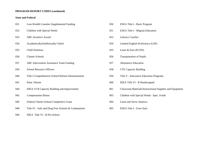# **PROGRAM REPORT CODES (continued)**

| 031 | Low-Wealth Counties Supplemental Funding            | 050 | ESEA Title I - Basic Program                             |
|-----|-----------------------------------------------------|-----|----------------------------------------------------------|
| 032 | Children with Special Needs                         | 051 | <b>ESEA Title I - Migrant Education</b>                  |
| 033 | <b>ABC</b> Incentive Award                          | 052 | <b>Literacy Coaches</b>                                  |
| 034 | Academically/Intellectually Gifted                  | 054 | Limited English Proficiency (LEP)                        |
| 035 | <b>Child Nutrition</b>                              | 055 | Learn & Earn (ECHS)                                      |
| 036 | <b>Charter Schools</b>                              | 056 | <b>Transportation of Pupils</b>                          |
| 037 | <b>ABC Intervention Assistance Team Funding</b>     | 057 | <b>Abstinence Education</b>                              |
| 039 | <b>School Resource Officers</b>                     | 058 | <b>CTE Capacity Building</b>                             |
| 040 | Title I Comprehensive School Reform Demonstration   | 059 | Title V - Innovative Education Programs                  |
| 041 | Panic Alarms                                        | 060 | IDEA Title VI - B Handicapped                            |
| 044 | <b>IDEA VI B Capacity Building and Improvement</b>  | 061 | Classroom Materials/Instructional Supplies and Equipment |
| 045 | <b>Compensation Bonus</b>                           | 063 | Children with Special Needs - Spec. Funds                |
| 046 | Federal Charter School Competitive Grant            | 064 | Learn and Serve America                                  |
| 048 | Title IV - Safe and Drug Free Schools & Communities | 065 | ESEA Title I - Even Start                                |
| 049 | <b>IDEA Title VI - B Pre-School</b>                 |     |                                                          |

| $50^{6}$ | ESEA Title I - Basic Program                       |
|----------|----------------------------------------------------|
| 51       | <b>ESEA Title I - Migrant Education</b>            |
| )52      | Literacy Coaches                                   |
| 54       | Limited English Proficiency (LEP)                  |
| 555      | Learn & Earn (ECHS)                                |
| )56      | <b>Transportation of Pupils</b>                    |
| )57      | <b>Abstinence Education</b>                        |
| )58      | <b>CTE Capacity Building</b>                       |
| )59      | Title V - Innovative Education Programs            |
| )60      | <b>IDEA Title VI - B Handicapped</b>               |
| 61       | Classroom Materials/Instructional Supplies and Equ |
| )63      | Children with Special Needs - Spec. Funds          |
| )64      | Learn and Serve America                            |
| )65      | <b>ESEA Title I - Even Start</b>                   |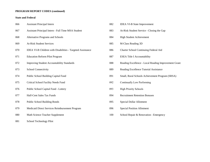# **PROGRAM REPORT CODES (continued)**

| 066 | <b>Assistant Principal Intern</b>                          | 082 | <b>IDEA VI-B State Improvement</b>                   |
|-----|------------------------------------------------------------|-----|------------------------------------------------------|
| 067 | Assistant Principal Intern - Full Time MSA Student         | 083 | At-Risk Student Service - Closing the Gap            |
| 068 | Alternative Programs and Schools                           | 084 | <b>High Student Achievement</b>                      |
| 069 | <b>At-Risk Student Services</b>                            | 085 | M-Class Reading 3D                                   |
| 070 | IDEA VI-B Children with Disabilities - Targeted Assistance | 086 | Charter School Continuing Federal Aid                |
| 071 | <b>Education Reform Pilot Program</b>                      | 087 | <b>ESEA Title I Accountability</b>                   |
| 072 | <b>Improving Student Accountability Standards</b>          | 088 | Reading Excellence - Local Reading Improvement Grant |
| 073 | School Connectivity                                        | 089 | Reading Excellence Tutorial Assistance               |
| 074 | Public School Building Capital Fund                        | 091 | Small, Rural Schools Achievement Program (SRSA)      |
| 075 | Critical School Facility Needs Fund                        | 092 | Continually Low Performing                           |
| 076 | Public School Capital Fund - Lottery                       | 093 | <b>High Priority Schools</b>                         |
| 077 | Half-Cent Sales Tax Funds                                  | 094 | <b>Recruitment Retention Bonuses</b>                 |
| 078 | <b>Public School Building Bonds</b>                        | 095 | Special Dollar Allotment                             |
| 079 | Medicaid Direct Services Reimbursement Program             | 096 | <b>Special Position Allotment</b>                    |
| 080 | Math Science Teacher Supplement                            | 100 | School Repair & Renovation - Emergency               |
| 081 | School Technology Pilot                                    |     |                                                      |

| 082 | <b>IDEA VI-B State Improvement</b>                   |
|-----|------------------------------------------------------|
| 083 | At-Risk Student Service - Closing the Gap            |
| 084 | <b>High Student Achievement</b>                      |
| 085 | M-Class Reading 3D                                   |
| 086 | Charter School Continuing Federal Aid                |
| 087 | <b>ESEA Title I Accountability</b>                   |
| 088 | Reading Excellence - Local Reading Improvement Grant |
| 089 | Reading Excellence Tutorial Assistance               |
| 091 | Small, Rural Schools Achievement Program (SRSA)      |
| 092 | <b>Continually Low Performing</b>                    |
| 093 | <b>High Priority Schools</b>                         |
| 094 | <b>Recruitment Retention Bonuses</b>                 |
| 095 | <b>Special Dollar Allotment</b>                      |
| 096 | <b>Special Position Allotment</b>                    |
| 100 | School Repair & Renovation - Emergency               |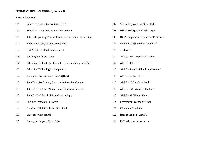# **PROGRAM REPORT CODES (continued)**

| 101 | School Repair & Renovation - IDEA                             | 117 | School Improvement Grant 1003               |
|-----|---------------------------------------------------------------|-----|---------------------------------------------|
| 102 | School Repair & Renovation - Technology                       | 118 | <b>IDEA VIB-Special Needs Target</b>        |
| 103 | Title II-Improving Teacher Quality - Transferability In & Out | 119 | <b>IDEA Targeted Assistance for Presche</b> |
| 104 | Title III-Language Acquisition Grant                          | 120 | <b>LEA Financed Purchase of School</b>      |
| 105 | ESEA Title I-School Improvement                               | 130 | Textbooks                                   |
| 106 | <b>Reading First State Grant</b>                              | 140 | <b>ARRA</b> - Education Stabilization       |
| 107 | Education Technology - Formula - Transferability In & Out     | 141 | ARRA - Title I                              |
| 108 | <b>Education Technology - Competitive</b>                     | 142 | ARRA - Title I - School Improvement         |
| 109 | Rural and Low-Income Schools (RLIS)                           | 144 | ARRA - IDEA - VI B                          |
| 110 | Title IV - 21st Century Community Learning Centers            | 145 | ARRA - IDEA - Preschool                     |
| 111 | Title III - Language Acquisition - Significant Increases      | 146 | <b>ARRA</b> - Education Technology          |
| 112 | Title II - B - Math & Science Partnerships                    | 148 | <b>ARRA - McKinney Vento</b>                |
| 113 | Summer Program Mini Grant                                     | 154 | Governor's Teacher Network                  |
| 114 | Children with Disabilities - Risk Pool                        | 155 | <b>Education Jobs Fund</b>                  |
| 115 | <b>Emergency Impact Aid</b>                                   | 156 | Race to the Top - ARRA                      |
| 116 | Emergency Impact Aid - IDEA                                   | 160 | <b>RttT Wireless Infrastructure</b>         |
|     |                                                               |     |                                             |

- 
- 
- e for Preschool
- 
- 
- 
- 
- 
- 
-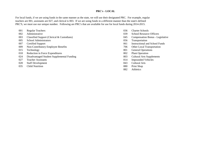## **PRC's - LOCAL**

For local funds, if we are using funds in the same manner as the state, we will use their designated PRC. For example, regular teachers are 001, assistants are 027, and clerical is 003. If we are using funds in a different manner than the state's defined PRC'S, we must use our unique number. Following are PRC's that are available for use for local funds during 2014-2015.

- 001 Regular Teachers 601 Regular Teachers 6036 Charter Schools
- 
- 003 Classified Support (Clerical & Custodians) 045 Compensation Bonus Legislative
- 005 School Administrators 056 Transportation
- 
- 009 Non-Contributory Employee Benefits 706 Other Local Transportation
- 
- 018 Reduction in Force Expenditures 802 Plant Operation
- 024 Disadvantaged Student Supplemental Funding 803 Cultural Arts Supplements
- 027 Teacher Assistants 814 Impounded Vehicles
- 028 Staff Development 843 Cultural Arts
- 035 Child Nutrition 880 Print Shop
- 
- 002 Administrative 039 School Resource Officers
	-
	-
- 007 Certified Support 061 Instructional and School Funds
	-
- 015 Technology 801 General Operations
	-
	-
	-
	-
	-
	- 882 Athletics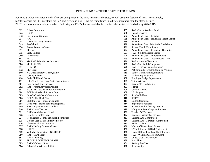### **PRC's - FUND 8 - OTHER RESTRICTED FUNDS**

For Fund 8 Other Restricted Funds, if we are using funds in the same manner as the state, we will use their designated PRC. For example, regular teachers are 001, assistants are 027, and clerical is 003. If we are using funds in a different manner than the state's defined PRC'S, we must use our unique number. Following are PRC's that are available for use for other restricted funds during 2014-2015.

- 
- 
- 
- 
- Alcohol & Drug Defense **589** SPARK
- 
- Parent Resource Center **591** School Health Coordinator
- 
- 
- 
- 
- Medicaid Administrive Outreach **596** RAF Science Classroom
- 
- 
- 
- NC Quest-Improve Tchr Quality **615** School Nurse Funding Initiative
- 
- 
- Sales Tax Refund from State Expenditures **801** Tuition & Fees
- 
- RAF Parent Advocate Position **805** Rental
- NC STEP-Teacher Education Program **806** Children's Fund
- RCEF Morehead Science Dept **808** I.B. Program
- Lowe's Charitable Makerspace **809** Scholar/Athlete
- RCEP The Rock Shop **810** SERVE
- Stuff the Bus Johnson Controls **811** Bright Beginnings
- Code.org (Teacher Staff Development) **814** Impounded Vehicles
- 
- 
- RAF Youth Mental Health **821** Teacher Of The Year
- 
- Rockingham County Education Foundation **833** Cultural Arts Contributed
- Golden Leaf STEM Initiative Project **834** Cultural Arts Keystone Contributed
- Chromebook Self Insurance **835** Bible Teachers
- RAF Healthy Cafeteria Project **836** March of Dimes Fund Raiser
- 
- 
- 
- 
- PROJECT CONNECT GRANT **880** Print Shop
- RAF Wellness Grant **881** Activity Bus Use
- Schoolwide Wireless Initiative **890** Scholarships
- Driver Education **585** RAF Social Workers Fund
- DSSF **586** Dental Services
- Exceptional Children **587** Annie Penn Grant Migrant
- AIG **588** Annie Penn Grant Reidsville Parent Center
	-
- Pre-School **590** Annie Penn Grant Principal's Fund Grant
	-
- Migrant **592** Annie Penn Grant Conscious Discipline
- Early College **593** RAF Student Health Center
- Remediation **594** Annie Penn Grant Wireless Grant
- ROTC **595** Annie Penn Grant Active Board Grant
	-
- Medicaid FFS **597** RAF Special Ed Computers
- GEAR UP **598** RAF Teacher Laptop Initiative
- PEP Grant **599** KB Reynolds Weight Room to Wellness
	-
- Quality Schools **715** Technology Programs
- Early Childhood Center **800** Employee Badge Replacement
	-
- Superintendent of the Year **804** Reading Is Fundamental
	-
	-
	-
	-
	-
	-
	-
- RAF Kajeet Parkview Students **819** School Health Advisory Council
- RAF Latin Teacher **820** Marguerite Pratt Chapman Request
	-
- Kate B. Reynolds Grant **822** Regional Principal of the Year
	-
	-
	-
	-
- USTEP **837** WRMS Summer STEM Enrichment
- Wal-Mart Foundation GEAR UP **838** Central Office Flag Pole Contributions
- RAF GEM Grant **839** RAF Walking Classroom Grant
- APEX Learning **840** United Way Contributions
	-
	-
	-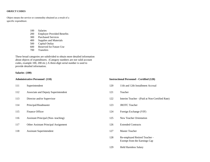### **OBJECT CODES**

Object means the service or commodity obtained as a result of a specific expenditure.

- 100 Salaries
- 200 Employer Provided Benefits
- 300 Purchased Services
- 400 Supplies and Materials
- 500 Capital Outlay
- 600 Reserved for Future Use
- 700 Transfers

These broad categories are subdivided to obtain more detailed information about objects of expenditures. (Category numbers are not valid account codes, example 100, 200 etc.) A three-digit serial number is used to provide detailed information.

### **Salaries (100)**

- 
- 112 Associate and Deputy Superintendent 121 Teacher
- 
- 114 Principal/Headmaster 123 JROTC Teacher
- 
- 116 Assistant Principal (Non- teaching) 125 New Teacher Orientation
- 117 Other Assistant Principal Assignment 126 Extended Contracts
- 118 Assistant Superintendent 127 Master Teacher

### **Administrative Personnel (110) Instructional Personnel - Certified (120)**

- 111 Superintendent 120 11th and 12th Installment Accrual
	-
- 113 Director and/or Supervisor 122 Interim Teacher (Paid at Non-Certified Rate)
	-
- 115 Finance Officer 124 Foreign Exchange (VIF)
	-
	-
	-
	- 128 Re-employed Retired Teacher Exempt from the Earnings Cap
	- 129 Held Harmless Salary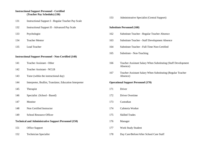## **Instructional Support Personnel - Certified (Teacher Pay Schedule) (130)**

- 131 Instructional Support I Regular Teacher Pay Scale
- 132 Instructional Support II Advanced Pay Scale **Substitute Personnel (160)**
- 
- 
- 

### **Instructional Support Personnel - Non-Certified (140)**

- 
- 142 Teacher Assistant NCLB
- 143 Tutor (within the instructional day) and the instructional day and the instructional day and the instructional day and the instructional day and the instructional day and the instructional day and the instructional day
- 144 Interpreter, Brallist, Translator, Education Interpreter **Operational Support Personnel (170)**
- 145 Therapist 171 Driver
- 146 Specialist (School Based) 172 Driver Overtime
- 
- 148 Non Certified Instructor 174 Cafeteria Worker
- 149 School Resource Officer 175 Skilled Trades

### **Technical and Administrative Support Personnel (150)** 176 Manager

- 
- 

153 Administrative Specialist (Central Support)

- 133 Psychologist 162 Substitute Teacher Regular Teacher Absence
- 134 Teacher Mentor 163 Substitute Teacher Staff Development Absence
- 135 Lead Teacher 164 Substitute Teacher Full-Time Non-Certified
	- 165 Substitute Non-Teaching
- 141 Teacher Assistant Other 166 Teacher Assistant Salary When Substituting (Staff Development Absence)
	- 167 Teacher Assistant Salary When Substituting (Regular Teacher

- 
- 
- 147 Monitor 173 Custodian
	-
	-
	-
- 151 Office Support 177 Work Study Student
- 152 Technician Specialist 178 Day Care/Before/After School Care Staff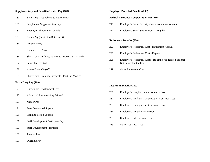## **Supplementary and Benefits-Related Pay (180) Employer Provided Benefits (200)**

- Bonus Pay (Not Subject to Retirement) **Federal Insurance Compensation Act (210)**
- 
- 
- Bonus Pay (Subject to Retirement)
- Longevity Pay
- Bonus Leave Payoff
- Short Term Disability Payments Beyond Six Months
- 
- Annual Leave Payoff 229 Other Retirement Cost
- Short Term Disability Payments First Six Months

### **Extra Duty Pay (190)**

- Curriculum Development Pay
- Additional Responsibility Stipend
- Mentor Pay
- State Designated Stipend
- Planning Period Stipend
- Staff Development Participant Pay
- Staff Development Instructor
- Tutorial Pay
- Overtime Pay

- Supplement/Supplementary Pay 210 Employer's Social Security Cost Installment Accrual
- Employee Allowances Taxable 211 Employer's Social Security Cost Regular

### **Retirement Benefits (220)**

- Employer's Retirement Cost Installment Accrual
- Employer's Retirement Cost Regular
- Employer's Retirement Costs Re-employed Retired Teacher 187 Salary Differential Not Subject to the Cap
	-

### **Insurance Benefits (230)**

- Employer's Hospitalization Insurance Cost
- Employer's Workers' Compensation Insurance Cost
- Employer's Unemployment Insurance Cost
- Employer's Dental Insurance Cost
- Employer's Life Insurance Cost
- Other Insurance Cost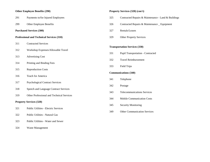## **Other Employee Benefits (290) Property Services (320) (con't)**

| 291 | Payments to/for Injured Employees |  |  |
|-----|-----------------------------------|--|--|
|     |                                   |  |  |

## **Purchased Services (300)** 327 Rentals/Leases

### **Professional and Technical Services (310)** 329 Other Property Services

- Contracted Services
- Workshop Expenses/Allowable Travel
- Advertising Cost
- Printing and Binding Fees
- Reproduction Costs
- Teach for America
- Psychological Contract Services
- Speech and Language Contract Services
- Other Professional and Technical Services

### **Property Services (320)**

- Public Utilities Electric Services
- Public Utilities Natural Gas
- Public Utilities Water and Sewer
- Waste Management

- Contracted Repairs & Maintenance Land & Buildings
- 299 Other Employee Benefits 226 Contracted Repairs & Maintenance Equipment
	-
	-

### **Transportation Services (330)**

- Pupil Transportation Contracted
- Travel Reimbursement
- Field Trips

### **Communications (340)**

- Telephone
- Postage
- Telecommunications Services
- Mobile Communication Costs
- Security Monitoring
- Other Communication Services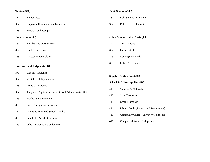| 351                                  | <b>Tuition Fees</b>                                    |  |  |
|--------------------------------------|--------------------------------------------------------|--|--|
| 352                                  | <b>Employee Education Reimbursement</b>                |  |  |
| 353                                  | <b>Eckerd Youth Camps</b>                              |  |  |
| Dues $&$ Fees $(360)$                |                                                        |  |  |
| 361                                  | Membership Dues & Fees                                 |  |  |
| 362                                  | <b>Bank Service Fees</b>                               |  |  |
| 363                                  | Assessments/Penalties                                  |  |  |
| <b>Insurance and Judgments (370)</b> |                                                        |  |  |
| 371                                  | Liability Insurance                                    |  |  |
| 372                                  | Vehicle Liability Insurance                            |  |  |
| 373                                  | Property Insurance                                     |  |  |
| 374                                  | Judgments Against the Local School Administrative Unit |  |  |
| 375                                  | <b>Fidelity Bond Premium</b>                           |  |  |
| 376                                  | <b>Pupil Transportation Insurance</b>                  |  |  |
| 377                                  | Payments to Injured School Children                    |  |  |
| 378                                  | Scholastic Accident Insurance                          |  |  |
| 379                                  | Other Insurance and Judgments                          |  |  |

## **Tuition (350) Debit Services (380)**

- 381 Debt Service Principle
- 382 Debt Service Interest

**Other Administrative Costs (390)** 

- 391 Tax Payments
- 392 Indirect Cost
- 393 Contingency Funds
- 399 Unbudgeted Funds

**Supplies & Materials (400)**

- **School & Office Supplies (410)**
- 411 Supplies & Materials
- 412 State Textbooks
- 413 Other Textbooks
- 414 Library Books (Regular and Replacement)
- 415 Community College/University Textbooks
- 418 Computer Software & Supplies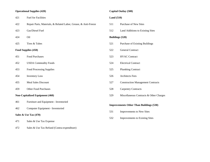# **Operational Supplies (420) Capital Outlay (500)**

| 421                   | <b>Fuel for Facilities</b>                                     |  |
|-----------------------|----------------------------------------------------------------|--|
| 422                   | Repair Parts, Materials, & Related Labor, Grease, & Anti-Freez |  |
| 423                   | Gas/Diesel Fuel                                                |  |
| 424                   | Oil                                                            |  |
| 425                   | Tires & Tubes                                                  |  |
| Food Supplies (450)   |                                                                |  |
| 451                   | <b>Food Purchases</b>                                          |  |
| 452                   | <b>USDA Commodity Foods</b>                                    |  |
| 453                   | <b>Food Processing Supplies</b>                                |  |
| 454                   | <b>Inventory Loss</b>                                          |  |
| 455                   | <b>Meal Sales Discount</b>                                     |  |
| 459                   | <b>Other Food Purchases</b>                                    |  |
|                       | <b>Non-Capitalized Equipment (460)</b>                         |  |
| 461                   | Furniture and Equipment - Inventoried                          |  |
| 462                   | Computer Equipment - Inventoried                               |  |
| Sales & Use Tax (470) |                                                                |  |
| 471                   | Sales & Use Tax Expense                                        |  |

472 Sales & Use Tax Refund (Contra-expenditure)

## **Land (510)**

- ze 511 Purchase of New Sites
	- 512 Land Additions to Existing Sites

## 424 Oil **Buildings (520)**

- 521 Purchase of Existing Buildings
- **Food Supplies (450)** 522 General Contract
- 523 HVAC Contract
- 524 Electrical Contract
- 525 Plumbing Contract
- 526 Architects Fees
- 527 Construction Management Contracts
- 528 Carpentry Contracts
- 529 Miscellaneous Contracts & Other Charges

## **Improvements Other Than Buildings (530)**

- 531 Improvements to New Sites
- 532 Improvements to Existing Sites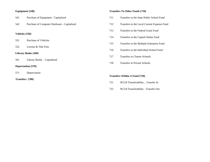| 541                 | Purchase of Equipment - Capitalized         |  |
|---------------------|---------------------------------------------|--|
| 542                 | Purchase of Computer Hardware - Capitalized |  |
|                     |                                             |  |
| Vehicles (550)      |                                             |  |
| 551                 | <b>Purchase of Vehicles</b>                 |  |
| 552                 | License & Title Fees                        |  |
| Library Books (560) |                                             |  |
| 561                 | Library Books - Capitalized                 |  |
| Depreciation (570)  |                                             |  |
| 571                 | Depreciation                                |  |
| Transfers (700)     |                                             |  |

## **Equipment (540) Transfers To Other Funds (710)**

- 711 Transfers to the State Public School Fund
- 712 Transfers to the Local Current Expense Fund
- 713 Transfers to the Federal Grant Fund
- 714 Transfers to the Capital Outlay Fund
- 715 Transfers to the Multiple Enterprise Fund
- 716 Transfers to the Individual School Fund
- 717 Transfers to Charter Schools
- 718 Transfers to Private Schools

### **Transfers Within A Fund (720)**

- 721 NCLB Transferability \_ Transfer In
- 722 NCLB Transferability Transfer Out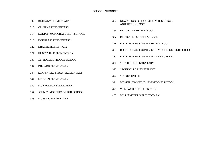- 
- CENTRAL ELEMENTARY
- DALTON MCMICHAEL HIGH SCHOOL
- DOUGLASS ELEMENTARY
- DRAPER ELEMENTARY
- HUNTSVILLE ELEMENTARY
- J.E. HOLMES MIDDLE SCHOOL
- DILLARD ELEMENTARY
- LEAKSVILLE-SPRAY ELEMENTARY
- LINCOLN ELEMENTARY
- MONROETON ELEMENTARY
- JOHN M. MOREHEAD HIGH SCHOOL
- MOSS ST. ELEMENTARY
- BETHANY ELEMENTARY 362 NEW VISION SCHOOL OF MATH, SCIENCE, AND TECHNOLOGY
	- REIDSVILLE HIGH SCHOOL
	- REIDSVILLE MIDDLE SCHOOL
	- ROCKINGHAM COUNTY HIGH SCHOOL
	- ROCKINGHAM COUNTY EARLY COLLEGE HIGH SCHOOL
	- ROCKINGHAM COUNTY MIDDLE SCHOOL
	- SOUTH END ELEMENTARY
	- STONEVILLE ELEMENTARY
	- SCORE CENTER
	- WESTERN ROCKINGHAM MIDDLE SCHOOL
	- WENTWORTH ELEMENTARY
	- WILLIAMSBURG ELEMENTARY